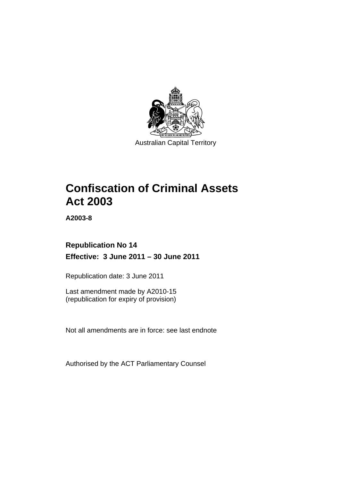

# **Confiscation of Criminal Assets Act 2003**

**A2003-8** 

## **Republication No 14 Effective: 3 June 2011 – 30 June 2011**

Republication date: 3 June 2011

Last amendment made by A2010-15 (republication for expiry of provision)

Not all amendments are in force: see last endnote

Authorised by the ACT Parliamentary Counsel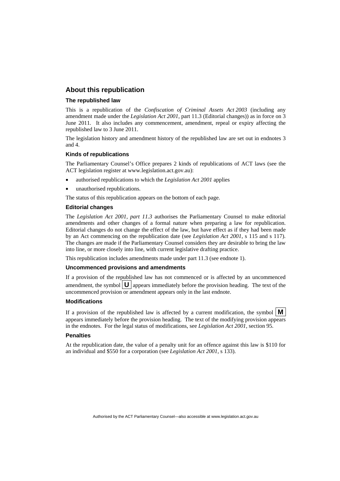## **About this republication**

#### **The republished law**

This is a republication of the *Confiscation of Criminal Assets Act 2003* (including any amendment made under the *Legislation Act 2001*, part 11.3 (Editorial changes)) as in force on 3 June 2011*.* It also includes any commencement, amendment, repeal or expiry affecting the republished law to 3 June 2011.

The legislation history and amendment history of the republished law are set out in endnotes 3 and 4.

#### **Kinds of republications**

The Parliamentary Counsel's Office prepares 2 kinds of republications of ACT laws (see the ACT legislation register at www.legislation.act.gov.au):

- authorised republications to which the *Legislation Act 2001* applies
- unauthorised republications.

The status of this republication appears on the bottom of each page.

#### **Editorial changes**

The *Legislation Act 2001, part 11.3* authorises the Parliamentary Counsel to make editorial amendments and other changes of a formal nature when preparing a law for republication. Editorial changes do not change the effect of the law, but have effect as if they had been made by an Act commencing on the republication date (see *Legislation Act 2001*, s 115 and s 117). The changes are made if the Parliamentary Counsel considers they are desirable to bring the law into line, or more closely into line, with current legislative drafting practice.

This republication includes amendments made under part 11.3 (see endnote 1).

#### **Uncommenced provisions and amendments**

If a provision of the republished law has not commenced or is affected by an uncommenced amendment, the symbol  $\mathbf{U}$  appears immediately before the provision heading. The text of the uncommenced provision  $\overline{or}$  amendment appears only in the last endnote.

#### **Modifications**

If a provision of the republished law is affected by a current modification, the symbol  $\mathbf{M}$ appears immediately before the provision heading. The text of the modifying provision appears in the endnotes. For the legal status of modifications, see *Legislation Act 2001*, section 95.

#### **Penalties**

At the republication date, the value of a penalty unit for an offence against this law is \$110 for an individual and \$550 for a corporation (see *Legislation Act 2001*, s 133).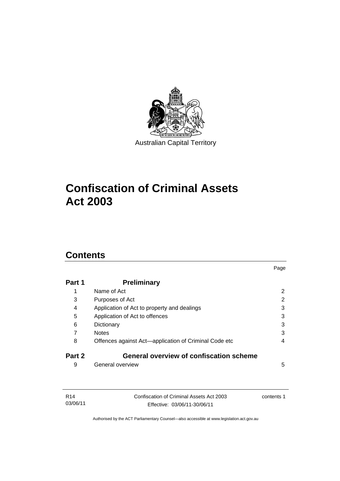

# **Confiscation of Criminal Assets Act 2003**

## **Contents**

| Part 1 | <b>Preliminary</b>                                    |                |
|--------|-------------------------------------------------------|----------------|
| 1      | Name of Act                                           | $\overline{2}$ |
| 3      | Purposes of Act                                       | 2              |
| 4      | Application of Act to property and dealings           | 3              |
| 5      | Application of Act to offences                        | 3              |
| 6      | Dictionary                                            | 3              |
| 7      | <b>Notes</b>                                          | 3              |
| 8      | Offences against Act—application of Criminal Code etc | 4              |
| Part 2 | <b>General overview of confiscation scheme</b>        |                |
| 9      | General overview                                      | 5              |

Page

| R14      | Confiscation of Criminal Assets Act 2003 | contents 1 |
|----------|------------------------------------------|------------|
| 03/06/11 | Effective: 03/06/11-30/06/11             |            |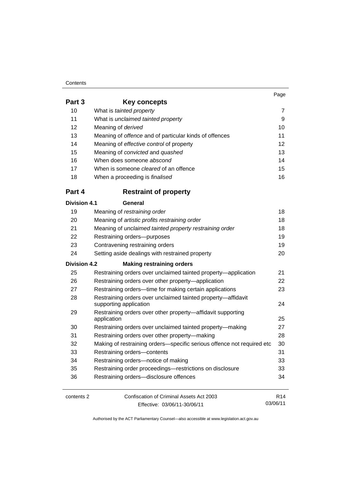#### **Contents**

|        |                                                               | Page |
|--------|---------------------------------------------------------------|------|
| Part 3 | Key concepts                                                  |      |
| 10     | What is tainted property                                      |      |
| 11     | What is unclaimed tainted property                            | 9    |
| 12     | Meaning of derived                                            | 10   |
| 13     | Meaning of <i>offence</i> and of particular kinds of offences | 11   |
| 14     | Meaning of effective control of property                      | 12   |
| 15     | Meaning of <i>convicted</i> and <i>quashed</i>                | 13   |
| 16     | When does someone abscond                                     | 14   |
| 17     | When is someone <i>cleared</i> of an offence                  | 15   |
| 18     | When a proceeding is <i>finalised</i>                         | 16   |
| Part 4 | Restraint of property                                         |      |

## contents 2 Confiscation of Criminal Assets Act 2003 Effective: 03/06/11-30/06/11 R14 03/06/11 **Part 4 Restraint of property Division 4.1 General** 19 Meaning of *restraining order* 18 20 Meaning of *artistic profits restraining order* 18 21 Meaning of *unclaimed tainted property restraining order* 18 22 Restraining orders—purposes 19 23 Contravening restraining orders 19 24 Setting aside dealings with restrained property 20 **Division 4.2 Making restraining orders** 25 Restraining orders over unclaimed tainted property—application 21 26 Restraining orders over other property—application 22 27 Restraining orders—time for making certain applications 23 28 Restraining orders over unclaimed tainted property—affidavit supporting application 24 29 Restraining orders over other property—affidavit supporting application 25 30 Restraining orders over unclaimed tainted property—making 27 31 Restraining orders over other property—making 28 32 Making of restraining orders—specific serious offence not required etc 30 33 Restraining orders—contents 31 34 Restraining orders—notice of making 33 35 Restraining order proceedings—restrictions on disclosure 33 36 Restraining orders—disclosure offences 34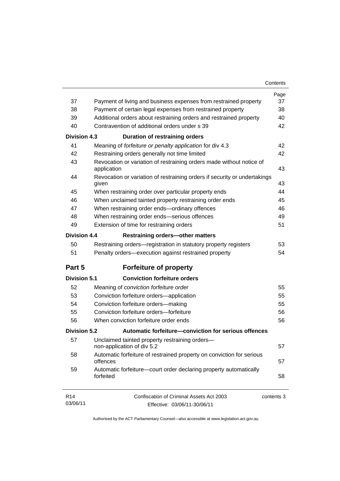| Contents |  |
|----------|--|
|----------|--|

|                             |                                                                                     | Page       |
|-----------------------------|-------------------------------------------------------------------------------------|------------|
| 37                          | Payment of living and business expenses from restrained property                    | 37         |
| 38                          | Payment of certain legal expenses from restrained property                          | 38         |
| 39                          | Additional orders about restraining orders and restrained property                  | 40         |
| 40                          | Contravention of additional orders under s 39                                       | 42         |
| <b>Division 4.3</b>         | <b>Duration of restraining orders</b>                                               |            |
| 41                          | Meaning of forfeiture or penalty application for div 4.3                            | 42         |
| 42                          | Restraining orders generally not time limited                                       | 42         |
| 43                          | Revocation or variation of restraining orders made without notice of<br>application | 43         |
| 44                          | Revocation or variation of restraining orders if security or undertakings<br>given  | 43         |
| 45                          | When restraining order over particular property ends                                | 44         |
| 46                          | When unclaimed tainted property restraining order ends                              | 45         |
| 47                          | When restraining order ends-ordinary offences                                       | 46         |
| 48                          | When restraining order ends-serious offences                                        | 49         |
| 49                          | Extension of time for restraining orders                                            | 51         |
| <b>Division 4.4</b>         | <b>Restraining orders-other matters</b>                                             |            |
| 50                          | Restraining orders—registration in statutory property registers                     | 53         |
| 51                          | Penalty orders—execution against restrained property                                | 54         |
| Part 5                      | <b>Forfeiture of property</b>                                                       |            |
| <b>Division 5.1</b>         | <b>Conviction forfeiture orders</b>                                                 |            |
| 52                          | Meaning of conviction forfeiture order                                              | 55         |
| 53                          | Conviction forfeiture orders-application                                            | 55         |
| 54                          | Conviction forfeiture orders-making                                                 | 55         |
| 55                          | Conviction forfeiture orders-forfeiture                                             | 56         |
| 56                          | When conviction forfeiture order ends                                               | 56         |
| <b>Division 5.2</b>         | Automatic forfeiture-conviction for serious offences                                |            |
| 57                          | Unclaimed tainted property restraining orders-<br>non-application of div 5.2        | 57         |
| 58                          | Automatic forfeiture of restrained property on conviction for serious<br>offences   | 57         |
| 59                          | Automatic forfeiture-court order declaring property automatically<br>forfeited      | 58         |
| R <sub>14</sub><br>03/06/11 | Confiscation of Criminal Assets Act 2003<br>Effective: 03/06/11-30/06/11            | contents 3 |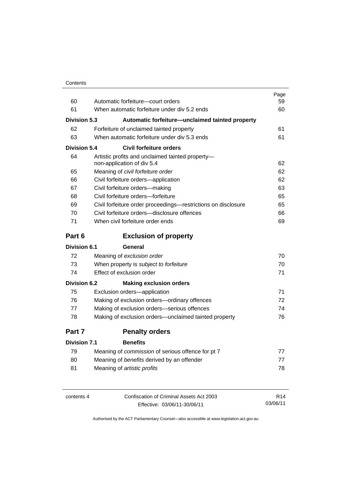| Contents |
|----------|
|----------|

|                     |                                                                                | Page |
|---------------------|--------------------------------------------------------------------------------|------|
| 60                  | Automatic forfeiture—court orders                                              | 59   |
| 61                  | When automatic forfeiture under div 5.2 ends                                   | 60   |
| <b>Division 5.3</b> | Automatic forfeiture-unclaimed tainted property                                |      |
| 62                  | Forfeiture of unclaimed tainted property                                       | 61   |
| 63                  | When automatic forfeiture under div 5.3 ends                                   | 61   |
| Division 5.4        | <b>Civil forfeiture orders</b>                                                 |      |
| 64                  | Artistic profits and unclaimed tainted property-<br>non-application of div 5.4 | 62   |
| 65                  | Meaning of civil forfeiture order                                              | 62   |
| 66                  | Civil forfeiture orders-application                                            | 62   |
| 67                  | Civil forfeiture orders-making                                                 | 63   |
| 68                  | Civil forfeiture orders-forfeiture                                             | 65   |
| 69                  | Civil forfeiture order proceedings-restrictions on disclosure                  | 65   |
| 70                  | Civil forfeiture orders-disclosure offences                                    | 66   |
| 71                  | When civil forfeiture order ends                                               | 69   |
| Part 6              | <b>Exclusion of property</b>                                                   |      |
| <b>Division 6.1</b> | General                                                                        |      |
| 72                  | Meaning of exclusion order                                                     | 70   |
| 73                  | When property is subject to forfeiture                                         | 70   |
| 74                  | Effect of exclusion order                                                      | 71   |
| <b>Division 6.2</b> | <b>Making exclusion orders</b>                                                 |      |
| 75                  | Exclusion orders-application                                                   | 71   |
| 76                  | Making of exclusion orders-ordinary offences                                   | 72   |
| 77                  | Making of exclusion orders-serious offences                                    | 74   |
| 78                  | Making of exclusion orders—unclaimed tainted property                          | 76   |
| Part 7              | <b>Penalty orders</b>                                                          |      |
| <b>Division 7.1</b> | <b>Benefits</b>                                                                |      |
| 79                  | Meaning of commission of serious offence for pt 7                              | 77   |
| 80                  | Meaning of benefits derived by an offender                                     | 77   |

| contents 4 | Confiscation of Criminal Assets Act 2003 | R <sub>14</sub> |
|------------|------------------------------------------|-----------------|
|            | Effective: 03/06/11-30/06/11             | 03/06/11        |

81 Meaning of *artistic profits* 78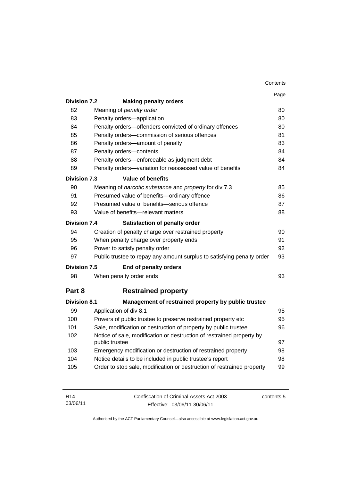|                     |                                                                                         | Contents |
|---------------------|-----------------------------------------------------------------------------------------|----------|
|                     |                                                                                         | Page     |
| <b>Division 7.2</b> | <b>Making penalty orders</b>                                                            |          |
| 82                  | Meaning of penalty order                                                                | 80       |
| 83                  | Penalty orders-application                                                              | 80       |
| 84                  | Penalty orders-offenders convicted of ordinary offences                                 | 80       |
| 85                  | Penalty orders-commission of serious offences                                           | 81       |
| 86                  | Penalty orders-amount of penalty                                                        | 83       |
| 87                  | Penalty orders-contents                                                                 | 84       |
| 88                  | Penalty orders—enforceable as judgment debt                                             | 84       |
| 89                  | Penalty orders-variation for reassessed value of benefits                               | 84       |
| <b>Division 7.3</b> | <b>Value of benefits</b>                                                                |          |
| 90                  | Meaning of narcotic substance and property for div 7.3                                  | 85       |
| 91                  | Presumed value of benefits-ordinary offence                                             | 86       |
| 92                  | Presumed value of benefits-serious offence                                              | 87       |
| 93                  | Value of benefits—relevant matters                                                      | 88       |
| <b>Division 7.4</b> | Satisfaction of penalty order                                                           |          |
| 94                  | Creation of penalty charge over restrained property                                     | 90       |
| 95                  | When penalty charge over property ends                                                  | 91       |
| 96                  | Power to satisfy penalty order                                                          | 92       |
| 97                  | Public trustee to repay any amount surplus to satisfying penalty order                  | 93       |
| <b>Division 7.5</b> | <b>End of penalty orders</b>                                                            |          |
| 98                  | When penalty order ends                                                                 | 93       |
| Part 8              | <b>Restrained property</b>                                                              |          |
| <b>Division 8.1</b> | Management of restrained property by public trustee                                     |          |
| 99                  | Application of div 8.1                                                                  | 95       |
| 100                 | Powers of public trustee to preserve restrained property etc                            | 95       |
| 101                 | Sale, modification or destruction of property by public trustee                         | 96       |
| 102                 | Notice of sale, modification or destruction of restrained property by<br>public trustee | 97       |
| 103                 | Emergency modification or destruction of restrained property                            | 98       |
| 104                 | Notice details to be included in public trustee's report                                | 98       |
| 105                 | Order to stop sale, modification or destruction of restrained property                  | 99       |

| R <sub>14</sub> | Confiscation of Criminal Assets Act 2003 | contents 5 |
|-----------------|------------------------------------------|------------|
| 03/06/11        | Effective: 03/06/11-30/06/11             |            |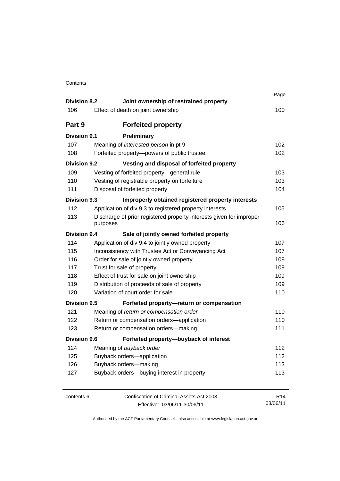| <b>Division 8.2</b> | Joint ownership of restrained property                                          | Page            |
|---------------------|---------------------------------------------------------------------------------|-----------------|
| 106                 | Effect of death on joint ownership                                              | 100             |
| Part 9              | <b>Forfeited property</b>                                                       |                 |
| <b>Division 9.1</b> | Preliminary                                                                     |                 |
| 107                 | Meaning of interested person in pt 9                                            | 102             |
| 108                 | Forfeited property-powers of public trustee                                     | 102             |
| <b>Division 9.2</b> | Vesting and disposal of forfeited property                                      |                 |
| 109                 | Vesting of forfeited property-general rule                                      | 103             |
| 110                 | Vesting of registrable property on forfeiture                                   | 103             |
| 111                 | Disposal of forfeited property                                                  | 104             |
| Division 9.3        | Improperly obtained registered property interests                               |                 |
| 112                 | Application of div 9.3 to registered property interests                         | 105             |
| 113                 | Discharge of prior registered property interests given for improper<br>purposes | 106             |
| Division 9.4        | Sale of jointly owned forfeited property                                        |                 |
| 114                 | Application of div 9.4 to jointly owned property                                | 107             |
| 115                 | Inconsistency with Trustee Act or Conveyancing Act                              | 107             |
| 116                 | Order for sale of jointly owned property                                        | 108             |
| 117                 | Trust for sale of property                                                      | 109             |
| 118                 | Effect of trust for sale on joint ownership                                     | 109             |
| 119                 | Distribution of proceeds of sale of property                                    | 109             |
| 120                 | Variation of court order for sale                                               | 110             |
| <b>Division 9.5</b> | Forfeited property-return or compensation                                       |                 |
| 121                 | Meaning of return or compensation order                                         | 110             |
| 122                 | Return or compensation orders-application                                       | 110             |
| 123                 | Return or compensation orders-making                                            | 111             |
| <b>Division 9.6</b> | Forfeited property-buyback of interest                                          |                 |
| 124                 | Meaning of buyback order                                                        | 112             |
| 125                 | Buyback orders-application                                                      | 112             |
| 126                 | Buyback orders-making                                                           | 113             |
| 127                 | Buyback orders-buying interest in property                                      | 113             |
| contents 6          | Confiscation of Criminal Assets Act 2003                                        | R <sub>14</sub> |
|                     | Effective: 03/06/11-30/06/11                                                    | 03/06/11        |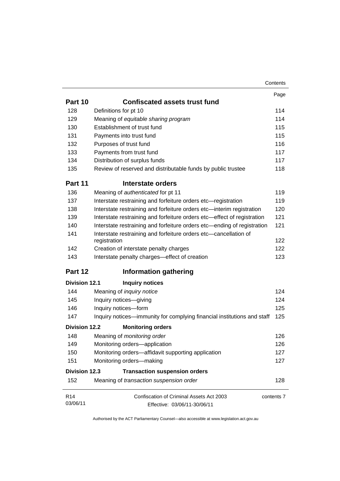|                             |                                                                                  | Contents   |
|-----------------------------|----------------------------------------------------------------------------------|------------|
|                             |                                                                                  | Page       |
| Part 10                     | <b>Confiscated assets trust fund</b>                                             |            |
| 128                         | Definitions for pt 10                                                            | 114        |
| 129                         | Meaning of equitable sharing program                                             | 114        |
| 130                         | Establishment of trust fund                                                      | 115        |
| 131                         | Payments into trust fund                                                         | 115        |
| 132                         | Purposes of trust fund                                                           | 116        |
| 133                         | Payments from trust fund                                                         | 117        |
| 134                         | Distribution of surplus funds                                                    | 117        |
| 135                         | Review of reserved and distributable funds by public trustee                     | 118        |
| Part 11                     | Interstate orders                                                                |            |
| 136                         | Meaning of authenticated for pt 11                                               | 119        |
| 137                         | Interstate restraining and forfeiture orders etc-registration                    | 119        |
| 138                         | Interstate restraining and forfeiture orders etc-interim registration            | 120        |
| 139                         | Interstate restraining and forfeiture orders etc-effect of registration          | 121        |
| 140                         | Interstate restraining and forfeiture orders etc—ending of registration          | 121        |
| 141                         | Interstate restraining and forfeiture orders etc-cancellation of<br>registration | 122        |
| 142                         | Creation of interstate penalty charges                                           | 122        |
| 143                         | Interstate penalty charges-effect of creation                                    | 123        |
| Part 12                     | <b>Information gathering</b>                                                     |            |
| <b>Division 12.1</b>        | <b>Inquiry notices</b>                                                           |            |
| 144                         | Meaning of <i>inquiry notice</i>                                                 | 124        |
| 145                         | Inquiry notices-giving                                                           | 124        |
| 146                         | Inquiry notices-form                                                             | 125        |
| 147                         | Inquiry notices—immunity for complying financial institutions and staff          | 125        |
| <b>Division 12.2</b>        | <b>Monitoring orders</b>                                                         |            |
| 148                         | Meaning of monitoring order                                                      | 126        |
| 149                         | Monitoring orders-application                                                    | 126        |
| 150                         | Monitoring orders-affidavit supporting application                               | 127        |
| 151                         | Monitoring orders-making                                                         | 127        |
| <b>Division 12.3</b>        | <b>Transaction suspension orders</b>                                             |            |
| 152                         | Meaning of transaction suspension order                                          | 128        |
| R <sub>14</sub><br>03/06/11 | Confiscation of Criminal Assets Act 2003<br>Effective: 03/06/11-30/06/11         | contents 7 |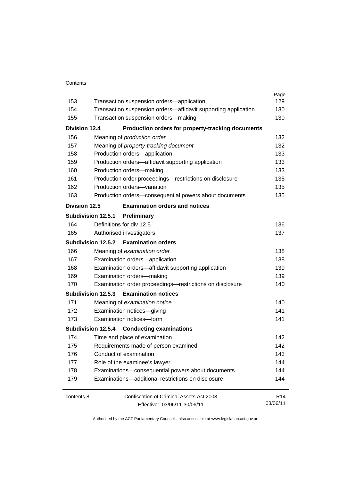#### **Contents**

|                      |                                                                | Page            |
|----------------------|----------------------------------------------------------------|-----------------|
| 153                  | Transaction suspension orders-application                      | 129             |
| 154                  | Transaction suspension orders-affidavit supporting application | 130             |
| 155                  | Transaction suspension orders-making                           | 130             |
| <b>Division 12.4</b> | Production orders for property-tracking documents              |                 |
| 156                  | Meaning of production order                                    | 132             |
| 157                  | Meaning of property-tracking document                          | 132             |
| 158                  | Production orders-application                                  | 133             |
| 159                  | Production orders-affidavit supporting application             | 133             |
| 160                  | Production orders-making                                       | 133             |
| 161                  | Production order proceedings-restrictions on disclosure        | 135             |
| 162                  | Production orders-variation                                    | 135             |
| 163                  | Production orders-consequential powers about documents         | 135             |
| <b>Division 12.5</b> | <b>Examination orders and notices</b>                          |                 |
|                      | Subdivision 12.5.1<br>Preliminary                              |                 |
| 164                  | Definitions for div 12.5                                       | 136             |
| 165                  | Authorised investigators                                       | 137             |
|                      | Subdivision 12.5.2 Examination orders                          |                 |
| 166                  | Meaning of examination order                                   | 138             |
| 167                  | Examination orders-application                                 |                 |
| 168                  | Examination orders-affidavit supporting application            | 139             |
| 169                  | Examination orders-making                                      |                 |
| 170                  | Examination order proceedings-restrictions on disclosure       | 140             |
|                      | Subdivision 12.5.3 Examination notices                         |                 |
| 171                  | Meaning of examination notice                                  | 140             |
| 172                  | Examination notices-giving                                     | 141             |
| 173                  | Examination notices-form                                       | 141             |
|                      | Subdivision 12.5.4 Conducting examinations                     |                 |
| 174                  | Time and place of examination                                  | 142             |
| 175                  | Requirements made of person examined                           | 142             |
| 176                  | Conduct of examination<br>Role of the examinee's lawyer        |                 |
| 177                  |                                                                |                 |
| 178                  | Examinations-consequential powers about documents              | 144             |
| 179                  | Examinations-additional restrictions on disclosure             | 144             |
| contents 8           | Confiscation of Criminal Assets Act 2003                       | R <sub>14</sub> |
|                      | Effective: 03/06/11-30/06/11                                   | 03/06/11        |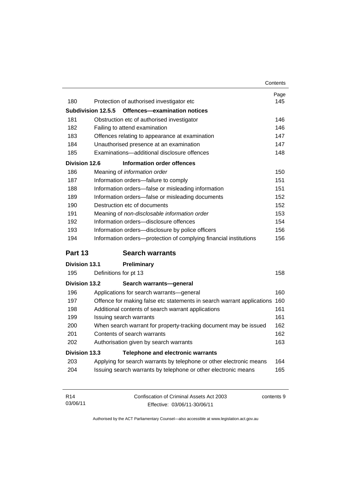|                      |                                                                        | Contents |
|----------------------|------------------------------------------------------------------------|----------|
|                      |                                                                        | Page     |
| 180                  | Protection of authorised investigator etc                              | 145      |
|                      | Subdivision 12.5.5<br>Offences-examination notices                     |          |
| 181                  | Obstruction etc of authorised investigator                             | 146      |
| 182                  | Failing to attend examination                                          | 146      |
| 183                  | Offences relating to appearance at examination                         | 147      |
| 184                  | Unauthorised presence at an examination                                | 147      |
| 185                  | Examinations-additional disclosure offences                            | 148      |
| <b>Division 12.6</b> | <b>Information order offences</b>                                      |          |
| 186                  | Meaning of information order                                           | 150      |
| 187                  | Information orders-failure to comply                                   | 151      |
| 188                  | Information orders-false or misleading information                     | 151      |
| 189                  | Information orders—false or misleading documents                       | 152      |
| 190                  | Destruction etc of documents                                           | 152      |
| 191                  | Meaning of non-disclosable information order                           | 153      |
| 192                  | Information orders-disclosure offences                                 | 154      |
| 193                  | Information orders-disclosure by police officers                       | 156      |
| 194                  | Information orders-protection of complying financial institutions      | 156      |
| Part 13              | <b>Search warrants</b>                                                 |          |
| <b>Division 13.1</b> | Preliminary                                                            |          |
| 195                  | Definitions for pt 13                                                  | 158      |
| <b>Division 13.2</b> | Search warrants-general                                                |          |
| 196                  | Applications for search warrants-general                               | 160      |
| 197                  | Offence for making false etc statements in search warrant applications | 160      |
| 198                  | Additional contents of search warrant applications                     | 161      |
| 199                  | Issuing search warrants                                                | 161      |
| 200                  | When search warrant for property-tracking document may be issued       | 162      |
| 201                  | Contents of search warrants                                            | 162      |
| 202                  | Authorisation given by search warrants                                 | 163      |
|                      |                                                                        |          |
| <b>Division 13.3</b> | <b>Telephone and electronic warrants</b>                               |          |
| 203                  | Applying for search warrants by telephone or other electronic means    | 164      |

| R14      | Confiscation of Criminal Assets Act 2003 | contents 9 |
|----------|------------------------------------------|------------|
| 03/06/11 | Effective: 03/06/11-30/06/11             |            |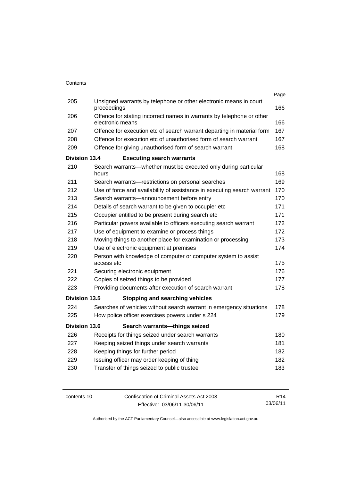|                      |                                                                                           | Page |
|----------------------|-------------------------------------------------------------------------------------------|------|
| 205                  | Unsigned warrants by telephone or other electronic means in court<br>proceedings          | 166  |
| 206                  | Offence for stating incorrect names in warrants by telephone or other<br>electronic means | 166  |
| 207                  | Offence for execution etc of search warrant departing in material form                    | 167  |
| 208                  | Offence for execution etc of unauthorised form of search warrant                          | 167  |
| 209                  | Offence for giving unauthorised form of search warrant                                    | 168  |
| <b>Division 13.4</b> | <b>Executing search warrants</b>                                                          |      |
| 210                  | Search warrants—whether must be executed only during particular<br>hours                  | 168  |
| 211                  | Search warrants-restrictions on personal searches                                         | 169  |
| 212                  | Use of force and availability of assistance in executing search warrant                   | 170  |
| 213                  | Search warrants—announcement before entry                                                 | 170  |
| 214                  | Details of search warrant to be given to occupier etc                                     | 171  |
| 215                  | Occupier entitled to be present during search etc                                         | 171  |
| 216                  | Particular powers available to officers executing search warrant                          | 172  |
| 217                  | Use of equipment to examine or process things                                             | 172  |
| 218                  | Moving things to another place for examination or processing                              | 173  |
| 219                  | Use of electronic equipment at premises                                                   | 174  |
| 220                  | Person with knowledge of computer or computer system to assist<br>access etc              | 175  |
| 221                  | Securing electronic equipment                                                             | 176  |
| 222                  | Copies of seized things to be provided                                                    | 177  |
| 223                  | Providing documents after execution of search warrant                                     | 178  |
| Division 13.5        | <b>Stopping and searching vehicles</b>                                                    |      |
| 224                  | Searches of vehicles without search warrant in emergency situations                       | 178  |
| 225                  | How police officer exercises powers under s 224                                           | 179  |
| <b>Division 13.6</b> | Search warrants-things seized                                                             |      |
| 226                  | Receipts for things seized under search warrants                                          | 180  |
| 227                  | Keeping seized things under search warrants                                               | 181  |
| 228                  | Keeping things for further period                                                         | 182  |
| 229                  | Issuing officer may order keeping of thing                                                | 182  |
| 230                  | Transfer of things seized to public trustee                                               | 183  |
|                      |                                                                                           |      |

contents 10 Confiscation of Criminal Assets Act 2003 Effective: 03/06/11-30/06/11 R14 03/06/11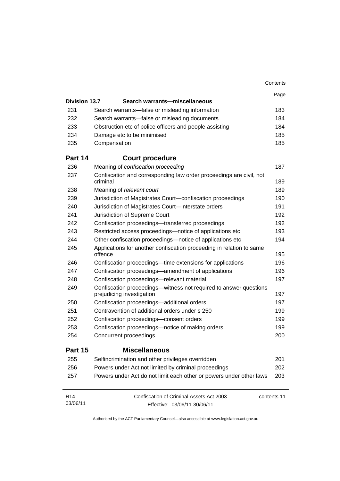|                      |                                                                                                | Contents    |
|----------------------|------------------------------------------------------------------------------------------------|-------------|
|                      |                                                                                                | Page        |
| <b>Division 13.7</b> | Search warrants-miscellaneous                                                                  |             |
| 231                  | Search warrants—false or misleading information                                                | 183         |
| 232                  | Search warrants-false or misleading documents                                                  | 184         |
| 233                  | Obstruction etc of police officers and people assisting                                        | 184         |
| 234                  | Damage etc to be minimised                                                                     | 185         |
| 235                  | Compensation                                                                                   | 185         |
| Part 14              | <b>Court procedure</b>                                                                         |             |
| 236                  | Meaning of confiscation proceeding                                                             | 187         |
| 237                  | Confiscation and corresponding law order proceedings are civil, not                            |             |
|                      | criminal                                                                                       | 189         |
| 238                  | Meaning of relevant court                                                                      | 189         |
| 239                  | Jurisdiction of Magistrates Court-confiscation proceedings                                     | 190         |
| 240                  | Jurisdiction of Magistrates Court-interstate orders                                            | 191         |
| 241                  | Jurisdiction of Supreme Court                                                                  | 192         |
| 242                  | Confiscation proceedings-transferred proceedings                                               | 192         |
| 243                  | Restricted access proceedings—notice of applications etc                                       | 193         |
| 244                  | Other confiscation proceedings—notice of applications etc                                      | 194         |
| 245                  | Applications for another confiscation proceeding in relation to same<br>offence                | 195         |
| 246                  | Confiscation proceedings—time extensions for applications                                      | 196         |
| 247                  | Confiscation proceedings—amendment of applications                                             | 196         |
| 248                  | Confiscation proceedings-relevant material                                                     | 197         |
| 249                  | Confiscation proceedings—witness not required to answer questions<br>prejudicing investigation | 197         |
| 250                  | Confiscation proceedings-additional orders                                                     | 197         |
| 251                  | Contravention of additional orders under s 250                                                 | 199         |
| 252                  | Confiscation proceedings-consent orders                                                        | 199         |
| 253                  | Confiscation proceedings—notice of making orders                                               | 199         |
| 254                  | Concurrent proceedings                                                                         | 200         |
| Part 15              | <b>Miscellaneous</b>                                                                           |             |
| 255                  | Selfincrimination and other privileges overridden                                              | 201         |
| 256                  | Powers under Act not limited by criminal proceedings                                           | 202         |
| 257                  | Powers under Act do not limit each other or powers under other laws                            | 203         |
| R <sub>14</sub>      | Confiscation of Criminal Assets Act 2003                                                       | contents 11 |
| 03/06/11             | Effective: 03/06/11-30/06/11                                                                   |             |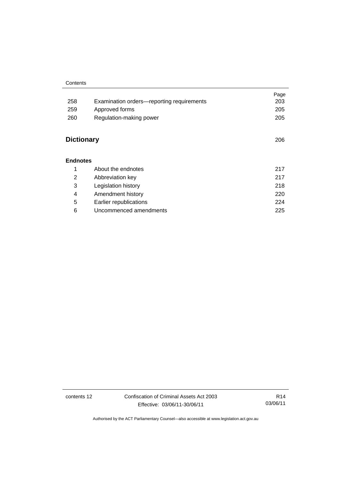#### **Contents**

|                   |                                           | Page |
|-------------------|-------------------------------------------|------|
| 258               | Examination orders-reporting requirements | 203  |
| 259               | Approved forms                            | 205  |
| 260               | Regulation-making power                   | 205  |
|                   |                                           |      |
| <b>Dictionary</b> |                                           | 206  |
|                   |                                           |      |
| <b>Endnotes</b>   |                                           |      |
| 1                 | About the endnotes                        | 217  |
| 2                 | Abbreviation key                          | 217  |
| 3                 | Legislation history                       | 218  |
| 4                 | Amendment history                         | 220  |
| 5                 | Earlier republications                    | 224  |
| 6                 | Uncommenced amendments                    | 225  |

contents 12 Confiscation of Criminal Assets Act 2003 Effective: 03/06/11-30/06/11

R14 03/06/11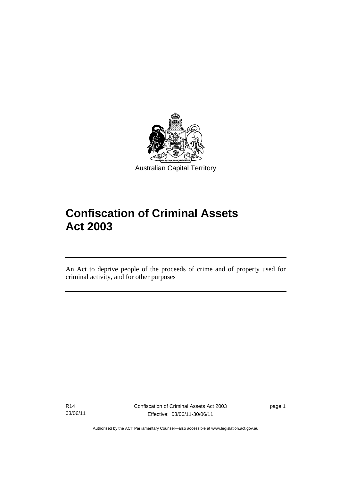

# **Confiscation of Criminal Assets Act 2003**

An Act to deprive people of the proceeds of crime and of property used for criminal activity, and for other purposes

R14 03/06/11

l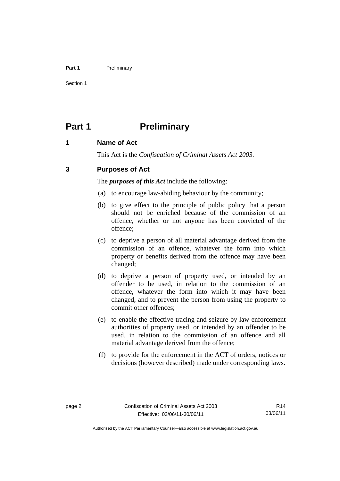#### Part 1 **Preliminary**

Section 1

## **Part 1** Preliminary

## **1 Name of Act**

This Act is the *Confiscation of Criminal Assets Act 2003.*

## **3 Purposes of Act**

The *purposes of this Act* include the following:

- (a) to encourage law-abiding behaviour by the community;
- (b) to give effect to the principle of public policy that a person should not be enriched because of the commission of an offence, whether or not anyone has been convicted of the offence;
- (c) to deprive a person of all material advantage derived from the commission of an offence, whatever the form into which property or benefits derived from the offence may have been changed;
- (d) to deprive a person of property used, or intended by an offender to be used, in relation to the commission of an offence, whatever the form into which it may have been changed, and to prevent the person from using the property to commit other offences;
- (e) to enable the effective tracing and seizure by law enforcement authorities of property used, or intended by an offender to be used, in relation to the commission of an offence and all material advantage derived from the offence;
- (f) to provide for the enforcement in the ACT of orders, notices or decisions (however described) made under corresponding laws.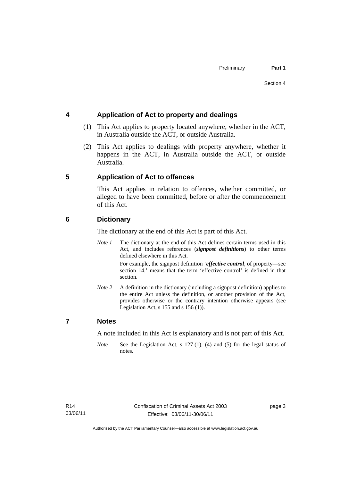## **4 Application of Act to property and dealings**

- (1) This Act applies to property located anywhere, whether in the ACT, in Australia outside the ACT, or outside Australia.
- (2) This Act applies to dealings with property anywhere, whether it happens in the ACT, in Australia outside the ACT, or outside Australia.

## **5 Application of Act to offences**

This Act applies in relation to offences, whether committed, or alleged to have been committed, before or after the commencement of this Act.

## **6 Dictionary**

The dictionary at the end of this Act is part of this Act.

*Note 1* The dictionary at the end of this Act defines certain terms used in this Act, and includes references (*signpost definitions*) to other terms defined elsewhere in this Act.

> For example, the signpost definition '*effective control*, of property—see section 14.' means that the term 'effective control' is defined in that section.

*Note 2* A definition in the dictionary (including a signpost definition) applies to the entire Act unless the definition, or another provision of the Act, provides otherwise or the contrary intention otherwise appears (see Legislation Act,  $s$  155 and  $s$  156 (1)).

## **7 Notes**

A note included in this Act is explanatory and is not part of this Act.

*Note* See the Legislation Act, s 127 (1), (4) and (5) for the legal status of notes.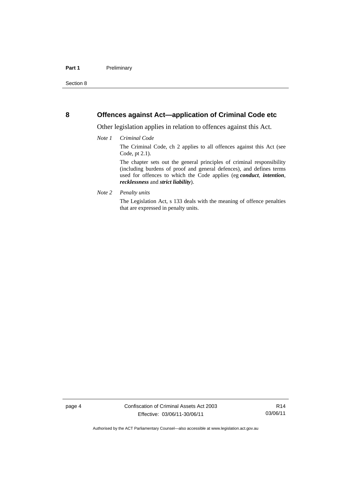## **8 Offences against Act—application of Criminal Code etc**

Other legislation applies in relation to offences against this Act.

#### *Note 1 Criminal Code*

The Criminal Code, ch 2 applies to all offences against this Act (see Code, pt 2.1).

The chapter sets out the general principles of criminal responsibility (including burdens of proof and general defences), and defines terms used for offences to which the Code applies (eg *conduct*, *intention*, *recklessness* and *strict liability*).

*Note 2 Penalty units* 

The Legislation Act, s 133 deals with the meaning of offence penalties that are expressed in penalty units.

R14 03/06/11

Authorised by the ACT Parliamentary Counsel—also accessible at www.legislation.act.gov.au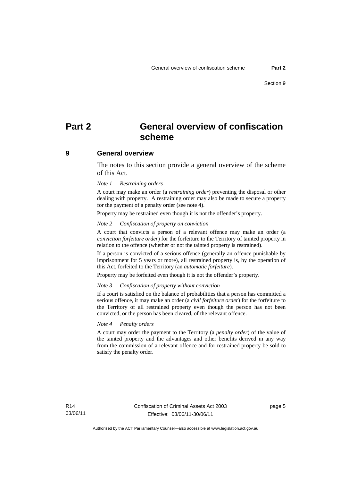## **Part 2 General overview of confiscation scheme**

### **9 General overview**

The notes to this section provide a general overview of the scheme of this Act.

#### *Note 1 Restraining orders*

A court may make an order (a *restraining order*) preventing the disposal or other dealing with property. A restraining order may also be made to secure a property for the payment of a penalty order (see note 4).

Property may be restrained even though it is not the offender's property.

#### *Note 2 Confiscation of property on conviction*

A court that convicts a person of a relevant offence may make an order (a *conviction forfeiture order*) for the forfeiture to the Territory of tainted property in relation to the offence (whether or not the tainted property is restrained).

If a person is convicted of a serious offence (generally an offence punishable by imprisonment for 5 years or more), all restrained property is, by the operation of this Act, forfeited to the Territory (an *automatic forfeiture*).

Property may be forfeited even though it is not the offender's property.

### *Note 3 Confiscation of property without conviction*

If a court is satisfied on the balance of probabilities that a person has committed a serious offence, it may make an order (a *civil forfeiture order*) for the forfeiture to the Territory of all restrained property even though the person has not been convicted, or the person has been cleared, of the relevant offence.

#### *Note 4 Penalty orders*

A court may order the payment to the Territory (a *penalty order*) of the value of the tainted property and the advantages and other benefits derived in any way from the commission of a relevant offence and for restrained property be sold to satisfy the penalty order.

page 5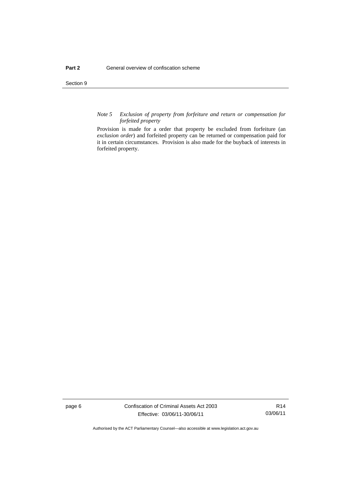Section 9

#### *Note 5 Exclusion of property from forfeiture and return or compensation for forfeited property*

Provision is made for a order that property be excluded from forfeiture (an *exclusion order*) and forfeited property can be returned or compensation paid for it in certain circumstances. Provision is also made for the buyback of interests in forfeited property.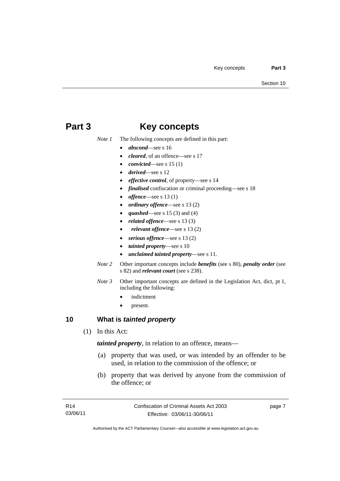## **Part 3 Key concepts**

*Note 1* The following concepts are defined in this part:

- *abscond*—see s 16
- *cleared*, of an offence—see s 17
- *convicted*—see s 15 (1)
- *derived*—see s 12
- *effective control*, of property—see s 14
- *finalised* confiscation or criminal proceeding—see s 18
- *offence*—see s 13 (1)
- *ordinary offence*—see s 13 (2)
- *quashed*—see s 15 (3) and (4)
- *related offence*—see s 13 (3)
- *relevant offence*—see s 13 (2)
- *serious offence*—see s 13 (2)
- *tainted property*—see s 10
- *unclaimed tainted property*—see s 11.
- *Note 2* Other important concepts include *benefits* (see s 80), *penalty order* (see s 82) and *relevant court* (see s 238).
- *Note 3* Other important concepts are defined in the Legislation Act, dict, pt 1, including the following:
	- indictment
	- present.

## **10 What is** *tainted property*

(1) In this Act:

*tainted property*, in relation to an offence, means—

- (a) property that was used, or was intended by an offender to be used, in relation to the commission of the offence; or
- (b) property that was derived by anyone from the commission of the offence; or

page 7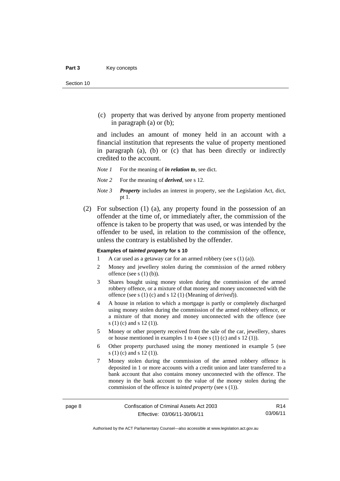(c) property that was derived by anyone from property mentioned in paragraph (a) or (b);

and includes an amount of money held in an account with a financial institution that represents the value of property mentioned in paragraph (a), (b) or (c) that has been directly or indirectly credited to the account.

- *Note 1* For the meaning of *in relation to*, see dict.
- *Note 2* For the meaning of *derived*, see s 12.
- *Note 3 Property* includes an interest in property, see the Legislation Act, dict, pt 1.
- (2) For subsection (1) (a), any property found in the possession of an offender at the time of, or immediately after, the commission of the offence is taken to be property that was used, or was intended by the offender to be used, in relation to the commission of the offence, unless the contrary is established by the offender.

#### **Examples of** *tainted property* **for s 10**

- 1 A car used as a getaway car for an armed robbery (see s (1) (a)).
- 2 Money and jewellery stolen during the commission of the armed robbery offence (see s (1) (b)).
- 3 Shares bought using money stolen during the commission of the armed robbery offence, or a mixture of that money and money unconnected with the offence (see s (1) (c) and s 12 (1) (Meaning of *derived*)).
- 4 A house in relation to which a mortgage is partly or completely discharged using money stolen during the commission of the armed robbery offence, or a mixture of that money and money unconnected with the offence (see s (1) (c) and s 12 (1)).
- 5 Money or other property received from the sale of the car, jewellery, shares or house mentioned in examples 1 to 4 (see s (1) (c) and s 12 (1)).
- 6 Other property purchased using the money mentioned in example 5 (see s (1) (c) and s 12 (1)).
- 7 Money stolen during the commission of the armed robbery offence is deposited in 1 or more accounts with a credit union and later transferred to a bank account that also contains money unconnected with the offence. The money in the bank account to the value of the money stolen during the commission of the offence is *tainted property* (see s (1)).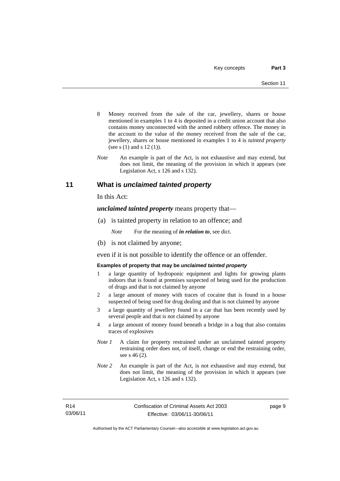- 8 Money received from the sale of the car, jewellery, shares or house mentioned in examples 1 to 4 is deposited in a credit union account that also contains money unconnected with the armed robbery offence. The money in the account to the value of the money received from the sale of the car, jewellery, shares or house mentioned in examples 1 to 4 is *tainted property* (see s (1) and s 12 (1)).
- *Note* An example is part of the Act, is not exhaustive and may extend, but does not limit, the meaning of the provision in which it appears (see Legislation Act, s 126 and s 132).

## **11 What is** *unclaimed tainted property*

In this Act:

*unclaimed tainted property* means property that—

(a) is tainted property in relation to an offence; and

*Note* For the meaning of *in relation to*, see dict.

(b) is not claimed by anyone;

even if it is not possible to identify the offence or an offender.

#### **Examples of property that may be** *unclaimed tainted property*

- 1 a large quantity of hydroponic equipment and lights for growing plants indoors that is found at premises suspected of being used for the production of drugs and that is not claimed by anyone
- 2 a large amount of money with traces of cocaine that is found in a house suspected of being used for drug dealing and that is not claimed by anyone
- 3 a large quantity of jewellery found in a car that has been recently used by several people and that is not claimed by anyone
- 4 a large amount of money found beneath a bridge in a bag that also contains traces of explosives
- *Note 1* A claim for property restrained under an unclaimed tainted property restraining order does not, of itself, change or end the restraining order, see s 46 (2).
- *Note 2* An example is part of the Act, is not exhaustive and may extend, but does not limit, the meaning of the provision in which it appears (see Legislation Act, s 126 and s 132).

page 9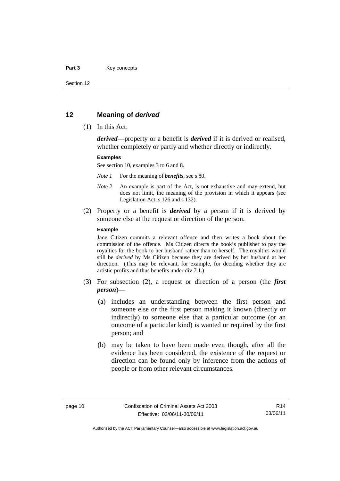#### Part 3 **Key concepts**

Section 12

## **12 Meaning of** *derived*

(1) In this Act:

*derived*—property or a benefit is *derived* if it is derived or realised, whether completely or partly and whether directly or indirectly.

#### **Examples**

See section 10, examples 3 to 6 and 8.

*Note 1* For the meaning of *benefits*, see s 80.

- *Note 2* An example is part of the Act, is not exhaustive and may extend, but does not limit, the meaning of the provision in which it appears (see Legislation Act, s 126 and s 132).
- (2) Property or a benefit is *derived* by a person if it is derived by someone else at the request or direction of the person.

#### **Example**

Jane Citizen commits a relevant offence and then writes a book about the commission of the offence. Ms Citizen directs the book's publisher to pay the royalties for the book to her husband rather than to herself. The royalties would still be *derived* by Ms Citizen because they are derived by her husband at her direction. (This may be relevant, for example, for deciding whether they are artistic profits and thus benefits under div 7.1.)

- (3) For subsection (2), a request or direction of a person (the *first person*)—
	- (a) includes an understanding between the first person and someone else or the first person making it known (directly or indirectly) to someone else that a particular outcome (or an outcome of a particular kind) is wanted or required by the first person; and
	- (b) may be taken to have been made even though, after all the evidence has been considered, the existence of the request or direction can be found only by inference from the actions of people or from other relevant circumstances.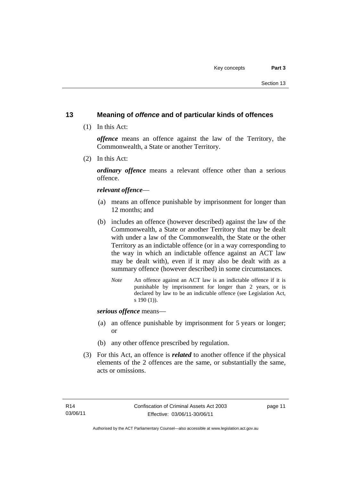## **13 Meaning of** *offence* **and of particular kinds of offences**

(1) In this Act:

*offence* means an offence against the law of the Territory, the Commonwealth, a State or another Territory.

(2) In this Act:

*ordinary offence* means a relevant offence other than a serious offence.

## *relevant offence*—

- (a) means an offence punishable by imprisonment for longer than 12 months; and
- (b) includes an offence (however described) against the law of the Commonwealth, a State or another Territory that may be dealt with under a law of the Commonwealth, the State or the other Territory as an indictable offence (or in a way corresponding to the way in which an indictable offence against an ACT law may be dealt with), even if it may also be dealt with as a summary offence (however described) in some circumstances.
	- *Note* An offence against an ACT law is an indictable offence if it is punishable by imprisonment for longer than 2 years, or is declared by law to be an indictable offence (see Legislation Act, s 190 (1)).

*serious offence* means—

- (a) an offence punishable by imprisonment for 5 years or longer; or
- (b) any other offence prescribed by regulation.
- (3) For this Act, an offence is *related* to another offence if the physical elements of the 2 offences are the same, or substantially the same, acts or omissions.

page 11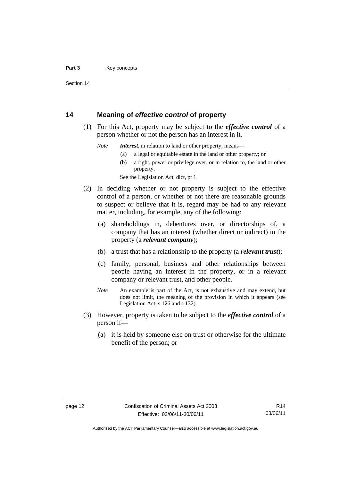Section 14

## **14 Meaning of** *effective control* **of property**

- (1) For this Act, property may be subject to the *effective control* of a person whether or not the person has an interest in it.
	- *Note Interest*, in relation to land or other property, means—
		- (a) a legal or equitable estate in the land or other property; or
		- (b) a right, power or privilege over, or in relation to, the land or other property.

See the Legislation Act, dict, pt 1.

- (2) In deciding whether or not property is subject to the effective control of a person, or whether or not there are reasonable grounds to suspect or believe that it is, regard may be had to any relevant matter, including, for example, any of the following:
	- (a) shareholdings in, debentures over, or directorships of, a company that has an interest (whether direct or indirect) in the property (a *relevant company*);
	- (b) a trust that has a relationship to the property (a *relevant trust*);
	- (c) family, personal, business and other relationships between people having an interest in the property, or in a relevant company or relevant trust, and other people.
	- *Note* An example is part of the Act, is not exhaustive and may extend, but does not limit, the meaning of the provision in which it appears (see Legislation Act, s 126 and s 132).
- (3) However, property is taken to be subject to the *effective control* of a person if—
	- (a) it is held by someone else on trust or otherwise for the ultimate benefit of the person; or

Authorised by the ACT Parliamentary Counsel—also accessible at www.legislation.act.gov.au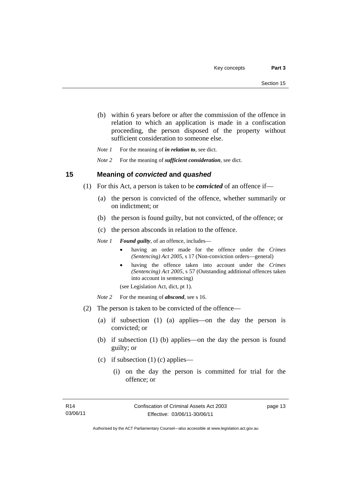- (b) within 6 years before or after the commission of the offence in relation to which an application is made in a confiscation proceeding, the person disposed of the property without sufficient consideration to someone else.
- *Note 1* For the meaning of *in relation to*, see dict.

*Note 2* For the meaning of *sufficient consideration*, see dict.

## **15 Meaning of** *convicted* **and** *quashed*

- (1) For this Act, a person is taken to be *convicted* of an offence if—
	- (a) the person is convicted of the offence, whether summarily or on indictment; or
	- (b) the person is found guilty, but not convicted, of the offence; or
	- (c) the person absconds in relation to the offence.

*Note 1 Found guilty*, of an offence, includes—

- having an order made for the offence under the *Crimes (Sentencing) Act 2005*, s 17 (Non-conviction orders—general)
- having the offence taken into account under the *Crimes (Sentencing) Act 2005*, s 57 (Outstanding additional offences taken into account in sentencing)

(see Legislation Act, dict, pt 1).

- *Note* 2 For the meaning of *abscond*, see s 16.
- (2) The person is taken to be convicted of the offence—
	- (a) if subsection (1) (a) applies—on the day the person is convicted; or
	- (b) if subsection (1) (b) applies—on the day the person is found guilty; or
	- (c) if subsection (1) (c) applies—
		- (i) on the day the person is committed for trial for the offence; or

page 13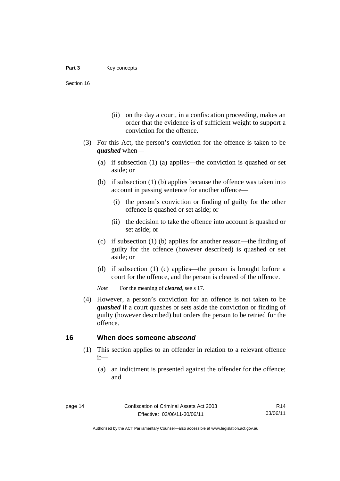- (ii) on the day a court, in a confiscation proceeding, makes an order that the evidence is of sufficient weight to support a conviction for the offence.
- (3) For this Act, the person's conviction for the offence is taken to be *quashed* when—
	- (a) if subsection (1) (a) applies—the conviction is quashed or set aside; or
	- (b) if subsection (1) (b) applies because the offence was taken into account in passing sentence for another offence—
		- (i) the person's conviction or finding of guilty for the other offence is quashed or set aside; or
		- (ii) the decision to take the offence into account is quashed or set aside; or
	- (c) if subsection (1) (b) applies for another reason—the finding of guilty for the offence (however described) is quashed or set aside; or
	- (d) if subsection (1) (c) applies—the person is brought before a court for the offence, and the person is cleared of the offence.

*Note* For the meaning of *cleared*, see s 17.

 (4) However, a person's conviction for an offence is not taken to be *quashed* if a court quashes or sets aside the conviction or finding of guilty (however described) but orders the person to be retried for the offence.

### **16 When does someone** *abscond*

- (1) This section applies to an offender in relation to a relevant offence if—
	- (a) an indictment is presented against the offender for the offence; and

R14 03/06/11

Authorised by the ACT Parliamentary Counsel—also accessible at www.legislation.act.gov.au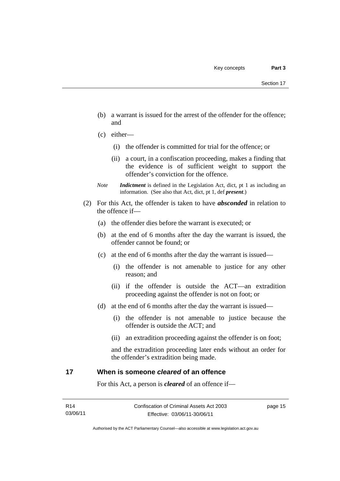- (b) a warrant is issued for the arrest of the offender for the offence; and
- (c) either—
	- (i) the offender is committed for trial for the offence; or
	- (ii) a court, in a confiscation proceeding, makes a finding that the evidence is of sufficient weight to support the offender's conviction for the offence.
- *Note Indictment* is defined in the Legislation Act, dict, pt 1 as including an information. (See also that Act, dict, pt 1, def *present*.)
- (2) For this Act, the offender is taken to have *absconded* in relation to the offence if—
	- (a) the offender dies before the warrant is executed; or
	- (b) at the end of 6 months after the day the warrant is issued, the offender cannot be found; or
	- (c) at the end of 6 months after the day the warrant is issued—
		- (i) the offender is not amenable to justice for any other reason; and
		- (ii) if the offender is outside the ACT—an extradition proceeding against the offender is not on foot; or
	- (d) at the end of 6 months after the day the warrant is issued—
		- (i) the offender is not amenable to justice because the offender is outside the ACT; and
		- (ii) an extradition proceeding against the offender is on foot;

and the extradition proceeding later ends without an order for the offender's extradition being made.

## **17 When is someone** *cleared* **of an offence**

For this Act, a person is *cleared* of an offence if—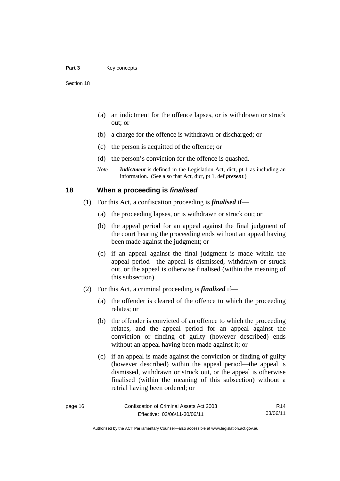- (a) an indictment for the offence lapses, or is withdrawn or struck out; or
- (b) a charge for the offence is withdrawn or discharged; or
- (c) the person is acquitted of the offence; or
- (d) the person's conviction for the offence is quashed.
- *Note Indictment* is defined in the Legislation Act, dict, pt 1 as including an information. (See also that Act, dict, pt 1, def *present*.)

## **18 When a proceeding is** *finalised*

- (1) For this Act, a confiscation proceeding is *finalised* if—
	- (a) the proceeding lapses, or is withdrawn or struck out; or
	- (b) the appeal period for an appeal against the final judgment of the court hearing the proceeding ends without an appeal having been made against the judgment; or
	- (c) if an appeal against the final judgment is made within the appeal period—the appeal is dismissed, withdrawn or struck out, or the appeal is otherwise finalised (within the meaning of this subsection).
- (2) For this Act, a criminal proceeding is *finalised* if—
	- (a) the offender is cleared of the offence to which the proceeding relates; or
	- (b) the offender is convicted of an offence to which the proceeding relates, and the appeal period for an appeal against the conviction or finding of guilty (however described) ends without an appeal having been made against it; or
	- (c) if an appeal is made against the conviction or finding of guilty (however described) within the appeal period—the appeal is dismissed, withdrawn or struck out, or the appeal is otherwise finalised (within the meaning of this subsection) without a retrial having been ordered; or

| ane |  |
|-----|--|
|-----|--|

R14 03/06/11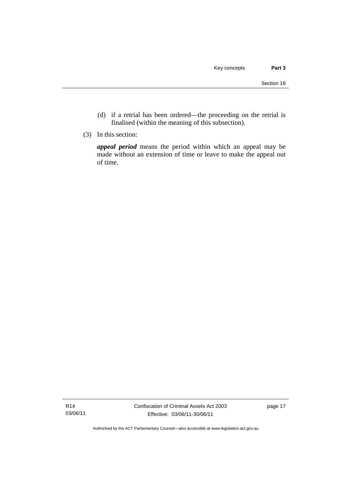- (d) if a retrial has been ordered—the proceeding on the retrial is finalised (within the meaning of this subsection).
- (3) In this section:

*appeal period* means the period within which an appeal may be made without an extension of time or leave to make the appeal out of time.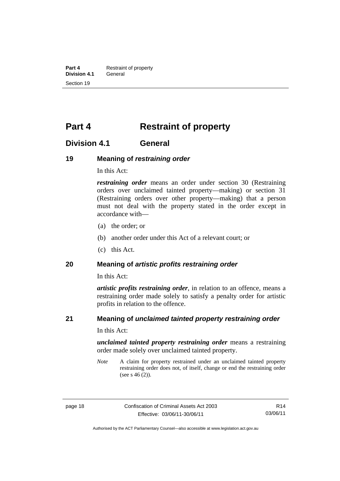**Part 4 Restraint of property**<br>**Division 4.1 General Division 4.1** Section 19

## **Part 4 Restraint of property**

## **Division 4.1 General**

## **19 Meaning of** *restraining order*

In this Act:

*restraining order* means an order under section 30 (Restraining orders over unclaimed tainted property—making) or section 31 (Restraining orders over other property—making) that a person must not deal with the property stated in the order except in accordance with—

- (a) the order; or
- (b) another order under this Act of a relevant court; or
- (c) this Act.

### **20 Meaning of** *artistic profits restraining order*

In this Act:

*artistic profits restraining order*, in relation to an offence, means a restraining order made solely to satisfy a penalty order for artistic profits in relation to the offence.

## **21 Meaning of** *unclaimed tainted property restraining order*

In this Act:

*unclaimed tainted property restraining order* means a restraining order made solely over unclaimed tainted property.

*Note* A claim for property restrained under an unclaimed tainted property restraining order does not, of itself, change or end the restraining order (see s 46 (2)).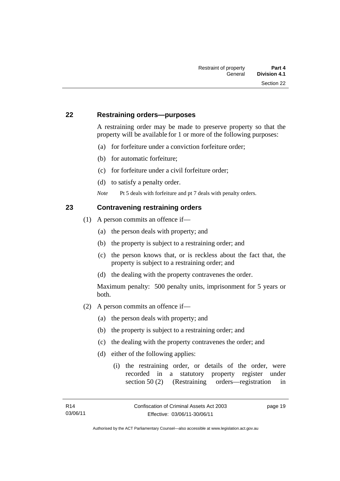## **22 Restraining orders—purposes**

A restraining order may be made to preserve property so that the property will be available for 1 or more of the following purposes:

- (a) for forfeiture under a conviction forfeiture order;
- (b) for automatic forfeiture;
- (c) for forfeiture under a civil forfeiture order;
- (d) to satisfy a penalty order.

*Note* Pt 5 deals with forfeiture and pt 7 deals with penalty orders.

## **23 Contravening restraining orders**

- (1) A person commits an offence if—
	- (a) the person deals with property; and
	- (b) the property is subject to a restraining order; and
	- (c) the person knows that, or is reckless about the fact that, the property is subject to a restraining order; and
	- (d) the dealing with the property contravenes the order.

Maximum penalty: 500 penalty units, imprisonment for 5 years or both.

- (2) A person commits an offence if—
	- (a) the person deals with property; and
	- (b) the property is subject to a restraining order; and
	- (c) the dealing with the property contravenes the order; and
	- (d) either of the following applies:
		- (i) the restraining order, or details of the order, were recorded in a statutory property register under section 50 (2) (Restraining orders—registration in

page 19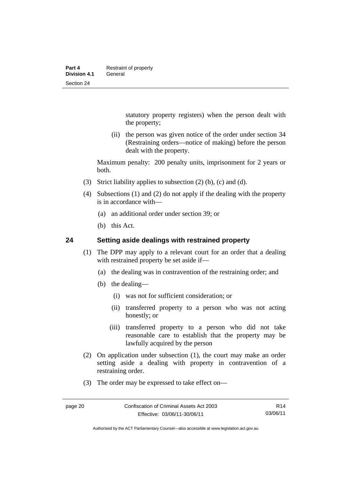statutory property registers) when the person dealt with the property;

 (ii) the person was given notice of the order under section 34 (Restraining orders—notice of making) before the person dealt with the property.

Maximum penalty: 200 penalty units, imprisonment for 2 years or both.

- (3) Strict liability applies to subsection (2) (b), (c) and (d).
- (4) Subsections (1) and (2) do not apply if the dealing with the property is in accordance with—
	- (a) an additional order under section 39; or
	- (b) this Act.

## **24 Setting aside dealings with restrained property**

- (1) The DPP may apply to a relevant court for an order that a dealing with restrained property be set aside if—
	- (a) the dealing was in contravention of the restraining order; and
	- (b) the dealing—
		- (i) was not for sufficient consideration; or
		- (ii) transferred property to a person who was not acting honestly; or
		- (iii) transferred property to a person who did not take reasonable care to establish that the property may be lawfully acquired by the person
- (2) On application under subsection (1), the court may make an order setting aside a dealing with property in contravention of a restraining order.
- (3) The order may be expressed to take effect on—

Authorised by the ACT Parliamentary Counsel—also accessible at www.legislation.act.gov.au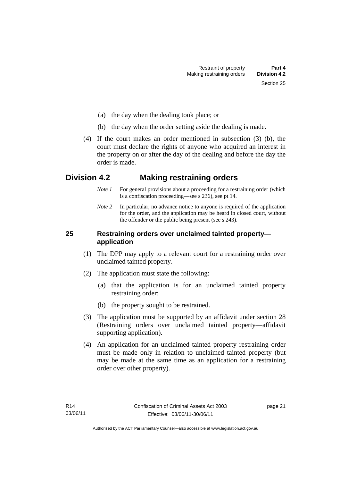- (a) the day when the dealing took place; or
- (b) the day when the order setting aside the dealing is made.
- (4) If the court makes an order mentioned in subsection (3) (b), the court must declare the rights of anyone who acquired an interest in the property on or after the day of the dealing and before the day the order is made.

## **Division 4.2 Making restraining orders**

- *Note 1* For general provisions about a proceeding for a restraining order (which is a confiscation proceeding—see s 236), see pt 14.
- *Note* 2 In particular, no advance notice to anyone is required of the application for the order, and the application may be heard in closed court, without the offender or the public being present (see s 243).

## **25 Restraining orders over unclaimed tainted property application**

- (1) The DPP may apply to a relevant court for a restraining order over unclaimed tainted property.
- (2) The application must state the following:
	- (a) that the application is for an unclaimed tainted property restraining order;
	- (b) the property sought to be restrained.
- (3) The application must be supported by an affidavit under section 28 (Restraining orders over unclaimed tainted property—affidavit supporting application).
- (4) An application for an unclaimed tainted property restraining order must be made only in relation to unclaimed tainted property (but may be made at the same time as an application for a restraining order over other property).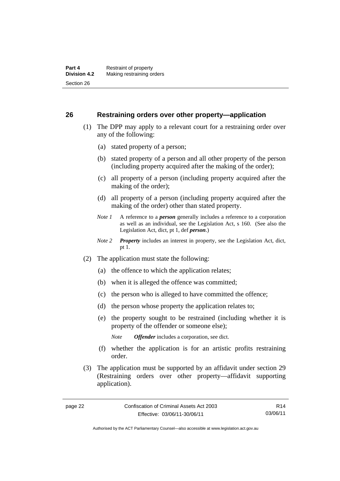## **26 Restraining orders over other property—application**

- (1) The DPP may apply to a relevant court for a restraining order over any of the following:
	- (a) stated property of a person;
	- (b) stated property of a person and all other property of the person (including property acquired after the making of the order);
	- (c) all property of a person (including property acquired after the making of the order);
	- (d) all property of a person (including property acquired after the making of the order) other than stated property.
	- *Note 1* A reference to a *person* generally includes a reference to a corporation as well as an individual, see the Legislation Act, s 160. (See also the Legislation Act, dict, pt 1, def *person*.)
	- *Note 2 Property* includes an interest in property, see the Legislation Act, dict, pt 1.
- (2) The application must state the following:
	- (a) the offence to which the application relates;
	- (b) when it is alleged the offence was committed;
	- (c) the person who is alleged to have committed the offence;
	- (d) the person whose property the application relates to;
	- (e) the property sought to be restrained (including whether it is property of the offender or someone else);

*Note Offender* includes a corporation, see dict.

- (f) whether the application is for an artistic profits restraining order.
- (3) The application must be supported by an affidavit under section 29 (Restraining orders over other property—affidavit supporting application).

R14 03/06/11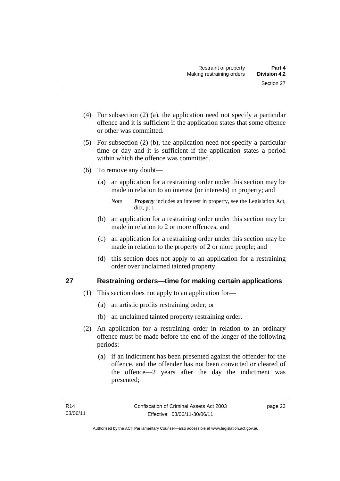- (4) For subsection (2) (a), the application need not specify a particular offence and it is sufficient if the application states that some offence or other was committed.
- (5) For subsection (2) (b), the application need not specify a particular time or day and it is sufficient if the application states a period within which the offence was committed.
- (6) To remove any doubt—
	- (a) an application for a restraining order under this section may be made in relation to an interest (or interests) in property; and
		- *Note Property* includes an interest in property, see the Legislation Act, dict, pt 1.
	- (b) an application for a restraining order under this section may be made in relation to 2 or more offences; and
	- (c) an application for a restraining order under this section may be made in relation to the property of 2 or more people; and
	- (d) this section does not apply to an application for a restraining order over unclaimed tainted property.

# **27 Restraining orders—time for making certain applications**

- (1) This section does not apply to an application for—
	- (a) an artistic profits restraining order; or
	- (b) an unclaimed tainted property restraining order.
- (2) An application for a restraining order in relation to an ordinary offence must be made before the end of the longer of the following periods:
	- (a) if an indictment has been presented against the offender for the offence, and the offender has not been convicted or cleared of the offence—2 years after the day the indictment was presented;

page 23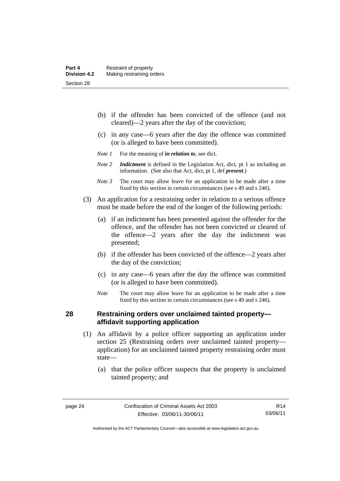- (b) if the offender has been convicted of the offence (and not cleared)—2 years after the day of the conviction;
- (c) in any case—6 years after the day the offence was committed (or is alleged to have been committed).
- *Note 1* For the meaning of *in relation to*, see dict.
- *Note 2 Indictment* is defined in the Legislation Act, dict, pt 1 as including an information. (See also that Act, dict, pt 1, def *present*.)
- *Note 3* The court may allow leave for an application to be made after a time fixed by this section in certain circumstances (see s 49 and s 246).
- (3) An application for a restraining order in relation to a serious offence must be made before the end of the longer of the following periods:
	- (a) if an indictment has been presented against the offender for the offence, and the offender has not been convicted or cleared of the offence—2 years after the day the indictment was presented;
	- (b) if the offender has been convicted of the offence—2 years after the day of the conviction;
	- (c) in any case—6 years after the day the offence was committed (or is alleged to have been committed).
	- *Note* The court may allow leave for an application to be made after a time fixed by this section in certain circumstances (see s 49 and s 246).

### **28 Restraining orders over unclaimed tainted property affidavit supporting application**

- (1) An affidavit by a police officer supporting an application under section 25 (Restraining orders over unclaimed tainted property application) for an unclaimed tainted property restraining order must state—
	- (a) that the police officer suspects that the property is unclaimed tainted property; and

Authorised by the ACT Parliamentary Counsel—also accessible at www.legislation.act.gov.au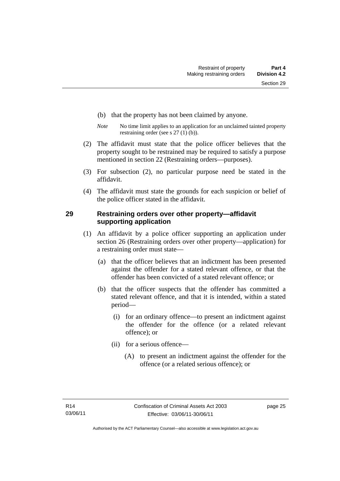- (b) that the property has not been claimed by anyone.
- *Note* No time limit applies to an application for an unclaimed tainted property restraining order (see s 27 (1) (b)).
- (2) The affidavit must state that the police officer believes that the property sought to be restrained may be required to satisfy a purpose mentioned in section 22 (Restraining orders—purposes).
- (3) For subsection (2), no particular purpose need be stated in the affidavit.
- (4) The affidavit must state the grounds for each suspicion or belief of the police officer stated in the affidavit.

# **29 Restraining orders over other property—affidavit supporting application**

- (1) An affidavit by a police officer supporting an application under section 26 (Restraining orders over other property—application) for a restraining order must state—
	- (a) that the officer believes that an indictment has been presented against the offender for a stated relevant offence, or that the offender has been convicted of a stated relevant offence; or
	- (b) that the officer suspects that the offender has committed a stated relevant offence, and that it is intended, within a stated period—
		- (i) for an ordinary offence—to present an indictment against the offender for the offence (or a related relevant offence); or
		- (ii) for a serious offence—
			- (A) to present an indictment against the offender for the offence (or a related serious offence); or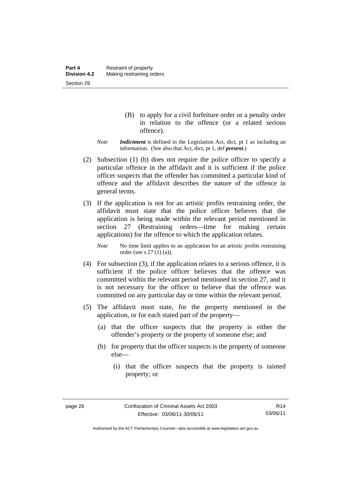- (B) to apply for a civil forfeiture order or a penalty order in relation to the offence (or a related serious offence).
- *Note Indictment* is defined in the Legislation Act, dict, pt 1 as including an information. (See also that Act, dict, pt 1, def *present*.)
- (2) Subsection (1) (b) does not require the police officer to specify a particular offence in the affidavit and it is sufficient if the police officer suspects that the offender has committed a particular kind of offence and the affidavit describes the nature of the offence in general terms.
- (3) If the application is not for an artistic profits restraining order, the affidavit must state that the police officer believes that the application is being made within the relevant period mentioned in section 27 (Restraining orders—time for making certain applications) for the offence to which the application relates.

*Note* No time limit applies to an application for an artistic profits restraining order (see s 27 (1) (a)).

- (4) For subsection (3), if the application relates to a serious offence, it is sufficient if the police officer believes that the offence was committed within the relevant period mentioned in section 27, and it is not necessary for the officer to believe that the offence was committed on any particular day or time within the relevant period.
- (5) The affidavit must state, for the property mentioned in the application, or for each stated part of the property—
	- (a) that the officer suspects that the property is either the offender's property or the property of someone else; and
	- (b) for property that the officer suspects is the property of someone else—
		- (i) that the officer suspects that the property is tainted property; or

Authorised by the ACT Parliamentary Counsel—also accessible at www.legislation.act.gov.au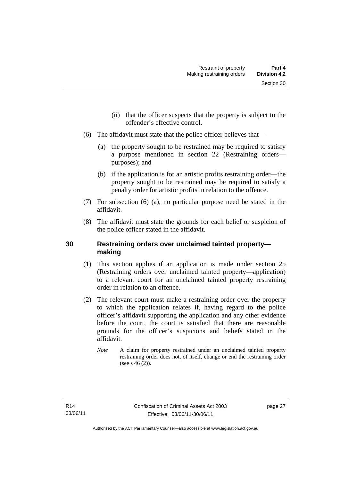- (ii) that the officer suspects that the property is subject to the offender's effective control.
- (6) The affidavit must state that the police officer believes that—
	- (a) the property sought to be restrained may be required to satisfy a purpose mentioned in section 22 (Restraining orders purposes); and
	- (b) if the application is for an artistic profits restraining order—the property sought to be restrained may be required to satisfy a penalty order for artistic profits in relation to the offence.
- (7) For subsection (6) (a), no particular purpose need be stated in the affidavit.
- (8) The affidavit must state the grounds for each belief or suspicion of the police officer stated in the affidavit.

# **30 Restraining orders over unclaimed tainted property making**

- (1) This section applies if an application is made under section 25 (Restraining orders over unclaimed tainted property—application) to a relevant court for an unclaimed tainted property restraining order in relation to an offence.
- (2) The relevant court must make a restraining order over the property to which the application relates if, having regard to the police officer's affidavit supporting the application and any other evidence before the court, the court is satisfied that there are reasonable grounds for the officer's suspicions and beliefs stated in the affidavit.
	- *Note* A claim for property restrained under an unclaimed tainted property restraining order does not, of itself, change or end the restraining order (see s  $46(2)$ ).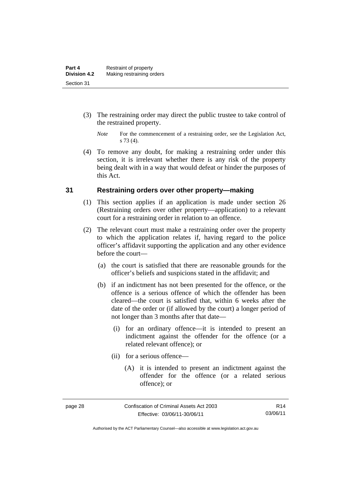- (3) The restraining order may direct the public trustee to take control of the restrained property.
	- *Note* For the commencement of a restraining order, see the Legislation Act, s 73 (4).
- (4) To remove any doubt, for making a restraining order under this section, it is irrelevant whether there is any risk of the property being dealt with in a way that would defeat or hinder the purposes of this Act.

## **31 Restraining orders over other property—making**

- (1) This section applies if an application is made under section 26 (Restraining orders over other property—application) to a relevant court for a restraining order in relation to an offence.
- (2) The relevant court must make a restraining order over the property to which the application relates if, having regard to the police officer's affidavit supporting the application and any other evidence before the court—
	- (a) the court is satisfied that there are reasonable grounds for the officer's beliefs and suspicions stated in the affidavit; and
	- (b) if an indictment has not been presented for the offence, or the offence is a serious offence of which the offender has been cleared—the court is satisfied that, within 6 weeks after the date of the order or (if allowed by the court) a longer period of not longer than 3 months after that date—
		- (i) for an ordinary offence—it is intended to present an indictment against the offender for the offence (or a related relevant offence); or
		- (ii) for a serious offence—
			- (A) it is intended to present an indictment against the offender for the offence (or a related serious offence); or

R14 03/06/11

Authorised by the ACT Parliamentary Counsel—also accessible at www.legislation.act.gov.au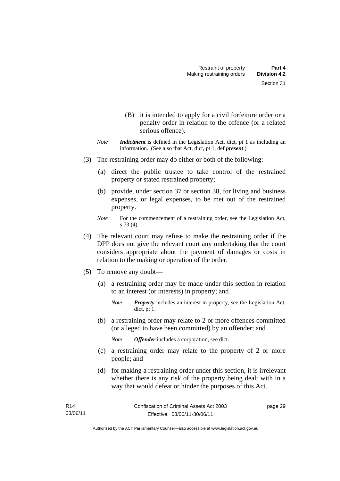- (B) it is intended to apply for a civil forfeiture order or a penalty order in relation to the offence (or a related serious offence).
- *Note Indictment* is defined in the Legislation Act, dict, pt 1 as including an information. (See also that Act, dict, pt 1, def *present*.)
- (3) The restraining order may do either or both of the following:
	- (a) direct the public trustee to take control of the restrained property or stated restrained property;
	- (b) provide, under section 37 or section 38, for living and business expenses, or legal expenses, to be met out of the restrained property.
	- *Note* For the commencement of a restraining order, see the Legislation Act, s 73 (4).
- (4) The relevant court may refuse to make the restraining order if the DPP does not give the relevant court any undertaking that the court considers appropriate about the payment of damages or costs in relation to the making or operation of the order.
- (5) To remove any doubt—
	- (a) a restraining order may be made under this section in relation to an interest (or interests) in property; and
		- *Note Property* includes an interest in property, see the Legislation Act, dict, pt 1.
	- (b) a restraining order may relate to 2 or more offences committed (or alleged to have been committed) by an offender; and

*Note Offender* includes a corporation, see dict.

- (c) a restraining order may relate to the property of 2 or more people; and
- (d) for making a restraining order under this section, it is irrelevant whether there is any risk of the property being dealt with in a way that would defeat or hinder the purposes of this Act.

Authorised by the ACT Parliamentary Counsel—also accessible at www.legislation.act.gov.au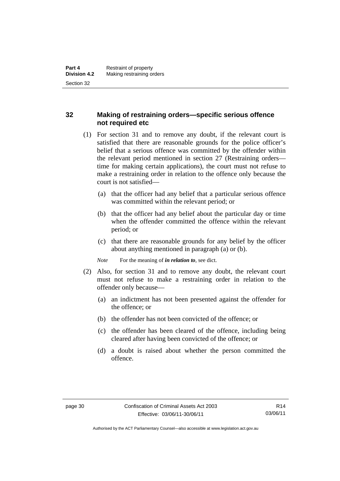# **32 Making of restraining orders—specific serious offence not required etc**

- (1) For section 31 and to remove any doubt, if the relevant court is satisfied that there are reasonable grounds for the police officer's belief that a serious offence was committed by the offender within the relevant period mentioned in section 27 (Restraining orders time for making certain applications), the court must not refuse to make a restraining order in relation to the offence only because the court is not satisfied—
	- (a) that the officer had any belief that a particular serious offence was committed within the relevant period; or
	- (b) that the officer had any belief about the particular day or time when the offender committed the offence within the relevant period; or
	- (c) that there are reasonable grounds for any belief by the officer about anything mentioned in paragraph (a) or (b).

*Note* For the meaning of *in relation to*, see dict.

- (2) Also, for section 31 and to remove any doubt, the relevant court must not refuse to make a restraining order in relation to the offender only because—
	- (a) an indictment has not been presented against the offender for the offence; or
	- (b) the offender has not been convicted of the offence; or
	- (c) the offender has been cleared of the offence, including being cleared after having been convicted of the offence; or
	- (d) a doubt is raised about whether the person committed the offence.

Authorised by the ACT Parliamentary Counsel—also accessible at www.legislation.act.gov.au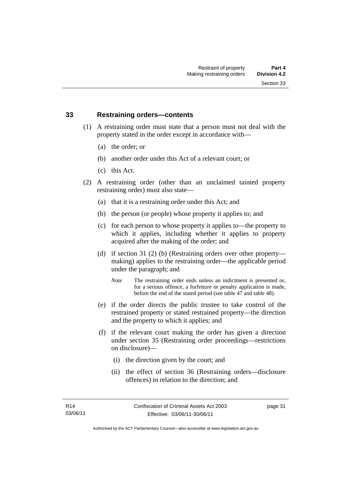#### **33 Restraining orders—contents**

- (1) A restraining order must state that a person must not deal with the property stated in the order except in accordance with—
	- (a) the order; or
	- (b) another order under this Act of a relevant court; or
	- (c) this Act.
- (2) A restraining order (other than an unclaimed tainted property restraining order) must also state—
	- (a) that it is a restraining order under this Act; and
	- (b) the person (or people) whose property it applies to; and
	- (c) for each person to whose property it applies to—the property to which it applies, including whether it applies to property acquired after the making of the order; and
	- (d) if section 31 (2) (b) (Restraining orders over other property making) applies to the restraining order—the applicable period under the paragraph; and
		- *Note* The restraining order ends unless an indictment is presented or, for a serious offence, a forfeiture or penalty application is made, before the end of the stated period (see table 47 and table 48).
	- (e) if the order directs the public trustee to take control of the restrained property or stated restrained property—the direction and the property to which it applies; and
	- (f) if the relevant court making the order has given a direction under section 35 (Restraining order proceedings—restrictions on disclosure)—
		- (i) the direction given by the court; and
		- (ii) the effect of section 36 (Restraining orders—disclosure offences) in relation to the direction; and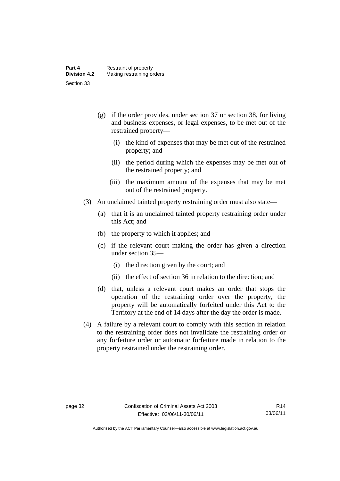- (g) if the order provides, under section 37 or section 38, for living and business expenses, or legal expenses, to be met out of the restrained property—
	- (i) the kind of expenses that may be met out of the restrained property; and
	- (ii) the period during which the expenses may be met out of the restrained property; and
	- (iii) the maximum amount of the expenses that may be met out of the restrained property.
- (3) An unclaimed tainted property restraining order must also state—
	- (a) that it is an unclaimed tainted property restraining order under this Act; and
	- (b) the property to which it applies; and
	- (c) if the relevant court making the order has given a direction under section 35—
		- (i) the direction given by the court; and
		- (ii) the effect of section 36 in relation to the direction; and
	- (d) that, unless a relevant court makes an order that stops the operation of the restraining order over the property, the property will be automatically forfeited under this Act to the Territory at the end of 14 days after the day the order is made.
- (4) A failure by a relevant court to comply with this section in relation to the restraining order does not invalidate the restraining order or any forfeiture order or automatic forfeiture made in relation to the property restrained under the restraining order.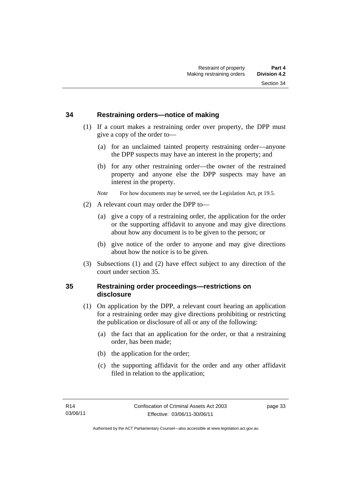## **34 Restraining orders—notice of making**

- (1) If a court makes a restraining order over property, the DPP must give a copy of the order to—
	- (a) for an unclaimed tainted property restraining order—anyone the DPP suspects may have an interest in the property; and
	- (b) for any other restraining order—the owner of the restrained property and anyone else the DPP suspects may have an interest in the property.

*Note* For how documents may be served, see the Legislation Act, pt 19.5.

- (2) A relevant court may order the DPP to—
	- (a) give a copy of a restraining order, the application for the order or the supporting affidavit to anyone and may give directions about how any document is to be given to the person; or
	- (b) give notice of the order to anyone and may give directions about how the notice is to be given.
- (3) Subsections (1) and (2) have effect subject to any direction of the court under section 35.

# **35 Restraining order proceedings—restrictions on disclosure**

- (1) On application by the DPP, a relevant court hearing an application for a restraining order may give directions prohibiting or restricting the publication or disclosure of all or any of the following:
	- (a) the fact that an application for the order, or that a restraining order, has been made;
	- (b) the application for the order;
	- (c) the supporting affidavit for the order and any other affidavit filed in relation to the application;

page 33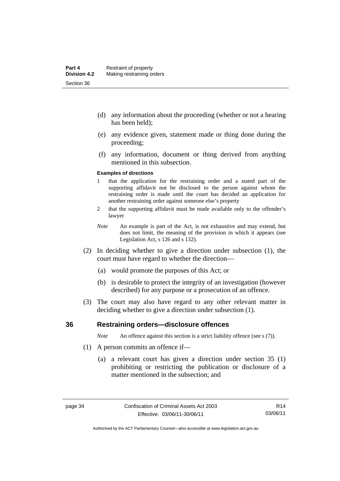- (d) any information about the proceeding (whether or not a hearing has been held);
- (e) any evidence given, statement made or thing done during the proceeding;
- (f) any information, document or thing derived from anything mentioned in this subsection.

#### **Examples of directions**

- 1 that the application for the restraining order and a stated part of the supporting affidavit not be disclosed to the person against whom the restraining order is made until the court has decided an application for another restraining order against someone else's property
- 2 that the supporting affidavit must be made available only to the offender's lawyer
- *Note* An example is part of the Act, is not exhaustive and may extend, but does not limit, the meaning of the provision in which it appears (see Legislation Act, s 126 and s 132).
- (2) In deciding whether to give a direction under subsection (1), the court must have regard to whether the direction—
	- (a) would promote the purposes of this Act; or
	- (b) is desirable to protect the integrity of an investigation (however described) for any purpose or a prosecution of an offence.
- (3) The court may also have regard to any other relevant matter in deciding whether to give a direction under subsection (1).

#### **36 Restraining orders—disclosure offences**

*Note* An offence against this section is a strict liability offence (see s (7)).

- (1) A person commits an offence if—
	- (a) a relevant court has given a direction under section 35 (1) prohibiting or restricting the publication or disclosure of a matter mentioned in the subsection; and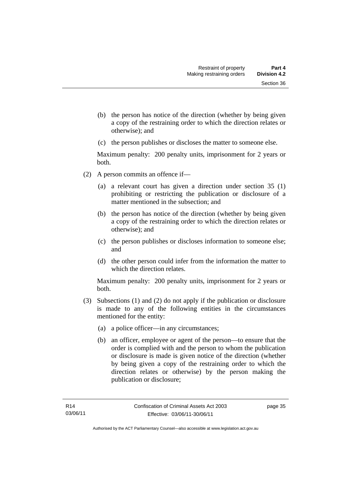- (b) the person has notice of the direction (whether by being given a copy of the restraining order to which the direction relates or otherwise); and
- (c) the person publishes or discloses the matter to someone else.

Maximum penalty: 200 penalty units, imprisonment for 2 years or both.

- (2) A person commits an offence if—
	- (a) a relevant court has given a direction under section 35 (1) prohibiting or restricting the publication or disclosure of a matter mentioned in the subsection; and
	- (b) the person has notice of the direction (whether by being given a copy of the restraining order to which the direction relates or otherwise); and
	- (c) the person publishes or discloses information to someone else; and
	- (d) the other person could infer from the information the matter to which the direction relates.

Maximum penalty: 200 penalty units, imprisonment for 2 years or both.

- (3) Subsections (1) and (2) do not apply if the publication or disclosure is made to any of the following entities in the circumstances mentioned for the entity:
	- (a) a police officer—in any circumstances;
	- (b) an officer, employee or agent of the person—to ensure that the order is complied with and the person to whom the publication or disclosure is made is given notice of the direction (whether by being given a copy of the restraining order to which the direction relates or otherwise) by the person making the publication or disclosure;

page 35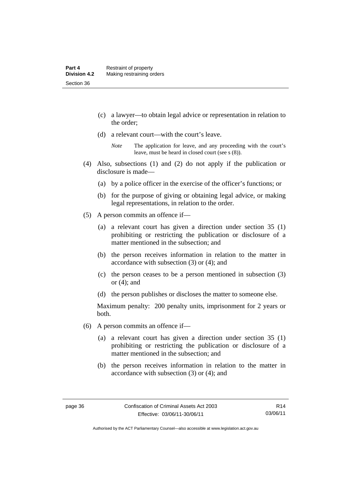- (c) a lawyer—to obtain legal advice or representation in relation to the order;
- (d) a relevant court—with the court's leave.

- (4) Also, subsections (1) and (2) do not apply if the publication or disclosure is made—
	- (a) by a police officer in the exercise of the officer's functions; or
	- (b) for the purpose of giving or obtaining legal advice, or making legal representations, in relation to the order.
- (5) A person commits an offence if—
	- (a) a relevant court has given a direction under section 35 (1) prohibiting or restricting the publication or disclosure of a matter mentioned in the subsection; and
	- (b) the person receives information in relation to the matter in accordance with subsection (3) or (4); and
	- (c) the person ceases to be a person mentioned in subsection (3) or (4); and
	- (d) the person publishes or discloses the matter to someone else.

Maximum penalty: 200 penalty units, imprisonment for 2 years or both.

- (6) A person commits an offence if—
	- (a) a relevant court has given a direction under section 35 (1) prohibiting or restricting the publication or disclosure of a matter mentioned in the subsection; and
	- (b) the person receives information in relation to the matter in accordance with subsection (3) or (4); and

*Note* The application for leave, and any proceeding with the court's leave, must be heard in closed court (see s (8)).

R14 03/06/11

Authorised by the ACT Parliamentary Counsel—also accessible at www.legislation.act.gov.au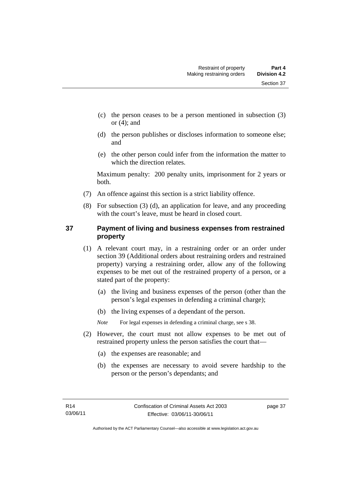- (c) the person ceases to be a person mentioned in subsection (3) or  $(4)$ ; and
- (d) the person publishes or discloses information to someone else; and
- (e) the other person could infer from the information the matter to which the direction relates.

Maximum penalty: 200 penalty units, imprisonment for 2 years or both.

- (7) An offence against this section is a strict liability offence.
- (8) For subsection (3) (d), an application for leave, and any proceeding with the court's leave, must be heard in closed court.

# **37 Payment of living and business expenses from restrained property**

- (1) A relevant court may, in a restraining order or an order under section 39 (Additional orders about restraining orders and restrained property) varying a restraining order, allow any of the following expenses to be met out of the restrained property of a person, or a stated part of the property:
	- (a) the living and business expenses of the person (other than the person's legal expenses in defending a criminal charge);
	- (b) the living expenses of a dependant of the person.

*Note* For legal expenses in defending a criminal charge, see s 38.

- (2) However, the court must not allow expenses to be met out of restrained property unless the person satisfies the court that—
	- (a) the expenses are reasonable; and
	- (b) the expenses are necessary to avoid severe hardship to the person or the person's dependants; and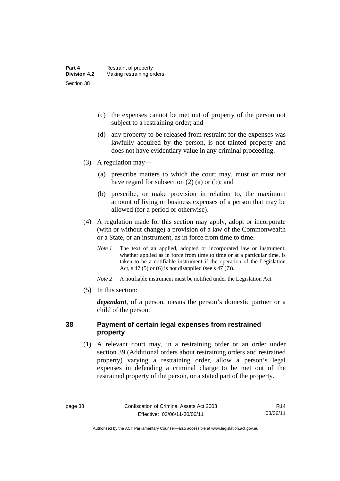- (c) the expenses cannot be met out of property of the person not subject to a restraining order; and
- (d) any property to be released from restraint for the expenses was lawfully acquired by the person, is not tainted property and does not have evidentiary value in any criminal proceeding.
- (3) A regulation may—
	- (a) prescribe matters to which the court may, must or must not have regard for subsection (2) (a) or (b); and
	- (b) prescribe, or make provision in relation to, the maximum amount of living or business expenses of a person that may be allowed (for a period or otherwise).
- (4) A regulation made for this section may apply, adopt or incorporate (with or without change) a provision of a law of the Commonwealth or a State, or an instrument, as in force from time to time.
	- *Note 1* The text of an applied, adopted or incorporated law or instrument, whether applied as in force from time to time or at a particular time, is taken to be a notifiable instrument if the operation of the Legislation Act, s 47 (5) or (6) is not disapplied (see s 47 (7)).
	- *Note 2* A notifiable instrument must be notified under the Legislation Act.
- (5) In this section:

*dependant*, of a person, means the person's domestic partner or a child of the person.

# **38 Payment of certain legal expenses from restrained property**

 (1) A relevant court may, in a restraining order or an order under section 39 (Additional orders about restraining orders and restrained property) varying a restraining order, allow a person's legal expenses in defending a criminal charge to be met out of the restrained property of the person, or a stated part of the property.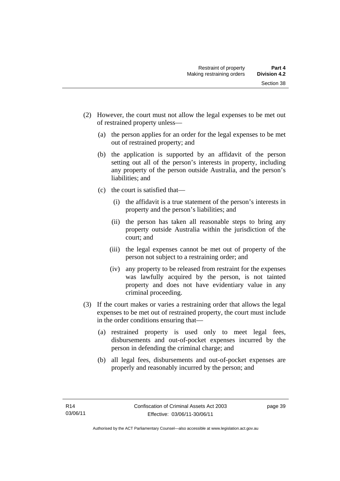- (2) However, the court must not allow the legal expenses to be met out of restrained property unless—
	- (a) the person applies for an order for the legal expenses to be met out of restrained property; and
	- (b) the application is supported by an affidavit of the person setting out all of the person's interests in property, including any property of the person outside Australia, and the person's liabilities; and
	- (c) the court is satisfied that—
		- (i) the affidavit is a true statement of the person's interests in property and the person's liabilities; and
		- (ii) the person has taken all reasonable steps to bring any property outside Australia within the jurisdiction of the court; and
		- (iii) the legal expenses cannot be met out of property of the person not subject to a restraining order; and
		- (iv) any property to be released from restraint for the expenses was lawfully acquired by the person, is not tainted property and does not have evidentiary value in any criminal proceeding.
- (3) If the court makes or varies a restraining order that allows the legal expenses to be met out of restrained property, the court must include in the order conditions ensuring that—
	- (a) restrained property is used only to meet legal fees, disbursements and out-of-pocket expenses incurred by the person in defending the criminal charge; and
	- (b) all legal fees, disbursements and out-of-pocket expenses are properly and reasonably incurred by the person; and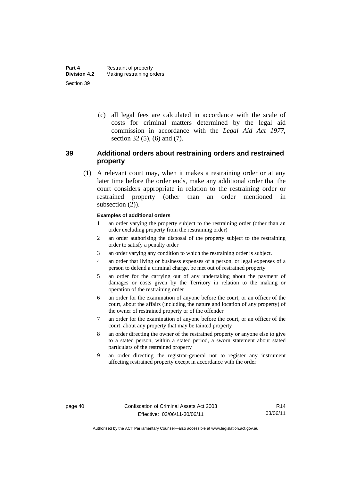(c) all legal fees are calculated in accordance with the scale of costs for criminal matters determined by the legal aid commission in accordance with the *Legal Aid Act 1977*, section 32 (5), (6) and (7).

# **39 Additional orders about restraining orders and restrained property**

 (1) A relevant court may, when it makes a restraining order or at any later time before the order ends, make any additional order that the court considers appropriate in relation to the restraining order or restrained property (other than an order mentioned in subsection  $(2)$ ).

#### **Examples of additional orders**

- 1 an order varying the property subject to the restraining order (other than an order excluding property from the restraining order)
- 2 an order authorising the disposal of the property subject to the restraining order to satisfy a penalty order
- 3 an order varying any condition to which the restraining order is subject.
- 4 an order that living or business expenses of a person, or legal expenses of a person to defend a criminal charge, be met out of restrained property
- 5 an order for the carrying out of any undertaking about the payment of damages or costs given by the Territory in relation to the making or operation of the restraining order
- 6 an order for the examination of anyone before the court, or an officer of the court, about the affairs (including the nature and location of any property) of the owner of restrained property or of the offender
- 7 an order for the examination of anyone before the court, or an officer of the court, about any property that may be tainted property
- 8 an order directing the owner of the restrained property or anyone else to give to a stated person, within a stated period, a sworn statement about stated particulars of the restrained property
- 9 an order directing the registrar-general not to register any instrument affecting restrained property except in accordance with the order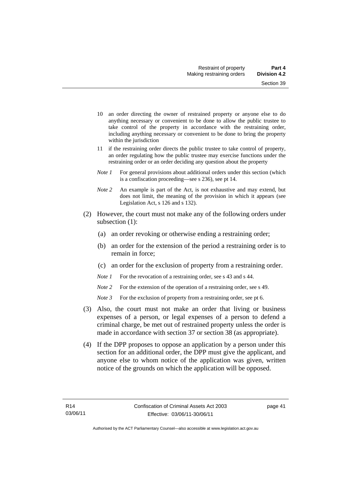- 10 an order directing the owner of restrained property or anyone else to do anything necessary or convenient to be done to allow the public trustee to take control of the property in accordance with the restraining order, including anything necessary or convenient to be done to bring the property within the jurisdiction
- 11 if the restraining order directs the public trustee to take control of property, an order regulating how the public trustee may exercise functions under the restraining order or an order deciding any question about the property
- *Note 1* For general provisions about additional orders under this section (which is a confiscation proceeding—see s 236), see pt 14.
- *Note 2* An example is part of the Act, is not exhaustive and may extend, but does not limit, the meaning of the provision in which it appears (see Legislation Act, s 126 and s 132).
- (2) However, the court must not make any of the following orders under subsection (1):
	- (a) an order revoking or otherwise ending a restraining order;
	- (b) an order for the extension of the period a restraining order is to remain in force;
	- (c) an order for the exclusion of property from a restraining order.
	- *Note 1* For the revocation of a restraining order, see s 43 and s 44.
	- *Note* 2 For the extension of the operation of a restraining order, see s 49.
	- *Note 3* For the exclusion of property from a restraining order, see pt 6.
- (3) Also, the court must not make an order that living or business expenses of a person, or legal expenses of a person to defend a criminal charge, be met out of restrained property unless the order is made in accordance with section 37 or section 38 (as appropriate).
- (4) If the DPP proposes to oppose an application by a person under this section for an additional order, the DPP must give the applicant, and anyone else to whom notice of the application was given, written notice of the grounds on which the application will be opposed.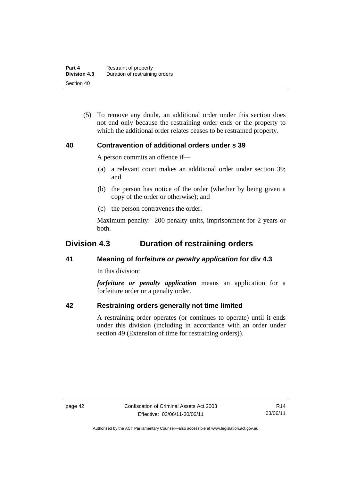(5) To remove any doubt, an additional order under this section does not end only because the restraining order ends or the property to which the additional order relates ceases to be restrained property.

# **40 Contravention of additional orders under s 39**

A person commits an offence if—

- (a) a relevant court makes an additional order under section 39; and
- (b) the person has notice of the order (whether by being given a copy of the order or otherwise); and
- (c) the person contravenes the order.

Maximum penalty: 200 penalty units, imprisonment for 2 years or both.

# **Division 4.3 Duration of restraining orders**

# **41 Meaning of** *forfeiture or penalty application* **for div 4.3**

In this division:

*forfeiture or penalty application* means an application for a forfeiture order or a penalty order.

# **42 Restraining orders generally not time limited**

A restraining order operates (or continues to operate) until it ends under this division (including in accordance with an order under section 49 (Extension of time for restraining orders)).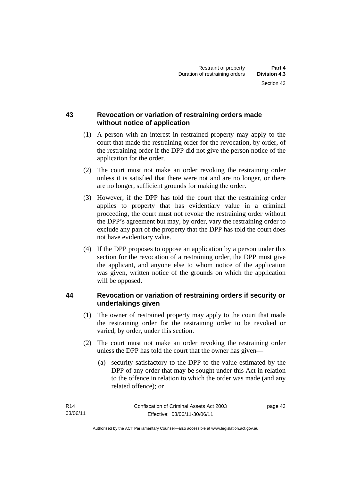# **43 Revocation or variation of restraining orders made without notice of application**

- (1) A person with an interest in restrained property may apply to the court that made the restraining order for the revocation, by order, of the restraining order if the DPP did not give the person notice of the application for the order.
- (2) The court must not make an order revoking the restraining order unless it is satisfied that there were not and are no longer, or there are no longer, sufficient grounds for making the order.
- (3) However, if the DPP has told the court that the restraining order applies to property that has evidentiary value in a criminal proceeding, the court must not revoke the restraining order without the DPP's agreement but may, by order, vary the restraining order to exclude any part of the property that the DPP has told the court does not have evidentiary value.
- (4) If the DPP proposes to oppose an application by a person under this section for the revocation of a restraining order, the DPP must give the applicant, and anyone else to whom notice of the application was given, written notice of the grounds on which the application will be opposed.

# **44 Revocation or variation of restraining orders if security or undertakings given**

- (1) The owner of restrained property may apply to the court that made the restraining order for the restraining order to be revoked or varied, by order, under this section.
- (2) The court must not make an order revoking the restraining order unless the DPP has told the court that the owner has given—
	- (a) security satisfactory to the DPP to the value estimated by the DPP of any order that may be sought under this Act in relation to the offence in relation to which the order was made (and any related offence); or

page 43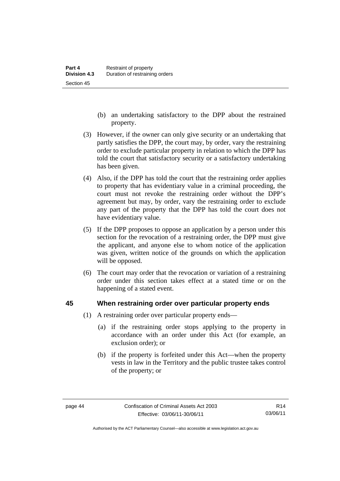- (b) an undertaking satisfactory to the DPP about the restrained property.
- (3) However, if the owner can only give security or an undertaking that partly satisfies the DPP, the court may, by order, vary the restraining order to exclude particular property in relation to which the DPP has told the court that satisfactory security or a satisfactory undertaking has been given.
- (4) Also, if the DPP has told the court that the restraining order applies to property that has evidentiary value in a criminal proceeding, the court must not revoke the restraining order without the DPP's agreement but may, by order, vary the restraining order to exclude any part of the property that the DPP has told the court does not have evidentiary value.
- (5) If the DPP proposes to oppose an application by a person under this section for the revocation of a restraining order, the DPP must give the applicant, and anyone else to whom notice of the application was given, written notice of the grounds on which the application will be opposed.
- (6) The court may order that the revocation or variation of a restraining order under this section takes effect at a stated time or on the happening of a stated event.

### **45 When restraining order over particular property ends**

- (1) A restraining order over particular property ends—
	- (a) if the restraining order stops applying to the property in accordance with an order under this Act (for example, an exclusion order); or
	- (b) if the property is forfeited under this Act—when the property vests in law in the Territory and the public trustee takes control of the property; or

Authorised by the ACT Parliamentary Counsel—also accessible at www.legislation.act.gov.au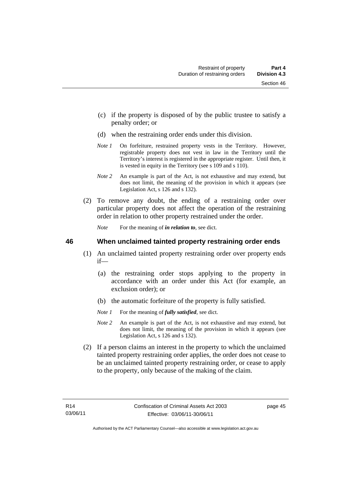- (c) if the property is disposed of by the public trustee to satisfy a penalty order; or
- (d) when the restraining order ends under this division.
- *Note 1* On forfeiture, restrained property vests in the Territory. However, registrable property does not vest in law in the Territory until the Territory's interest is registered in the appropriate register. Until then, it is vested in equity in the Territory (see s 109 and s 110).
- *Note 2* An example is part of the Act, is not exhaustive and may extend, but does not limit, the meaning of the provision in which it appears (see Legislation Act, s 126 and s 132).
- (2) To remove any doubt, the ending of a restraining order over particular property does not affect the operation of the restraining order in relation to other property restrained under the order.

*Note* For the meaning of *in relation to*, see dict.

### **46 When unclaimed tainted property restraining order ends**

- (1) An unclaimed tainted property restraining order over property ends if—
	- (a) the restraining order stops applying to the property in accordance with an order under this Act (for example, an exclusion order); or
	- (b) the automatic forfeiture of the property is fully satisfied.
	- *Note 1* For the meaning of *fully satisfied*, see dict.
	- *Note 2* An example is part of the Act, is not exhaustive and may extend, but does not limit, the meaning of the provision in which it appears (see Legislation Act, s 126 and s 132).
- (2) If a person claims an interest in the property to which the unclaimed tainted property restraining order applies, the order does not cease to be an unclaimed tainted property restraining order, or cease to apply to the property, only because of the making of the claim.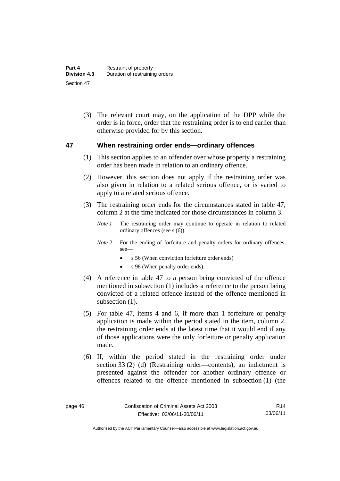(3) The relevant court may, on the application of the DPP while the order is in force, order that the restraining order is to end earlier than otherwise provided for by this section.

### **47 When restraining order ends—ordinary offences**

- (1) This section applies to an offender over whose property a restraining order has been made in relation to an ordinary offence.
- (2) However, this section does not apply if the restraining order was also given in relation to a related serious offence, or is varied to apply to a related serious offence.
- (3) The restraining order ends for the circumstances stated in table 47, column 2 at the time indicated for those circumstances in column 3.
	- *Note 1* The restraining order may continue to operate in relation to related ordinary offences (see s (6)).
	- *Note 2* For the ending of forfeiture and penalty orders for ordinary offences, see—
		- s 56 (When conviction forfeiture order ends)
		- s 98 (When penalty order ends).
- (4) A reference in table 47 to a person being convicted of the offence mentioned in subsection (1) includes a reference to the person being convicted of a related offence instead of the offence mentioned in subsection  $(1)$ .
- (5) For table 47, items 4 and 6, if more than 1 forfeiture or penalty application is made within the period stated in the item, column 2, the restraining order ends at the latest time that it would end if any of those applications were the only forfeiture or penalty application made.
- (6) If, within the period stated in the restraining order under section 33 (2) (d) (Restraining order—contents), an indictment is presented against the offender for another ordinary offence or offences related to the offence mentioned in subsection (1) (the

R14 03/06/11

Authorised by the ACT Parliamentary Counsel—also accessible at www.legislation.act.gov.au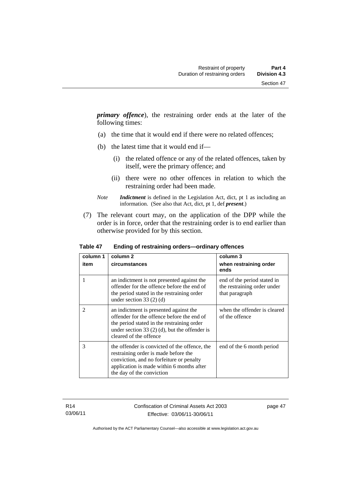*primary offence*), the restraining order ends at the later of the following times:

- (a) the time that it would end if there were no related offences;
- (b) the latest time that it would end if—
	- (i) the related offence or any of the related offences, taken by itself, were the primary offence; and
	- (ii) there were no other offences in relation to which the restraining order had been made.
- *Note Indictment* is defined in the Legislation Act, dict, pt 1 as including an information. (See also that Act, dict, pt 1, def *present*.)
- (7) The relevant court may, on the application of the DPP while the order is in force, order that the restraining order is to end earlier than otherwise provided for by this section.

| column 1       | column 2                                                                                                                                                                                                        | column 3                                                                     |  |
|----------------|-----------------------------------------------------------------------------------------------------------------------------------------------------------------------------------------------------------------|------------------------------------------------------------------------------|--|
| item           | circumstances                                                                                                                                                                                                   | when restraining order<br>ends                                               |  |
| 1              | an indictment is not presented against the<br>offender for the offence before the end of<br>the period stated in the restraining order<br>under section 33 $(2)$ $(d)$                                          | end of the period stated in<br>the restraining order under<br>that paragraph |  |
| $\overline{2}$ | an indictment is presented against the<br>offender for the offence before the end of<br>the period stated in the restraining order<br>under section 33 $(2)$ (d), but the offender is<br>cleared of the offence | when the offender is cleared<br>of the offence                               |  |
| 3              | the offender is convicted of the offence, the<br>restraining order is made before the<br>conviction, and no forfeiture or penalty<br>application is made within 6 months after<br>the day of the conviction     | end of the 6 month period                                                    |  |

#### **Table 47 Ending of restraining orders—ordinary offences**

R14 03/06/11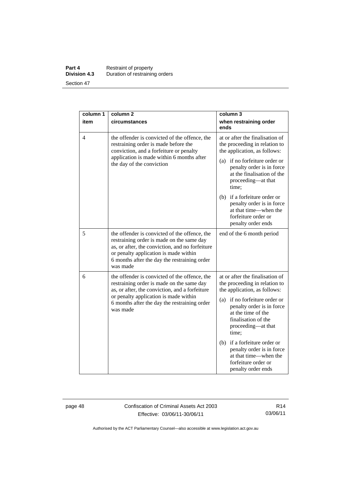#### **Part 4 Restraint of property Division 4.3** Duration of restraining orders Section 47

| column 1 | column <sub>2</sub>                                                                                                                                                                                                                                | column 3                                                                                                                               |
|----------|----------------------------------------------------------------------------------------------------------------------------------------------------------------------------------------------------------------------------------------------------|----------------------------------------------------------------------------------------------------------------------------------------|
| item     | circumstances                                                                                                                                                                                                                                      | when restraining order<br>ends                                                                                                         |
| 4        | the offender is convicted of the offence, the<br>restraining order is made before the<br>conviction, and a forfeiture or penalty<br>application is made within 6 months after<br>the day of the conviction                                         | at or after the finalisation of<br>the proceeding in relation to<br>the application, as follows:                                       |
|          |                                                                                                                                                                                                                                                    | (a) if no forfeiture order or<br>penalty order is in force<br>at the finalisation of the<br>proceeding-at that<br>time;                |
|          |                                                                                                                                                                                                                                                    | (b) if a forfeiture order or<br>penalty order is in force<br>at that time—when the<br>forfeiture order or<br>penalty order ends        |
| 5        | the offender is convicted of the offence, the<br>restraining order is made on the same day<br>as, or after, the conviction, and no forfeiture<br>or penalty application is made within<br>6 months after the day the restraining order<br>was made | end of the 6 month period                                                                                                              |
| 6        | the offender is convicted of the offence, the<br>restraining order is made on the same day<br>as, or after, the conviction, and a forfeiture<br>or penalty application is made within<br>6 months after the day the restraining order<br>was made  | at or after the finalisation of<br>the proceeding in relation to<br>the application, as follows:                                       |
|          |                                                                                                                                                                                                                                                    | (a) if no forfeiture order or<br>penalty order is in force<br>at the time of the<br>finalisation of the<br>proceeding-at that<br>time; |
|          |                                                                                                                                                                                                                                                    | (b) if a forfeiture order or<br>penalty order is in force<br>at that time—when the<br>forfeiture order or<br>penalty order ends        |

page 48 Confiscation of Criminal Assets Act 2003 Effective: 03/06/11-30/06/11

R14 03/06/11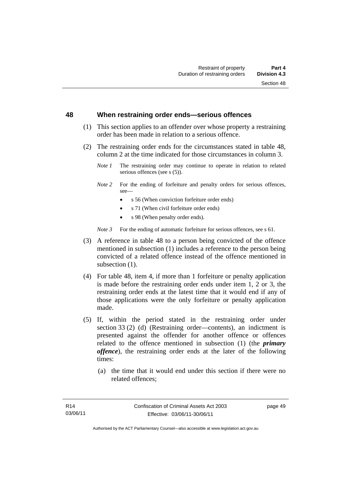#### **48 When restraining order ends—serious offences**

- (1) This section applies to an offender over whose property a restraining order has been made in relation to a serious offence.
- (2) The restraining order ends for the circumstances stated in table 48, column 2 at the time indicated for those circumstances in column 3.
	- *Note 1* The restraining order may continue to operate in relation to related serious offences (see s (5)).
	- *Note 2* For the ending of forfeiture and penalty orders for serious offences, see—
		- s 56 (When conviction forfeiture order ends)
		- s 71 (When civil forfeiture order ends)
		- s 98 (When penalty order ends).

*Note* 3 For the ending of automatic forfeiture for serious offences, see s 61.

- (3) A reference in table 48 to a person being convicted of the offence mentioned in subsection (1) includes a reference to the person being convicted of a related offence instead of the offence mentioned in subsection  $(1)$ .
- (4) For table 48, item 4, if more than 1 forfeiture or penalty application is made before the restraining order ends under item 1, 2 or 3, the restraining order ends at the latest time that it would end if any of those applications were the only forfeiture or penalty application made.
- (5) If, within the period stated in the restraining order under section 33 (2) (d) (Restraining order—contents), an indictment is presented against the offender for another offence or offences related to the offence mentioned in subsection (1) (the *primary offence*), the restraining order ends at the later of the following times:
	- (a) the time that it would end under this section if there were no related offences;

page 49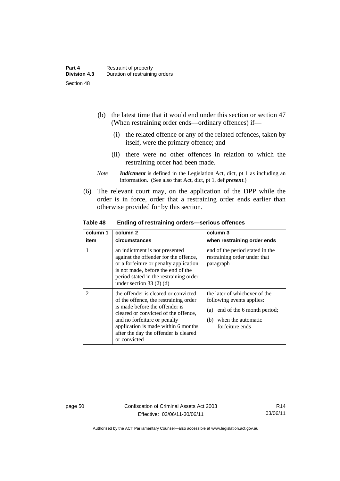- (b) the latest time that it would end under this section or section 47 (When restraining order ends—ordinary offences) if—
	- (i) the related offence or any of the related offences, taken by itself, were the primary offence; and
	- (ii) there were no other offences in relation to which the restraining order had been made.
- *Note Indictment* is defined in the Legislation Act, dict, pt 1 as including an information. (See also that Act, dict, pt 1, def *present*.)
- (6) The relevant court may, on the application of the DPP while the order is in force, order that a restraining order ends earlier than otherwise provided for by this section.

| Table 48 | Ending of restraining orders-serious offences |
|----------|-----------------------------------------------|
|          |                                               |

| column 1<br>item | column 2<br>circumstances                                                                                                                                                                                                                                                               | column 3<br>when restraining order ends                                                                                                      |
|------------------|-----------------------------------------------------------------------------------------------------------------------------------------------------------------------------------------------------------------------------------------------------------------------------------------|----------------------------------------------------------------------------------------------------------------------------------------------|
|                  | an indictment is not presented<br>against the offender for the offence,<br>or a forfeiture or penalty application<br>is not made, before the end of the<br>period stated in the restraining order<br>under section 33 $(2)$ $(d)$                                                       | end of the period stated in the<br>restraining order under that<br>paragraph                                                                 |
| $\mathfrak{D}$   | the offender is cleared or convicted<br>of the offence, the restraining order<br>is made before the offender is<br>cleared or convicted of the offence,<br>and no forfeiture or penalty<br>application is made within 6 months<br>after the day the offender is cleared<br>or convicted | the later of whichever of the<br>following events applies:<br>(a) end of the 6 month period;<br>when the automatic<br>(b)<br>forfeiture ends |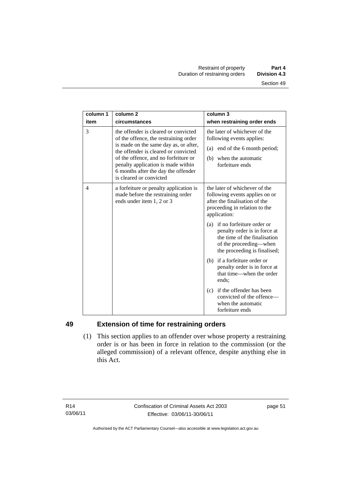| column 1 | column <sub>2</sub>                                                                                                                                                                                                                                                                                            | column 3                                                                                                                                                |
|----------|----------------------------------------------------------------------------------------------------------------------------------------------------------------------------------------------------------------------------------------------------------------------------------------------------------------|---------------------------------------------------------------------------------------------------------------------------------------------------------|
| item     | circumstances                                                                                                                                                                                                                                                                                                  | when restraining order ends                                                                                                                             |
| 3        | the offender is cleared or convicted<br>of the offence, the restraining order<br>is made on the same day as, or after,<br>the offender is cleared or convicted<br>of the offence, and no forfeiture or<br>penalty application is made within<br>6 months after the day the offender<br>is cleared or convicted | the later of whichever of the<br>following events applies:<br>(a) end of the 6 month period;<br>when the automatic<br>(b)<br>forfeiture ends            |
| 4        | a forfeiture or penalty application is<br>made before the restraining order<br>ends under item 1, 2 or 3                                                                                                                                                                                                       | the later of whichever of the<br>following events applies on or<br>after the finalisation of the<br>proceeding in relation to the<br>application:       |
|          |                                                                                                                                                                                                                                                                                                                | (a) if no forfeiture order or<br>penalty order is in force at<br>the time of the finalisation<br>of the proceeding—when<br>the proceeding is finalised; |
|          |                                                                                                                                                                                                                                                                                                                | (b) if a forfeiture order or<br>penalty order is in force at<br>that time—when the order<br>ends;                                                       |
|          |                                                                                                                                                                                                                                                                                                                | (c) if the offender has been<br>convicted of the offence-<br>when the automatic<br>forfeiture ends                                                      |

# **49 Extension of time for restraining orders**

 (1) This section applies to an offender over whose property a restraining order is or has been in force in relation to the commission (or the alleged commission) of a relevant offence, despite anything else in this Act.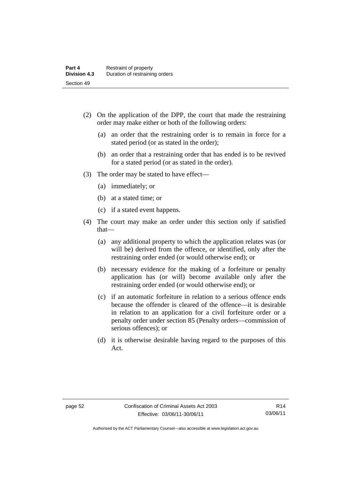- (2) On the application of the DPP, the court that made the restraining order may make either or both of the following orders:
	- (a) an order that the restraining order is to remain in force for a stated period (or as stated in the order);
	- (b) an order that a restraining order that has ended is to be revived for a stated period (or as stated in the order).
- (3) The order may be stated to have effect—
	- (a) immediately; or
	- (b) at a stated time; or
	- (c) if a stated event happens.
- (4) The court may make an order under this section only if satisfied that—
	- (a) any additional property to which the application relates was (or will be) derived from the offence, or identified, only after the restraining order ended (or would otherwise end); or
	- (b) necessary evidence for the making of a forfeiture or penalty application has (or will) become available only after the restraining order ended (or would otherwise end); or
	- (c) if an automatic forfeiture in relation to a serious offence ends because the offender is cleared of the offence—it is desirable in relation to an application for a civil forfeiture order or a penalty order under section 85 (Penalty orders—commission of serious offences); or
	- (d) it is otherwise desirable having regard to the purposes of this Act.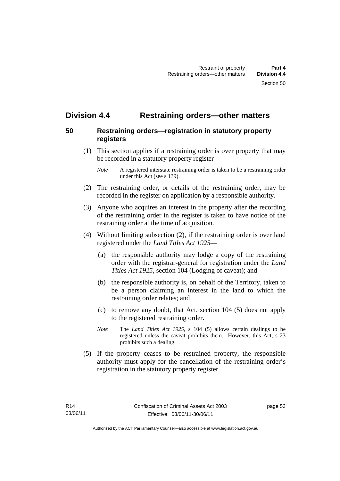# **Division 4.4 Restraining orders—other matters**

## **50 Restraining orders—registration in statutory property registers**

 (1) This section applies if a restraining order is over property that may be recorded in a statutory property register

- (2) The restraining order, or details of the restraining order, may be recorded in the register on application by a responsible authority.
- (3) Anyone who acquires an interest in the property after the recording of the restraining order in the register is taken to have notice of the restraining order at the time of acquisition.
- (4) Without limiting subsection (2), if the restraining order is over land registered under the *Land Titles Act 1925*—
	- (a) the responsible authority may lodge a copy of the restraining order with the registrar-general for registration under the *Land Titles Act 1925*, section 104 (Lodging of caveat); and
	- (b) the responsible authority is, on behalf of the Territory, taken to be a person claiming an interest in the land to which the restraining order relates; and
	- (c) to remove any doubt, that Act, section 104 (5) does not apply to the registered restraining order.
	- *Note* The *Land Titles Act 1925*, s 104 (5) allows certain dealings to be registered unless the caveat prohibits them. However, this Act, s 23 prohibits such a dealing.
- (5) If the property ceases to be restrained property, the responsible authority must apply for the cancellation of the restraining order's registration in the statutory property register.

*Note* A registered interstate restraining order is taken to be a restraining order under this Act (see s 139).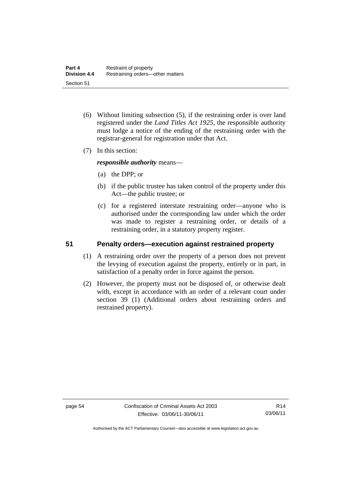- (6) Without limiting subsection (5), if the restraining order is over land registered under the *Land Titles Act 1925*, the responsible authority must lodge a notice of the ending of the restraining order with the registrar-general for registration under that Act.
- (7) In this section:

*responsible authority* means—

- (a) the DPP; or
- (b) if the public trustee has taken control of the property under this Act—the public trustee; or
- (c) for a registered interstate restraining order—anyone who is authorised under the corresponding law under which the order was made to register a restraining order, or details of a restraining order, in a statutory property register.

## **51 Penalty orders—execution against restrained property**

- (1) A restraining order over the property of a person does not prevent the levying of execution against the property, entirely or in part, in satisfaction of a penalty order in force against the person.
- (2) However, the property must not be disposed of, or otherwise dealt with, except in accordance with an order of a relevant court under section 39 (1) (Additional orders about restraining orders and restrained property).

Authorised by the ACT Parliamentary Counsel—also accessible at www.legislation.act.gov.au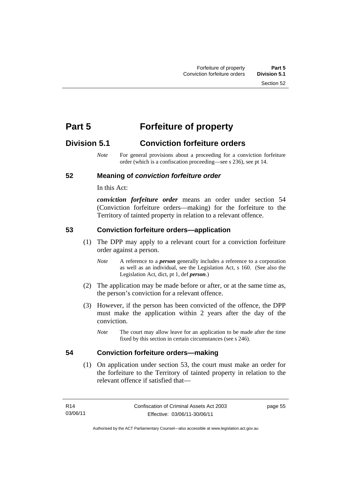# **Part 5 Forfeiture of property**

# **Division 5.1 Conviction forfeiture orders**

*Note* For general provisions about a proceeding for a conviction forfeiture order (which is a confiscation proceeding—see s 236), see pt 14.

# **52 Meaning of** *conviction forfeiture order*

In this Act:

*conviction forfeiture order* means an order under section 54 (Conviction forfeiture orders—making) for the forfeiture to the Territory of tainted property in relation to a relevant offence.

# **53 Conviction forfeiture orders—application**

- (1) The DPP may apply to a relevant court for a conviction forfeiture order against a person.
	- *Note* A reference to a *person* generally includes a reference to a corporation as well as an individual, see the Legislation Act, s 160. (See also the Legislation Act, dict, pt 1, def *person*.)
- (2) The application may be made before or after, or at the same time as, the person's conviction for a relevant offence.
- (3) However, if the person has been convicted of the offence, the DPP must make the application within 2 years after the day of the conviction.
	- *Note* The court may allow leave for an application to be made after the time fixed by this section in certain circumstances (see s 246).

# **54 Conviction forfeiture orders—making**

 (1) On application under section 53, the court must make an order for the forfeiture to the Territory of tainted property in relation to the relevant offence if satisfied that—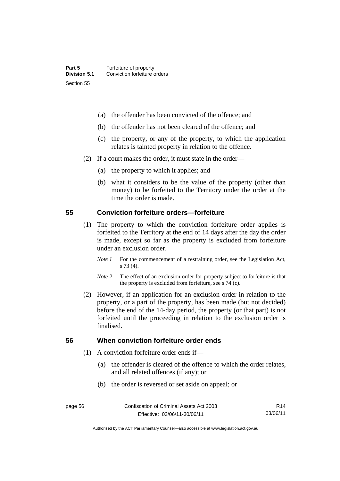- (a) the offender has been convicted of the offence; and
- (b) the offender has not been cleared of the offence; and
- (c) the property, or any of the property, to which the application relates is tainted property in relation to the offence.
- (2) If a court makes the order, it must state in the order—
	- (a) the property to which it applies; and
	- (b) what it considers to be the value of the property (other than money) to be forfeited to the Territory under the order at the time the order is made.

#### **55 Conviction forfeiture orders—forfeiture**

- (1) The property to which the conviction forfeiture order applies is forfeited to the Territory at the end of 14 days after the day the order is made, except so far as the property is excluded from forfeiture under an exclusion order.
	- *Note 1* For the commencement of a restraining order, see the Legislation Act, s 73 (4).
	- *Note 2* The effect of an exclusion order for property subject to forfeiture is that the property is excluded from forfeiture, see s 74 (c).
- (2) However, if an application for an exclusion order in relation to the property, or a part of the property, has been made (but not decided) before the end of the 14-day period, the property (or that part) is not forfeited until the proceeding in relation to the exclusion order is finalised.

# **56 When conviction forfeiture order ends**

- (1) A conviction forfeiture order ends if—
	- (a) the offender is cleared of the offence to which the order relates, and all related offences (if any); or
	- (b) the order is reversed or set aside on appeal; or

R14 03/06/11

Authorised by the ACT Parliamentary Counsel—also accessible at www.legislation.act.gov.au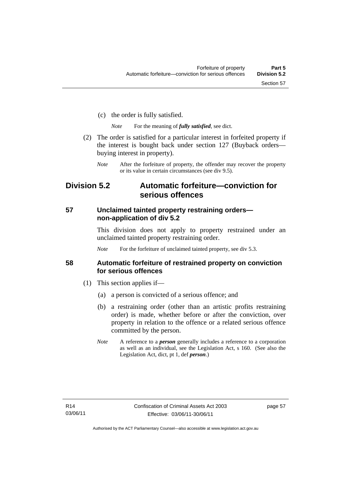- (c) the order is fully satisfied.
	- *Note* For the meaning of *fully satisfied*, see dict.
- (2) The order is satisfied for a particular interest in forfeited property if the interest is bought back under section 127 (Buyback orders buying interest in property).
	- *Note* After the forfeiture of property, the offender may recover the property or its value in certain circumstances (see div 9.5).

# **Division 5.2 Automatic forfeiture—conviction for serious offences**

# **57 Unclaimed tainted property restraining orders non-application of div 5.2**

This division does not apply to property restrained under an unclaimed tainted property restraining order.

*Note* For the forfeiture of unclaimed tainted property, see div 5.3.

# **58 Automatic forfeiture of restrained property on conviction for serious offences**

- (1) This section applies if—
	- (a) a person is convicted of a serious offence; and
	- (b) a restraining order (other than an artistic profits restraining order) is made, whether before or after the conviction, over property in relation to the offence or a related serious offence committed by the person.
	- *Note* A reference to a *person* generally includes a reference to a corporation as well as an individual, see the Legislation Act, s 160. (See also the Legislation Act, dict, pt 1, def *person*.)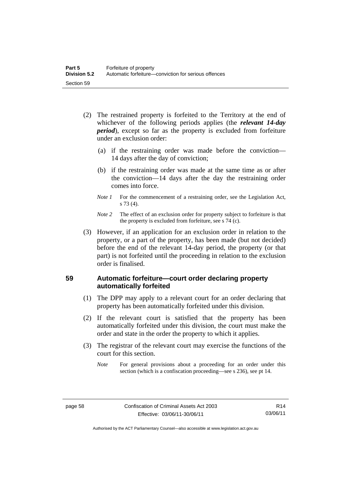- (2) The restrained property is forfeited to the Territory at the end of whichever of the following periods applies (the *relevant 14-day period*), except so far as the property is excluded from forfeiture under an exclusion order:
	- (a) if the restraining order was made before the conviction— 14 days after the day of conviction;
	- (b) if the restraining order was made at the same time as or after the conviction—14 days after the day the restraining order comes into force.
	- *Note 1* For the commencement of a restraining order, see the Legislation Act, s 73 (4).
	- *Note 2* The effect of an exclusion order for property subject to forfeiture is that the property is excluded from forfeiture, see s 74 (c).
- (3) However, if an application for an exclusion order in relation to the property, or a part of the property, has been made (but not decided) before the end of the relevant 14-day period, the property (or that part) is not forfeited until the proceeding in relation to the exclusion order is finalised.

# **59 Automatic forfeiture—court order declaring property automatically forfeited**

- (1) The DPP may apply to a relevant court for an order declaring that property has been automatically forfeited under this division.
- (2) If the relevant court is satisfied that the property has been automatically forfeited under this division, the court must make the order and state in the order the property to which it applies.
- (3) The registrar of the relevant court may exercise the functions of the court for this section.
	- *Note* For general provisions about a proceeding for an order under this section (which is a confiscation proceeding—see s 236), see pt 14.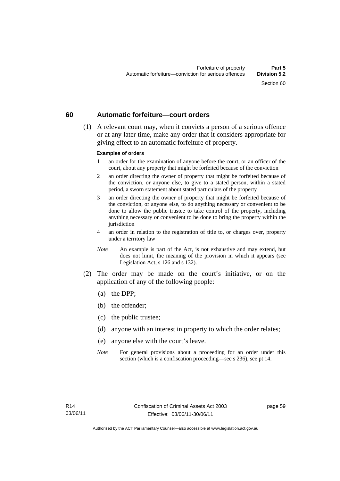### **60 Automatic forfeiture—court orders**

 (1) A relevant court may, when it convicts a person of a serious offence or at any later time, make any order that it considers appropriate for giving effect to an automatic forfeiture of property.

#### **Examples of orders**

- 1 an order for the examination of anyone before the court, or an officer of the court, about any property that might be forfeited because of the conviction
- 2 an order directing the owner of property that might be forfeited because of the conviction, or anyone else, to give to a stated person, within a stated period, a sworn statement about stated particulars of the property
- 3 an order directing the owner of property that might be forfeited because of the conviction, or anyone else, to do anything necessary or convenient to be done to allow the public trustee to take control of the property, including anything necessary or convenient to be done to bring the property within the jurisdiction
- 4 an order in relation to the registration of title to, or charges over, property under a territory law
- *Note* An example is part of the Act, is not exhaustive and may extend, but does not limit, the meaning of the provision in which it appears (see Legislation Act, s 126 and s 132).
- (2) The order may be made on the court's initiative, or on the application of any of the following people:
	- (a) the DPP;
	- (b) the offender;
	- (c) the public trustee;
	- (d) anyone with an interest in property to which the order relates;
	- (e) anyone else with the court's leave.
	- *Note* For general provisions about a proceeding for an order under this section (which is a confiscation proceeding—see s 236), see pt 14.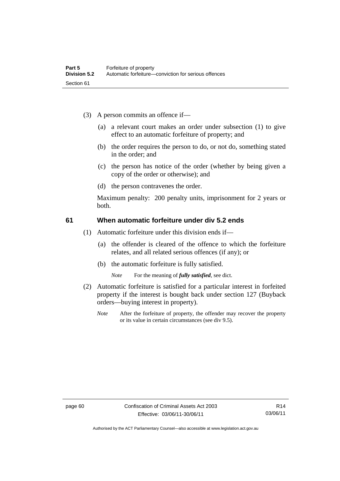- (3) A person commits an offence if—
	- (a) a relevant court makes an order under subsection (1) to give effect to an automatic forfeiture of property; and
	- (b) the order requires the person to do, or not do, something stated in the order; and
	- (c) the person has notice of the order (whether by being given a copy of the order or otherwise); and
	- (d) the person contravenes the order.

Maximum penalty: 200 penalty units, imprisonment for 2 years or both.

## **61 When automatic forfeiture under div 5.2 ends**

- (1) Automatic forfeiture under this division ends if—
	- (a) the offender is cleared of the offence to which the forfeiture relates, and all related serious offences (if any); or
	- (b) the automatic forfeiture is fully satisfied.

*Note* For the meaning of *fully satisfied*, see dict.

- (2) Automatic forfeiture is satisfied for a particular interest in forfeited property if the interest is bought back under section 127 (Buyback orders—buying interest in property).
	- *Note* After the forfeiture of property, the offender may recover the property or its value in certain circumstances (see div 9.5).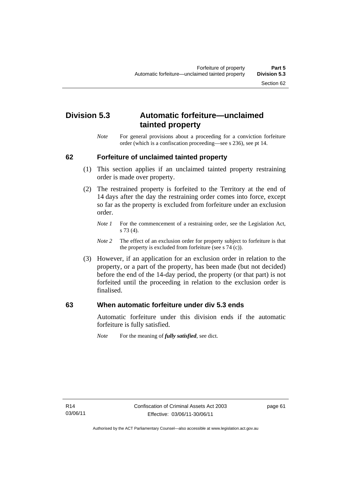# **Division 5.3 Automatic forfeiture—unclaimed tainted property**

*Note* For general provisions about a proceeding for a conviction forfeiture order (which is a confiscation proceeding—see s 236), see pt 14.

## **62 Forfeiture of unclaimed tainted property**

- (1) This section applies if an unclaimed tainted property restraining order is made over property.
- (2) The restrained property is forfeited to the Territory at the end of 14 days after the day the restraining order comes into force, except so far as the property is excluded from forfeiture under an exclusion order.
	- *Note 1* For the commencement of a restraining order, see the Legislation Act, s 73 (4).
	- *Note 2* The effect of an exclusion order for property subject to forfeiture is that the property is excluded from forfeiture (see s 74 (c)).
- (3) However, if an application for an exclusion order in relation to the property, or a part of the property, has been made (but not decided) before the end of the 14-day period, the property (or that part) is not forfeited until the proceeding in relation to the exclusion order is finalised.

### **63 When automatic forfeiture under div 5.3 ends**

Automatic forfeiture under this division ends if the automatic forfeiture is fully satisfied.

*Note* For the meaning of *fully satisfied*, see dict.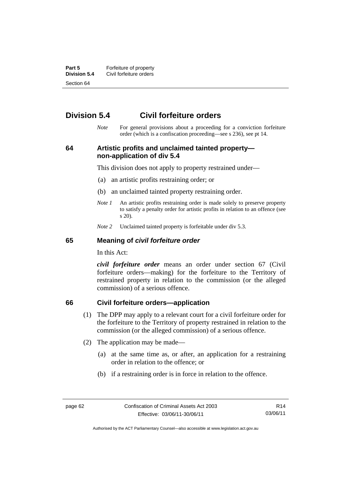**Part 5 Forfeiture of property**<br>**Division 5.4** Civil forfeiture orders **Division 5.4** Civil forfeiture orders Section 64

# **Division 5.4 Civil forfeiture orders**

*Note* For general provisions about a proceeding for a conviction forfeiture order (which is a confiscation proceeding—see s 236), see pt 14.

**64 Artistic profits and unclaimed tainted property non-application of div 5.4** 

This division does not apply to property restrained under—

- (a) an artistic profits restraining order; or
- (b) an unclaimed tainted property restraining order.
- *Note 1* An artistic profits restraining order is made solely to preserve property to satisfy a penalty order for artistic profits in relation to an offence (see s 20).
- *Note 2* Unclaimed tainted property is forfeitable under div 5.3.

### **65 Meaning of** *civil forfeiture order*

In this Act:

*civil forfeiture order* means an order under section 67 (Civil forfeiture orders—making) for the forfeiture to the Territory of restrained property in relation to the commission (or the alleged commission) of a serious offence.

#### **66 Civil forfeiture orders—application**

- (1) The DPP may apply to a relevant court for a civil forfeiture order for the forfeiture to the Territory of property restrained in relation to the commission (or the alleged commission) of a serious offence.
- (2) The application may be made—
	- (a) at the same time as, or after, an application for a restraining order in relation to the offence; or
	- (b) if a restraining order is in force in relation to the offence.

R14 03/06/11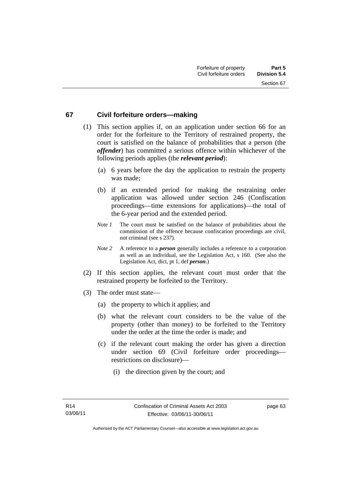### **67 Civil forfeiture orders—making**

- (1) This section applies if, on an application under section 66 for an order for the forfeiture to the Territory of restrained property, the court is satisfied on the balance of probabilities that a person (the *offender*) has committed a serious offence within whichever of the following periods applies (the *relevant period*):
	- (a) 6 years before the day the application to restrain the property was made;
	- (b) if an extended period for making the restraining order application was allowed under section 246 (Confiscation proceedings—time extensions for applications)—the total of the 6-year period and the extended period.
	- *Note 1* The court must be satisfied on the balance of probabilities about the commission of the offence because confiscation proceedings are civil, not criminal (see s 237).
	- *Note 2* A reference to a *person* generally includes a reference to a corporation as well as an individual, see the Legislation Act, s 160. (See also the Legislation Act, dict, pt 1, def *person*.)
- (2) If this section applies, the relevant court must order that the restrained property be forfeited to the Territory.
- (3) The order must state—
	- (a) the property to which it applies; and
	- (b) what the relevant court considers to be the value of the property (other than money) to be forfeited to the Territory under the order at the time the order is made; and
	- (c) if the relevant court making the order has given a direction under section 69 (Civil forfeiture order proceedings restrictions on disclosure)—
		- (i) the direction given by the court; and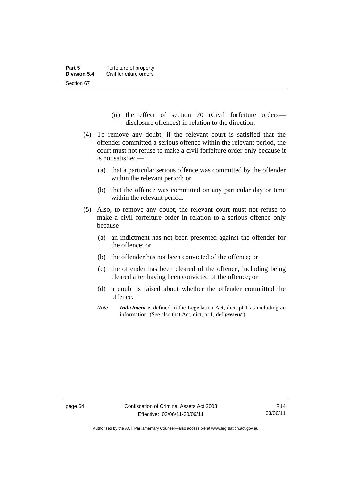- (ii) the effect of section 70 (Civil forfeiture orders disclosure offences) in relation to the direction.
- (4) To remove any doubt, if the relevant court is satisfied that the offender committed a serious offence within the relevant period, the court must not refuse to make a civil forfeiture order only because it is not satisfied—
	- (a) that a particular serious offence was committed by the offender within the relevant period; or
	- (b) that the offence was committed on any particular day or time within the relevant period.
- (5) Also, to remove any doubt, the relevant court must not refuse to make a civil forfeiture order in relation to a serious offence only because—
	- (a) an indictment has not been presented against the offender for the offence; or
	- (b) the offender has not been convicted of the offence; or
	- (c) the offender has been cleared of the offence, including being cleared after having been convicted of the offence; or
	- (d) a doubt is raised about whether the offender committed the offence.
	- *Note Indictment* is defined in the Legislation Act, dict, pt 1 as including an information. (See also that Act, dict, pt 1, def *present*.)

Authorised by the ACT Parliamentary Counsel—also accessible at www.legislation.act.gov.au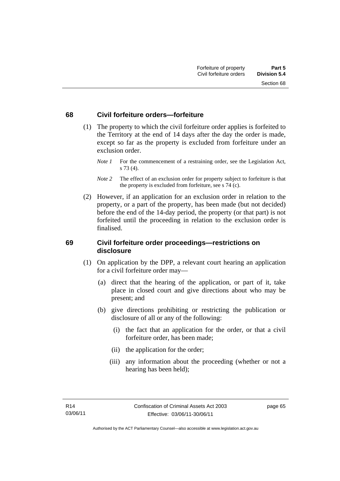### **68 Civil forfeiture orders—forfeiture**

- (1) The property to which the civil forfeiture order applies is forfeited to the Territory at the end of 14 days after the day the order is made, except so far as the property is excluded from forfeiture under an exclusion order.
	- *Note 1* For the commencement of a restraining order, see the Legislation Act, s 73 (4).
	- *Note* 2 The effect of an exclusion order for property subject to forfeiture is that the property is excluded from forfeiture, see s 74 (c).
- (2) However, if an application for an exclusion order in relation to the property, or a part of the property, has been made (but not decided) before the end of the 14-day period, the property (or that part) is not forfeited until the proceeding in relation to the exclusion order is finalised.

### **69 Civil forfeiture order proceedings—restrictions on disclosure**

- (1) On application by the DPP, a relevant court hearing an application for a civil forfeiture order may—
	- (a) direct that the hearing of the application, or part of it, take place in closed court and give directions about who may be present; and
	- (b) give directions prohibiting or restricting the publication or disclosure of all or any of the following:
		- (i) the fact that an application for the order, or that a civil forfeiture order, has been made;
		- (ii) the application for the order;
		- (iii) any information about the proceeding (whether or not a hearing has been held);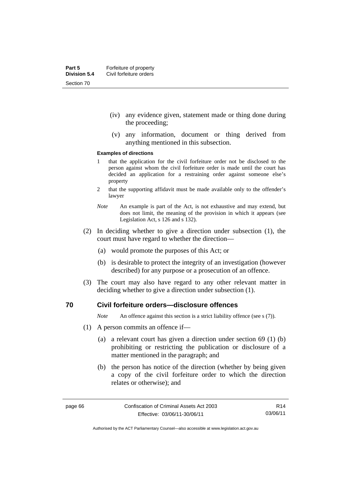- (iv) any evidence given, statement made or thing done during the proceeding;
- (v) any information, document or thing derived from anything mentioned in this subsection.

#### **Examples of directions**

- 1 that the application for the civil forfeiture order not be disclosed to the person against whom the civil forfeiture order is made until the court has decided an application for a restraining order against someone else's property
- 2 that the supporting affidavit must be made available only to the offender's lawyer
- *Note* An example is part of the Act, is not exhaustive and may extend, but does not limit, the meaning of the provision in which it appears (see Legislation Act, s 126 and s 132).
- (2) In deciding whether to give a direction under subsection (1), the court must have regard to whether the direction—
	- (a) would promote the purposes of this Act; or
	- (b) is desirable to protect the integrity of an investigation (however described) for any purpose or a prosecution of an offence.
- (3) The court may also have regard to any other relevant matter in deciding whether to give a direction under subsection (1).

### **70 Civil forfeiture orders—disclosure offences**

*Note* An offence against this section is a strict liability offence (see s (7)).

- (1) A person commits an offence if—
	- (a) a relevant court has given a direction under section 69 (1) (b) prohibiting or restricting the publication or disclosure of a matter mentioned in the paragraph; and
	- (b) the person has notice of the direction (whether by being given a copy of the civil forfeiture order to which the direction relates or otherwise); and

R14 03/06/11

Authorised by the ACT Parliamentary Counsel—also accessible at www.legislation.act.gov.au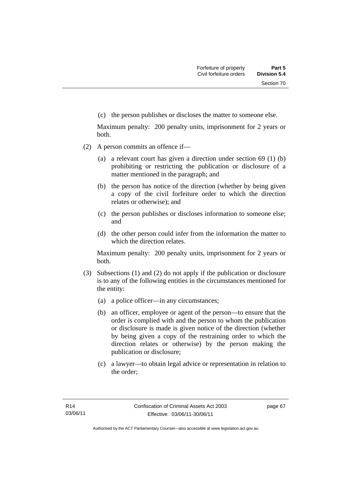(c) the person publishes or discloses the matter to someone else.

Maximum penalty: 200 penalty units, imprisonment for 2 years or both.

- (2) A person commits an offence if—
	- (a) a relevant court has given a direction under section 69 (1) (b) prohibiting or restricting the publication or disclosure of a matter mentioned in the paragraph; and
	- (b) the person has notice of the direction (whether by being given a copy of the civil forfeiture order to which the direction relates or otherwise); and
	- (c) the person publishes or discloses information to someone else; and
	- (d) the other person could infer from the information the matter to which the direction relates.

Maximum penalty: 200 penalty units, imprisonment for 2 years or both.

- (3) Subsections (1) and (2) do not apply if the publication or disclosure is to any of the following entities in the circumstances mentioned for the entity:
	- (a) a police officer—in any circumstances;
	- (b) an officer, employee or agent of the person—to ensure that the order is complied with and the person to whom the publication or disclosure is made is given notice of the direction (whether by being given a copy of the restraining order to which the direction relates or otherwise) by the person making the publication or disclosure;
	- (c) a lawyer—to obtain legal advice or representation in relation to the order;

page 67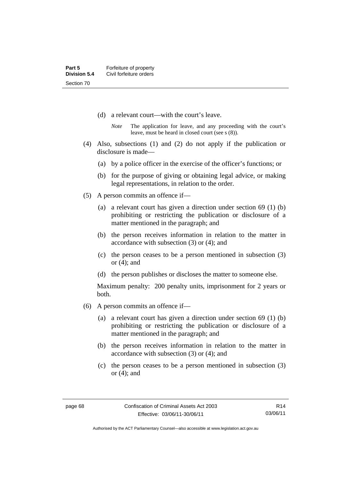- (d) a relevant court—with the court's leave.
	- *Note* The application for leave, and any proceeding with the court's leave, must be heard in closed court (see s (8)).
- (4) Also, subsections (1) and (2) do not apply if the publication or disclosure is made—
	- (a) by a police officer in the exercise of the officer's functions; or
	- (b) for the purpose of giving or obtaining legal advice, or making legal representations, in relation to the order.
- (5) A person commits an offence if—
	- (a) a relevant court has given a direction under section 69 (1) (b) prohibiting or restricting the publication or disclosure of a matter mentioned in the paragraph; and
	- (b) the person receives information in relation to the matter in accordance with subsection (3) or (4); and
	- (c) the person ceases to be a person mentioned in subsection (3) or (4); and
	- (d) the person publishes or discloses the matter to someone else.

Maximum penalty: 200 penalty units, imprisonment for 2 years or both.

- (6) A person commits an offence if—
	- (a) a relevant court has given a direction under section 69 (1) (b) prohibiting or restricting the publication or disclosure of a matter mentioned in the paragraph; and
	- (b) the person receives information in relation to the matter in accordance with subsection (3) or (4); and
	- (c) the person ceases to be a person mentioned in subsection (3) or (4); and

R14 03/06/11

Authorised by the ACT Parliamentary Counsel—also accessible at www.legislation.act.gov.au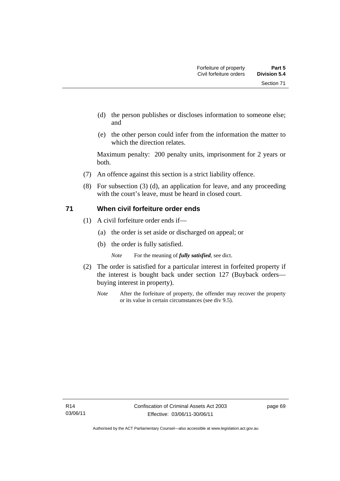- (d) the person publishes or discloses information to someone else; and
- (e) the other person could infer from the information the matter to which the direction relates.

Maximum penalty: 200 penalty units, imprisonment for 2 years or both.

- (7) An offence against this section is a strict liability offence.
- (8) For subsection (3) (d), an application for leave, and any proceeding with the court's leave, must be heard in closed court.

## **71 When civil forfeiture order ends**

- (1) A civil forfeiture order ends if—
	- (a) the order is set aside or discharged on appeal; or
	- (b) the order is fully satisfied.

*Note* For the meaning of *fully satisfied*, see dict.

- (2) The order is satisfied for a particular interest in forfeited property if the interest is bought back under section 127 (Buyback orders buying interest in property).
	- *Note* After the forfeiture of property, the offender may recover the property or its value in certain circumstances (see div 9.5).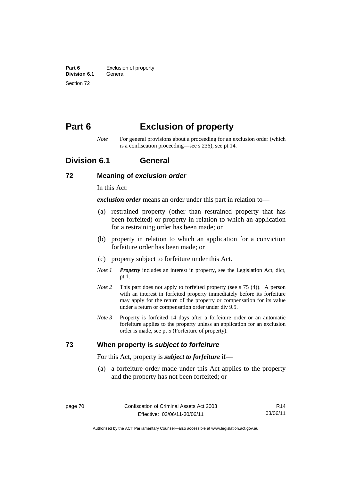**Part 6 Exclusion of property**<br>**Division 6.1 General Division 6.1** Section 72

# **Part 6 Exclusion of property**

*Note* For general provisions about a proceeding for an exclusion order (which is a confiscation proceeding—see s 236), see pt 14.

## **Division 6.1 General**

### **72 Meaning of** *exclusion order*

In this Act:

*exclusion order* means an order under this part in relation to—

- (a) restrained property (other than restrained property that has been forfeited) or property in relation to which an application for a restraining order has been made; or
- (b) property in relation to which an application for a conviction forfeiture order has been made; or
- (c) property subject to forfeiture under this Act.
- *Note 1 Property* includes an interest in property, see the Legislation Act, dict, pt 1.
- *Note 2* This part does not apply to forfeited property (see s 75 (4)). A person with an interest in forfeited property immediately before its forfeiture may apply for the return of the property or compensation for its value under a return or compensation order under div 9.5.
- *Note 3* Property is forfeited 14 days after a forfeiture order or an automatic forfeiture applies to the property unless an application for an exclusion order is made, see pt 5 (Forfeiture of property).

### **73 When property is** *subject to forfeiture*

For this Act, property is *subject to forfeiture* if—

 (a) a forfeiture order made under this Act applies to the property and the property has not been forfeited; or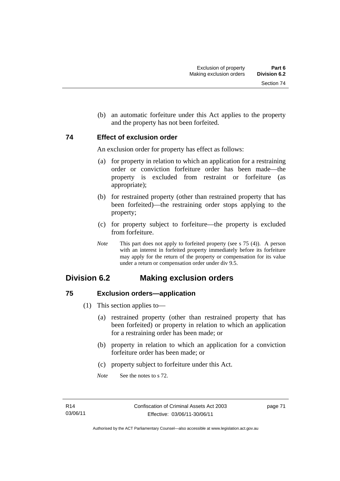Section 74

(b) an automatic forfeiture under this Act applies to the property

## **74 Effect of exclusion order**

An exclusion order for property has effect as follows:

and the property has not been forfeited.

- (a) for property in relation to which an application for a restraining order or conviction forfeiture order has been made—the property is excluded from restraint or forfeiture (as appropriate);
- (b) for restrained property (other than restrained property that has been forfeited)—the restraining order stops applying to the property;
- (c) for property subject to forfeiture—the property is excluded from forfeiture.
- *Note* This part does not apply to forfeited property (see s 75 (4)). A person with an interest in forfeited property immediately before its forfeiture may apply for the return of the property or compensation for its value under a return or compensation order under div 9.5.

# **Division 6.2 Making exclusion orders**

## **75 Exclusion orders—application**

- (1) This section applies to—
	- (a) restrained property (other than restrained property that has been forfeited) or property in relation to which an application for a restraining order has been made; or
	- (b) property in relation to which an application for a conviction forfeiture order has been made; or
	- (c) property subject to forfeiture under this Act.
	- *Note* See the notes to s 72.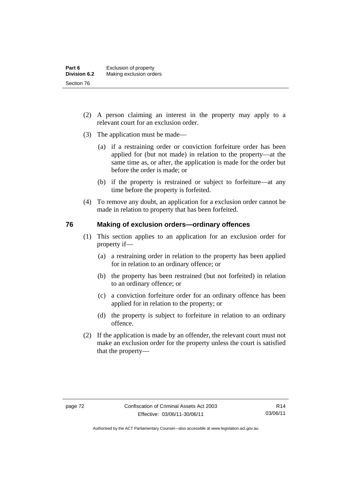- (2) A person claiming an interest in the property may apply to a relevant court for an exclusion order.
- (3) The application must be made—
	- (a) if a restraining order or conviction forfeiture order has been applied for (but not made) in relation to the property—at the same time as, or after, the application is made for the order but before the order is made; or
	- (b) if the property is restrained or subject to forfeiture—at any time before the property is forfeited.
- (4) To remove any doubt, an application for a exclusion order cannot be made in relation to property that has been forfeited.

### **76 Making of exclusion orders—ordinary offences**

- (1) This section applies to an application for an exclusion order for property if—
	- (a) a restraining order in relation to the property has been applied for in relation to an ordinary offence; or
	- (b) the property has been restrained (but not forfeited) in relation to an ordinary offence; or
	- (c) a conviction forfeiture order for an ordinary offence has been applied for in relation to the property; or
	- (d) the property is subject to forfeiture in relation to an ordinary offence.
- (2) If the application is made by an offender, the relevant court must not make an exclusion order for the property unless the court is satisfied that the property—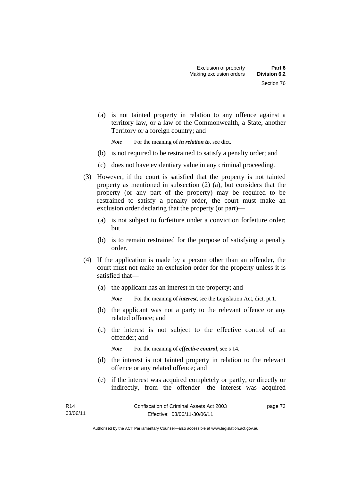(a) is not tainted property in relation to any offence against a territory law, or a law of the Commonwealth, a State, another Territory or a foreign country; and

*Note* For the meaning of *in relation to*, see dict.

- (b) is not required to be restrained to satisfy a penalty order; and
- (c) does not have evidentiary value in any criminal proceeding.
- (3) However, if the court is satisfied that the property is not tainted property as mentioned in subsection (2) (a), but considers that the property (or any part of the property) may be required to be restrained to satisfy a penalty order, the court must make an exclusion order declaring that the property (or part)—
	- (a) is not subject to forfeiture under a conviction forfeiture order; but
	- (b) is to remain restrained for the purpose of satisfying a penalty order.
- (4) If the application is made by a person other than an offender, the court must not make an exclusion order for the property unless it is satisfied that—
	- (a) the applicant has an interest in the property; and
		- *Note* For the meaning of *interest*, see the Legislation Act, dict, pt 1.
	- (b) the applicant was not a party to the relevant offence or any related offence; and
	- (c) the interest is not subject to the effective control of an offender; and
		- *Note* For the meaning of *effective control*, see s 14.
	- (d) the interest is not tainted property in relation to the relevant offence or any related offence; and
	- (e) if the interest was acquired completely or partly, or directly or indirectly, from the offender—the interest was acquired

| R14      | Confiscation of Criminal Assets Act 2003 | page 73 |
|----------|------------------------------------------|---------|
| 03/06/11 | Effective: 03/06/11-30/06/11             |         |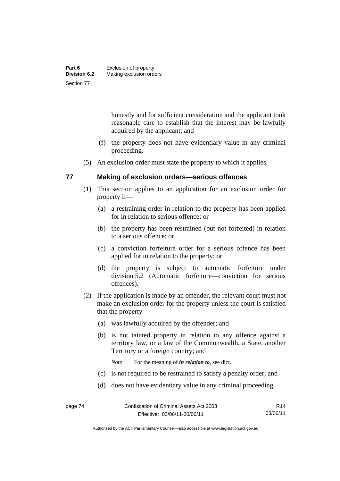| Part 6              | Exclusion of property   |
|---------------------|-------------------------|
| <b>Division 6.2</b> | Making exclusion orders |
| Section 77          |                         |

honestly and for sufficient consideration and the applicant took reasonable care to establish that the interest may be lawfully acquired by the applicant; and

- (f) the property does not have evidentiary value in any criminal proceeding.
- (5) An exclusion order must state the property to which it applies.

### **77 Making of exclusion orders—serious offences**

- (1) This section applies to an application for an exclusion order for property if—
	- (a) a restraining order in relation to the property has been applied for in relation to serious offence; or
	- (b) the property has been restrained (but not forfeited) in relation to a serious offence; or
	- (c) a conviction forfeiture order for a serious offence has been applied for in relation to the property; or
	- (d) the property is subject to automatic forfeiture under division 5.2 (Automatic forfeiture—conviction for serious offences).
- (2) If the application is made by an offender, the relevant court must not make an exclusion order for the property unless the court is satisfied that the property—
	- (a) was lawfully acquired by the offender; and
	- (b) is not tainted property in relation to any offence against a territory law, or a law of the Commonwealth, a State, another Territory or a foreign country; and

*Note* For the meaning of *in relation to*, see dict.

- (c) is not required to be restrained to satisfy a penalty order; and
- (d) does not have evidentiary value in any criminal proceeding.

Authorised by the ACT Parliamentary Counsel—also accessible at www.legislation.act.gov.au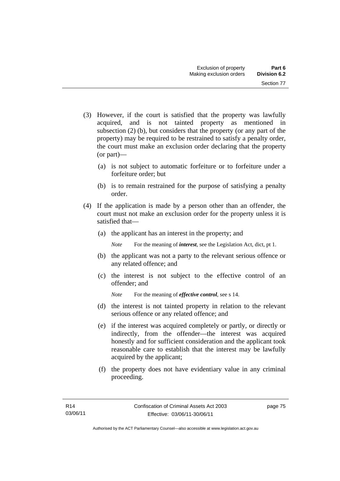- (3) However, if the court is satisfied that the property was lawfully acquired, and is not tainted property as mentioned in subsection (2) (b), but considers that the property (or any part of the property) may be required to be restrained to satisfy a penalty order, the court must make an exclusion order declaring that the property (or part)—
	- (a) is not subject to automatic forfeiture or to forfeiture under a forfeiture order; but
	- (b) is to remain restrained for the purpose of satisfying a penalty order.
- (4) If the application is made by a person other than an offender, the court must not make an exclusion order for the property unless it is satisfied that—
	- (a) the applicant has an interest in the property; and

*Note* For the meaning of *interest*, see the Legislation Act, dict, pt 1.

- (b) the applicant was not a party to the relevant serious offence or any related offence; and
- (c) the interest is not subject to the effective control of an offender; and

*Note* For the meaning of *effective control*, see s 14.

- (d) the interest is not tainted property in relation to the relevant serious offence or any related offence; and
- (e) if the interest was acquired completely or partly, or directly or indirectly, from the offender—the interest was acquired honestly and for sufficient consideration and the applicant took reasonable care to establish that the interest may be lawfully acquired by the applicant;
- (f) the property does not have evidentiary value in any criminal proceeding.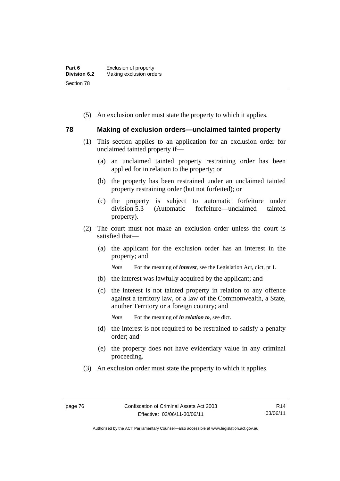| Part 6              | Exclusion of property   |
|---------------------|-------------------------|
| <b>Division 6.2</b> | Making exclusion orders |
| Section 78          |                         |

(5) An exclusion order must state the property to which it applies.

### **78 Making of exclusion orders—unclaimed tainted property**

- (1) This section applies to an application for an exclusion order for unclaimed tainted property if—
	- (a) an unclaimed tainted property restraining order has been applied for in relation to the property; or
	- (b) the property has been restrained under an unclaimed tainted property restraining order (but not forfeited); or
	- (c) the property is subject to automatic forfeiture under division 5.3 (Automatic forfeiture—unclaimed tainted property).
- (2) The court must not make an exclusion order unless the court is satisfied that—
	- (a) the applicant for the exclusion order has an interest in the property; and

*Note* For the meaning of *interest*, see the Legislation Act, dict, pt 1.

- (b) the interest was lawfully acquired by the applicant; and
- (c) the interest is not tainted property in relation to any offence against a territory law, or a law of the Commonwealth, a State, another Territory or a foreign country; and

*Note* For the meaning of *in relation to*, see dict.

- (d) the interest is not required to be restrained to satisfy a penalty order; and
- (e) the property does not have evidentiary value in any criminal proceeding.
- (3) An exclusion order must state the property to which it applies.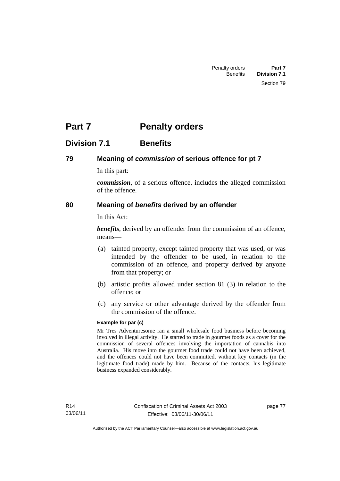# **Part 7** Penalty orders

## **Division 7.1 Benefits**

## **79 Meaning of** *commission* **of serious offence for pt 7**

In this part:

*commission*, of a serious offence, includes the alleged commission of the offence.

## **80 Meaning of** *benefits* **derived by an offender**

In this Act:

*benefits*, derived by an offender from the commission of an offence, means—

- (a) tainted property, except tainted property that was used, or was intended by the offender to be used, in relation to the commission of an offence, and property derived by anyone from that property; or
- (b) artistic profits allowed under section 81 (3) in relation to the offence; or
- (c) any service or other advantage derived by the offender from the commission of the offence.

### **Example for par (c)**

Mr Tres Adventuresome ran a small wholesale food business before becoming involved in illegal activity. He started to trade in gourmet foods as a cover for the commission of several offences involving the importation of cannabis into Australia. His move into the gourmet food trade could not have been achieved, and the offences could not have been committed, without key contacts (in the legitimate food trade) made by him. Because of the contacts, his legitimate business expanded considerably.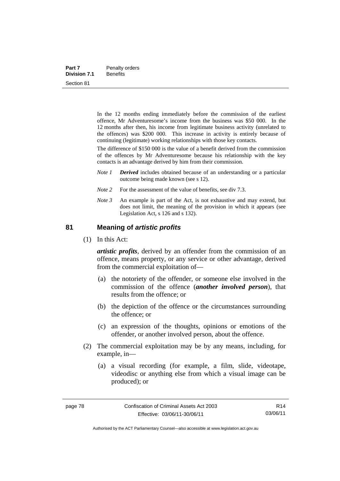| Part 7              | Penalty orders  |
|---------------------|-----------------|
| <b>Division 7.1</b> | <b>Benefits</b> |
| Section 81          |                 |

In the 12 months ending immediately before the commission of the earliest offence, Mr Adventuresome's income from the business was \$50 000. In the 12 months after then, his income from legitimate business activity (unrelated to the offences) was \$200 000. This increase in activity is entirely because of continuing (legitimate) working relationships with those key contacts.

The difference of \$150 000 is the value of a benefit derived from the commission of the offences by Mr Adventuresome because his relationship with the key contacts is an advantage derived by him from their commission.

- *Note 1 Derived* includes obtained because of an understanding or a particular outcome being made known (see s 12).
- *Note* 2 For the assessment of the value of benefits, see div 7.3.
- *Note 3* An example is part of the Act, is not exhaustive and may extend, but does not limit, the meaning of the provision in which it appears (see Legislation Act, s 126 and s 132).

### **81 Meaning of** *artistic profits*

(1) In this Act:

*artistic profits*, derived by an offender from the commission of an offence, means property, or any service or other advantage, derived from the commercial exploitation of—

- (a) the notoriety of the offender, or someone else involved in the commission of the offence (*another involved person*), that results from the offence; or
- (b) the depiction of the offence or the circumstances surrounding the offence; or
- (c) an expression of the thoughts, opinions or emotions of the offender, or another involved person, about the offence.
- (2) The commercial exploitation may be by any means, including, for example, in—
	- (a) a visual recording (for example, a film, slide, videotape, videodisc or anything else from which a visual image can be produced); or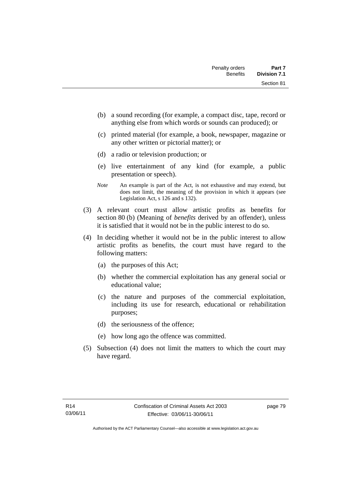- (b) a sound recording (for example, a compact disc, tape, record or anything else from which words or sounds can produced); or
- (c) printed material (for example, a book, newspaper, magazine or any other written or pictorial matter); or
- (d) a radio or television production; or
- (e) live entertainment of any kind (for example, a public presentation or speech).
- *Note* An example is part of the Act, is not exhaustive and may extend, but does not limit, the meaning of the provision in which it appears (see Legislation Act, s 126 and s 132).
- (3) A relevant court must allow artistic profits as benefits for section 80 (b) (Meaning of *benefits* derived by an offender), unless it is satisfied that it would not be in the public interest to do so.
- (4) In deciding whether it would not be in the public interest to allow artistic profits as benefits, the court must have regard to the following matters:
	- (a) the purposes of this Act;
	- (b) whether the commercial exploitation has any general social or educational value;
	- (c) the nature and purposes of the commercial exploitation, including its use for research, educational or rehabilitation purposes;
	- (d) the seriousness of the offence;
	- (e) how long ago the offence was committed.
- (5) Subsection (4) does not limit the matters to which the court may have regard.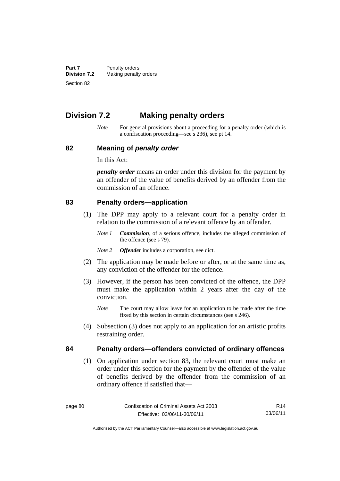**Part 7** Penalty orders<br>**Division 7.2** Making penalty **Making penalty orders** Section 82

# **Division 7.2 Making penalty orders**

*Note* For general provisions about a proceeding for a penalty order (which is a confiscation proceeding—see s 236), see pt 14.

### **82 Meaning of** *penalty order*

In this Act:

*penalty order* means an order under this division for the payment by an offender of the value of benefits derived by an offender from the commission of an offence.

### **83 Penalty orders—application**

- (1) The DPP may apply to a relevant court for a penalty order in relation to the commission of a relevant offence by an offender.
	- *Note 1 Commission*, of a serious offence, includes the alleged commission of the offence (see s 79).
	- *Note 2 Offender* includes a corporation, see dict.
- (2) The application may be made before or after, or at the same time as, any conviction of the offender for the offence.
- (3) However, if the person has been convicted of the offence, the DPP must make the application within 2 years after the day of the conviction.
	- *Note* The court may allow leave for an application to be made after the time fixed by this section in certain circumstances (see s 246).
- (4) Subsection (3) does not apply to an application for an artistic profits restraining order.

## **84 Penalty orders—offenders convicted of ordinary offences**

(1) On application under section 83, the relevant court must make an order under this section for the payment by the offender of the value of benefits derived by the offender from the commission of an ordinary offence if satisfied that—

R14 03/06/11

Authorised by the ACT Parliamentary Counsel—also accessible at www.legislation.act.gov.au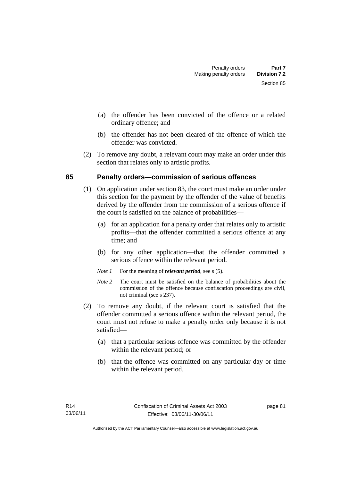- (a) the offender has been convicted of the offence or a related ordinary offence; and
- (b) the offender has not been cleared of the offence of which the offender was convicted.
- (2) To remove any doubt, a relevant court may make an order under this section that relates only to artistic profits.

## **85 Penalty orders—commission of serious offences**

- (1) On application under section 83, the court must make an order under this section for the payment by the offender of the value of benefits derived by the offender from the commission of a serious offence if the court is satisfied on the balance of probabilities—
	- (a) for an application for a penalty order that relates only to artistic profits—that the offender committed a serious offence at any time; and
	- (b) for any other application—that the offender committed a serious offence within the relevant period.
	- *Note 1* For the meaning of *relevant period*, see s (5).
	- *Note* 2 The court must be satisfied on the balance of probabilities about the commission of the offence because confiscation proceedings are civil, not criminal (see s 237).
- (2) To remove any doubt, if the relevant court is satisfied that the offender committed a serious offence within the relevant period, the court must not refuse to make a penalty order only because it is not satisfied—
	- (a) that a particular serious offence was committed by the offender within the relevant period; or
	- (b) that the offence was committed on any particular day or time within the relevant period.

page 81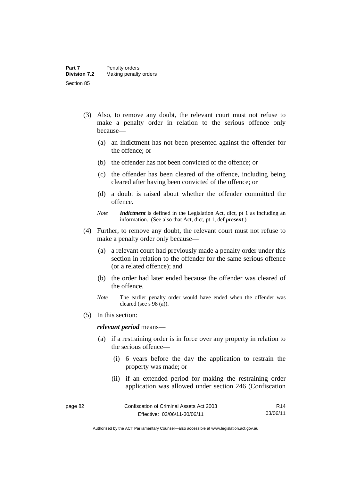- (3) Also, to remove any doubt, the relevant court must not refuse to make a penalty order in relation to the serious offence only because—
	- (a) an indictment has not been presented against the offender for the offence; or
	- (b) the offender has not been convicted of the offence; or
	- (c) the offender has been cleared of the offence, including being cleared after having been convicted of the offence; or
	- (d) a doubt is raised about whether the offender committed the offence.
	- *Note Indictment* is defined in the Legislation Act, dict, pt 1 as including an information. (See also that Act, dict, pt 1, def *present*.)
- (4) Further, to remove any doubt, the relevant court must not refuse to make a penalty order only because—
	- (a) a relevant court had previously made a penalty order under this section in relation to the offender for the same serious offence (or a related offence); and
	- (b) the order had later ended because the offender was cleared of the offence.
	- *Note* The earlier penalty order would have ended when the offender was cleared (see s 98 (a)).
- (5) In this section:

#### *relevant period* means—

- (a) if a restraining order is in force over any property in relation to the serious offence—
	- (i) 6 years before the day the application to restrain the property was made; or
	- (ii) if an extended period for making the restraining order application was allowed under section 246 (Confiscation

Authorised by the ACT Parliamentary Counsel—also accessible at www.legislation.act.gov.au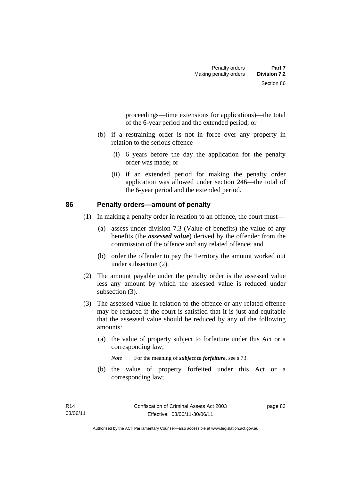proceedings—time extensions for applications)—the total of the 6-year period and the extended period; or

- (b) if a restraining order is not in force over any property in relation to the serious offence—
	- (i) 6 years before the day the application for the penalty order was made; or
	- (ii) if an extended period for making the penalty order application was allowed under section 246—the total of the 6-year period and the extended period.

### **86 Penalty orders—amount of penalty**

- (1) In making a penalty order in relation to an offence, the court must—
	- (a) assess under division 7.3 (Value of benefits) the value of any benefits (the *assessed value*) derived by the offender from the commission of the offence and any related offence; and
	- (b) order the offender to pay the Territory the amount worked out under subsection (2).
- (2) The amount payable under the penalty order is the assessed value less any amount by which the assessed value is reduced under subsection  $(3)$ .
- (3) The assessed value in relation to the offence or any related offence may be reduced if the court is satisfied that it is just and equitable that the assessed value should be reduced by any of the following amounts:
	- (a) the value of property subject to forfeiture under this Act or a corresponding law;

*Note* For the meaning of *subject to forfeiture*, see s 73.

 (b) the value of property forfeited under this Act or a corresponding law;

page 83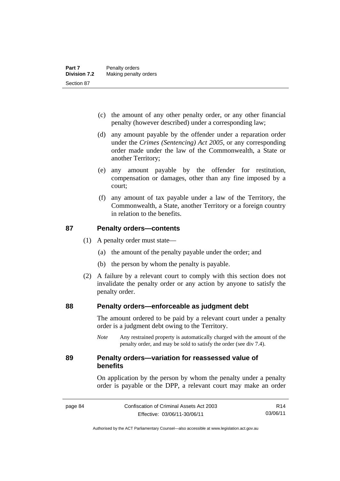- (c) the amount of any other penalty order, or any other financial penalty (however described) under a corresponding law;
- (d) any amount payable by the offender under a reparation order under the *Crimes (Sentencing) Act 2005*, or any corresponding order made under the law of the Commonwealth, a State or another Territory;
- (e) any amount payable by the offender for restitution, compensation or damages, other than any fine imposed by a court;
- (f) any amount of tax payable under a law of the Territory, the Commonwealth, a State, another Territory or a foreign country in relation to the benefits.

### **87 Penalty orders—contents**

- (1) A penalty order must state—
	- (a) the amount of the penalty payable under the order; and
	- (b) the person by whom the penalty is payable.
- (2) A failure by a relevant court to comply with this section does not invalidate the penalty order or any action by anyone to satisfy the penalty order.

### **88 Penalty orders—enforceable as judgment debt**

The amount ordered to be paid by a relevant court under a penalty order is a judgment debt owing to the Territory.

*Note* Any restrained property is automatically charged with the amount of the penalty order, and may be sold to satisfy the order (see div 7.4).

### **89 Penalty orders—variation for reassessed value of benefits**

On application by the person by whom the penalty under a penalty order is payable or the DPP, a relevant court may make an order

R14 03/06/11

Authorised by the ACT Parliamentary Counsel—also accessible at www.legislation.act.gov.au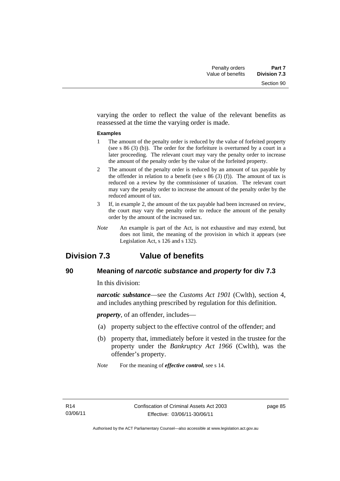varying the order to reflect the value of the relevant benefits as reassessed at the time the varying order is made.

#### **Examples**

- 1 The amount of the penalty order is reduced by the value of forfeited property (see s 86 (3) (b)). The order for the forfeiture is overturned by a court in a later proceeding. The relevant court may vary the penalty order to increase the amount of the penalty order by the value of the forfeited property.
- 2 The amount of the penalty order is reduced by an amount of tax payable by the offender in relation to a benefit (see s  $86(3)(f)$ ). The amount of tax is reduced on a review by the commissioner of taxation. The relevant court may vary the penalty order to increase the amount of the penalty order by the reduced amount of tax.
- 3 If, in example 2, the amount of the tax payable had been increased on review, the court may vary the penalty order to reduce the amount of the penalty order by the amount of the increased tax.
- *Note* An example is part of the Act, is not exhaustive and may extend, but does not limit, the meaning of the provision in which it appears (see Legislation Act, s 126 and s 132).

# **Division 7.3 Value of benefits**

## **90 Meaning of** *narcotic substance* **and** *property* **for div 7.3**

In this division:

*narcotic substance*—see the *Customs Act 1901* (Cwlth), section 4, and includes anything prescribed by regulation for this definition.

*property*, of an offender, includes—

- (a) property subject to the effective control of the offender; and
- (b) property that, immediately before it vested in the trustee for the property under the *Bankruptcy Act 1966* (Cwlth), was the offender's property.
- *Note* For the meaning of *effective control*, see s 14.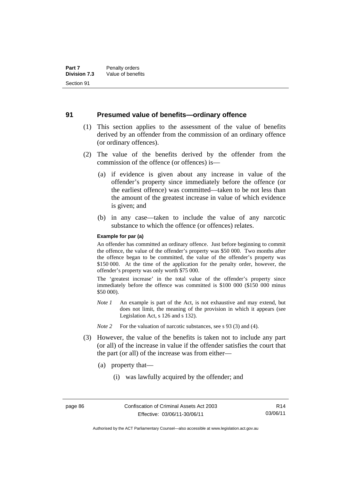### **91 Presumed value of benefits—ordinary offence**

- (1) This section applies to the assessment of the value of benefits derived by an offender from the commission of an ordinary offence (or ordinary offences).
- (2) The value of the benefits derived by the offender from the commission of the offence (or offences) is—
	- (a) if evidence is given about any increase in value of the offender's property since immediately before the offence (or the earliest offence) was committed—taken to be not less than the amount of the greatest increase in value of which evidence is given; and
	- (b) in any case—taken to include the value of any narcotic substance to which the offence (or offences) relates.

#### **Example for par (a)**

An offender has committed an ordinary offence. Just before beginning to commit the offence, the value of the offender's property was \$50 000. Two months after the offence began to be committed, the value of the offender's property was \$150 000. At the time of the application for the penalty order, however, the offender's property was only worth \$75 000.

The 'greatest increase' in the total value of the offender's property since immediately before the offence was committed is \$100 000 (\$150 000 minus \$50 000).

- *Note 1* An example is part of the Act, is not exhaustive and may extend, but does not limit, the meaning of the provision in which it appears (see Legislation Act, s 126 and s 132).
- *Note 2* For the valuation of narcotic substances, see s 93 (3) and (4).
- (3) However, the value of the benefits is taken not to include any part (or all) of the increase in value if the offender satisfies the court that the part (or all) of the increase was from either—
	- (a) property that—
		- (i) was lawfully acquired by the offender; and

Authorised by the ACT Parliamentary Counsel—also accessible at www.legislation.act.gov.au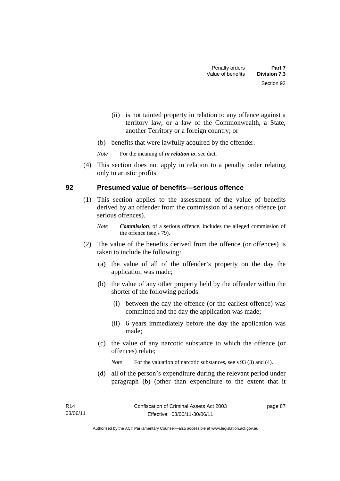- (ii) is not tainted property in relation to any offence against a territory law, or a law of the Commonwealth, a State, another Territory or a foreign country; or
- (b) benefits that were lawfully acquired by the offender.

*Note* For the meaning of *in relation to*, see dict.

 (4) This section does not apply in relation to a penalty order relating only to artistic profits.

## **92 Presumed value of benefits—serious offence**

- (1) This section applies to the assessment of the value of benefits derived by an offender from the commission of a serious offence (or serious offences).
	- *Note Commission*, of a serious offence, includes the alleged commission of the offence (see s 79).
- (2) The value of the benefits derived from the offence (or offences) is taken to include the following:
	- (a) the value of all of the offender's property on the day the application was made;
	- (b) the value of any other property held by the offender within the shorter of the following periods:
		- (i) between the day the offence (or the earliest offence) was committed and the day the application was made;
		- (ii) 6 years immediately before the day the application was made;
	- (c) the value of any narcotic substance to which the offence (or offences) relate;

*Note* For the valuation of narcotic substances, see s 93 (3) and (4).

 (d) all of the person's expenditure during the relevant period under paragraph (b) (other than expenditure to the extent that it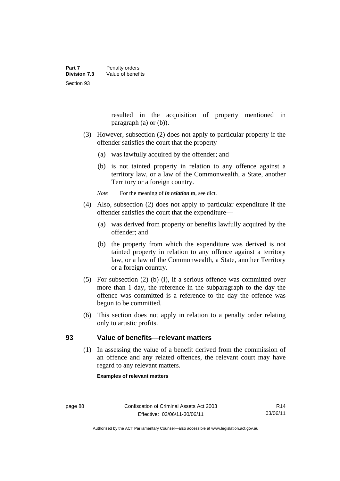resulted in the acquisition of property mentioned in paragraph (a) or (b)).

- (3) However, subsection (2) does not apply to particular property if the offender satisfies the court that the property—
	- (a) was lawfully acquired by the offender; and
	- (b) is not tainted property in relation to any offence against a territory law, or a law of the Commonwealth, a State, another Territory or a foreign country.

*Note* For the meaning of *in relation to*, see dict.

- (4) Also, subsection (2) does not apply to particular expenditure if the offender satisfies the court that the expenditure—
	- (a) was derived from property or benefits lawfully acquired by the offender; and
	- (b) the property from which the expenditure was derived is not tainted property in relation to any offence against a territory law, or a law of the Commonwealth, a State, another Territory or a foreign country.
- (5) For subsection (2) (b) (i), if a serious offence was committed over more than 1 day, the reference in the subparagraph to the day the offence was committed is a reference to the day the offence was begun to be committed.
- (6) This section does not apply in relation to a penalty order relating only to artistic profits.

### **93 Value of benefits—relevant matters**

(1) In assessing the value of a benefit derived from the commission of an offence and any related offences, the relevant court may have regard to any relevant matters.

**Examples of relevant matters**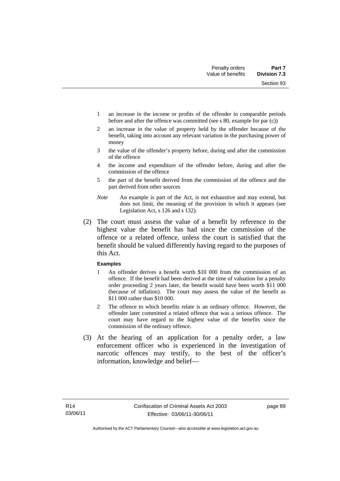Section 93

- 1 an increase in the income or profits of the offender in comparable periods before and after the offence was committed (see s 80, example for par (c))
- 2 an increase in the value of property held by the offender because of the benefit, taking into account any relevant variation in the purchasing power of money
- 3 the value of the offender's property before, during and after the commission of the offence
- 4 the income and expenditure of the offender before, during and after the commission of the offence
- 5 the part of the benefit derived from the commission of the offence and the part derived from other sources
- *Note* An example is part of the Act, is not exhaustive and may extend, but does not limit, the meaning of the provision in which it appears (see Legislation Act, s 126 and s 132).
- (2) The court must assess the value of a benefit by reference to the highest value the benefit has had since the commission of the offence or a related offence, unless the court is satisfied that the benefit should be valued differently having regard to the purposes of this Act.

### **Examples**

- 1 An offender derives a benefit worth \$10 000 from the commission of an offence. If the benefit had been derived at the time of valuation for a penalty order proceeding 2 years later, the benefit would have been worth \$11 000 (because of inflation). The court may assess the value of the benefit as \$11 000 rather than \$10 000.
- 2 The offence to which benefits relate is an ordinary offence. However, the offender later committed a related offence that was a serious offence. The court may have regard to the highest value of the benefits since the commission of the ordinary offence.
- (3) At the hearing of an application for a penalty order, a law enforcement officer who is experienced in the investigation of narcotic offences may testify, to the best of the officer's information, knowledge and belief—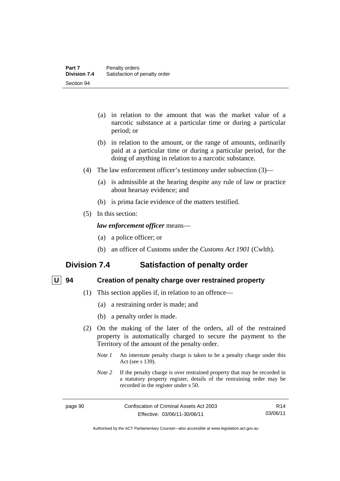- (a) in relation to the amount that was the market value of a narcotic substance at a particular time or during a particular period; or
- (b) in relation to the amount, or the range of amounts, ordinarily paid at a particular time or during a particular period, for the doing of anything in relation to a narcotic substance.
- (4) The law enforcement officer's testimony under subsection (3)—
	- (a) is admissible at the hearing despite any rule of law or practice about hearsay evidence; and
	- (b) is prima facie evidence of the matters testified.
- (5) In this section:

### *law enforcement officer* means—

- (a) a police officer; or
- (b) an officer of Customs under the *Customs Act 1901* (Cwlth).

## **Division 7.4 Satisfaction of penalty order**

## **U 94 Creation of penalty charge over restrained property**

- (1) This section applies if, in relation to an offence—
	- (a) a restraining order is made; and
	- (b) a penalty order is made.
- (2) On the making of the later of the orders, all of the restrained property is automatically charged to secure the payment to the Territory of the amount of the penalty order.
	- *Note 1* An interstate penalty charge is taken to be a penalty charge under this Act (see s 139).
	- *Note 2* If the penalty charge is over restrained property that may be recorded in a statutory property register, details of the restraining order may be recorded in the register under s 50.

R14 03/06/11

Authorised by the ACT Parliamentary Counsel—also accessible at www.legislation.act.gov.au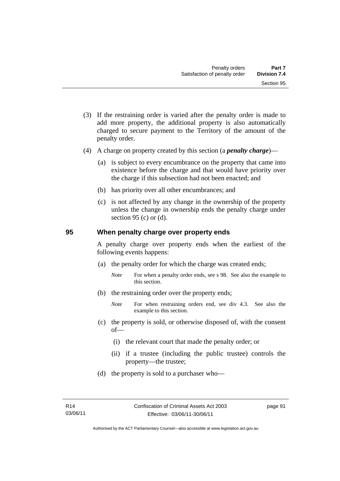- (3) If the restraining order is varied after the penalty order is made to add more property, the additional property is also automatically charged to secure payment to the Territory of the amount of the penalty order.
- (4) A charge on property created by this section (a *penalty charge*)—
	- (a) is subject to every encumbrance on the property that came into existence before the charge and that would have priority over the charge if this subsection had not been enacted; and
	- (b) has priority over all other encumbrances; and
	- (c) is not affected by any change in the ownership of the property unless the change in ownership ends the penalty charge under section 95 (c) or  $(d)$ .

### **95 When penalty charge over property ends**

A penalty charge over property ends when the earliest of the following events happens:

- (a) the penalty order for which the charge was created ends;
	- *Note* For when a penalty order ends, see s 98. See also the example to this section.
- (b) the restraining order over the property ends;
	- *Note* For when restraining orders end, see div 4.3. See also the example to this section.
- (c) the property is sold, or otherwise disposed of, with the consent of—
	- (i) the relevant court that made the penalty order; or
	- (ii) if a trustee (including the public trustee) controls the property—the trustee;
- (d) the property is sold to a purchaser who—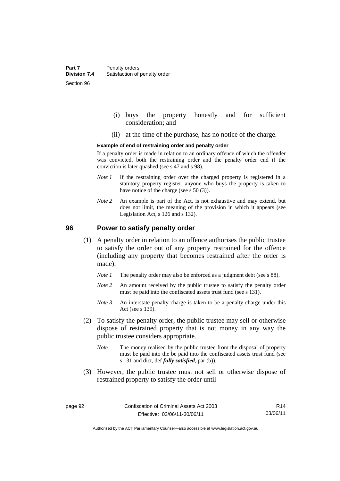- (i) buys the property honestly and for sufficient consideration; and
- (ii) at the time of the purchase, has no notice of the charge.

#### **Example of end of restraining order and penalty order**

If a penalty order is made in relation to an ordinary offence of which the offender was convicted, both the restraining order and the penalty order end if the conviction is later quashed (see s 47 and s 98).

- *Note 1* If the restraining order over the charged property is registered in a statutory property register, anyone who buys the property is taken to have notice of the charge (see s 50 (3)).
- *Note* 2 An example is part of the Act, is not exhaustive and may extend, but does not limit, the meaning of the provision in which it appears (see Legislation Act, s 126 and s 132).

### **96 Power to satisfy penalty order**

- (1) A penalty order in relation to an offence authorises the public trustee to satisfy the order out of any property restrained for the offence (including any property that becomes restrained after the order is made).
	- *Note 1* The penalty order may also be enforced as a judgment debt (see s 88).
	- *Note 2* An amount received by the public trustee to satisfy the penalty order must be paid into the confiscated assets trust fund (see s 131).
	- *Note 3* An interstate penalty charge is taken to be a penalty charge under this Act (see s 139).
- (2) To satisfy the penalty order, the public trustee may sell or otherwise dispose of restrained property that is not money in any way the public trustee considers appropriate.
	- *Note* The money realised by the public trustee from the disposal of property must be paid into the be paid into the confiscated assets trust fund (see s 131 and dict, def *fully satisfied*, par (b)).
- (3) However, the public trustee must not sell or otherwise dispose of restrained property to satisfy the order until—

R14 03/06/11

Authorised by the ACT Parliamentary Counsel—also accessible at www.legislation.act.gov.au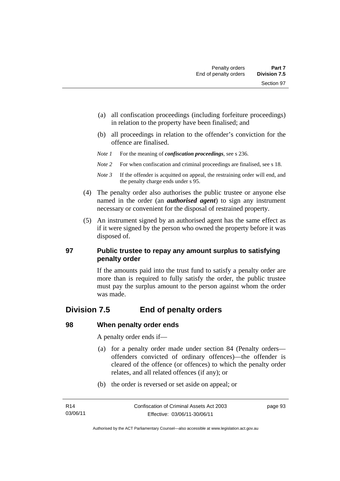- (a) all confiscation proceedings (including forfeiture proceedings) in relation to the property have been finalised; and
- (b) all proceedings in relation to the offender's conviction for the offence are finalised.
- *Note 1* For the meaning of *confiscation proceedings*, see s 236.
- *Note 2* For when confiscation and criminal proceedings are finalised, see s 18.
- *Note 3* If the offender is acquitted on appeal, the restraining order will end, and the penalty charge ends under s 95.
- (4) The penalty order also authorises the public trustee or anyone else named in the order (an *authorised agent*) to sign any instrument necessary or convenient for the disposal of restrained property.
- (5) An instrument signed by an authorised agent has the same effect as if it were signed by the person who owned the property before it was disposed of.

## **97 Public trustee to repay any amount surplus to satisfying penalty order**

If the amounts paid into the trust fund to satisfy a penalty order are more than is required to fully satisfy the order, the public trustee must pay the surplus amount to the person against whom the order was made.

# **Division 7.5 End of penalty orders**

### **98 When penalty order ends**

A penalty order ends if—

- (a) for a penalty order made under section 84 (Penalty orders offenders convicted of ordinary offences)—the offender is cleared of the offence (or offences) to which the penalty order relates, and all related offences (if any); or
- (b) the order is reversed or set aside on appeal; or

page 93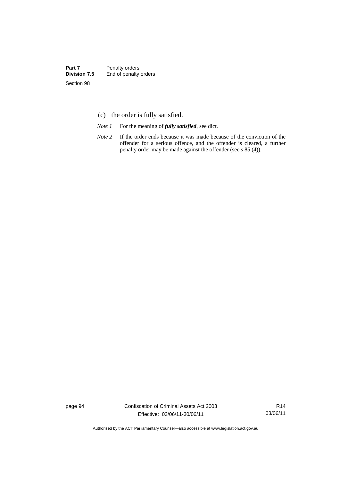- (c) the order is fully satisfied.
- *Note 1* For the meaning of *fully satisfied*, see dict.
- *Note* 2 If the order ends because it was made because of the conviction of the offender for a serious offence, and the offender is cleared, a further penalty order may be made against the offender (see s 85 (4)).

page 94 Confiscation of Criminal Assets Act 2003 Effective: 03/06/11-30/06/11

R14 03/06/11

Authorised by the ACT Parliamentary Counsel—also accessible at www.legislation.act.gov.au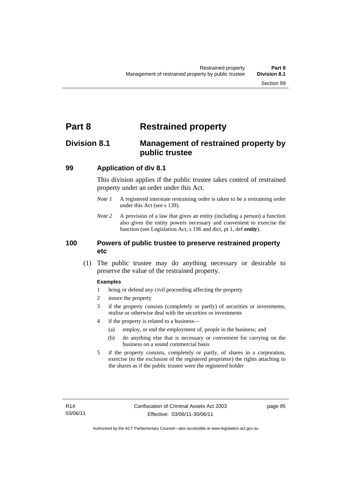# **Part 8 Restrained property**

# **Division 8.1 Management of restrained property by public trustee**

### **99 Application of div 8.1**

This division applies if the public trustee takes control of restrained property under an order under this Act.

- *Note 1* A registered interstate restraining order is taken to be a restraining order under this Act (see s 139).
- *Note 2* A provision of a law that gives an entity (including a person) a function also gives the entity powers necessary and convenient to exercise the function (see Legislation Act, s 196 and dict, pt 1, def *entity*).

### **100 Powers of public trustee to preserve restrained property etc**

 (1) The public trustee may do anything necessary or desirable to preserve the value of the restrained property.

#### **Examples**

- 1 bring or defend any civil proceeding affecting the property
- 2 insure the property
- 3 if the property consists (completely or partly) of securities or investments, realise or otherwise deal with the securities or investments
- 4 if the property is related to a business—
	- (a) employ, or end the employment of, people in the business; and
	- (b) do anything else that is necessary or convenient for carrying on the business on a sound commercial basis
- 5 if the property consists, completely or partly, of shares in a corporation, exercise (to the exclusion of the registered proprietor) the rights attaching to the shares as if the public trustee were the registered holder

page 95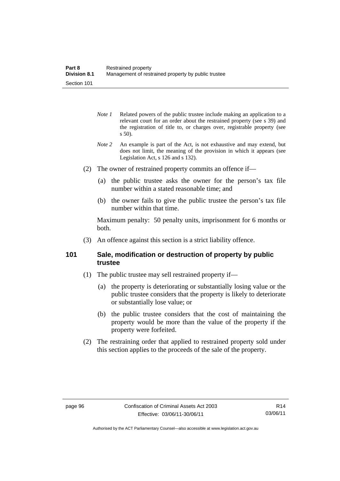- *Note 1* Related powers of the public trustee include making an application to a relevant court for an order about the restrained property (see s 39) and the registration of title to, or charges over, registrable property (see s 50).
- *Note 2* An example is part of the Act, is not exhaustive and may extend, but does not limit, the meaning of the provision in which it appears (see Legislation Act, s 126 and s 132).
- (2) The owner of restrained property commits an offence if—
	- (a) the public trustee asks the owner for the person's tax file number within a stated reasonable time; and
	- (b) the owner fails to give the public trustee the person's tax file number within that time.

Maximum penalty: 50 penalty units, imprisonment for 6 months or both.

(3) An offence against this section is a strict liability offence.

## **101 Sale, modification or destruction of property by public trustee**

- (1) The public trustee may sell restrained property if—
	- (a) the property is deteriorating or substantially losing value or the public trustee considers that the property is likely to deteriorate or substantially lose value; or
	- (b) the public trustee considers that the cost of maintaining the property would be more than the value of the property if the property were forfeited.
- (2) The restraining order that applied to restrained property sold under this section applies to the proceeds of the sale of the property.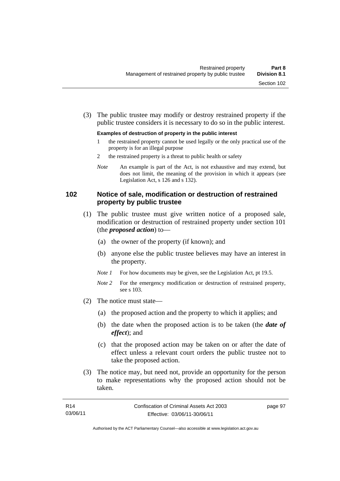(3) The public trustee may modify or destroy restrained property if the public trustee considers it is necessary to do so in the public interest.

#### **Examples of destruction of property in the public interest**

- 1 the restrained property cannot be used legally or the only practical use of the property is for an illegal purpose
- 2 the restrained property is a threat to public health or safety
- *Note* An example is part of the Act, is not exhaustive and may extend, but does not limit, the meaning of the provision in which it appears (see Legislation Act, s 126 and s 132).

### **102 Notice of sale, modification or destruction of restrained property by public trustee**

- (1) The public trustee must give written notice of a proposed sale, modification or destruction of restrained property under section 101 (the *proposed action*) to—
	- (a) the owner of the property (if known); and
	- (b) anyone else the public trustee believes may have an interest in the property.
	- *Note 1* For how documents may be given, see the Legislation Act, pt 19.5.
	- *Note 2* For the emergency modification or destruction of restrained property, see s 103.
- (2) The notice must state—
	- (a) the proposed action and the property to which it applies; and
	- (b) the date when the proposed action is to be taken (the *date of effect*); and
	- (c) that the proposed action may be taken on or after the date of effect unless a relevant court orders the public trustee not to take the proposed action.
- (3) The notice may, but need not, provide an opportunity for the person to make representations why the proposed action should not be taken.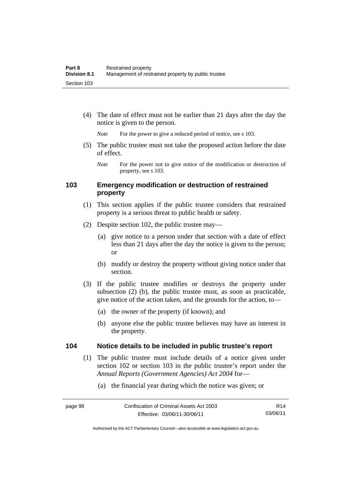(4) The date of effect must not be earlier than 21 days after the day the notice is given to the person.

*Note* For the power to give a reduced period of notice, see s 103.

 (5) The public trustee must not take the proposed action before the date of effect.

### **103 Emergency modification or destruction of restrained property**

- (1) This section applies if the public trustee considers that restrained property is a serious threat to public health or safety.
- (2) Despite section 102, the public trustee may—
	- (a) give notice to a person under that section with a date of effect less than 21 days after the day the notice is given to the person; or
	- (b) modify or destroy the property without giving notice under that section.
- (3) If the public trustee modifies or destroys the property under subsection (2) (b), the public trustee must, as soon as practicable, give notice of the action taken, and the grounds for the action, to—
	- (a) the owner of the property (if known); and
	- (b) anyone else the public trustee believes may have an interest in the property.

#### **104 Notice details to be included in public trustee's report**

- (1) The public trustee must include details of a notice given under section 102 or section 103 in the public trustee's report under the *Annual Reports (Government Agencies) Act 2004* for—
	- (a) the financial year during which the notice was given; or

*Note* For the power not to give notice of the modification or destruction of property, see s 103.

R14 03/06/11

Authorised by the ACT Parliamentary Counsel—also accessible at www.legislation.act.gov.au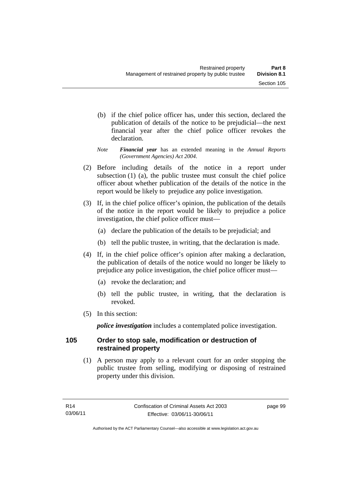- (b) if the chief police officer has, under this section, declared the publication of details of the notice to be prejudicial—the next financial year after the chief police officer revokes the declaration.
- *Note Financial year* has an extended meaning in the *Annual Reports (Government Agencies) Act 2004*.
- (2) Before including details of the notice in a report under subsection (1) (a), the public trustee must consult the chief police officer about whether publication of the details of the notice in the report would be likely to prejudice any police investigation.
- (3) If, in the chief police officer's opinion, the publication of the details of the notice in the report would be likely to prejudice a police investigation, the chief police officer must—
	- (a) declare the publication of the details to be prejudicial; and
	- (b) tell the public trustee, in writing, that the declaration is made.
- (4) If, in the chief police officer's opinion after making a declaration, the publication of details of the notice would no longer be likely to prejudice any police investigation, the chief police officer must—
	- (a) revoke the declaration; and
	- (b) tell the public trustee, in writing, that the declaration is revoked.
- (5) In this section:

*police investigation* includes a contemplated police investigation.

### **105 Order to stop sale, modification or destruction of restrained property**

 (1) A person may apply to a relevant court for an order stopping the public trustee from selling, modifying or disposing of restrained property under this division.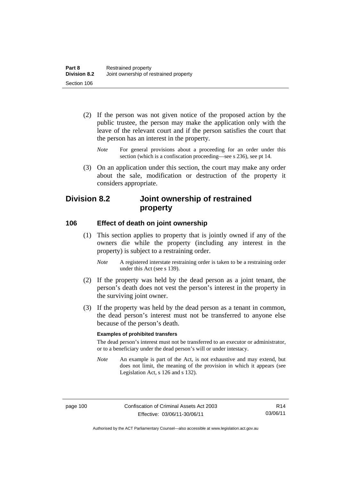- (2) If the person was not given notice of the proposed action by the public trustee, the person may make the application only with the leave of the relevant court and if the person satisfies the court that the person has an interest in the property.
	- *Note* For general provisions about a proceeding for an order under this section (which is a confiscation proceeding—see s 236), see pt 14.
- (3) On an application under this section, the court may make any order about the sale, modification or destruction of the property it considers appropriate.

# **Division 8.2 Joint ownership of restrained property**

#### **106 Effect of death on joint ownership**

- (1) This section applies to property that is jointly owned if any of the owners die while the property (including any interest in the property) is subject to a restraining order.
	- *Note* A registered interstate restraining order is taken to be a restraining order under this Act (see s 139).
- (2) If the property was held by the dead person as a joint tenant, the person's death does not vest the person's interest in the property in the surviving joint owner.
- (3) If the property was held by the dead person as a tenant in common, the dead person's interest must not be transferred to anyone else because of the person's death.

#### **Examples of prohibited transfers**

The dead person's interest must not be transferred to an executor or administrator, or to a beneficiary under the dead person's will or under intestacy.

*Note* An example is part of the Act, is not exhaustive and may extend, but does not limit, the meaning of the provision in which it appears (see Legislation Act, s 126 and s 132).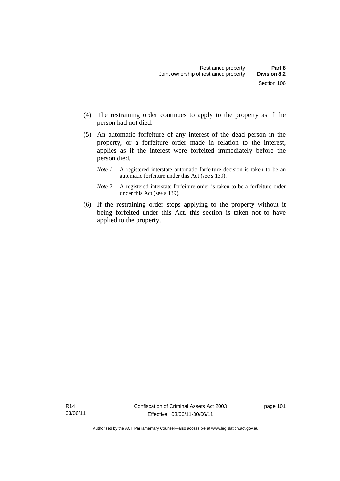(5) An automatic forfeiture of any interest of the dead person in the property, or a forfeiture order made in relation to the interest, applies as if the interest were forfeited immediately before the person died.

person had not died.

- *Note 1* A registered interstate automatic forfeiture decision is taken to be an automatic forfeiture under this Act (see s 139).
- *Note 2* A registered interstate forfeiture order is taken to be a forfeiture order under this Act (see s 139).
- (6) If the restraining order stops applying to the property without it being forfeited under this Act, this section is taken not to have applied to the property.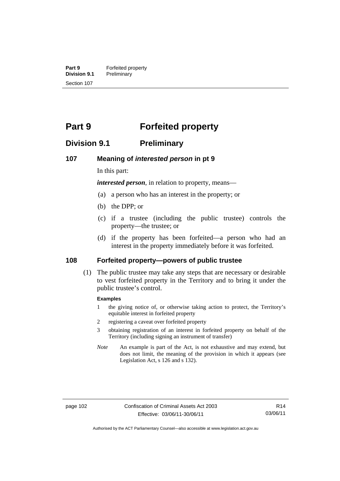**Part 9 Forfeited property**<br>**Division 9.1 Preliminary Division 9.1** Preliminary Section 107

# **Part 9 Forfeited property**

# **Division 9.1 Preliminary**

#### **107 Meaning of** *interested person* **in pt 9**

In this part:

*interested person*, in relation to property, means—

- (a) a person who has an interest in the property; or
- (b) the DPP; or
- (c) if a trustee (including the public trustee) controls the property—the trustee; or
- (d) if the property has been forfeited—a person who had an interest in the property immediately before it was forfeited.

#### **108 Forfeited property—powers of public trustee**

(1) The public trustee may take any steps that are necessary or desirable to vest forfeited property in the Territory and to bring it under the public trustee's control.

#### **Examples**

- 1 the giving notice of, or otherwise taking action to protect, the Territory's equitable interest in forfeited property
- 2 registering a caveat over forfeited property
- 3 obtaining registration of an interest in forfeited property on behalf of the Territory (including signing an instrument of transfer)
- *Note* An example is part of the Act, is not exhaustive and may extend, but does not limit, the meaning of the provision in which it appears (see Legislation Act, s 126 and s 132).

R14 03/06/11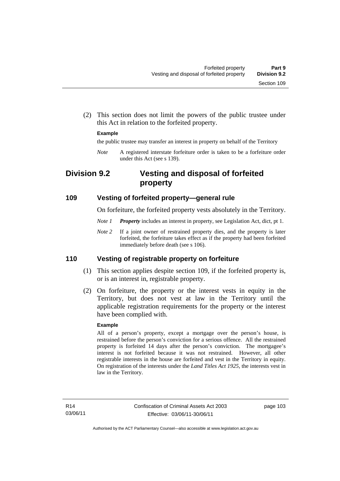(2) This section does not limit the powers of the public trustee under this Act in relation to the forfeited property.

#### **Example**

the public trustee may transfer an interest in property on behalf of the Territory

*Note* A registered interstate forfeiture order is taken to be a forfeiture order under this Act (see s 139).

# **Division 9.2 Vesting and disposal of forfeited property**

#### **109 Vesting of forfeited property—general rule**

On forfeiture, the forfeited property vests absolutely in the Territory.

- *Note 1 Property* includes an interest in property, see Legislation Act, dict, pt 1.
- *Note* 2 If a joint owner of restrained property dies, and the property is later forfeited, the forfeiture takes effect as if the property had been forfeited immediately before death (see s 106).

#### **110 Vesting of registrable property on forfeiture**

- (1) This section applies despite section 109, if the forfeited property is, or is an interest in, registrable property.
- (2) On forfeiture, the property or the interest vests in equity in the Territory, but does not vest at law in the Territory until the applicable registration requirements for the property or the interest have been complied with.

#### **Example**

All of a person's property, except a mortgage over the person's house, is restrained before the person's conviction for a serious offence. All the restrained property is forfeited 14 days after the person's conviction. The mortgagee's interest is not forfeited because it was not restrained. However, all other registrable interests in the house are forfeited and vest in the Territory in equity. On registration of the interests under the *Land Titles Act 1925*, the interests vest in law in the Territory.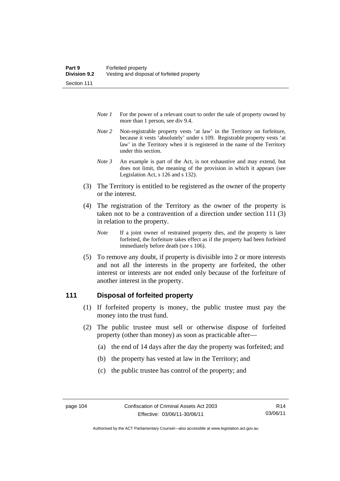- *Note 1* For the power of a relevant court to order the sale of property owned by more than 1 person, see div 9.4.
- *Note 2* Non-registrable property vests 'at law' in the Territory on forfeiture, because it vests 'absolutely' under s 109. Registrable property vests 'at law' in the Territory when it is registered in the name of the Territory under this section.
- *Note 3* An example is part of the Act, is not exhaustive and may extend, but does not limit, the meaning of the provision in which it appears (see Legislation Act, s 126 and s 132).
- (3) The Territory is entitled to be registered as the owner of the property or the interest.
- (4) The registration of the Territory as the owner of the property is taken not to be a contravention of a direction under section 111 (3) in relation to the property.
	- *Note* If a joint owner of restrained property dies, and the property is later forfeited, the forfeiture takes effect as if the property had been forfeited immediately before death (see s 106).
- (5) To remove any doubt, if property is divisible into 2 or more interests and not all the interests in the property are forfeited, the other interest or interests are not ended only because of the forfeiture of another interest in the property.

#### **111 Disposal of forfeited property**

- (1) If forfeited property is money, the public trustee must pay the money into the trust fund.
- (2) The public trustee must sell or otherwise dispose of forfeited property (other than money) as soon as practicable after—
	- (a) the end of 14 days after the day the property was forfeited; and
	- (b) the property has vested at law in the Territory; and
	- (c) the public trustee has control of the property; and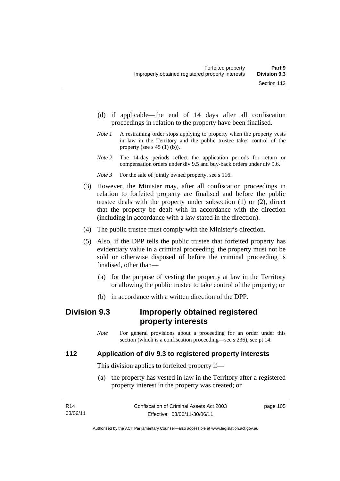- (d) if applicable—the end of 14 days after all confiscation proceedings in relation to the property have been finalised.
- *Note 1* A restraining order stops applying to property when the property vests in law in the Territory and the public trustee takes control of the property (see s  $45(1)(b)$ ).
- *Note 2* The 14-day periods reflect the application periods for return or compensation orders under div 9.5 and buy-back orders under div 9.6.

*Note 3* For the sale of jointly owned property, see s 116.

- (3) However, the Minister may, after all confiscation proceedings in relation to forfeited property are finalised and before the public trustee deals with the property under subsection (1) or (2), direct that the property be dealt with in accordance with the direction (including in accordance with a law stated in the direction).
- (4) The public trustee must comply with the Minister's direction.
- (5) Also, if the DPP tells the public trustee that forfeited property has evidentiary value in a criminal proceeding, the property must not be sold or otherwise disposed of before the criminal proceeding is finalised, other than—
	- (a) for the purpose of vesting the property at law in the Territory or allowing the public trustee to take control of the property; or
	- (b) in accordance with a written direction of the DPP.

# **Division 9.3 Improperly obtained registered property interests**

*Note* For general provisions about a proceeding for an order under this section (which is a confiscation proceeding—see s 236), see pt 14.

#### **112 Application of div 9.3 to registered property interests**

This division applies to forfeited property if—

 (a) the property has vested in law in the Territory after a registered property interest in the property was created; or

| R14      | Confiscation of Criminal Assets Act 2003 | page 105 |
|----------|------------------------------------------|----------|
| 03/06/11 | Effective: 03/06/11-30/06/11             |          |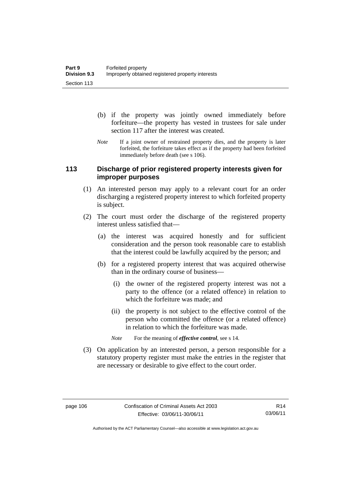- (b) if the property was jointly owned immediately before forfeiture—the property has vested in trustees for sale under section 117 after the interest was created.
- *Note* If a joint owner of restrained property dies, and the property is later forfeited, the forfeiture takes effect as if the property had been forfeited immediately before death (see s 106).

#### **113 Discharge of prior registered property interests given for improper purposes**

- (1) An interested person may apply to a relevant court for an order discharging a registered property interest to which forfeited property is subject.
- (2) The court must order the discharge of the registered property interest unless satisfied that—
	- (a) the interest was acquired honestly and for sufficient consideration and the person took reasonable care to establish that the interest could be lawfully acquired by the person; and
	- (b) for a registered property interest that was acquired otherwise than in the ordinary course of business—
		- (i) the owner of the registered property interest was not a party to the offence (or a related offence) in relation to which the forfeiture was made; and
		- (ii) the property is not subject to the effective control of the person who committed the offence (or a related offence) in relation to which the forfeiture was made.
		- *Note* For the meaning of *effective control*, see s 14.
- (3) On application by an interested person, a person responsible for a statutory property register must make the entries in the register that are necessary or desirable to give effect to the court order.

Authorised by the ACT Parliamentary Counsel—also accessible at www.legislation.act.gov.au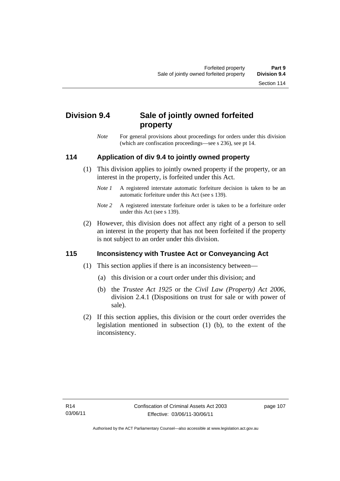# **Division 9.4 Sale of jointly owned forfeited property**

*Note* For general provisions about proceedings for orders under this division (which are confiscation proceedings—see s 236), see pt 14.

## **114 Application of div 9.4 to jointly owned property**

- (1) This division applies to jointly owned property if the property, or an interest in the property, is forfeited under this Act.
	- *Note 1* A registered interstate automatic forfeiture decision is taken to be an automatic forfeiture under this Act (see s 139).
	- *Note 2* A registered interstate forfeiture order is taken to be a forfeiture order under this Act (see s 139).
- (2) However, this division does not affect any right of a person to sell an interest in the property that has not been forfeited if the property is not subject to an order under this division.

## **115 Inconsistency with Trustee Act or Conveyancing Act**

- (1) This section applies if there is an inconsistency between—
	- (a) this division or a court order under this division; and
	- (b) the *Trustee Act 1925* or the *Civil Law (Property) Act 2006*, division 2.4.1 (Dispositions on trust for sale or with power of sale).
- (2) If this section applies, this division or the court order overrides the legislation mentioned in subsection (1) (b), to the extent of the inconsistency.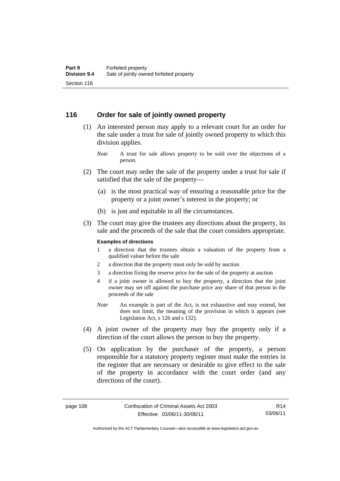#### **116 Order for sale of jointly owned property**

- (1) An interested person may apply to a relevant court for an order for the sale under a trust for sale of jointly owned property to which this division applies.
	- *Note* A trust for sale allows property to be sold over the objections of a person.
- (2) The court may order the sale of the property under a trust for sale if satisfied that the sale of the property—
	- (a) is the most practical way of ensuring a reasonable price for the property or a joint owner's interest in the property; or
	- (b) is just and equitable in all the circumstances.
- (3) The court may give the trustees any directions about the property, its sale and the proceeds of the sale that the court considers appropriate.

#### **Examples of directions**

- 1 a direction that the trustees obtain a valuation of the property from a qualified valuer before the sale
- 2 a direction that the property must only be sold by auction
- 3 a direction fixing the reserve price for the sale of the property at auction
- 4 if a joint owner is allowed to buy the property, a direction that the joint owner may set off against the purchase price any share of that person in the proceeds of the sale
- *Note* An example is part of the Act, is not exhaustive and may extend, but does not limit, the meaning of the provision in which it appears (see Legislation Act, s 126 and s 132).
- (4) A joint owner of the property may buy the property only if a direction of the court allows the person to buy the property.
- (5) On application by the purchaser of the property, a person responsible for a statutory property register must make the entries in the register that are necessary or desirable to give effect to the sale of the property in accordance with the court order (and any directions of the court).

R14 03/06/11

Authorised by the ACT Parliamentary Counsel—also accessible at www.legislation.act.gov.au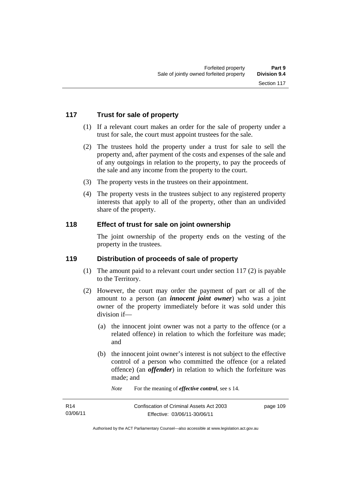### **117 Trust for sale of property**

- (1) If a relevant court makes an order for the sale of property under a trust for sale, the court must appoint trustees for the sale.
- (2) The trustees hold the property under a trust for sale to sell the property and, after payment of the costs and expenses of the sale and of any outgoings in relation to the property, to pay the proceeds of the sale and any income from the property to the court.
- (3) The property vests in the trustees on their appointment.
- (4) The property vests in the trustees subject to any registered property interests that apply to all of the property, other than an undivided share of the property.

#### **118 Effect of trust for sale on joint ownership**

The joint ownership of the property ends on the vesting of the property in the trustees.

#### **119 Distribution of proceeds of sale of property**

- (1) The amount paid to a relevant court under section 117 (2) is payable to the Territory.
- (2) However, the court may order the payment of part or all of the amount to a person (an *innocent joint owner*) who was a joint owner of the property immediately before it was sold under this division if—
	- (a) the innocent joint owner was not a party to the offence (or a related offence) in relation to which the forfeiture was made; and
	- (b) the innocent joint owner's interest is not subject to the effective control of a person who committed the offence (or a related offence) (an *offender*) in relation to which the forfeiture was made; and
		- *Note* For the meaning of *effective control*, see s 14.

| R <sub>14</sub> | Confiscation of Criminal Assets Act 2003 | page 109 |
|-----------------|------------------------------------------|----------|
| 03/06/11        | Effective: 03/06/11-30/06/11             |          |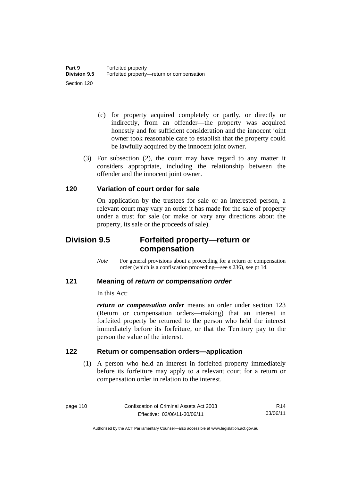- (c) for property acquired completely or partly, or directly or indirectly, from an offender—the property was acquired honestly and for sufficient consideration and the innocent joint owner took reasonable care to establish that the property could be lawfully acquired by the innocent joint owner.
- (3) For subsection (2), the court may have regard to any matter it considers appropriate, including the relationship between the offender and the innocent joint owner.

### **120 Variation of court order for sale**

On application by the trustees for sale or an interested person, a relevant court may vary an order it has made for the sale of property under a trust for sale (or make or vary any directions about the property, its sale or the proceeds of sale).

# **Division 9.5 Forfeited property—return or compensation**

*Note* For general provisions about a proceeding for a return or compensation order (which is a confiscation proceeding—see s 236), see pt 14.

#### **121 Meaning of** *return or compensation order*

In this Act:

*return or compensation order* means an order under section 123 (Return or compensation orders—making) that an interest in forfeited property be returned to the person who held the interest immediately before its forfeiture, or that the Territory pay to the person the value of the interest.

## **122 Return or compensation orders—application**

(1) A person who held an interest in forfeited property immediately before its forfeiture may apply to a relevant court for a return or compensation order in relation to the interest.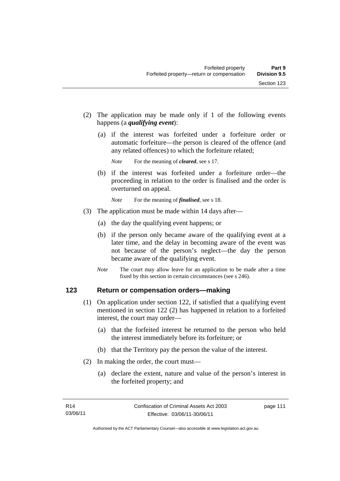- (2) The application may be made only if 1 of the following events happens (a *qualifying event*):
	- (a) if the interest was forfeited under a forfeiture order or automatic forfeiture—the person is cleared of the offence (and any related offences) to which the forfeiture related;

*Note* For the meaning of *cleared*, see s 17.

 (b) if the interest was forfeited under a forfeiture order—the proceeding in relation to the order is finalised and the order is overturned on appeal.

*Note* For the meaning of *finalised*, see s 18.

- (3) The application must be made within 14 days after—
	- (a) the day the qualifying event happens; or
	- (b) if the person only became aware of the qualifying event at a later time, and the delay in becoming aware of the event was not because of the person's neglect—the day the person became aware of the qualifying event.
	- *Note* The court may allow leave for an application to be made after a time fixed by this section in certain circumstances (see s 246).

#### **123 Return or compensation orders—making**

- (1) On application under section 122, if satisfied that a qualifying event mentioned in section 122 (2) has happened in relation to a forfeited interest, the court may order—
	- (a) that the forfeited interest be returned to the person who held the interest immediately before its forfeiture; or
	- (b) that the Territory pay the person the value of the interest.
- (2) In making the order, the court must—
	- (a) declare the extent, nature and value of the person's interest in the forfeited property; and

page 111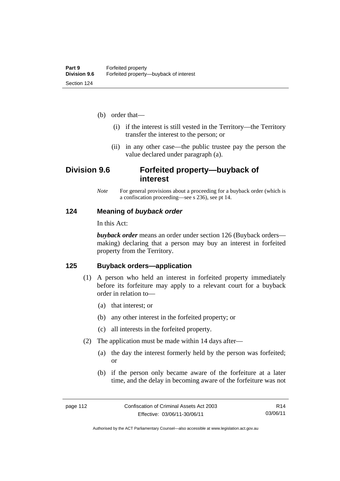- (b) order that—
	- (i) if the interest is still vested in the Territory—the Territory transfer the interest to the person; or
	- (ii) in any other case—the public trustee pay the person the value declared under paragraph (a).

# **Division 9.6 Forfeited property—buyback of interest**

*Note* For general provisions about a proceeding for a buyback order (which is a confiscation proceeding—see s 236), see pt 14.

#### **124 Meaning of** *buyback order*

In this Act:

*buyback order* means an order under section 126 (Buyback orders making) declaring that a person may buy an interest in forfeited property from the Territory.

#### **125 Buyback orders—application**

- (1) A person who held an interest in forfeited property immediately before its forfeiture may apply to a relevant court for a buyback order in relation to—
	- (a) that interest; or
	- (b) any other interest in the forfeited property; or
	- (c) all interests in the forfeited property.
- (2) The application must be made within 14 days after—
	- (a) the day the interest formerly held by the person was forfeited; or
	- (b) if the person only became aware of the forfeiture at a later time, and the delay in becoming aware of the forfeiture was not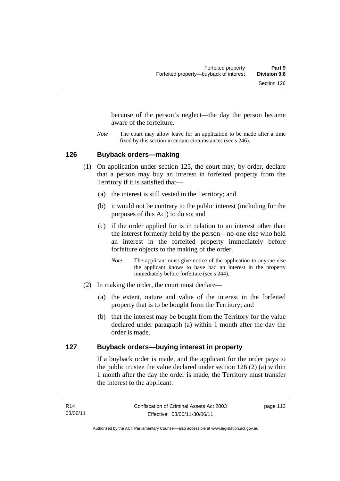because of the person's neglect—the day the person became aware of the forfeiture.

*Note* The court may allow leave for an application to be made after a time fixed by this section in certain circumstances (see s 246).

#### **126 Buyback orders—making**

- (1) On application under section 125, the court may, by order, declare that a person may buy an interest in forfeited property from the Territory if it is satisfied that—
	- (a) the interest is still vested in the Territory; and
	- (b) it would not be contrary to the public interest (including for the purposes of this Act) to do so; and
	- (c) if the order applied for is in relation to an interest other than the interest formerly held by the person—no-one else who held an interest in the forfeited property immediately before forfeiture objects to the making of the order.
		- *Note* The applicant must give notice of the application to anyone else the applicant knows to have had an interest in the property immediately before forfeiture (see s 244).
- (2) In making the order, the court must declare—
	- (a) the extent, nature and value of the interest in the forfeited property that is to be bought from the Territory; and
	- (b) that the interest may be bought from the Territory for the value declared under paragraph (a) within 1 month after the day the order is made.

#### **127 Buyback orders—buying interest in property**

If a buyback order is made, and the applicant for the order pays to the public trustee the value declared under section 126 (2) (a) within 1 month after the day the order is made, the Territory must transfer the interest to the applicant.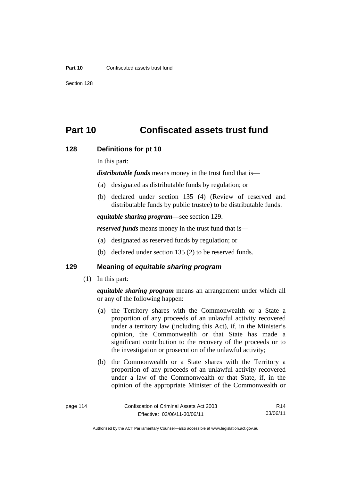# **Part 10 Confiscated assets trust fund**

#### **128 Definitions for pt 10**

In this part:

*distributable funds* means money in the trust fund that is—

- (a) designated as distributable funds by regulation; or
- (b) declared under section 135 (4) (Review of reserved and distributable funds by public trustee) to be distributable funds.

*equitable sharing program*—see section 129.

*reserved funds* means money in the trust fund that is—

- (a) designated as reserved funds by regulation; or
- (b) declared under section 135 (2) to be reserved funds.

### **129 Meaning of** *equitable sharing program*

(1) In this part:

*equitable sharing program* means an arrangement under which all or any of the following happen:

- (a) the Territory shares with the Commonwealth or a State a proportion of any proceeds of an unlawful activity recovered under a territory law (including this Act), if, in the Minister's opinion, the Commonwealth or that State has made a significant contribution to the recovery of the proceeds or to the investigation or prosecution of the unlawful activity;
- (b) the Commonwealth or a State shares with the Territory a proportion of any proceeds of an unlawful activity recovered under a law of the Commonwealth or that State, if, in the opinion of the appropriate Minister of the Commonwealth or

R14 03/06/11

Authorised by the ACT Parliamentary Counsel—also accessible at www.legislation.act.gov.au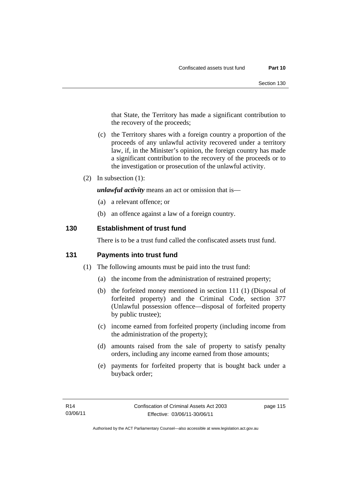that State, the Territory has made a significant contribution to the recovery of the proceeds;

- (c) the Territory shares with a foreign country a proportion of the proceeds of any unlawful activity recovered under a territory law, if, in the Minister's opinion, the foreign country has made a significant contribution to the recovery of the proceeds or to the investigation or prosecution of the unlawful activity.
- (2) In subsection (1):

*unlawful activity* means an act or omission that is—

- (a) a relevant offence; or
- (b) an offence against a law of a foreign country.

#### **130 Establishment of trust fund**

There is to be a trust fund called the confiscated assets trust fund.

#### **131 Payments into trust fund**

- (1) The following amounts must be paid into the trust fund:
	- (a) the income from the administration of restrained property;
	- (b) the forfeited money mentioned in section 111 (1) (Disposal of forfeited property) and the Criminal Code, section 377 (Unlawful possession offence—disposal of forfeited property by public trustee);
	- (c) income earned from forfeited property (including income from the administration of the property);
	- (d) amounts raised from the sale of property to satisfy penalty orders, including any income earned from those amounts;
	- (e) payments for forfeited property that is bought back under a buyback order;

page 115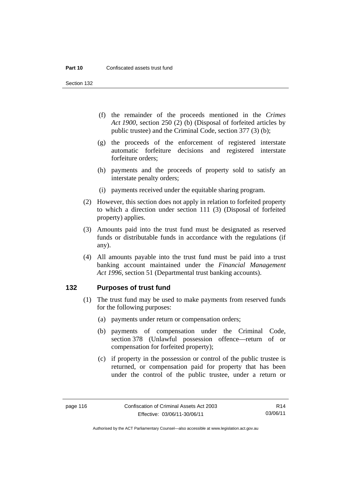Section 132

- (f) the remainder of the proceeds mentioned in the *Crimes Act 1900*, section 250 (2) (b) (Disposal of forfeited articles by public trustee) and the Criminal Code, section 377 (3) (b);
- (g) the proceeds of the enforcement of registered interstate automatic forfeiture decisions and registered interstate forfeiture orders;
- (h) payments and the proceeds of property sold to satisfy an interstate penalty orders;
- (i) payments received under the equitable sharing program.
- (2) However, this section does not apply in relation to forfeited property to which a direction under section 111 (3) (Disposal of forfeited property) applies.
- (3) Amounts paid into the trust fund must be designated as reserved funds or distributable funds in accordance with the regulations (if any).
- (4) All amounts payable into the trust fund must be paid into a trust banking account maintained under the *Financial Management Act 1996*, section 51 (Departmental trust banking accounts).

#### **132 Purposes of trust fund**

- (1) The trust fund may be used to make payments from reserved funds for the following purposes:
	- (a) payments under return or compensation orders;
	- (b) payments of compensation under the Criminal Code, section 378 (Unlawful possession offence—return of or compensation for forfeited property);
	- (c) if property in the possession or control of the public trustee is returned, or compensation paid for property that has been under the control of the public trustee, under a return or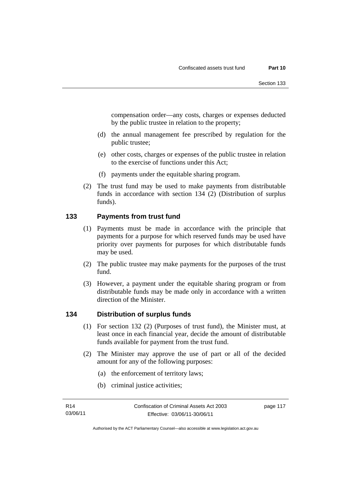compensation order—any costs, charges or expenses deducted by the public trustee in relation to the property;

- (d) the annual management fee prescribed by regulation for the public trustee;
- (e) other costs, charges or expenses of the public trustee in relation to the exercise of functions under this Act;
- (f) payments under the equitable sharing program.
- (2) The trust fund may be used to make payments from distributable funds in accordance with section 134 (2) (Distribution of surplus funds).

## **133 Payments from trust fund**

- (1) Payments must be made in accordance with the principle that payments for a purpose for which reserved funds may be used have priority over payments for purposes for which distributable funds may be used.
- (2) The public trustee may make payments for the purposes of the trust fund.
- (3) However, a payment under the equitable sharing program or from distributable funds may be made only in accordance with a written direction of the Minister.

## **134 Distribution of surplus funds**

- (1) For section 132 (2) (Purposes of trust fund), the Minister must, at least once in each financial year, decide the amount of distributable funds available for payment from the trust fund.
- (2) The Minister may approve the use of part or all of the decided amount for any of the following purposes:
	- (a) the enforcement of territory laws;
	- (b) criminal justice activities;

page 117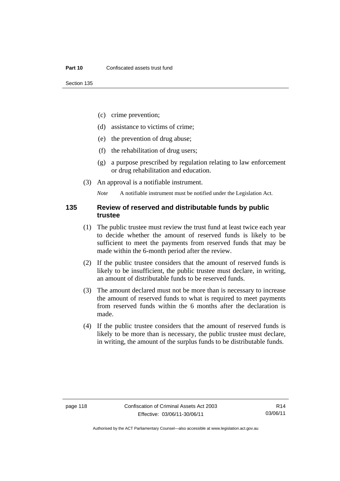- (c) crime prevention;
- (d) assistance to victims of crime;
- (e) the prevention of drug abuse;
- (f) the rehabilitation of drug users;
- (g) a purpose prescribed by regulation relating to law enforcement or drug rehabilitation and education.
- (3) An approval is a notifiable instrument.

*Note* A notifiable instrument must be notified under the Legislation Act.

#### **135 Review of reserved and distributable funds by public trustee**

- (1) The public trustee must review the trust fund at least twice each year to decide whether the amount of reserved funds is likely to be sufficient to meet the payments from reserved funds that may be made within the 6-month period after the review.
- (2) If the public trustee considers that the amount of reserved funds is likely to be insufficient, the public trustee must declare, in writing, an amount of distributable funds to be reserved funds.
- (3) The amount declared must not be more than is necessary to increase the amount of reserved funds to what is required to meet payments from reserved funds within the 6 months after the declaration is made.
- (4) If the public trustee considers that the amount of reserved funds is likely to be more than is necessary, the public trustee must declare, in writing, the amount of the surplus funds to be distributable funds.

Authorised by the ACT Parliamentary Counsel—also accessible at www.legislation.act.gov.au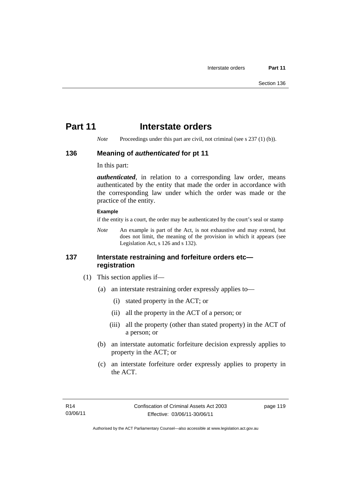# **Part 11** Interstate orders

*Note* Proceedings under this part are civil, not criminal (see s 237 (1) (b)).

#### **136 Meaning of** *authenticated* **for pt 11**

In this part:

*authenticated*, in relation to a corresponding law order, means authenticated by the entity that made the order in accordance with the corresponding law under which the order was made or the practice of the entity.

#### **Example**

if the entity is a court, the order may be authenticated by the court's seal or stamp

*Note* An example is part of the Act, is not exhaustive and may extend, but does not limit, the meaning of the provision in which it appears (see Legislation Act, s 126 and s 132).

### **137 Interstate restraining and forfeiture orders etc registration**

- (1) This section applies if—
	- (a) an interstate restraining order expressly applies to—
		- (i) stated property in the ACT; or
		- (ii) all the property in the ACT of a person; or
		- (iii) all the property (other than stated property) in the ACT of a person; or
	- (b) an interstate automatic forfeiture decision expressly applies to property in the ACT; or
	- (c) an interstate forfeiture order expressly applies to property in the ACT.

page 119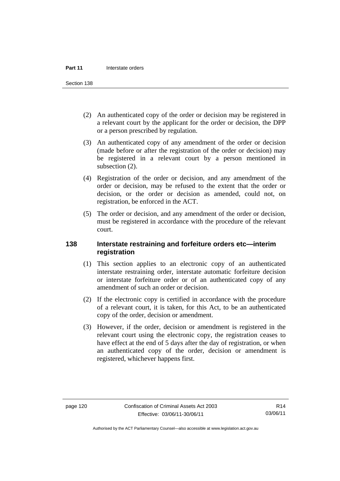Section 138

- (2) An authenticated copy of the order or decision may be registered in a relevant court by the applicant for the order or decision, the DPP or a person prescribed by regulation.
- (3) An authenticated copy of any amendment of the order or decision (made before or after the registration of the order or decision) may be registered in a relevant court by a person mentioned in subsection  $(2)$ .
- (4) Registration of the order or decision, and any amendment of the order or decision, may be refused to the extent that the order or decision, or the order or decision as amended, could not, on registration, be enforced in the ACT.
- (5) The order or decision, and any amendment of the order or decision, must be registered in accordance with the procedure of the relevant court.

#### **138 Interstate restraining and forfeiture orders etc—interim registration**

- (1) This section applies to an electronic copy of an authenticated interstate restraining order, interstate automatic forfeiture decision or interstate forfeiture order or of an authenticated copy of any amendment of such an order or decision.
- (2) If the electronic copy is certified in accordance with the procedure of a relevant court, it is taken, for this Act, to be an authenticated copy of the order, decision or amendment.
- (3) However, if the order, decision or amendment is registered in the relevant court using the electronic copy, the registration ceases to have effect at the end of 5 days after the day of registration, or when an authenticated copy of the order, decision or amendment is registered, whichever happens first.

R14 03/06/11

Authorised by the ACT Parliamentary Counsel—also accessible at www.legislation.act.gov.au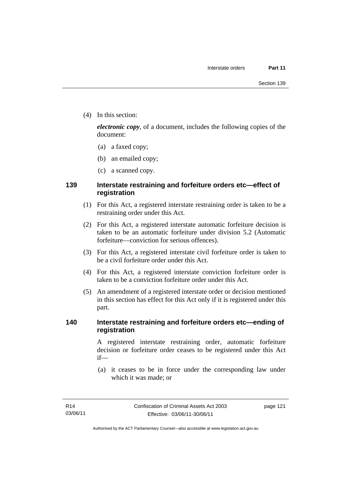(4) In this section:

*electronic copy*, of a document, includes the following copies of the document:

- (a) a faxed copy;
- (b) an emailed copy;
- (c) a scanned copy.

## **139 Interstate restraining and forfeiture orders etc—effect of registration**

- (1) For this Act, a registered interstate restraining order is taken to be a restraining order under this Act.
- (2) For this Act, a registered interstate automatic forfeiture decision is taken to be an automatic forfeiture under division 5.2 (Automatic forfeiture—conviction for serious offences).
- (3) For this Act, a registered interstate civil forfeiture order is taken to be a civil forfeiture order under this Act.
- (4) For this Act, a registered interstate conviction forfeiture order is taken to be a conviction forfeiture order under this Act.
- (5) An amendment of a registered interstate order or decision mentioned in this section has effect for this Act only if it is registered under this part.

### **140 Interstate restraining and forfeiture orders etc—ending of registration**

A registered interstate restraining order, automatic forfeiture decision or forfeiture order ceases to be registered under this Act if—

 (a) it ceases to be in force under the corresponding law under which it was made; or

page 121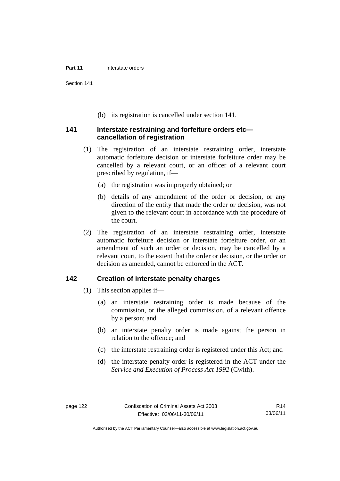Section 141

(b) its registration is cancelled under section 141.

#### **141 Interstate restraining and forfeiture orders etc cancellation of registration**

- (1) The registration of an interstate restraining order, interstate automatic forfeiture decision or interstate forfeiture order may be cancelled by a relevant court, or an officer of a relevant court prescribed by regulation, if—
	- (a) the registration was improperly obtained; or
	- (b) details of any amendment of the order or decision, or any direction of the entity that made the order or decision, was not given to the relevant court in accordance with the procedure of the court.
- (2) The registration of an interstate restraining order, interstate automatic forfeiture decision or interstate forfeiture order, or an amendment of such an order or decision, may be cancelled by a relevant court, to the extent that the order or decision, or the order or decision as amended, cannot be enforced in the ACT.

### **142 Creation of interstate penalty charges**

- (1) This section applies if—
	- (a) an interstate restraining order is made because of the commission, or the alleged commission, of a relevant offence by a person; and
	- (b) an interstate penalty order is made against the person in relation to the offence; and
	- (c) the interstate restraining order is registered under this Act; and
	- (d) the interstate penalty order is registered in the ACT under the *Service and Execution of Process Act 1992* (Cwlth).

Authorised by the ACT Parliamentary Counsel—also accessible at www.legislation.act.gov.au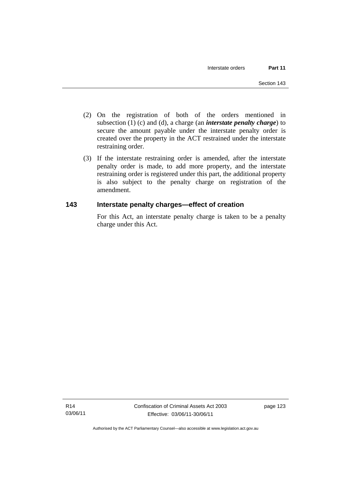- (2) On the registration of both of the orders mentioned in subsection (1) (c) and (d), a charge (an *interstate penalty charge*) to secure the amount payable under the interstate penalty order is created over the property in the ACT restrained under the interstate restraining order.
- (3) If the interstate restraining order is amended, after the interstate penalty order is made, to add more property, and the interstate restraining order is registered under this part, the additional property is also subject to the penalty charge on registration of the amendment.

# **143 Interstate penalty charges—effect of creation**

For this Act, an interstate penalty charge is taken to be a penalty charge under this Act.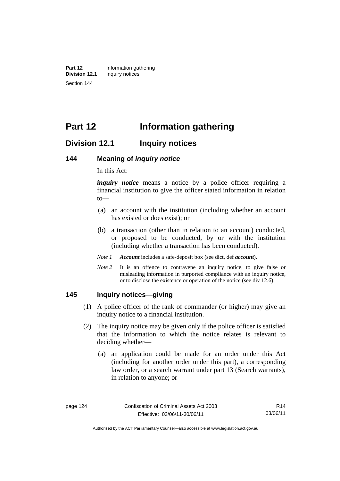**Part 12** Information gathering<br>**Division 12.1** Inquiry notices **Inquiry notices** Section 144

# **Part 12 Information gathering**

# **Division 12.1 Inquiry notices**

#### **144 Meaning of** *inquiry notice*

In this Act:

*inquiry notice* means a notice by a police officer requiring a financial institution to give the officer stated information in relation to—

- (a) an account with the institution (including whether an account has existed or does exist); or
- (b) a transaction (other than in relation to an account) conducted, or proposed to be conducted, by or with the institution (including whether a transaction has been conducted).
- *Note 1 Account* includes a safe-deposit box (see dict, def *account*).
- *Note* 2 It is an offence to contravene an inquiry notice, to give false or misleading information in purported compliance with an inquiry notice, or to disclose the existence or operation of the notice (see div 12.6).

#### **145 Inquiry notices—giving**

- (1) A police officer of the rank of commander (or higher) may give an inquiry notice to a financial institution.
- (2) The inquiry notice may be given only if the police officer is satisfied that the information to which the notice relates is relevant to deciding whether—
	- (a) an application could be made for an order under this Act (including for another order under this part), a corresponding law order, or a search warrant under part 13 (Search warrants), in relation to anyone; or

R14 03/06/11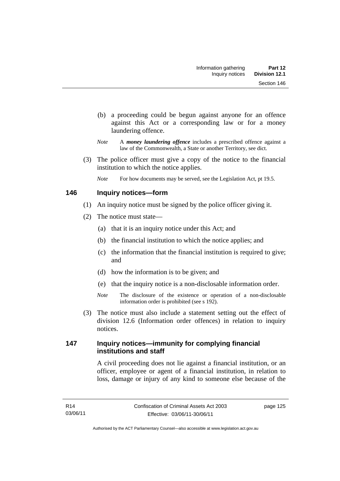- (b) a proceeding could be begun against anyone for an offence against this Act or a corresponding law or for a money laundering offence.
- *Note* A *money laundering offence* includes a prescribed offence against a law of the Commonwealth, a State or another Territory, see dict.
- (3) The police officer must give a copy of the notice to the financial institution to which the notice applies.
	- *Note* For how documents may be served, see the Legislation Act, pt 19.5.

## **146 Inquiry notices—form**

- (1) An inquiry notice must be signed by the police officer giving it.
- (2) The notice must state—
	- (a) that it is an inquiry notice under this Act; and
	- (b) the financial institution to which the notice applies; and
	- (c) the information that the financial institution is required to give; and
	- (d) how the information is to be given; and
	- (e) that the inquiry notice is a non-disclosable information order.
	- *Note* The disclosure of the existence or operation of a non-disclosable information order is prohibited (see s 192).
- (3) The notice must also include a statement setting out the effect of division 12.6 (Information order offences) in relation to inquiry notices.

## **147 Inquiry notices—immunity for complying financial institutions and staff**

A civil proceeding does not lie against a financial institution, or an officer, employee or agent of a financial institution, in relation to loss, damage or injury of any kind to someone else because of the

page 125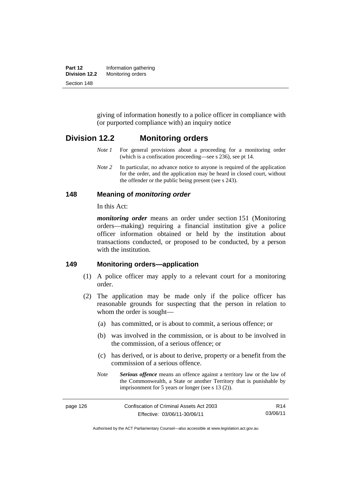| Part 12       | Information gathering |
|---------------|-----------------------|
| Division 12.2 | Monitoring orders     |
| Section 148   |                       |

giving of information honestly to a police officer in compliance with (or purported compliance with) an inquiry notice

## **Division 12.2 Monitoring orders**

- *Note 1* For general provisions about a proceeding for a monitoring order (which is a confiscation proceeding—see s 236), see pt 14.
- *Note 2* In particular, no advance notice to anyone is required of the application for the order, and the application may be heard in closed court, without the offender or the public being present (see s 243).

#### **148 Meaning of** *monitoring order*

In this Act:

*monitoring order* means an order under section 151 (Monitoring orders—making) requiring a financial institution give a police officer information obtained or held by the institution about transactions conducted, or proposed to be conducted, by a person with the institution.

#### **149 Monitoring orders—application**

- (1) A police officer may apply to a relevant court for a monitoring order.
- (2) The application may be made only if the police officer has reasonable grounds for suspecting that the person in relation to whom the order is sought—
	- (a) has committed, or is about to commit, a serious offence; or
	- (b) was involved in the commission, or is about to be involved in the commission, of a serious offence; or
	- (c) has derived, or is about to derive, property or a benefit from the commission of a serious offence.
	- *Note Serious offence* means an offence against a territory law or the law of the Commonwealth, a State or another Territory that is punishable by imprisonment for 5 years or longer (see s 13 (2)).

page 126 Confiscation of Criminal Assets Act 2003 Effective: 03/06/11-30/06/11 R14 03/06/11

Authorised by the ACT Parliamentary Counsel—also accessible at www.legislation.act.gov.au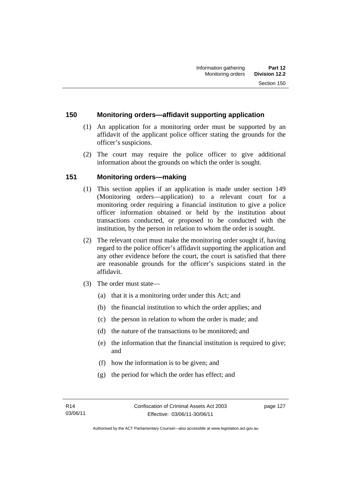#### **150 Monitoring orders—affidavit supporting application**

- (1) An application for a monitoring order must be supported by an affidavit of the applicant police officer stating the grounds for the officer's suspicions.
- (2) The court may require the police officer to give additional information about the grounds on which the order is sought.

## **151 Monitoring orders—making**

- (1) This section applies if an application is made under section 149 (Monitoring orders—application) to a relevant court for a monitoring order requiring a financial institution to give a police officer information obtained or held by the institution about transactions conducted, or proposed to be conducted with the institution, by the person in relation to whom the order is sought.
- (2) The relevant court must make the monitoring order sought if, having regard to the police officer's affidavit supporting the application and any other evidence before the court, the court is satisfied that there are reasonable grounds for the officer's suspicions stated in the affidavit.
- (3) The order must state—
	- (a) that it is a monitoring order under this Act; and
	- (b) the financial institution to which the order applies; and
	- (c) the person in relation to whom the order is made; and
	- (d) the nature of the transactions to be monitored; and
	- (e) the information that the financial institution is required to give; and
	- (f) how the information is to be given; and
	- (g) the period for which the order has effect; and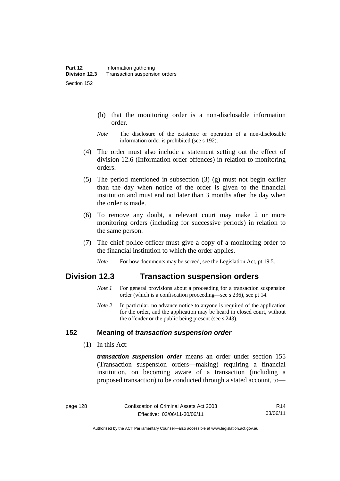- (h) that the monitoring order is a non-disclosable information order.
- *Note* The disclosure of the existence or operation of a non-disclosable information order is prohibited (see s 192).
- (4) The order must also include a statement setting out the effect of division 12.6 (Information order offences) in relation to monitoring orders.
- (5) The period mentioned in subsection (3) (g) must not begin earlier than the day when notice of the order is given to the financial institution and must end not later than 3 months after the day when the order is made.
- (6) To remove any doubt, a relevant court may make 2 or more monitoring orders (including for successive periods) in relation to the same person.
- (7) The chief police officer must give a copy of a monitoring order to the financial institution to which the order applies.
	- *Note* For how documents may be served, see the Legislation Act, pt 19.5.

# **Division 12.3 Transaction suspension orders**

- *Note 1* For general provisions about a proceeding for a transaction suspension order (which is a confiscation proceeding—see s 236), see pt 14.
- *Note 2* In particular, no advance notice to anyone is required of the application for the order, and the application may be heard in closed court, without the offender or the public being present (see s 243).

#### **152 Meaning of** *transaction suspension order*

(1) In this Act:

*transaction suspension order* means an order under section 155 (Transaction suspension orders—making) requiring a financial institution, on becoming aware of a transaction (including a proposed transaction) to be conducted through a stated account, to—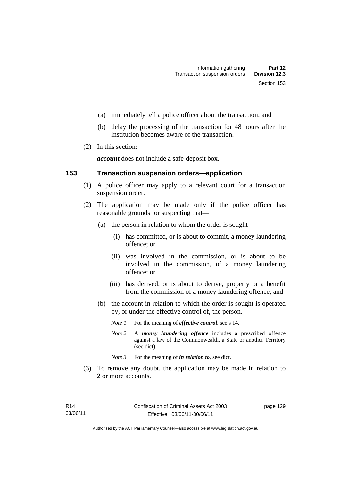- (a) immediately tell a police officer about the transaction; and
- (b) delay the processing of the transaction for 48 hours after the institution becomes aware of the transaction.
- (2) In this section:

*account* does not include a safe-deposit box.

#### **153 Transaction suspension orders—application**

- (1) A police officer may apply to a relevant court for a transaction suspension order.
- (2) The application may be made only if the police officer has reasonable grounds for suspecting that—
	- (a) the person in relation to whom the order is sought—
		- (i) has committed, or is about to commit, a money laundering offence; or
		- (ii) was involved in the commission, or is about to be involved in the commission, of a money laundering offence; or
		- (iii) has derived, or is about to derive, property or a benefit from the commission of a money laundering offence; and
	- (b) the account in relation to which the order is sought is operated by, or under the effective control of, the person.
		- *Note 1* For the meaning of *effective control*, see s 14.
		- *Note 2* A *money laundering offence* includes a prescribed offence against a law of the Commonwealth, a State or another Territory (see dict).
		- *Note* 3 For the meaning of *in relation to*, see dict.
- (3) To remove any doubt, the application may be made in relation to 2 or more accounts.

page 129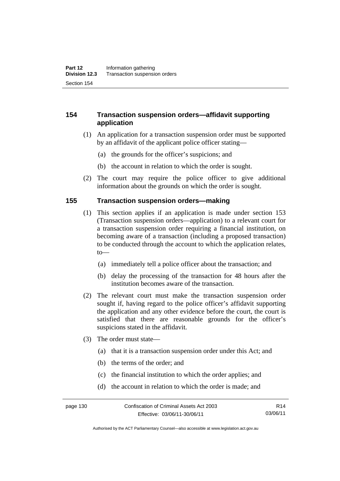### **154 Transaction suspension orders—affidavit supporting application**

- (1) An application for a transaction suspension order must be supported by an affidavit of the applicant police officer stating—
	- (a) the grounds for the officer's suspicions; and
	- (b) the account in relation to which the order is sought.
- (2) The court may require the police officer to give additional information about the grounds on which the order is sought.

#### **155 Transaction suspension orders—making**

- (1) This section applies if an application is made under section 153 (Transaction suspension orders—application) to a relevant court for a transaction suspension order requiring a financial institution, on becoming aware of a transaction (including a proposed transaction) to be conducted through the account to which the application relates, to—
	- (a) immediately tell a police officer about the transaction; and
	- (b) delay the processing of the transaction for 48 hours after the institution becomes aware of the transaction.
- (2) The relevant court must make the transaction suspension order sought if, having regard to the police officer's affidavit supporting the application and any other evidence before the court, the court is satisfied that there are reasonable grounds for the officer's suspicions stated in the affidavit.
- (3) The order must state—
	- (a) that it is a transaction suspension order under this Act; and
	- (b) the terms of the order; and
	- (c) the financial institution to which the order applies; and
	- (d) the account in relation to which the order is made; and

Authorised by the ACT Parliamentary Counsel—also accessible at www.legislation.act.gov.au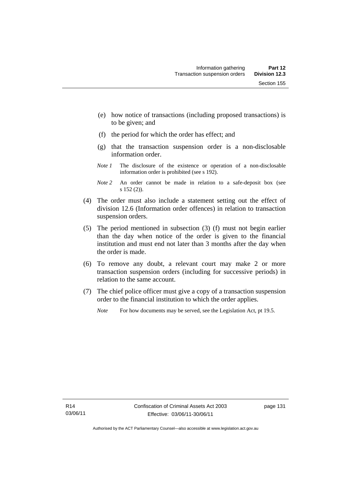- (e) how notice of transactions (including proposed transactions) is to be given; and
- (f) the period for which the order has effect; and
- (g) that the transaction suspension order is a non-disclosable information order.
- *Note 1* The disclosure of the existence or operation of a non-disclosable information order is prohibited (see s 192).
- *Note 2* An order cannot be made in relation to a safe-deposit box (see s 152 (2)).
- (4) The order must also include a statement setting out the effect of division 12.6 (Information order offences) in relation to transaction suspension orders.
- (5) The period mentioned in subsection (3) (f) must not begin earlier than the day when notice of the order is given to the financial institution and must end not later than 3 months after the day when the order is made.
- (6) To remove any doubt, a relevant court may make 2 or more transaction suspension orders (including for successive periods) in relation to the same account.
- (7) The chief police officer must give a copy of a transaction suspension order to the financial institution to which the order applies.
	- *Note* For how documents may be served, see the Legislation Act, pt 19.5.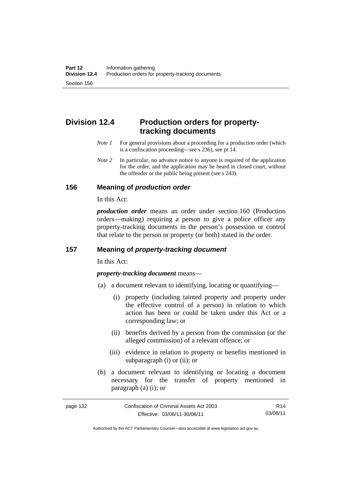# **Division 12.4 Production orders for propertytracking documents**

- *Note 1* For general provisions about a proceeding for a production order (which is a confiscation proceeding—see s 236), see pt 14.
- *Note* 2 In particular, no advance notice to anyone is required of the application for the order, and the application may be heard in closed court, without the offender or the public being present (see s 243).

### **156 Meaning of** *production order*

In this Act:

*production order* means an order under section 160 (Production orders—making) requiring a person to give a police officer any property-tracking documents in the person's possession or control that relate to the person or property (or both) stated in the order.

### **157 Meaning of** *property-tracking document*

In this Act:

*property-tracking document* means—

- (a) a document relevant to identifying, locating or quantifying—
	- (i) property (including tainted property and property under the effective control of a person) in relation to which action has been or could be taken under this Act or a corresponding law; or
	- (ii) benefits derived by a person from the commission (or the alleged commission) of a relevant offence; or
	- (iii) evidence in relation to property or benefits mentioned in subparagraph (i) or (ii); or
- (b) a document relevant to identifying or locating a document necessary for the transfer of property mentioned in paragraph (a) (i); or

page 132 Confiscation of Criminal Assets Act 2003 Effective: 03/06/11-30/06/11 R14 03/06/11

Authorised by the ACT Parliamentary Counsel—also accessible at www.legislation.act.gov.au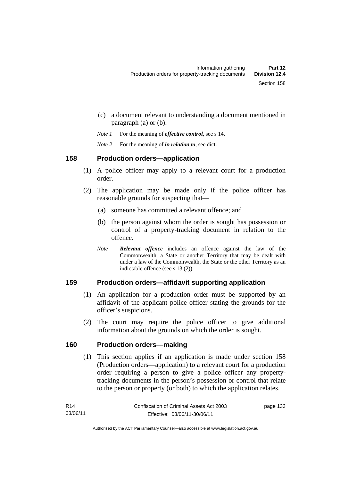- (c) a document relevant to understanding a document mentioned in paragraph (a) or (b).
- *Note 1* For the meaning of *effective control*, see s 14.
- *Note 2* For the meaning of *in relation to*, see dict.

# **158 Production orders—application**

- (1) A police officer may apply to a relevant court for a production order.
- (2) The application may be made only if the police officer has reasonable grounds for suspecting that—
	- (a) someone has committed a relevant offence; and
	- (b) the person against whom the order is sought has possession or control of a property-tracking document in relation to the offence.
	- *Note Relevant offence* includes an offence against the law of the Commonwealth, a State or another Territory that may be dealt with under a law of the Commonwealth, the State or the other Territory as an indictable offence (see s 13 (2)).

# **159 Production orders—affidavit supporting application**

- (1) An application for a production order must be supported by an affidavit of the applicant police officer stating the grounds for the officer's suspicions.
- (2) The court may require the police officer to give additional information about the grounds on which the order is sought.

# **160 Production orders—making**

(1) This section applies if an application is made under section 158 (Production orders—application) to a relevant court for a production order requiring a person to give a police officer any propertytracking documents in the person's possession or control that relate to the person or property (or both) to which the application relates.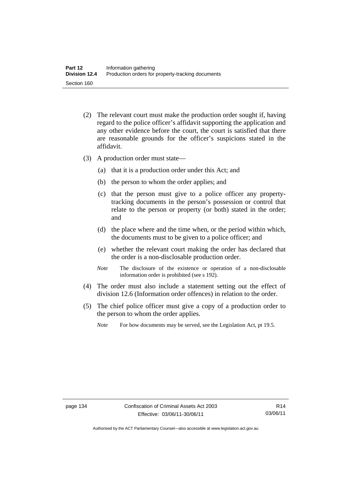- (2) The relevant court must make the production order sought if, having regard to the police officer's affidavit supporting the application and any other evidence before the court, the court is satisfied that there are reasonable grounds for the officer's suspicions stated in the affidavit.
- (3) A production order must state—
	- (a) that it is a production order under this Act; and
	- (b) the person to whom the order applies; and
	- (c) that the person must give to a police officer any propertytracking documents in the person's possession or control that relate to the person or property (or both) stated in the order; and
	- (d) the place where and the time when, or the period within which, the documents must to be given to a police officer; and
	- (e) whether the relevant court making the order has declared that the order is a non-disclosable production order.
	- *Note* The disclosure of the existence or operation of a non-disclosable information order is prohibited (see s 192).
- (4) The order must also include a statement setting out the effect of division 12.6 (Information order offences) in relation to the order.
- (5) The chief police officer must give a copy of a production order to the person to whom the order applies.
	- *Note* For how documents may be served, see the Legislation Act, pt 19.5.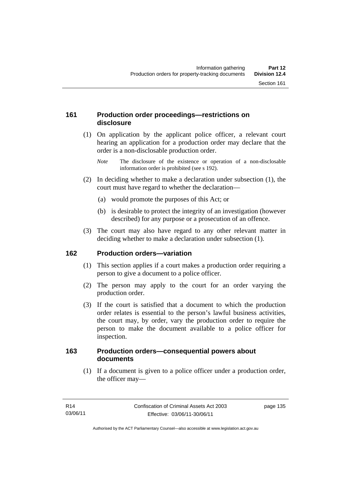# **161 Production order proceedings—restrictions on disclosure**

 (1) On application by the applicant police officer, a relevant court hearing an application for a production order may declare that the order is a non-disclosable production order.

- (2) In deciding whether to make a declaration under subsection (1), the court must have regard to whether the declaration—
	- (a) would promote the purposes of this Act; or
	- (b) is desirable to protect the integrity of an investigation (however described) for any purpose or a prosecution of an offence.
- (3) The court may also have regard to any other relevant matter in deciding whether to make a declaration under subsection (1).

# **162 Production orders—variation**

- (1) This section applies if a court makes a production order requiring a person to give a document to a police officer.
- (2) The person may apply to the court for an order varying the production order.
- (3) If the court is satisfied that a document to which the production order relates is essential to the person's lawful business activities, the court may, by order, vary the production order to require the person to make the document available to a police officer for inspection.

# **163 Production orders—consequential powers about documents**

 (1) If a document is given to a police officer under a production order, the officer may—

*Note* The disclosure of the existence or operation of a non-disclosable information order is prohibited (see s 192).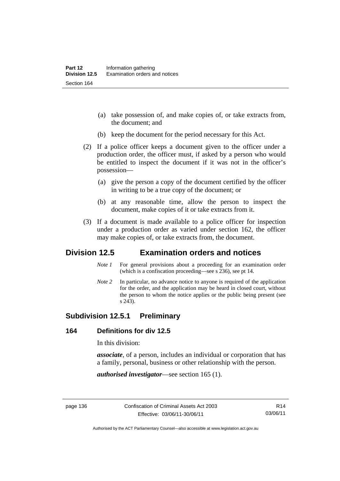- (a) take possession of, and make copies of, or take extracts from, the document; and
- (b) keep the document for the period necessary for this Act.
- (2) If a police officer keeps a document given to the officer under a production order, the officer must, if asked by a person who would be entitled to inspect the document if it was not in the officer's possession—
	- (a) give the person a copy of the document certified by the officer in writing to be a true copy of the document; or
	- (b) at any reasonable time, allow the person to inspect the document, make copies of it or take extracts from it.
- (3) If a document is made available to a police officer for inspection under a production order as varied under section 162, the officer may make copies of, or take extracts from, the document.

# **Division 12.5 Examination orders and notices**

- *Note 1* For general provisions about a proceeding for an examination order (which is a confiscation proceeding—see s 236), see pt 14.
- *Note 2* In particular, no advance notice to anyone is required of the application for the order, and the application may be heard in closed court, without the person to whom the notice applies or the public being present (see s 243).

# **Subdivision 12.5.1 Preliminary**

#### **164 Definitions for div 12.5**

In this division:

*associate*, of a person, includes an individual or corporation that has a family, personal, business or other relationship with the person.

*authorised investigator*—see section 165 (1).

Authorised by the ACT Parliamentary Counsel—also accessible at www.legislation.act.gov.au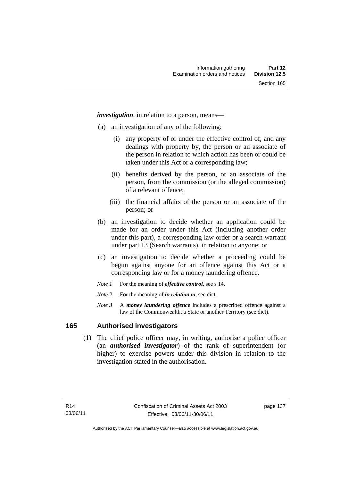*investigation*, in relation to a person, means—

- (a) an investigation of any of the following:
	- (i) any property of or under the effective control of, and any dealings with property by, the person or an associate of the person in relation to which action has been or could be taken under this Act or a corresponding law;
	- (ii) benefits derived by the person, or an associate of the person, from the commission (or the alleged commission) of a relevant offence;
	- (iii) the financial affairs of the person or an associate of the person; or
- (b) an investigation to decide whether an application could be made for an order under this Act (including another order under this part), a corresponding law order or a search warrant under part 13 (Search warrants), in relation to anyone; or
- (c) an investigation to decide whether a proceeding could be begun against anyone for an offence against this Act or a corresponding law or for a money laundering offence.
- *Note 1* For the meaning of *effective control*, see s 14.
- *Note* 2 For the meaning of *in relation to*, see dict.
- *Note 3* A *money laundering offence* includes a prescribed offence against a law of the Commonwealth, a State or another Territory (see dict).

### **165 Authorised investigators**

 (1) The chief police officer may, in writing, authorise a police officer (an *authorised investigator*) of the rank of superintendent (or higher) to exercise powers under this division in relation to the investigation stated in the authorisation.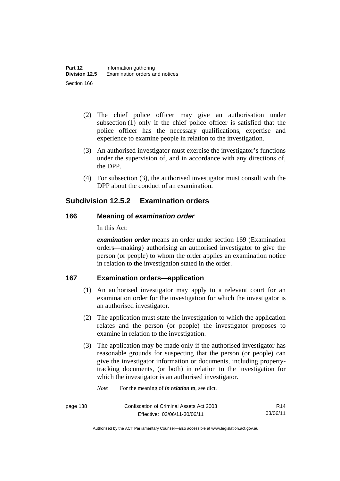- (2) The chief police officer may give an authorisation under subsection (1) only if the chief police officer is satisfied that the police officer has the necessary qualifications, expertise and experience to examine people in relation to the investigation.
- (3) An authorised investigator must exercise the investigator's functions under the supervision of, and in accordance with any directions of, the DPP.
- (4) For subsection (3), the authorised investigator must consult with the DPP about the conduct of an examination.

# **Subdivision 12.5.2 Examination orders**

# **166 Meaning of** *examination order*

In this Act:

*examination order* means an order under section 169 (Examination orders—making) authorising an authorised investigator to give the person (or people) to whom the order applies an examination notice in relation to the investigation stated in the order.

# **167 Examination orders—application**

- (1) An authorised investigator may apply to a relevant court for an examination order for the investigation for which the investigator is an authorised investigator.
- (2) The application must state the investigation to which the application relates and the person (or people) the investigator proposes to examine in relation to the investigation.
- (3) The application may be made only if the authorised investigator has reasonable grounds for suspecting that the person (or people) can give the investigator information or documents, including propertytracking documents, (or both) in relation to the investigation for which the investigator is an authorised investigator.

*Note* For the meaning of *in relation to*, see dict.

page 138 Confiscation of Criminal Assets Act 2003 Effective: 03/06/11-30/06/11

R14 03/06/11

Authorised by the ACT Parliamentary Counsel—also accessible at www.legislation.act.gov.au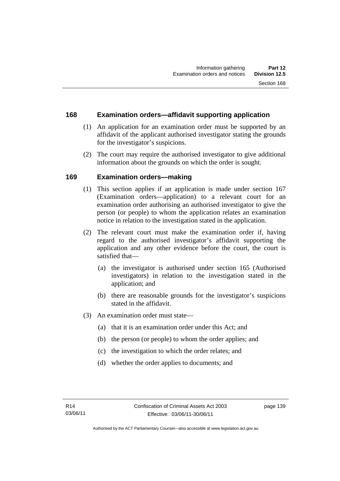# **168 Examination orders—affidavit supporting application**

- (1) An application for an examination order must be supported by an affidavit of the applicant authorised investigator stating the grounds for the investigator's suspicions.
- (2) The court may require the authorised investigator to give additional information about the grounds on which the order is sought.

# **169 Examination orders—making**

- (1) This section applies if an application is made under section 167 (Examination orders—application) to a relevant court for an examination order authorising an authorised investigator to give the person (or people) to whom the application relates an examination notice in relation to the investigation stated in the application.
- (2) The relevant court must make the examination order if, having regard to the authorised investigator's affidavit supporting the application and any other evidence before the court, the court is satisfied that—
	- (a) the investigator is authorised under section 165 (Authorised investigators) in relation to the investigation stated in the application; and
	- (b) there are reasonable grounds for the investigator's suspicions stated in the affidavit.
- (3) An examination order must state—
	- (a) that it is an examination order under this Act; and
	- (b) the person (or people) to whom the order applies; and
	- (c) the investigation to which the order relates; and
	- (d) whether the order applies to documents; and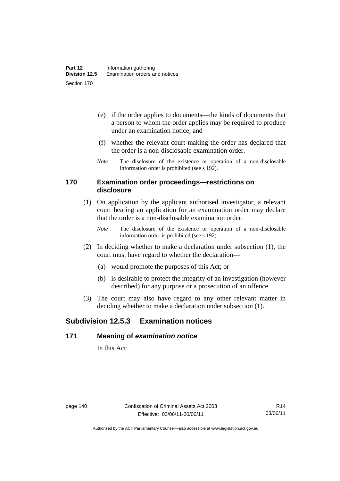- (e) if the order applies to documents—the kinds of documents that a person to whom the order applies may be required to produce under an examination notice; and
- (f) whether the relevant court making the order has declared that the order is a non-disclosable examination order.
- *Note* The disclosure of the existence or operation of a non-disclosable information order is prohibited (see s 192).

#### **170 Examination order proceedings—restrictions on disclosure**

- (1) On application by the applicant authorised investigator, a relevant court hearing an application for an examination order may declare that the order is a non-disclosable examination order.
	- *Note* The disclosure of the existence or operation of a non-disclosable information order is prohibited (see s 192).
- (2) In deciding whether to make a declaration under subsection (1), the court must have regard to whether the declaration—
	- (a) would promote the purposes of this Act; or
	- (b) is desirable to protect the integrity of an investigation (however described) for any purpose or a prosecution of an offence.
- (3) The court may also have regard to any other relevant matter in deciding whether to make a declaration under subsection (1).

# **Subdivision 12.5.3 Examination notices**

### **171 Meaning of** *examination notice*

In this Act: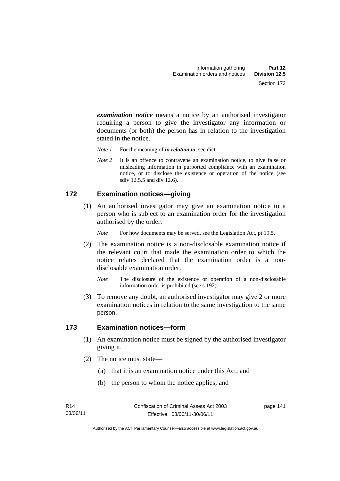*examination notice* means a notice by an authorised investigator requiring a person to give the investigator any information or documents (or both) the person has in relation to the investigation stated in the notice.

- *Note 1* For the meaning of *in relation to*, see dict.
- *Note* 2 It is an offence to contravene an examination notice, to give false or misleading information in purported compliance with an examination notice, or to disclose the existence or operation of the notice (see sdiv 12.5.5 and div 12.6).

# **172 Examination notices—giving**

 (1) An authorised investigator may give an examination notice to a person who is subject to an examination order for the investigation authorised by the order.

*Note* For how documents may be served, see the Legislation Act, pt 19.5.

- (2) The examination notice is a non-disclosable examination notice if the relevant court that made the examination order to which the notice relates declared that the examination order is a nondisclosable examination order.
	- *Note* The disclosure of the existence or operation of a non-disclosable information order is prohibited (see s 192).
- (3) To remove any doubt, an authorised investigator may give 2 or more examination notices in relation to the same investigation to the same person.

### **173 Examination notices—form**

- (1) An examination notice must be signed by the authorised investigator giving it.
- (2) The notice must state—
	- (a) that it is an examination notice under this Act; and
	- (b) the person to whom the notice applies; and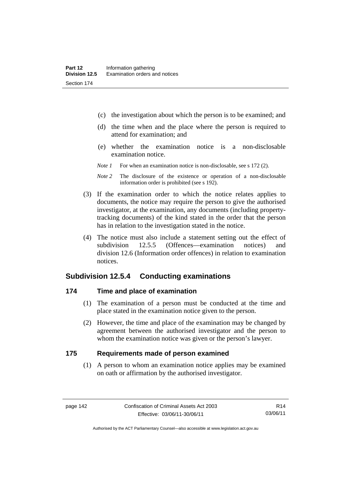- (c) the investigation about which the person is to be examined; and
- (d) the time when and the place where the person is required to attend for examination; and
- (e) whether the examination notice is a non-disclosable examination notice.
- *Note 1* For when an examination notice is non-disclosable, see s 172 (2).
- *Note 2* The disclosure of the existence or operation of a non-disclosable information order is prohibited (see s 192).
- (3) If the examination order to which the notice relates applies to documents, the notice may require the person to give the authorised investigator, at the examination, any documents (including propertytracking documents) of the kind stated in the order that the person has in relation to the investigation stated in the notice.
- (4) The notice must also include a statement setting out the effect of subdivision 12.5.5 (Offences—examination notices) and division 12.6 (Information order offences) in relation to examination notices.

# **Subdivision 12.5.4 Conducting examinations**

# **174 Time and place of examination**

- (1) The examination of a person must be conducted at the time and place stated in the examination notice given to the person.
- (2) However, the time and place of the examination may be changed by agreement between the authorised investigator and the person to whom the examination notice was given or the person's lawyer.

#### **175 Requirements made of person examined**

(1) A person to whom an examination notice applies may be examined on oath or affirmation by the authorised investigator.

Authorised by the ACT Parliamentary Counsel—also accessible at www.legislation.act.gov.au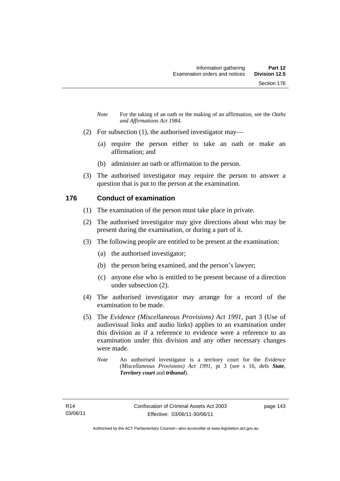- *Note* For the taking of an oath or the making of an affirmation, see the *Oaths and Affirmations Act 1984.*
- (2) For subsection (1), the authorised investigator may—
	- (a) require the person either to take an oath or make an affirmation; and
	- (b) administer an oath or affirmation to the person.
- (3) The authorised investigator may require the person to answer a question that is put to the person at the examination.

# **176 Conduct of examination**

- (1) The examination of the person must take place in private.
- (2) The authorised investigator may give directions about who may be present during the examination, or during a part of it.
- (3) The following people are entitled to be present at the examination:
	- (a) the authorised investigator;
	- (b) the person being examined, and the person's lawyer;
	- (c) anyone else who is entitled to be present because of a direction under subsection (2).
- (4) The authorised investigator may arrange for a record of the examination to be made.
- (5) The *Evidence (Miscellaneous Provisions) Act 1991*, part 3 (Use of audiovisual links and audio links) applies to an examination under this division as if a reference to evidence were a reference to an examination under this division and any other necessary changes were made.
	- *Note* An authorised investigator is a territory court for the *Evidence (Miscellaneous Provisions) Act 1991*, pt 3 (see s 16, defs *State*, *Territory court* and *tribunal*).

page 143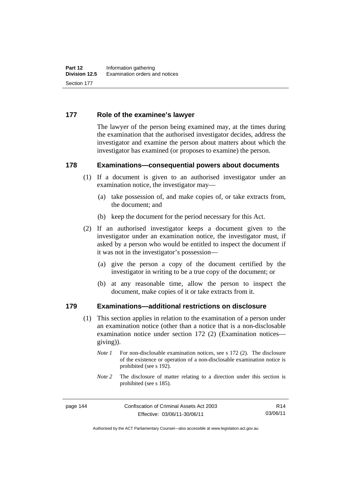# **177 Role of the examinee's lawyer**

The lawyer of the person being examined may, at the times during the examination that the authorised investigator decides, address the investigator and examine the person about matters about which the investigator has examined (or proposes to examine) the person.

#### **178 Examinations—consequential powers about documents**

- (1) If a document is given to an authorised investigator under an examination notice, the investigator may—
	- (a) take possession of, and make copies of, or take extracts from, the document; and
	- (b) keep the document for the period necessary for this Act.
- (2) If an authorised investigator keeps a document given to the investigator under an examination notice, the investigator must, if asked by a person who would be entitled to inspect the document if it was not in the investigator's possession—
	- (a) give the person a copy of the document certified by the investigator in writing to be a true copy of the document; or
	- (b) at any reasonable time, allow the person to inspect the document, make copies of it or take extracts from it.

#### **179 Examinations—additional restrictions on disclosure**

- (1) This section applies in relation to the examination of a person under an examination notice (other than a notice that is a non-disclosable examination notice under section 172 (2) (Examination notices giving)).
	- *Note 1* For non-disclosable examination notices, see s 172 (2). The disclosure of the existence or operation of a non-disclosable examination notice is prohibited (see s 192).
	- *Note* 2 The disclosure of matter relating to a direction under this section is prohibited (see s 185).

R14 03/06/11

Authorised by the ACT Parliamentary Counsel—also accessible at www.legislation.act.gov.au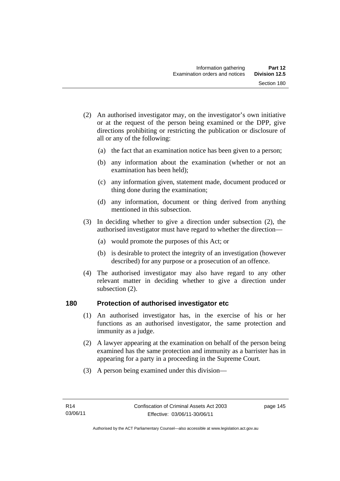- (2) An authorised investigator may, on the investigator's own initiative or at the request of the person being examined or the DPP, give directions prohibiting or restricting the publication or disclosure of all or any of the following:
	- (a) the fact that an examination notice has been given to a person;
	- (b) any information about the examination (whether or not an examination has been held);
	- (c) any information given, statement made, document produced or thing done during the examination;
	- (d) any information, document or thing derived from anything mentioned in this subsection.
- (3) In deciding whether to give a direction under subsection (2), the authorised investigator must have regard to whether the direction—
	- (a) would promote the purposes of this Act; or
	- (b) is desirable to protect the integrity of an investigation (however described) for any purpose or a prosecution of an offence.
- (4) The authorised investigator may also have regard to any other relevant matter in deciding whether to give a direction under subsection (2).

### **180 Protection of authorised investigator etc**

- (1) An authorised investigator has, in the exercise of his or her functions as an authorised investigator, the same protection and immunity as a judge.
- (2) A lawyer appearing at the examination on behalf of the person being examined has the same protection and immunity as a barrister has in appearing for a party in a proceeding in the Supreme Court.
- (3) A person being examined under this division—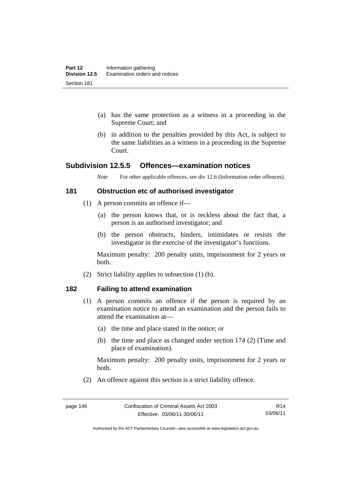- (a) has the same protection as a witness in a proceeding in the Supreme Court; and
- (b) in addition to the penalties provided by this Act, is subject to the same liabilities as a witness in a proceeding in the Supreme Court.

# **Subdivision 12.5.5 Offences—examination notices**

*Note* For other applicable offences, see div 12.6 (Information order offences).

#### **181 Obstruction etc of authorised investigator**

- (1) A person commits an offence if—
	- (a) the person knows that, or is reckless about the fact that, a person is an authorised investigator; and
	- (b) the person obstructs, hinders, intimidates or resists the investigator in the exercise of the investigator's functions.

Maximum penalty: 200 penalty units, imprisonment for 2 years or both.

(2) Strict liability applies to subsection (1) (b).

### **182 Failing to attend examination**

- (1) A person commits an offence if the person is required by an examination notice to attend an examination and the person fails to attend the examination at—
	- (a) the time and place stated in the notice; or
	- (b) the time and place as changed under section 174 (2) (Time and place of examination).

Maximum penalty: 200 penalty units, imprisonment for 2 years or both.

(2) An offence against this section is a strict liability offence.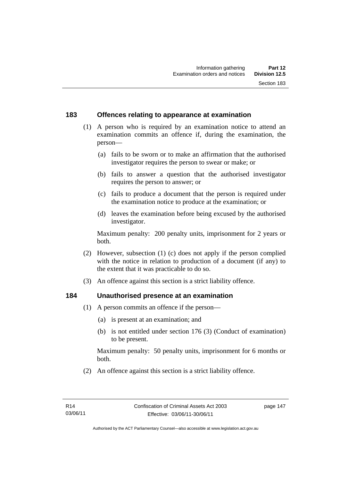# **183 Offences relating to appearance at examination**

- (1) A person who is required by an examination notice to attend an examination commits an offence if, during the examination, the person—
	- (a) fails to be sworn or to make an affirmation that the authorised investigator requires the person to swear or make; or
	- (b) fails to answer a question that the authorised investigator requires the person to answer; or
	- (c) fails to produce a document that the person is required under the examination notice to produce at the examination; or
	- (d) leaves the examination before being excused by the authorised investigator.

Maximum penalty: 200 penalty units, imprisonment for 2 years or both.

- (2) However, subsection (1) (c) does not apply if the person complied with the notice in relation to production of a document (if any) to the extent that it was practicable to do so.
- (3) An offence against this section is a strict liability offence.

### **184 Unauthorised presence at an examination**

- (1) A person commits an offence if the person—
	- (a) is present at an examination; and
	- (b) is not entitled under section 176 (3) (Conduct of examination) to be present.

Maximum penalty: 50 penalty units, imprisonment for 6 months or both.

(2) An offence against this section is a strict liability offence.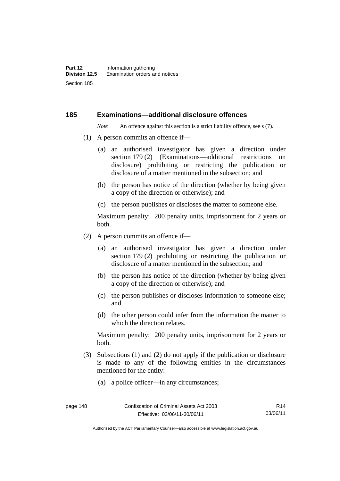#### **185 Examinations—additional disclosure offences**

*Note* An offence against this section is a strict liability offence, see s (7).

- (1) A person commits an offence if—
	- (a) an authorised investigator has given a direction under section 179 (2) (Examinations—additional restrictions on disclosure) prohibiting or restricting the publication or disclosure of a matter mentioned in the subsection; and
	- (b) the person has notice of the direction (whether by being given a copy of the direction or otherwise); and
	- (c) the person publishes or discloses the matter to someone else.

Maximum penalty: 200 penalty units, imprisonment for 2 years or both.

- (2) A person commits an offence if—
	- (a) an authorised investigator has given a direction under section 179 (2) prohibiting or restricting the publication or disclosure of a matter mentioned in the subsection; and
	- (b) the person has notice of the direction (whether by being given a copy of the direction or otherwise); and
	- (c) the person publishes or discloses information to someone else; and
	- (d) the other person could infer from the information the matter to which the direction relates.

Maximum penalty: 200 penalty units, imprisonment for 2 years or both.

- (3) Subsections (1) and (2) do not apply if the publication or disclosure is made to any of the following entities in the circumstances mentioned for the entity:
	- (a) a police officer—in any circumstances;

Authorised by the ACT Parliamentary Counsel—also accessible at www.legislation.act.gov.au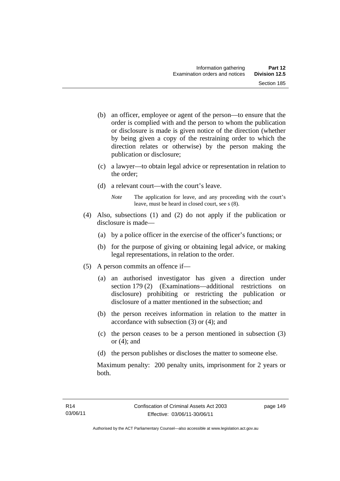- (b) an officer, employee or agent of the person—to ensure that the order is complied with and the person to whom the publication or disclosure is made is given notice of the direction (whether by being given a copy of the restraining order to which the direction relates or otherwise) by the person making the publication or disclosure;
- (c) a lawyer—to obtain legal advice or representation in relation to the order;
- (d) a relevant court—with the court's leave.
	- *Note* The application for leave, and any proceeding with the court's leave, must be heard in closed court, see s (8).
- (4) Also, subsections (1) and (2) do not apply if the publication or disclosure is made—
	- (a) by a police officer in the exercise of the officer's functions; or
	- (b) for the purpose of giving or obtaining legal advice, or making legal representations, in relation to the order.
- (5) A person commits an offence if—
	- (a) an authorised investigator has given a direction under section 179 (2) (Examinations—additional restrictions on disclosure) prohibiting or restricting the publication or disclosure of a matter mentioned in the subsection; and
	- (b) the person receives information in relation to the matter in accordance with subsection (3) or (4); and
	- (c) the person ceases to be a person mentioned in subsection (3) or  $(4)$ ; and
	- (d) the person publishes or discloses the matter to someone else.

Maximum penalty: 200 penalty units, imprisonment for 2 years or both.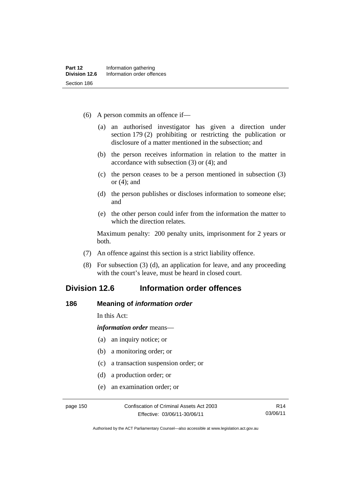- (6) A person commits an offence if—
	- (a) an authorised investigator has given a direction under section 179 (2) prohibiting or restricting the publication or disclosure of a matter mentioned in the subsection; and
	- (b) the person receives information in relation to the matter in accordance with subsection (3) or (4); and
	- (c) the person ceases to be a person mentioned in subsection (3) or (4); and
	- (d) the person publishes or discloses information to someone else; and
	- (e) the other person could infer from the information the matter to which the direction relates.

Maximum penalty: 200 penalty units, imprisonment for 2 years or both.

- (7) An offence against this section is a strict liability offence.
- (8) For subsection (3) (d), an application for leave, and any proceeding with the court's leave, must be heard in closed court.

# **Division 12.6 Information order offences**

#### **186 Meaning of** *information order*

In this Act:

*information order* means—

- (a) an inquiry notice; or
- (b) a monitoring order; or
- (c) a transaction suspension order; or
- (d) a production order; or
- (e) an examination order; or

page 150 Confiscation of Criminal Assets Act 2003 Effective: 03/06/11-30/06/11

R14 03/06/11

Authorised by the ACT Parliamentary Counsel—also accessible at www.legislation.act.gov.au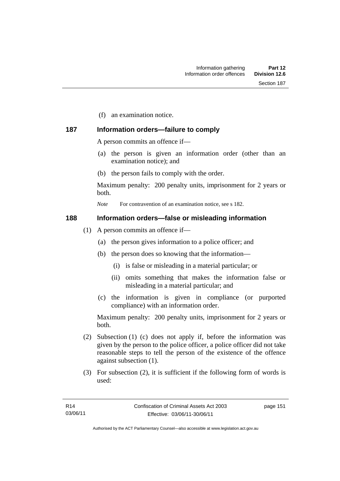(f) an examination notice.

# **187 Information orders—failure to comply**

A person commits an offence if—

- (a) the person is given an information order (other than an examination notice); and
- (b) the person fails to comply with the order.

Maximum penalty: 200 penalty units, imprisonment for 2 years or both.

*Note* For contravention of an examination notice, see s 182.

### **188 Information orders—false or misleading information**

- (1) A person commits an offence if—
	- (a) the person gives information to a police officer; and
	- (b) the person does so knowing that the information—
		- (i) is false or misleading in a material particular; or
		- (ii) omits something that makes the information false or misleading in a material particular; and
	- (c) the information is given in compliance (or purported compliance) with an information order.

Maximum penalty: 200 penalty units, imprisonment for 2 years or both.

- (2) Subsection (1) (c) does not apply if, before the information was given by the person to the police officer, a police officer did not take reasonable steps to tell the person of the existence of the offence against subsection (1).
- (3) For subsection (2), it is sufficient if the following form of words is used:

page 151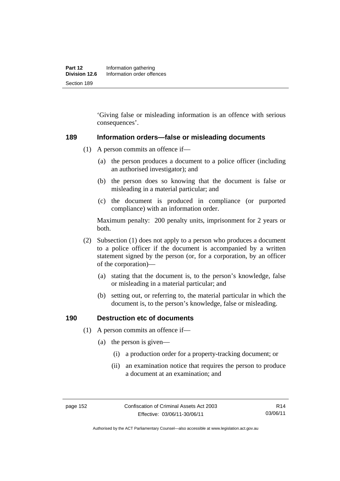'Giving false or misleading information is an offence with serious consequences'.

#### **189 Information orders—false or misleading documents**

- (1) A person commits an offence if—
	- (a) the person produces a document to a police officer (including an authorised investigator); and
	- (b) the person does so knowing that the document is false or misleading in a material particular; and
	- (c) the document is produced in compliance (or purported compliance) with an information order.

Maximum penalty: 200 penalty units, imprisonment for 2 years or both.

- (2) Subsection (1) does not apply to a person who produces a document to a police officer if the document is accompanied by a written statement signed by the person (or, for a corporation, by an officer of the corporation)—
	- (a) stating that the document is, to the person's knowledge, false or misleading in a material particular; and
	- (b) setting out, or referring to, the material particular in which the document is, to the person's knowledge, false or misleading.

# **190 Destruction etc of documents**

- (1) A person commits an offence if—
	- (a) the person is given—
		- (i) a production order for a property-tracking document; or
		- (ii) an examination notice that requires the person to produce a document at an examination; and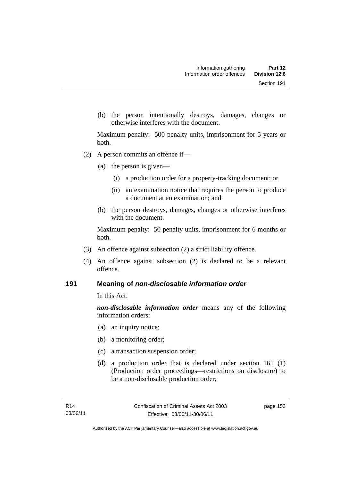(b) the person intentionally destroys, damages, changes or otherwise interferes with the document.

Maximum penalty: 500 penalty units, imprisonment for 5 years or both.

- (2) A person commits an offence if—
	- (a) the person is given—
		- (i) a production order for a property-tracking document; or
		- (ii) an examination notice that requires the person to produce a document at an examination; and
	- (b) the person destroys, damages, changes or otherwise interferes with the document.

Maximum penalty: 50 penalty units, imprisonment for 6 months or both.

- (3) An offence against subsection (2) a strict liability offence.
- (4) An offence against subsection (2) is declared to be a relevant offence.

#### **191 Meaning of** *non-disclosable information order*

In this Act:

*non-disclosable information order* means any of the following information orders:

- (a) an inquiry notice;
- (b) a monitoring order;
- (c) a transaction suspension order;
- (d) a production order that is declared under section 161 (1) (Production order proceedings—restrictions on disclosure) to be a non-disclosable production order;

page 153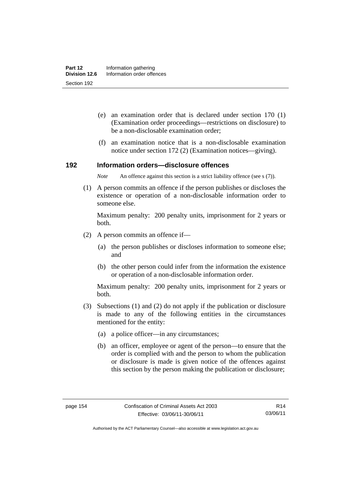- (e) an examination order that is declared under section 170 (1) (Examination order proceedings—restrictions on disclosure) to be a non-disclosable examination order;
- (f) an examination notice that is a non-disclosable examination notice under section 172 (2) (Examination notices—giving).

#### **192 Information orders—disclosure offences**

*Note* An offence against this section is a strict liability offence (see s (7)).

 (1) A person commits an offence if the person publishes or discloses the existence or operation of a non-disclosable information order to someone else.

Maximum penalty: 200 penalty units, imprisonment for 2 years or both.

- (2) A person commits an offence if—
	- (a) the person publishes or discloses information to someone else; and
	- (b) the other person could infer from the information the existence or operation of a non-disclosable information order.

Maximum penalty: 200 penalty units, imprisonment for 2 years or both.

- (3) Subsections (1) and (2) do not apply if the publication or disclosure is made to any of the following entities in the circumstances mentioned for the entity:
	- (a) a police officer—in any circumstances;
	- (b) an officer, employee or agent of the person—to ensure that the order is complied with and the person to whom the publication or disclosure is made is given notice of the offences against this section by the person making the publication or disclosure;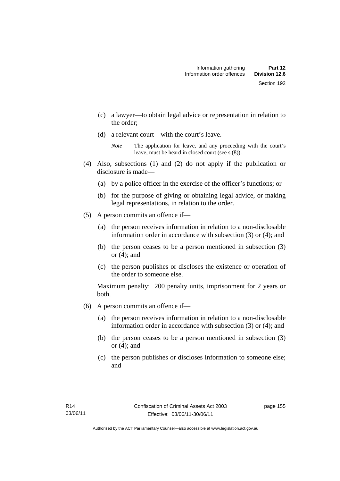- (c) a lawyer—to obtain legal advice or representation in relation to the order;
- (d) a relevant court—with the court's leave.

- (4) Also, subsections (1) and (2) do not apply if the publication or disclosure is made—
	- (a) by a police officer in the exercise of the officer's functions; or
	- (b) for the purpose of giving or obtaining legal advice, or making legal representations, in relation to the order.
- (5) A person commits an offence if—
	- (a) the person receives information in relation to a non-disclosable information order in accordance with subsection (3) or (4); and
	- (b) the person ceases to be a person mentioned in subsection (3) or  $(4)$ ; and
	- (c) the person publishes or discloses the existence or operation of the order to someone else.

Maximum penalty: 200 penalty units, imprisonment for 2 years or both.

- (6) A person commits an offence if—
	- (a) the person receives information in relation to a non-disclosable information order in accordance with subsection (3) or (4); and
	- (b) the person ceases to be a person mentioned in subsection (3) or  $(4)$ ; and
	- (c) the person publishes or discloses information to someone else; and

*Note* The application for leave, and any proceeding with the court's leave, must be heard in closed court (see s (8)).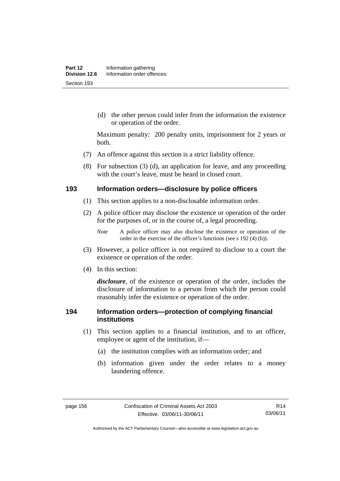(d) the other person could infer from the information the existence or operation of the order.

Maximum penalty: 200 penalty units, imprisonment for 2 years or both.

- (7) An offence against this section is a strict liability offence.
- (8) For subsection (3) (d), an application for leave, and any proceeding with the court's leave, must be heard in closed court.

#### **193 Information orders—disclosure by police officers**

- (1) This section applies to a non-disclosable information order.
- (2) A police officer may disclose the existence or operation of the order for the purposes of, or in the course of, a legal proceeding.

- (3) However, a police officer is not required to disclose to a court the existence or operation of the order.
- (4) In this section:

*disclosure*, of the existence or operation of the order, includes the disclosure of information to a person from which the person could reasonably infer the existence or operation of the order.

# **194 Information orders—protection of complying financial institutions**

- (1) This section applies to a financial institution, and to an officer, employee or agent of the institution, if—
	- (a) the institution complies with an information order; and
	- (b) information given under the order relates to a money laundering offence.

*Note* A police officer may also disclose the existence or operation of the order in the exercise of the officer's functions (see s 192 (4) (b)).

Authorised by the ACT Parliamentary Counsel—also accessible at www.legislation.act.gov.au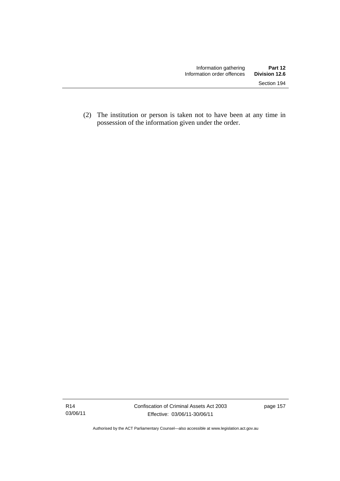(2) The institution or person is taken not to have been at any time in possession of the information given under the order.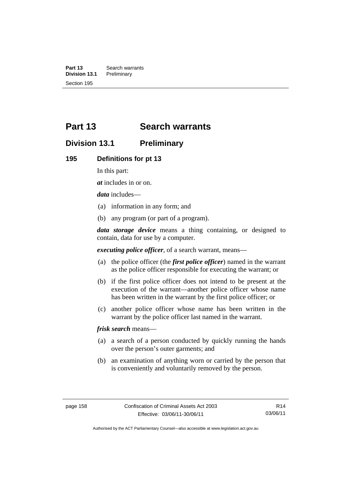**Part 13 Search warrants**<br>**Division 13.1 Preliminary Division 13.1** Section 195

# **Part 13 Search warrants**

# **Division 13.1 Preliminary**

#### **195 Definitions for pt 13**

In this part:

*at* includes in or on.

*data* includes—

- (a) information in any form; and
- (b) any program (or part of a program).

*data storage device* means a thing containing, or designed to contain, data for use by a computer.

*executing police officer*, of a search warrant, means—

- (a) the police officer (the *first police officer*) named in the warrant as the police officer responsible for executing the warrant; or
- (b) if the first police officer does not intend to be present at the execution of the warrant—another police officer whose name has been written in the warrant by the first police officer; or
- (c) another police officer whose name has been written in the warrant by the police officer last named in the warrant.

*frisk search* means—

- (a) a search of a person conducted by quickly running the hands over the person's outer garments; and
- (b) an examination of anything worn or carried by the person that is conveniently and voluntarily removed by the person.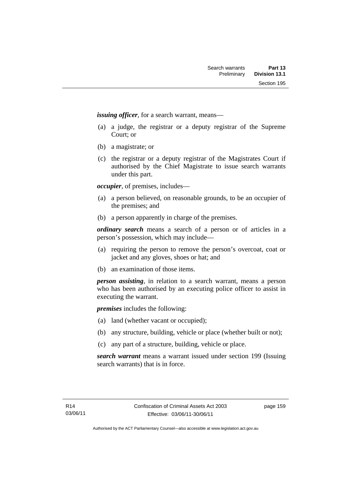*issuing officer*, for a search warrant, means—

- (a) a judge, the registrar or a deputy registrar of the Supreme Court; or
- (b) a magistrate; or
- (c) the registrar or a deputy registrar of the Magistrates Court if authorised by the Chief Magistrate to issue search warrants under this part.

*occupier*, of premises, includes—

- (a) a person believed, on reasonable grounds, to be an occupier of the premises; and
- (b) a person apparently in charge of the premises.

*ordinary search* means a search of a person or of articles in a person's possession, which may include—

- (a) requiring the person to remove the person's overcoat, coat or jacket and any gloves, shoes or hat; and
- (b) an examination of those items.

*person assisting*, in relation to a search warrant, means a person who has been authorised by an executing police officer to assist in executing the warrant.

*premises* includes the following:

- (a) land (whether vacant or occupied);
- (b) any structure, building, vehicle or place (whether built or not);
- (c) any part of a structure, building, vehicle or place.

*search warrant* means a warrant issued under section 199 (Issuing search warrants) that is in force.

page 159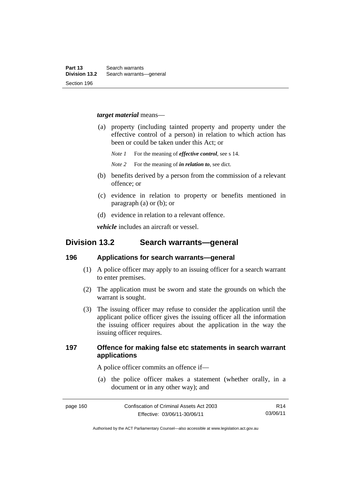#### *target material* means—

- (a) property (including tainted property and property under the effective control of a person) in relation to which action has been or could be taken under this Act; or
	- *Note 1* For the meaning of *effective control*, see s 14.
	- *Note 2* For the meaning of *in relation to*, see dict.
- (b) benefits derived by a person from the commission of a relevant offence; or
- (c) evidence in relation to property or benefits mentioned in paragraph (a) or (b); or
- (d) evidence in relation to a relevant offence.

*vehicle* includes an aircraft or vessel.

# **Division 13.2 Search warrants—general**

#### **196 Applications for search warrants—general**

- (1) A police officer may apply to an issuing officer for a search warrant to enter premises.
- (2) The application must be sworn and state the grounds on which the warrant is sought.
- (3) The issuing officer may refuse to consider the application until the applicant police officer gives the issuing officer all the information the issuing officer requires about the application in the way the issuing officer requires.

# **197 Offence for making false etc statements in search warrant applications**

A police officer commits an offence if—

 (a) the police officer makes a statement (whether orally, in a document or in any other way); and

page 160 Confiscation of Criminal Assets Act 2003 Effective: 03/06/11-30/06/11 R14 03/06/11

Authorised by the ACT Parliamentary Counsel—also accessible at www.legislation.act.gov.au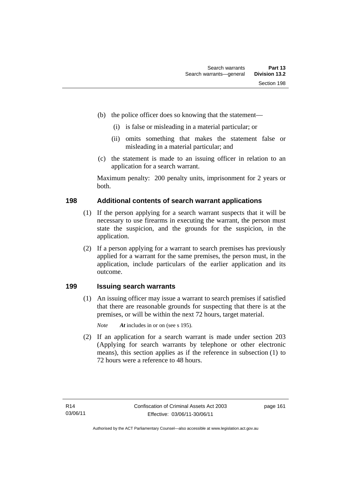- (b) the police officer does so knowing that the statement—
	- (i) is false or misleading in a material particular; or
	- (ii) omits something that makes the statement false or misleading in a material particular; and
- (c) the statement is made to an issuing officer in relation to an application for a search warrant.

Maximum penalty: 200 penalty units, imprisonment for 2 years or both.

# **198 Additional contents of search warrant applications**

- (1) If the person applying for a search warrant suspects that it will be necessary to use firearms in executing the warrant, the person must state the suspicion, and the grounds for the suspicion, in the application.
- (2) If a person applying for a warrant to search premises has previously applied for a warrant for the same premises, the person must, in the application, include particulars of the earlier application and its outcome.

# **199 Issuing search warrants**

(1) An issuing officer may issue a warrant to search premises if satisfied that there are reasonable grounds for suspecting that there is at the premises, or will be within the next 72 hours, target material.

*Note At* includes in or on (see s 195).

 (2) If an application for a search warrant is made under section 203 (Applying for search warrants by telephone or other electronic means), this section applies as if the reference in subsection (1) to 72 hours were a reference to 48 hours.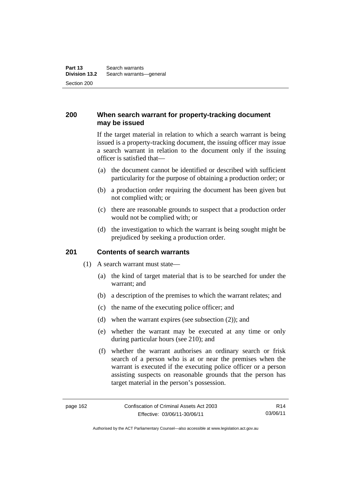# **200 When search warrant for property-tracking document may be issued**

If the target material in relation to which a search warrant is being issued is a property-tracking document, the issuing officer may issue a search warrant in relation to the document only if the issuing officer is satisfied that—

- (a) the document cannot be identified or described with sufficient particularity for the purpose of obtaining a production order; or
- (b) a production order requiring the document has been given but not complied with; or
- (c) there are reasonable grounds to suspect that a production order would not be complied with; or
- (d) the investigation to which the warrant is being sought might be prejudiced by seeking a production order.

### **201 Contents of search warrants**

- (1) A search warrant must state—
	- (a) the kind of target material that is to be searched for under the warrant; and
	- (b) a description of the premises to which the warrant relates; and
	- (c) the name of the executing police officer; and
	- (d) when the warrant expires (see subsection (2)); and
	- (e) whether the warrant may be executed at any time or only during particular hours (see 210); and
	- (f) whether the warrant authorises an ordinary search or frisk search of a person who is at or near the premises when the warrant is executed if the executing police officer or a person assisting suspects on reasonable grounds that the person has target material in the person's possession.

R14 03/06/11

Authorised by the ACT Parliamentary Counsel—also accessible at www.legislation.act.gov.au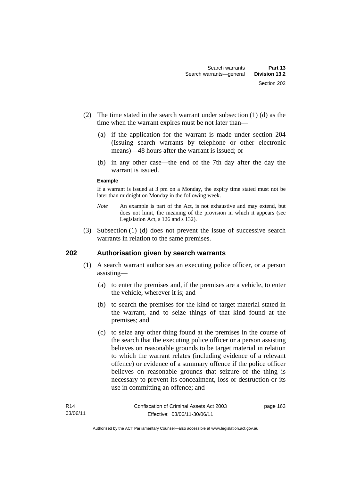- (2) The time stated in the search warrant under subsection (1) (d) as the time when the warrant expires must be not later than—
	- (a) if the application for the warrant is made under section 204 (Issuing search warrants by telephone or other electronic means)—48 hours after the warrant is issued; or
	- (b) in any other case—the end of the 7th day after the day the warrant is issued.

#### **Example**

If a warrant is issued at 3 pm on a Monday, the expiry time stated must not be later than midnight on Monday in the following week.

- *Note* An example is part of the Act, is not exhaustive and may extend, but does not limit, the meaning of the provision in which it appears (see Legislation Act, s 126 and s 132).
- (3) Subsection (1) (d) does not prevent the issue of successive search warrants in relation to the same premises.

# **202 Authorisation given by search warrants**

- (1) A search warrant authorises an executing police officer, or a person assisting—
	- (a) to enter the premises and, if the premises are a vehicle, to enter the vehicle, wherever it is; and
	- (b) to search the premises for the kind of target material stated in the warrant, and to seize things of that kind found at the premises; and
	- (c) to seize any other thing found at the premises in the course of the search that the executing police officer or a person assisting believes on reasonable grounds to be target material in relation to which the warrant relates (including evidence of a relevant offence) or evidence of a summary offence if the police officer believes on reasonable grounds that seizure of the thing is necessary to prevent its concealment, loss or destruction or its use in committing an offence; and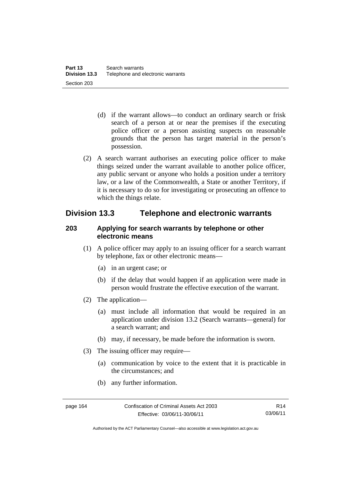- (d) if the warrant allows—to conduct an ordinary search or frisk search of a person at or near the premises if the executing police officer or a person assisting suspects on reasonable grounds that the person has target material in the person's possession.
- (2) A search warrant authorises an executing police officer to make things seized under the warrant available to another police officer, any public servant or anyone who holds a position under a territory law, or a law of the Commonwealth, a State or another Territory, if it is necessary to do so for investigating or prosecuting an offence to which the things relate.

# **Division 13.3 Telephone and electronic warrants**

# **203 Applying for search warrants by telephone or other electronic means**

- (1) A police officer may apply to an issuing officer for a search warrant by telephone, fax or other electronic means—
	- (a) in an urgent case; or
	- (b) if the delay that would happen if an application were made in person would frustrate the effective execution of the warrant.
- (2) The application—
	- (a) must include all information that would be required in an application under division 13.2 (Search warrants—general) for a search warrant; and
	- (b) may, if necessary, be made before the information is sworn.
- (3) The issuing officer may require—
	- (a) communication by voice to the extent that it is practicable in the circumstances; and
	- (b) any further information.

Authorised by the ACT Parliamentary Counsel—also accessible at www.legislation.act.gov.au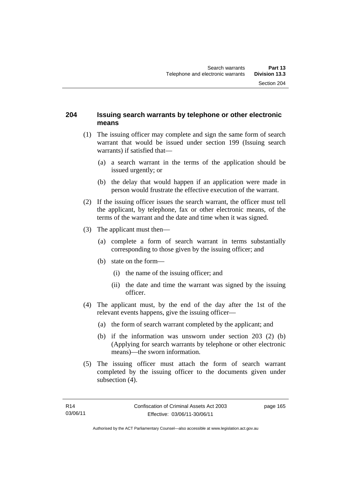# **204 Issuing search warrants by telephone or other electronic means**

- (1) The issuing officer may complete and sign the same form of search warrant that would be issued under section 199 (Issuing search warrants) if satisfied that—
	- (a) a search warrant in the terms of the application should be issued urgently; or
	- (b) the delay that would happen if an application were made in person would frustrate the effective execution of the warrant.
- (2) If the issuing officer issues the search warrant, the officer must tell the applicant, by telephone, fax or other electronic means, of the terms of the warrant and the date and time when it was signed.
- (3) The applicant must then—
	- (a) complete a form of search warrant in terms substantially corresponding to those given by the issuing officer; and
	- (b) state on the form—
		- (i) the name of the issuing officer; and
		- (ii) the date and time the warrant was signed by the issuing officer.
- (4) The applicant must, by the end of the day after the 1st of the relevant events happens, give the issuing officer—
	- (a) the form of search warrant completed by the applicant; and
	- (b) if the information was unsworn under section 203 (2) (b) (Applying for search warrants by telephone or other electronic means)—the sworn information.
- (5) The issuing officer must attach the form of search warrant completed by the issuing officer to the documents given under subsection  $(4)$ .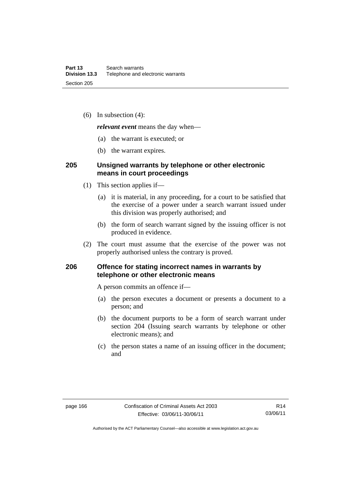(6) In subsection (4):

*relevant event* means the day when—

- (a) the warrant is executed; or
- (b) the warrant expires.

# **205 Unsigned warrants by telephone or other electronic means in court proceedings**

- (1) This section applies if—
	- (a) it is material, in any proceeding, for a court to be satisfied that the exercise of a power under a search warrant issued under this division was properly authorised; and
	- (b) the form of search warrant signed by the issuing officer is not produced in evidence.
- (2) The court must assume that the exercise of the power was not properly authorised unless the contrary is proved.

# **206 Offence for stating incorrect names in warrants by telephone or other electronic means**

A person commits an offence if—

- (a) the person executes a document or presents a document to a person; and
- (b) the document purports to be a form of search warrant under section 204 (Issuing search warrants by telephone or other electronic means); and
- (c) the person states a name of an issuing officer in the document; and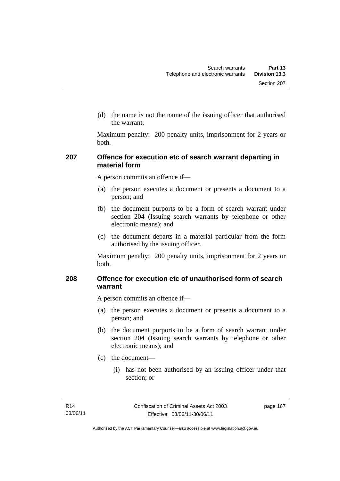(d) the name is not the name of the issuing officer that authorised the warrant.

Maximum penalty: 200 penalty units, imprisonment for 2 years or both.

# **207 Offence for execution etc of search warrant departing in material form**

A person commits an offence if—

- (a) the person executes a document or presents a document to a person; and
- (b) the document purports to be a form of search warrant under section 204 (Issuing search warrants by telephone or other electronic means); and
- (c) the document departs in a material particular from the form authorised by the issuing officer.

Maximum penalty: 200 penalty units, imprisonment for 2 years or both.

# **208 Offence for execution etc of unauthorised form of search warrant**

A person commits an offence if—

- (a) the person executes a document or presents a document to a person; and
- (b) the document purports to be a form of search warrant under section 204 (Issuing search warrants by telephone or other electronic means); and
- (c) the document—
	- (i) has not been authorised by an issuing officer under that section; or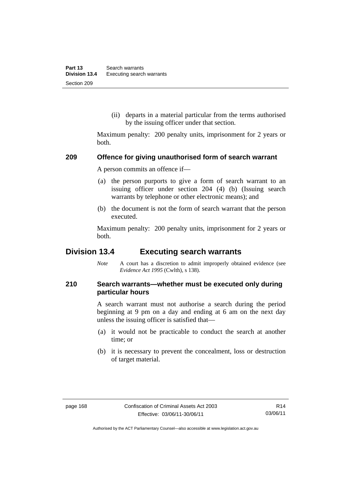(ii) departs in a material particular from the terms authorised by the issuing officer under that section.

Maximum penalty: 200 penalty units, imprisonment for 2 years or both.

#### **209 Offence for giving unauthorised form of search warrant**

A person commits an offence if—

- (a) the person purports to give a form of search warrant to an issuing officer under section 204 (4) (b) (Issuing search warrants by telephone or other electronic means); and
- (b) the document is not the form of search warrant that the person executed.

Maximum penalty: 200 penalty units, imprisonment for 2 years or both.

# **Division 13.4 Executing search warrants**

*Note* A court has a discretion to admit improperly obtained evidence (see *Evidence Act 1995* (Cwlth), s 138).

# **210 Search warrants—whether must be executed only during particular hours**

A search warrant must not authorise a search during the period beginning at 9 pm on a day and ending at 6 am on the next day unless the issuing officer is satisfied that—

- (a) it would not be practicable to conduct the search at another time; or
- (b) it is necessary to prevent the concealment, loss or destruction of target material.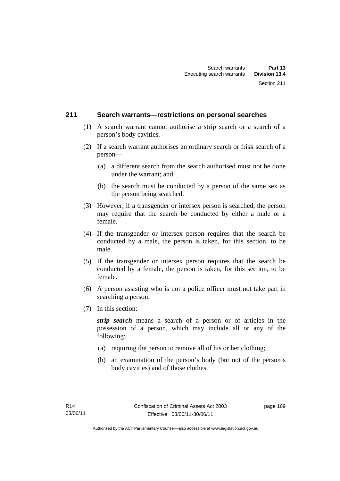### **211 Search warrants—restrictions on personal searches**

- (1) A search warrant cannot authorise a strip search or a search of a person's body cavities.
- (2) If a search warrant authorises an ordinary search or frisk search of a person—
	- (a) a different search from the search authorised must not be done under the warrant; and
	- (b) the search must be conducted by a person of the same sex as the person being searched.
- (3) However, if a transgender or intersex person is searched, the person may require that the search be conducted by either a male or a female.
- (4) If the transgender or intersex person requires that the search be conducted by a male, the person is taken, for this section, to be male.
- (5) If the transgender or intersex person requires that the search be conducted by a female, the person is taken, for this section, to be female.
- (6) A person assisting who is not a police officer must not take part in searching a person.
- (7) In this section:

*strip search* means a search of a person or of articles in the possession of a person, which may include all or any of the following:

- (a) requiring the person to remove all of his or her clothing;
- (b) an examination of the person's body (but not of the person's body cavities) and of those clothes.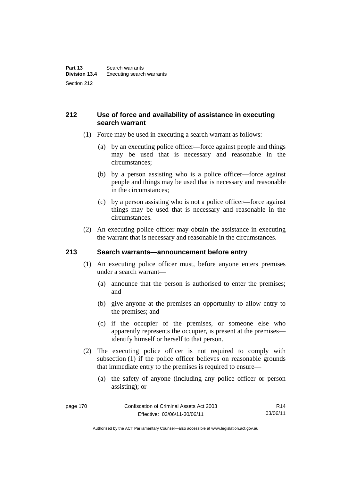# **212 Use of force and availability of assistance in executing search warrant**

- (1) Force may be used in executing a search warrant as follows:
	- (a) by an executing police officer—force against people and things may be used that is necessary and reasonable in the circumstances;
	- (b) by a person assisting who is a police officer—force against people and things may be used that is necessary and reasonable in the circumstances;
	- (c) by a person assisting who is not a police officer—force against things may be used that is necessary and reasonable in the circumstances.
- (2) An executing police officer may obtain the assistance in executing the warrant that is necessary and reasonable in the circumstances.

### **213 Search warrants—announcement before entry**

- (1) An executing police officer must, before anyone enters premises under a search warrant—
	- (a) announce that the person is authorised to enter the premises; and
	- (b) give anyone at the premises an opportunity to allow entry to the premises; and
	- (c) if the occupier of the premises, or someone else who apparently represents the occupier, is present at the premises identify himself or herself to that person.
- (2) The executing police officer is not required to comply with subsection (1) if the police officer believes on reasonable grounds that immediate entry to the premises is required to ensure—
	- (a) the safety of anyone (including any police officer or person assisting); or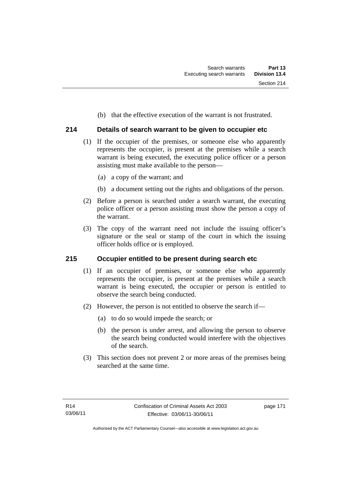(b) that the effective execution of the warrant is not frustrated.

# **214 Details of search warrant to be given to occupier etc**

- (1) If the occupier of the premises, or someone else who apparently represents the occupier, is present at the premises while a search warrant is being executed, the executing police officer or a person assisting must make available to the person—
	- (a) a copy of the warrant; and
	- (b) a document setting out the rights and obligations of the person.
- (2) Before a person is searched under a search warrant, the executing police officer or a person assisting must show the person a copy of the warrant.
- (3) The copy of the warrant need not include the issuing officer's signature or the seal or stamp of the court in which the issuing officer holds office or is employed.

### **215 Occupier entitled to be present during search etc**

- (1) If an occupier of premises, or someone else who apparently represents the occupier, is present at the premises while a search warrant is being executed, the occupier or person is entitled to observe the search being conducted.
- (2) However, the person is not entitled to observe the search if—
	- (a) to do so would impede the search; or
	- (b) the person is under arrest, and allowing the person to observe the search being conducted would interfere with the objectives of the search.
- (3) This section does not prevent 2 or more areas of the premises being searched at the same time.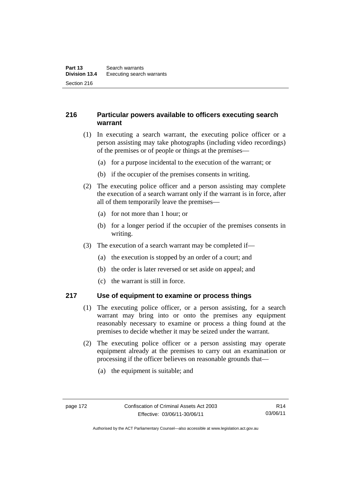# **216 Particular powers available to officers executing search warrant**

- (1) In executing a search warrant, the executing police officer or a person assisting may take photographs (including video recordings) of the premises or of people or things at the premises—
	- (a) for a purpose incidental to the execution of the warrant; or
	- (b) if the occupier of the premises consents in writing.
- (2) The executing police officer and a person assisting may complete the execution of a search warrant only if the warrant is in force, after all of them temporarily leave the premises—
	- (a) for not more than 1 hour; or
	- (b) for a longer period if the occupier of the premises consents in writing.
- (3) The execution of a search warrant may be completed if—
	- (a) the execution is stopped by an order of a court; and
	- (b) the order is later reversed or set aside on appeal; and
	- (c) the warrant is still in force.

### **217 Use of equipment to examine or process things**

- (1) The executing police officer, or a person assisting, for a search warrant may bring into or onto the premises any equipment reasonably necessary to examine or process a thing found at the premises to decide whether it may be seized under the warrant.
- (2) The executing police officer or a person assisting may operate equipment already at the premises to carry out an examination or processing if the officer believes on reasonable grounds that—
	- (a) the equipment is suitable; and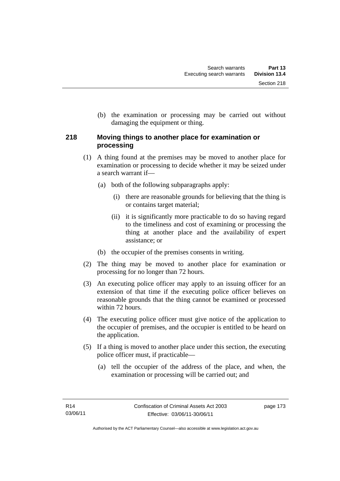(b) the examination or processing may be carried out without damaging the equipment or thing.

# **218 Moving things to another place for examination or processing**

- (1) A thing found at the premises may be moved to another place for examination or processing to decide whether it may be seized under a search warrant if—
	- (a) both of the following subparagraphs apply:
		- (i) there are reasonable grounds for believing that the thing is or contains target material;
		- (ii) it is significantly more practicable to do so having regard to the timeliness and cost of examining or processing the thing at another place and the availability of expert assistance; or
	- (b) the occupier of the premises consents in writing.
- (2) The thing may be moved to another place for examination or processing for no longer than 72 hours.
- (3) An executing police officer may apply to an issuing officer for an extension of that time if the executing police officer believes on reasonable grounds that the thing cannot be examined or processed within 72 hours.
- (4) The executing police officer must give notice of the application to the occupier of premises, and the occupier is entitled to be heard on the application.
- (5) If a thing is moved to another place under this section, the executing police officer must, if practicable—
	- (a) tell the occupier of the address of the place, and when, the examination or processing will be carried out; and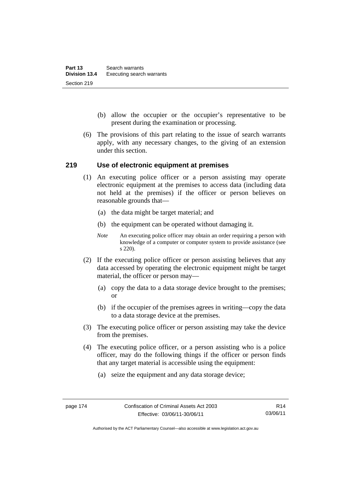- (b) allow the occupier or the occupier's representative to be present during the examination or processing.
- (6) The provisions of this part relating to the issue of search warrants apply, with any necessary changes, to the giving of an extension under this section.

#### **219 Use of electronic equipment at premises**

- (1) An executing police officer or a person assisting may operate electronic equipment at the premises to access data (including data not held at the premises) if the officer or person believes on reasonable grounds that—
	- (a) the data might be target material; and
	- (b) the equipment can be operated without damaging it.
	- *Note* An executing police officer may obtain an order requiring a person with knowledge of a computer or computer system to provide assistance (see s 220).
- (2) If the executing police officer or person assisting believes that any data accessed by operating the electronic equipment might be target material, the officer or person may—
	- (a) copy the data to a data storage device brought to the premises; or
	- (b) if the occupier of the premises agrees in writing—copy the data to a data storage device at the premises.
- (3) The executing police officer or person assisting may take the device from the premises.
- (4) The executing police officer, or a person assisting who is a police officer, may do the following things if the officer or person finds that any target material is accessible using the equipment:
	- (a) seize the equipment and any data storage device;

Authorised by the ACT Parliamentary Counsel—also accessible at www.legislation.act.gov.au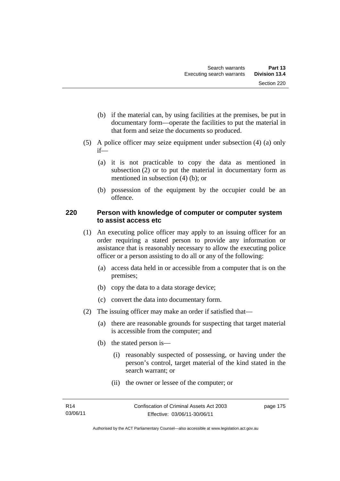- (b) if the material can, by using facilities at the premises, be put in documentary form—operate the facilities to put the material in that form and seize the documents so produced.
- (5) A police officer may seize equipment under subsection (4) (a) only if—
	- (a) it is not practicable to copy the data as mentioned in subsection (2) or to put the material in documentary form as mentioned in subsection (4) (b); or
	- (b) possession of the equipment by the occupier could be an offence.

# **220 Person with knowledge of computer or computer system to assist access etc**

- (1) An executing police officer may apply to an issuing officer for an order requiring a stated person to provide any information or assistance that is reasonably necessary to allow the executing police officer or a person assisting to do all or any of the following:
	- (a) access data held in or accessible from a computer that is on the premises;
	- (b) copy the data to a data storage device;
	- (c) convert the data into documentary form.
- (2) The issuing officer may make an order if satisfied that—
	- (a) there are reasonable grounds for suspecting that target material is accessible from the computer; and
	- (b) the stated person is—
		- (i) reasonably suspected of possessing, or having under the person's control, target material of the kind stated in the search warrant; or
		- (ii) the owner or lessee of the computer; or

page 175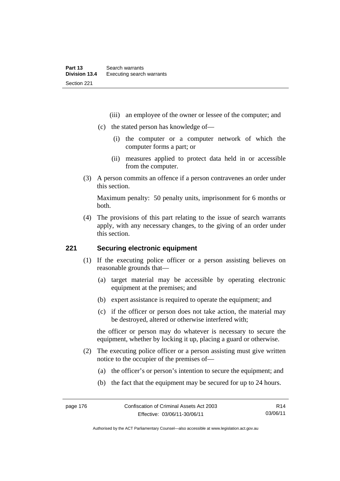- (iii) an employee of the owner or lessee of the computer; and
- (c) the stated person has knowledge of—
	- (i) the computer or a computer network of which the computer forms a part; or
	- (ii) measures applied to protect data held in or accessible from the computer.
- (3) A person commits an offence if a person contravenes an order under this section.

Maximum penalty: 50 penalty units, imprisonment for 6 months or both.

 (4) The provisions of this part relating to the issue of search warrants apply, with any necessary changes, to the giving of an order under this section.

## **221 Securing electronic equipment**

- (1) If the executing police officer or a person assisting believes on reasonable grounds that—
	- (a) target material may be accessible by operating electronic equipment at the premises; and
	- (b) expert assistance is required to operate the equipment; and
	- (c) if the officer or person does not take action, the material may be destroyed, altered or otherwise interfered with;

the officer or person may do whatever is necessary to secure the equipment, whether by locking it up, placing a guard or otherwise.

- (2) The executing police officer or a person assisting must give written notice to the occupier of the premises of—
	- (a) the officer's or person's intention to secure the equipment; and
	- (b) the fact that the equipment may be secured for up to 24 hours.

R14 03/06/11

Authorised by the ACT Parliamentary Counsel—also accessible at www.legislation.act.gov.au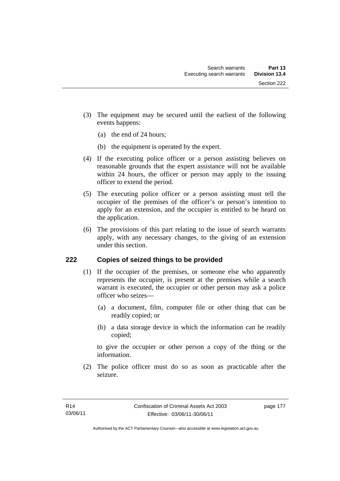- (3) The equipment may be secured until the earliest of the following events happens:
	- (a) the end of 24 hours;
	- (b) the equipment is operated by the expert.
- (4) If the executing police officer or a person assisting believes on reasonable grounds that the expert assistance will not be available within 24 hours, the officer or person may apply to the issuing officer to extend the period.
- (5) The executing police officer or a person assisting must tell the occupier of the premises of the officer's or person's intention to apply for an extension, and the occupier is entitled to be heard on the application.
- (6) The provisions of this part relating to the issue of search warrants apply, with any necessary changes, to the giving of an extension under this section.

# **222 Copies of seized things to be provided**

- (1) If the occupier of the premises, or someone else who apparently represents the occupier, is present at the premises while a search warrant is executed, the occupier or other person may ask a police officer who seizes—
	- (a) a document, film, computer file or other thing that can be readily copied; or
	- (b) a data storage device in which the information can be readily copied;

to give the occupier or other person a copy of the thing or the information.

 (2) The police officer must do so as soon as practicable after the seizure.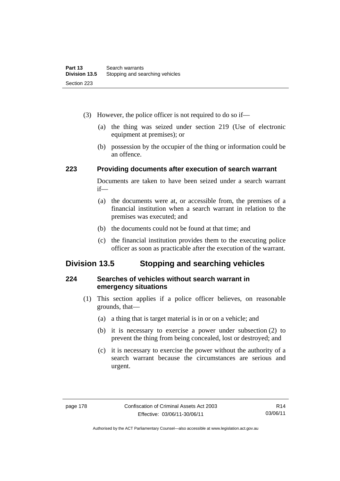- (3) However, the police officer is not required to do so if—
	- (a) the thing was seized under section 219 (Use of electronic equipment at premises); or
	- (b) possession by the occupier of the thing or information could be an offence.

### **223 Providing documents after execution of search warrant**

Documents are taken to have been seized under a search warrant if—

- (a) the documents were at, or accessible from, the premises of a financial institution when a search warrant in relation to the premises was executed; and
- (b) the documents could not be found at that time; and
- (c) the financial institution provides them to the executing police officer as soon as practicable after the execution of the warrant.

# **Division 13.5 Stopping and searching vehicles**

### **224 Searches of vehicles without search warrant in emergency situations**

- (1) This section applies if a police officer believes, on reasonable grounds, that—
	- (a) a thing that is target material is in or on a vehicle; and
	- (b) it is necessary to exercise a power under subsection (2) to prevent the thing from being concealed, lost or destroyed; and
	- (c) it is necessary to exercise the power without the authority of a search warrant because the circumstances are serious and urgent.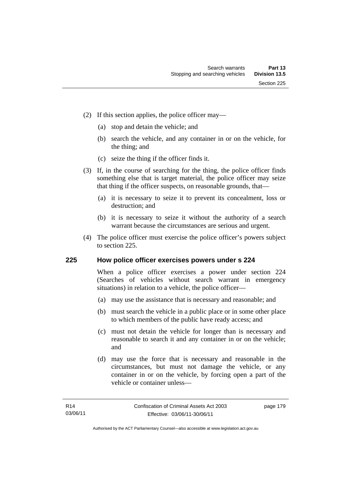- (2) If this section applies, the police officer may—
	- (a) stop and detain the vehicle; and
	- (b) search the vehicle, and any container in or on the vehicle, for the thing; and
	- (c) seize the thing if the officer finds it.
- (3) If, in the course of searching for the thing, the police officer finds something else that is target material, the police officer may seize that thing if the officer suspects, on reasonable grounds, that—
	- (a) it is necessary to seize it to prevent its concealment, loss or destruction; and
	- (b) it is necessary to seize it without the authority of a search warrant because the circumstances are serious and urgent.
- (4) The police officer must exercise the police officer's powers subject to section 225.

### **225 How police officer exercises powers under s 224**

When a police officer exercises a power under section 224 (Searches of vehicles without search warrant in emergency situations) in relation to a vehicle, the police officer—

- (a) may use the assistance that is necessary and reasonable; and
- (b) must search the vehicle in a public place or in some other place to which members of the public have ready access; and
- (c) must not detain the vehicle for longer than is necessary and reasonable to search it and any container in or on the vehicle; and
- (d) may use the force that is necessary and reasonable in the circumstances, but must not damage the vehicle, or any container in or on the vehicle, by forcing open a part of the vehicle or container unless—

page 179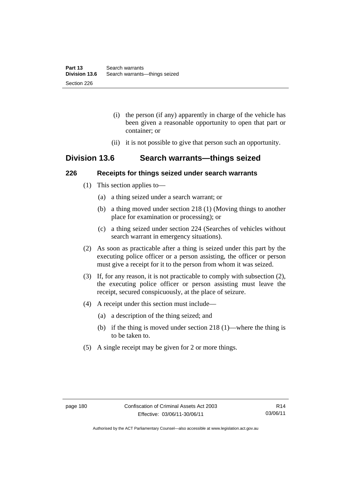- (i) the person (if any) apparently in charge of the vehicle has been given a reasonable opportunity to open that part or container; or
- (ii) it is not possible to give that person such an opportunity.

# **Division 13.6 Search warrants—things seized**

### **226 Receipts for things seized under search warrants**

- (1) This section applies to—
	- (a) a thing seized under a search warrant; or
	- (b) a thing moved under section 218 (1) (Moving things to another place for examination or processing); or
	- (c) a thing seized under section 224 (Searches of vehicles without search warrant in emergency situations).
- (2) As soon as practicable after a thing is seized under this part by the executing police officer or a person assisting, the officer or person must give a receipt for it to the person from whom it was seized.
- (3) If, for any reason, it is not practicable to comply with subsection (2), the executing police officer or person assisting must leave the receipt, secured conspicuously, at the place of seizure.
- (4) A receipt under this section must include—
	- (a) a description of the thing seized; and
	- (b) if the thing is moved under section 218 (1)—where the thing is to be taken to.
- (5) A single receipt may be given for 2 or more things.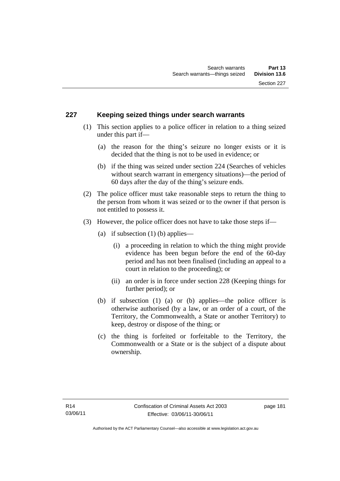## **227 Keeping seized things under search warrants**

- (1) This section applies to a police officer in relation to a thing seized under this part if—
	- (a) the reason for the thing's seizure no longer exists or it is decided that the thing is not to be used in evidence; or
	- (b) if the thing was seized under section 224 (Searches of vehicles without search warrant in emergency situations)—the period of 60 days after the day of the thing's seizure ends.
- (2) The police officer must take reasonable steps to return the thing to the person from whom it was seized or to the owner if that person is not entitled to possess it.
- (3) However, the police officer does not have to take those steps if—
	- (a) if subsection  $(1)$  (b) applies—
		- (i) a proceeding in relation to which the thing might provide evidence has been begun before the end of the 60-day period and has not been finalised (including an appeal to a court in relation to the proceeding); or
		- (ii) an order is in force under section 228 (Keeping things for further period); or
	- (b) if subsection (1) (a) or (b) applies—the police officer is otherwise authorised (by a law, or an order of a court, of the Territory, the Commonwealth, a State or another Territory) to keep, destroy or dispose of the thing; or
	- (c) the thing is forfeited or forfeitable to the Territory, the Commonwealth or a State or is the subject of a dispute about ownership.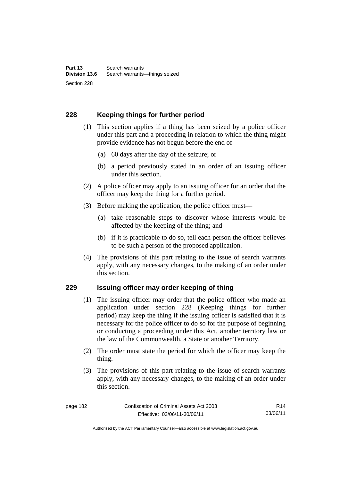# **228 Keeping things for further period**

- (1) This section applies if a thing has been seized by a police officer under this part and a proceeding in relation to which the thing might provide evidence has not begun before the end of—
	- (a) 60 days after the day of the seizure; or
	- (b) a period previously stated in an order of an issuing officer under this section.
- (2) A police officer may apply to an issuing officer for an order that the officer may keep the thing for a further period.
- (3) Before making the application, the police officer must—
	- (a) take reasonable steps to discover whose interests would be affected by the keeping of the thing; and
	- (b) if it is practicable to do so, tell each person the officer believes to be such a person of the proposed application.
- (4) The provisions of this part relating to the issue of search warrants apply, with any necessary changes, to the making of an order under this section.

### **229 Issuing officer may order keeping of thing**

- (1) The issuing officer may order that the police officer who made an application under section 228 (Keeping things for further period) may keep the thing if the issuing officer is satisfied that it is necessary for the police officer to do so for the purpose of beginning or conducting a proceeding under this Act, another territory law or the law of the Commonwealth, a State or another Territory.
- (2) The order must state the period for which the officer may keep the thing.
- (3) The provisions of this part relating to the issue of search warrants apply, with any necessary changes, to the making of an order under this section.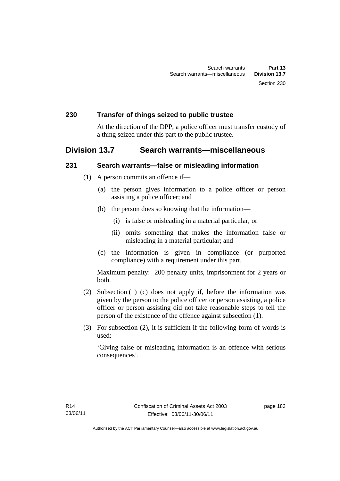#### **230 Transfer of things seized to public trustee**

At the direction of the DPP, a police officer must transfer custody of a thing seized under this part to the public trustee.

# **Division 13.7 Search warrants—miscellaneous**

#### **231 Search warrants—false or misleading information**

- (1) A person commits an offence if—
	- (a) the person gives information to a police officer or person assisting a police officer; and
	- (b) the person does so knowing that the information—
		- (i) is false or misleading in a material particular; or
		- (ii) omits something that makes the information false or misleading in a material particular; and
	- (c) the information is given in compliance (or purported compliance) with a requirement under this part.

Maximum penalty: 200 penalty units, imprisonment for 2 years or both.

- (2) Subsection (1) (c) does not apply if, before the information was given by the person to the police officer or person assisting, a police officer or person assisting did not take reasonable steps to tell the person of the existence of the offence against subsection (1).
- (3) For subsection (2), it is sufficient if the following form of words is used:

'Giving false or misleading information is an offence with serious consequences'.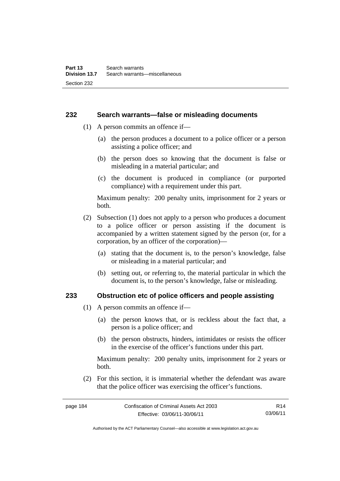#### **232 Search warrants—false or misleading documents**

- (1) A person commits an offence if—
	- (a) the person produces a document to a police officer or a person assisting a police officer; and
	- (b) the person does so knowing that the document is false or misleading in a material particular; and
	- (c) the document is produced in compliance (or purported compliance) with a requirement under this part.

Maximum penalty: 200 penalty units, imprisonment for 2 years or both.

- (2) Subsection (1) does not apply to a person who produces a document to a police officer or person assisting if the document is accompanied by a written statement signed by the person (or, for a corporation, by an officer of the corporation)—
	- (a) stating that the document is, to the person's knowledge, false or misleading in a material particular; and
	- (b) setting out, or referring to, the material particular in which the document is, to the person's knowledge, false or misleading.

#### **233 Obstruction etc of police officers and people assisting**

- (1) A person commits an offence if—
	- (a) the person knows that, or is reckless about the fact that, a person is a police officer; and
	- (b) the person obstructs, hinders, intimidates or resists the officer in the exercise of the officer's functions under this part.

Maximum penalty: 200 penalty units, imprisonment for 2 years or both.

 (2) For this section, it is immaterial whether the defendant was aware that the police officer was exercising the officer's functions.

page 184 Confiscation of Criminal Assets Act 2003 Effective: 03/06/11-30/06/11 R14 03/06/11

Authorised by the ACT Parliamentary Counsel—also accessible at www.legislation.act.gov.au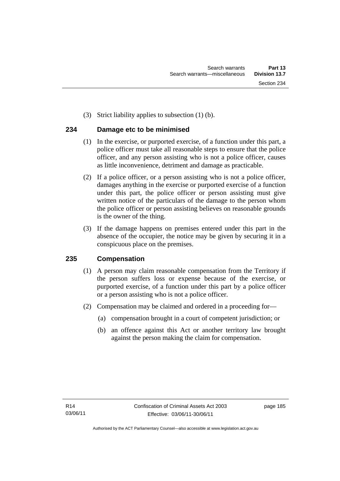(3) Strict liability applies to subsection (1) (b).

# **234 Damage etc to be minimised**

- (1) In the exercise, or purported exercise, of a function under this part, a police officer must take all reasonable steps to ensure that the police officer, and any person assisting who is not a police officer, causes as little inconvenience, detriment and damage as practicable.
- (2) If a police officer, or a person assisting who is not a police officer, damages anything in the exercise or purported exercise of a function under this part, the police officer or person assisting must give written notice of the particulars of the damage to the person whom the police officer or person assisting believes on reasonable grounds is the owner of the thing.
- (3) If the damage happens on premises entered under this part in the absence of the occupier, the notice may be given by securing it in a conspicuous place on the premises.

# **235 Compensation**

- (1) A person may claim reasonable compensation from the Territory if the person suffers loss or expense because of the exercise, or purported exercise, of a function under this part by a police officer or a person assisting who is not a police officer.
- (2) Compensation may be claimed and ordered in a proceeding for—
	- (a) compensation brought in a court of competent jurisdiction; or
	- (b) an offence against this Act or another territory law brought against the person making the claim for compensation.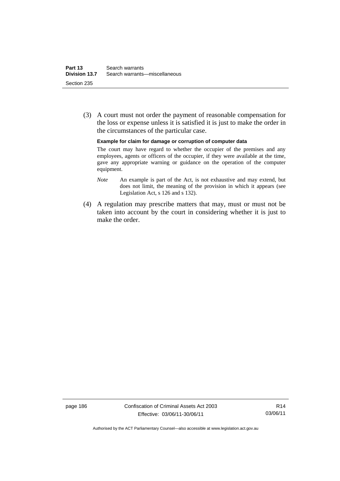(3) A court must not order the payment of reasonable compensation for the loss or expense unless it is satisfied it is just to make the order in the circumstances of the particular case.

**Example for claim for damage or corruption of computer data** 

The court may have regard to whether the occupier of the premises and any employees, agents or officers of the occupier, if they were available at the time, gave any appropriate warning or guidance on the operation of the computer equipment.

- *Note* An example is part of the Act, is not exhaustive and may extend, but does not limit, the meaning of the provision in which it appears (see Legislation Act, s 126 and s 132).
- (4) A regulation may prescribe matters that may, must or must not be taken into account by the court in considering whether it is just to make the order.

page 186 Confiscation of Criminal Assets Act 2003 Effective: 03/06/11-30/06/11

R14 03/06/11

Authorised by the ACT Parliamentary Counsel—also accessible at www.legislation.act.gov.au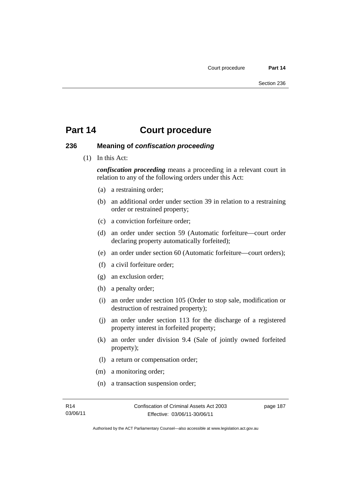#### **236 Meaning of** *confiscation proceeding*

(1) In this Act:

*confiscation proceeding* means a proceeding in a relevant court in relation to any of the following orders under this Act:

- (a) a restraining order;
- (b) an additional order under section 39 in relation to a restraining order or restrained property;
- (c) a conviction forfeiture order;
- (d) an order under section 59 (Automatic forfeiture—court order declaring property automatically forfeited);
- (e) an order under section 60 (Automatic forfeiture—court orders);
- (f) a civil forfeiture order;
- (g) an exclusion order;
- (h) a penalty order;
- (i) an order under section 105 (Order to stop sale, modification or destruction of restrained property);
- (j) an order under section 113 for the discharge of a registered property interest in forfeited property;
- (k) an order under division 9.4 (Sale of jointly owned forfeited property);
- (l) a return or compensation order;
- (m) a monitoring order;
- (n) a transaction suspension order;

page 187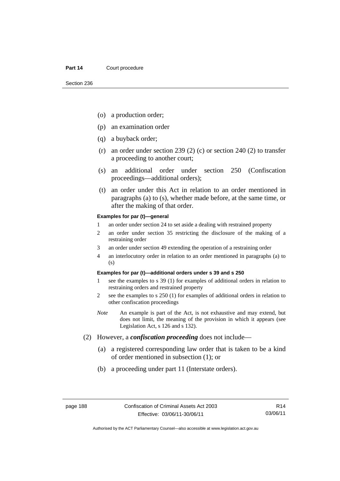- (o) a production order;
- (p) an examination order
- (q) a buyback order;
- (r) an order under section 239 (2) (c) or section 240 (2) to transfer a proceeding to another court;
- (s) an additional order under section 250 (Confiscation proceedings—additional orders);
- (t) an order under this Act in relation to an order mentioned in paragraphs (a) to (s), whether made before, at the same time, or after the making of that order.

#### **Examples for par (t)—general**

- 1 an order under section 24 to set aside a dealing with restrained property
- 2 an order under section 35 restricting the disclosure of the making of a restraining order
- 3 an order under section 49 extending the operation of a restraining order
- 4 an interlocutory order in relation to an order mentioned in paragraphs (a) to (s)

#### **Examples for par (t)—additional orders under s 39 and s 250**

- 1 see the examples to s 39 (1) for examples of additional orders in relation to restraining orders and restrained property
- 2 see the examples to s 250 (1) for examples of additional orders in relation to other confiscation proceedings
- *Note* An example is part of the Act, is not exhaustive and may extend, but does not limit, the meaning of the provision in which it appears (see Legislation Act, s 126 and s 132).
- (2) However, a *confiscation proceeding* does not include—
	- (a) a registered corresponding law order that is taken to be a kind of order mentioned in subsection (1); or
	- (b) a proceeding under part 11 (Interstate orders).

R14 03/06/11

Authorised by the ACT Parliamentary Counsel—also accessible at www.legislation.act.gov.au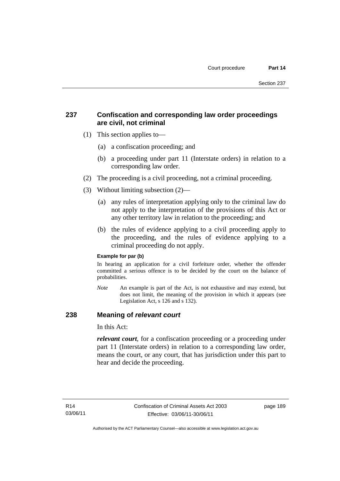# **237 Confiscation and corresponding law order proceedings are civil, not criminal**

- (1) This section applies to—
	- (a) a confiscation proceeding; and
	- (b) a proceeding under part 11 (Interstate orders) in relation to a corresponding law order.
- (2) The proceeding is a civil proceeding, not a criminal proceeding.
- (3) Without limiting subsection (2)—
	- (a) any rules of interpretation applying only to the criminal law do not apply to the interpretation of the provisions of this Act or any other territory law in relation to the proceeding; and
	- (b) the rules of evidence applying to a civil proceeding apply to the proceeding, and the rules of evidence applying to a criminal proceeding do not apply.

#### **Example for par (b)**

In hearing an application for a civil forfeiture order, whether the offender committed a serious offence is to be decided by the court on the balance of probabilities.

*Note* An example is part of the Act, is not exhaustive and may extend, but does not limit, the meaning of the provision in which it appears (see Legislation Act, s 126 and s 132).

### **238 Meaning of** *relevant court*

In this Act:

*relevant court*, for a confiscation proceeding or a proceeding under part 11 (Interstate orders) in relation to a corresponding law order, means the court, or any court, that has jurisdiction under this part to hear and decide the proceeding.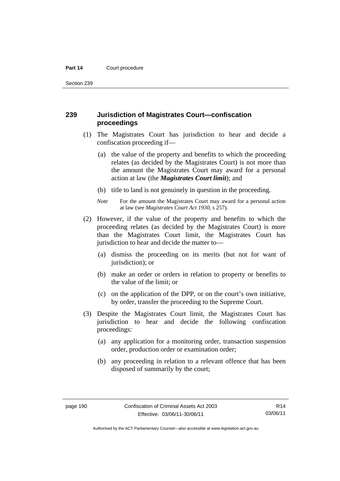Section 239

### **239 Jurisdiction of Magistrates Court—confiscation proceedings**

- (1) The Magistrates Court has jurisdiction to hear and decide a confiscation proceeding if—
	- (a) the value of the property and benefits to which the proceeding relates (as decided by the Magistrates Court) is not more than the amount the Magistrates Court may award for a personal action at law (the *Magistrates Court limit*); and
	- (b) title to land is not genuinely in question in the proceeding.
	- *Note* For the amount the Magistrates Court may award for a personal action at law (see *Magistrates Court Act 1930*, s 257).
- (2) However, if the value of the property and benefits to which the proceeding relates (as decided by the Magistrates Court) is more than the Magistrates Court limit, the Magistrates Court has jurisdiction to hear and decide the matter to—
	- (a) dismiss the proceeding on its merits (but not for want of jurisdiction); or
	- (b) make an order or orders in relation to property or benefits to the value of the limit; or
	- (c) on the application of the DPP, or on the court's own initiative, by order, transfer the proceeding to the Supreme Court.
- (3) Despite the Magistrates Court limit, the Magistrates Court has jurisdiction to hear and decide the following confiscation proceedings:
	- (a) any application for a monitoring order, transaction suspension order, production order or examination order;
	- (b) any proceeding in relation to a relevant offence that has been disposed of summarily by the court;

R14 03/06/11

Authorised by the ACT Parliamentary Counsel—also accessible at www.legislation.act.gov.au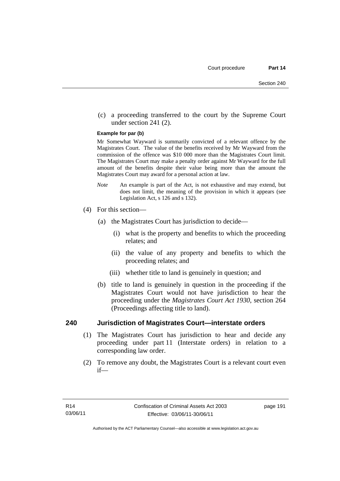(c) a proceeding transferred to the court by the Supreme Court under section 241 (2).

#### **Example for par (b)**

Mr Somewhat Wayward is summarily convicted of a relevant offence by the Magistrates Court. The value of the benefits received by Mr Wayward from the commission of the offence was \$10 000 more than the Magistrates Court limit. The Magistrates Court may make a penalty order against Mr Wayward for the full amount of the benefits despite their value being more than the amount the Magistrates Court may award for a personal action at law.

- *Note* An example is part of the Act, is not exhaustive and may extend, but does not limit, the meaning of the provision in which it appears (see Legislation Act, s 126 and s 132).
- (4) For this section—
	- (a) the Magistrates Court has jurisdiction to decide—
		- (i) what is the property and benefits to which the proceeding relates; and
		- (ii) the value of any property and benefits to which the proceeding relates; and
		- (iii) whether title to land is genuinely in question; and
	- (b) title to land is genuinely in question in the proceeding if the Magistrates Court would not have jurisdiction to hear the proceeding under the *Magistrates Court Act 1930*, section 264 (Proceedings affecting title to land).

#### **240 Jurisdiction of Magistrates Court—interstate orders**

- (1) The Magistrates Court has jurisdiction to hear and decide any proceeding under part 11 (Interstate orders) in relation to a corresponding law order.
- (2) To remove any doubt, the Magistrates Court is a relevant court even if—

page 191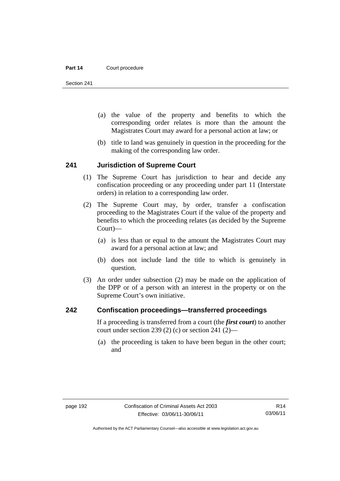Section 241

- (a) the value of the property and benefits to which the corresponding order relates is more than the amount the Magistrates Court may award for a personal action at law; or
- (b) title to land was genuinely in question in the proceeding for the making of the corresponding law order.

#### **241 Jurisdiction of Supreme Court**

- (1) The Supreme Court has jurisdiction to hear and decide any confiscation proceeding or any proceeding under part 11 (Interstate orders) in relation to a corresponding law order.
- (2) The Supreme Court may, by order, transfer a confiscation proceeding to the Magistrates Court if the value of the property and benefits to which the proceeding relates (as decided by the Supreme Court)—
	- (a) is less than or equal to the amount the Magistrates Court may award for a personal action at law; and
	- (b) does not include land the title to which is genuinely in question.
- (3) An order under subsection (2) may be made on the application of the DPP or of a person with an interest in the property or on the Supreme Court's own initiative.

#### **242 Confiscation proceedings—transferred proceedings**

If a proceeding is transferred from a court (the *first court*) to another court under section 239 (2) (c) or section 241 (2)—

 (a) the proceeding is taken to have been begun in the other court; and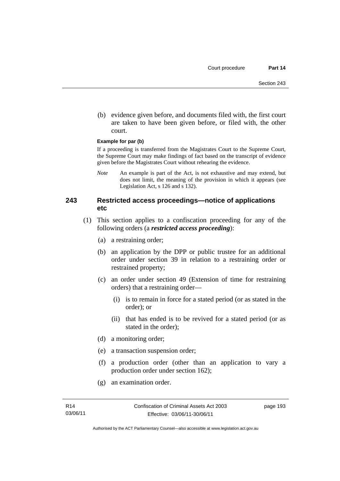(b) evidence given before, and documents filed with, the first court are taken to have been given before, or filed with, the other court.

#### **Example for par (b)**

If a proceeding is transferred from the Magistrates Court to the Supreme Court, the Supreme Court may make findings of fact based on the transcript of evidence given before the Magistrates Court without rehearing the evidence.

*Note* An example is part of the Act, is not exhaustive and may extend, but does not limit, the meaning of the provision in which it appears (see Legislation Act, s 126 and s 132).

### **243 Restricted access proceedings—notice of applications etc**

- (1) This section applies to a confiscation proceeding for any of the following orders (a *restricted access proceeding*):
	- (a) a restraining order;
	- (b) an application by the DPP or public trustee for an additional order under section 39 in relation to a restraining order or restrained property;
	- (c) an order under section 49 (Extension of time for restraining orders) that a restraining order—
		- (i) is to remain in force for a stated period (or as stated in the order); or
		- (ii) that has ended is to be revived for a stated period (or as stated in the order);
	- (d) a monitoring order;
	- (e) a transaction suspension order;
	- (f) a production order (other than an application to vary a production order under section 162);
	- (g) an examination order.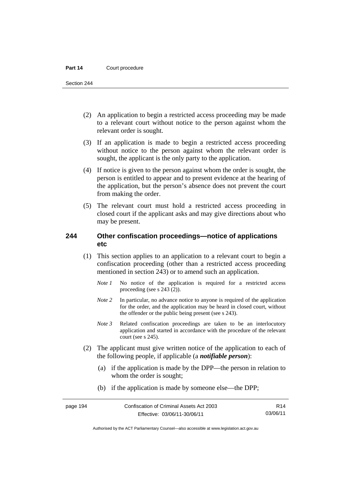Section 244

- (2) An application to begin a restricted access proceeding may be made to a relevant court without notice to the person against whom the relevant order is sought.
- (3) If an application is made to begin a restricted access proceeding without notice to the person against whom the relevant order is sought, the applicant is the only party to the application.
- (4) If notice is given to the person against whom the order is sought, the person is entitled to appear and to present evidence at the hearing of the application, but the person's absence does not prevent the court from making the order.
- (5) The relevant court must hold a restricted access proceeding in closed court if the applicant asks and may give directions about who may be present.

## **244 Other confiscation proceedings—notice of applications etc**

- (1) This section applies to an application to a relevant court to begin a confiscation proceeding (other than a restricted access proceeding mentioned in section 243) or to amend such an application.
	- *Note 1* No notice of the application is required for a restricted access proceeding (see s 243 (2)).
	- *Note 2* In particular, no advance notice to anyone is required of the application for the order, and the application may be heard in closed court, without the offender or the public being present (see s 243).
	- *Note 3* Related confiscation proceedings are taken to be an interlocutory application and started in accordance with the procedure of the relevant court (see s 245).
- (2) The applicant must give written notice of the application to each of the following people, if applicable (a *notifiable person*):
	- (a) if the application is made by the DPP—the person in relation to whom the order is sought;
	- (b) if the application is made by someone else—the DPP;

R14 03/06/11

Authorised by the ACT Parliamentary Counsel—also accessible at www.legislation.act.gov.au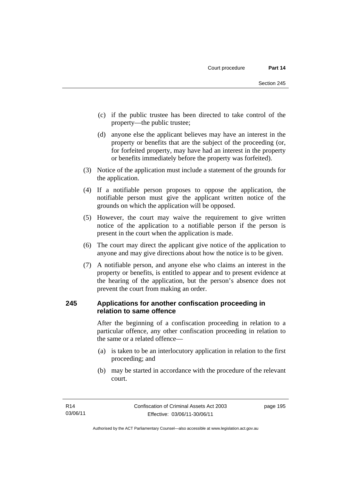- (c) if the public trustee has been directed to take control of the property—the public trustee;
- (d) anyone else the applicant believes may have an interest in the property or benefits that are the subject of the proceeding (or, for forfeited property, may have had an interest in the property or benefits immediately before the property was forfeited).
- (3) Notice of the application must include a statement of the grounds for the application.
- (4) If a notifiable person proposes to oppose the application, the notifiable person must give the applicant written notice of the grounds on which the application will be opposed.
- (5) However, the court may waive the requirement to give written notice of the application to a notifiable person if the person is present in the court when the application is made.
- (6) The court may direct the applicant give notice of the application to anyone and may give directions about how the notice is to be given.
- (7) A notifiable person, and anyone else who claims an interest in the property or benefits, is entitled to appear and to present evidence at the hearing of the application, but the person's absence does not prevent the court from making an order.

# **245 Applications for another confiscation proceeding in relation to same offence**

After the beginning of a confiscation proceeding in relation to a particular offence, any other confiscation proceeding in relation to the same or a related offence—

- (a) is taken to be an interlocutory application in relation to the first proceeding; and
- (b) may be started in accordance with the procedure of the relevant court.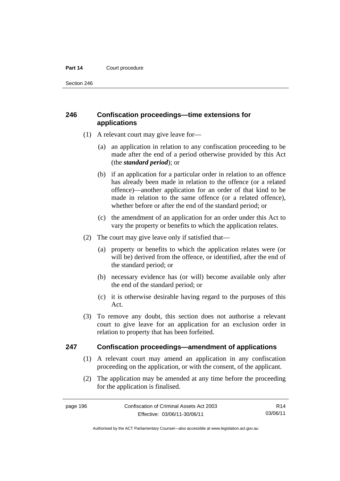Section 246

# **246 Confiscation proceedings—time extensions for applications**

- (1) A relevant court may give leave for—
	- (a) an application in relation to any confiscation proceeding to be made after the end of a period otherwise provided by this Act (the *standard period*); or
	- (b) if an application for a particular order in relation to an offence has already been made in relation to the offence (or a related offence)—another application for an order of that kind to be made in relation to the same offence (or a related offence), whether before or after the end of the standard period; or
	- (c) the amendment of an application for an order under this Act to vary the property or benefits to which the application relates.
- (2) The court may give leave only if satisfied that—
	- (a) property or benefits to which the application relates were (or will be) derived from the offence, or identified, after the end of the standard period; or
	- (b) necessary evidence has (or will) become available only after the end of the standard period; or
	- (c) it is otherwise desirable having regard to the purposes of this Act.
- (3) To remove any doubt, this section does not authorise a relevant court to give leave for an application for an exclusion order in relation to property that has been forfeited.

### **247 Confiscation proceedings—amendment of applications**

- (1) A relevant court may amend an application in any confiscation proceeding on the application, or with the consent, of the applicant.
- (2) The application may be amended at any time before the proceeding for the application is finalised.

R14 03/06/11

Authorised by the ACT Parliamentary Counsel—also accessible at www.legislation.act.gov.au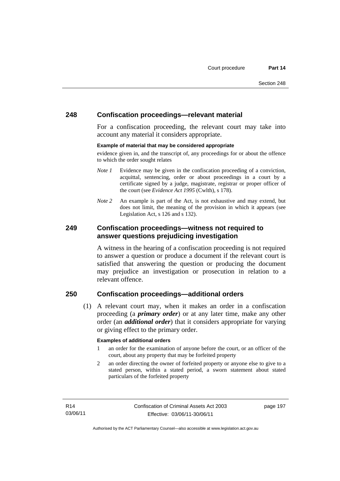## **248 Confiscation proceedings—relevant material**

For a confiscation proceeding, the relevant court may take into account any material it considers appropriate.

#### **Example of material that may be considered appropriate**

evidence given in, and the transcript of, any proceedings for or about the offence to which the order sought relates

- *Note 1* Evidence may be given in the confiscation proceeding of a conviction, acquittal, sentencing, order or about proceedings in a court by a certificate signed by a judge, magistrate, registrar or proper officer of the court (see *Evidence Act 1995* (Cwlth), s 178).
- *Note* 2 An example is part of the Act, is not exhaustive and may extend, but does not limit, the meaning of the provision in which it appears (see Legislation Act, s 126 and s 132).

### **249 Confiscation proceedings—witness not required to answer questions prejudicing investigation**

A witness in the hearing of a confiscation proceeding is not required to answer a question or produce a document if the relevant court is satisfied that answering the question or producing the document may prejudice an investigation or prosecution in relation to a relevant offence.

# **250 Confiscation proceedings—additional orders**

 (1) A relevant court may, when it makes an order in a confiscation proceeding (a *primary order*) or at any later time, make any other order (an *additional order*) that it considers appropriate for varying or giving effect to the primary order.

#### **Examples of additional orders**

- 1 an order for the examination of anyone before the court, or an officer of the court, about any property that may be forfeited property
- 2 an order directing the owner of forfeited property or anyone else to give to a stated person, within a stated period, a sworn statement about stated particulars of the forfeited property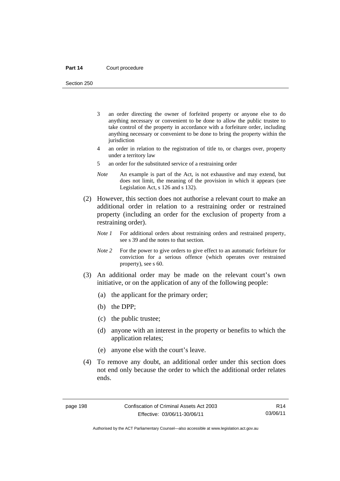Section 250

- 3 an order directing the owner of forfeited property or anyone else to do anything necessary or convenient to be done to allow the public trustee to take control of the property in accordance with a forfeiture order, including anything necessary or convenient to be done to bring the property within the jurisdiction
- 4 an order in relation to the registration of title to, or charges over, property under a territory law
- 5 an order for the substituted service of a restraining order
- *Note* An example is part of the Act, is not exhaustive and may extend, but does not limit, the meaning of the provision in which it appears (see Legislation Act, s 126 and s 132).
- (2) However, this section does not authorise a relevant court to make an additional order in relation to a restraining order or restrained property (including an order for the exclusion of property from a restraining order).
	- *Note 1* For additional orders about restraining orders and restrained property, see s 39 and the notes to that section.
	- *Note 2* For the power to give orders to give effect to an automatic forfeiture for conviction for a serious offence (which operates over restrained property), see s 60.
- (3) An additional order may be made on the relevant court's own initiative, or on the application of any of the following people:
	- (a) the applicant for the primary order;
	- (b) the DPP;
	- (c) the public trustee;
	- (d) anyone with an interest in the property or benefits to which the application relates;
	- (e) anyone else with the court's leave.
- (4) To remove any doubt, an additional order under this section does not end only because the order to which the additional order relates ends.

R14 03/06/11

Authorised by the ACT Parliamentary Counsel—also accessible at www.legislation.act.gov.au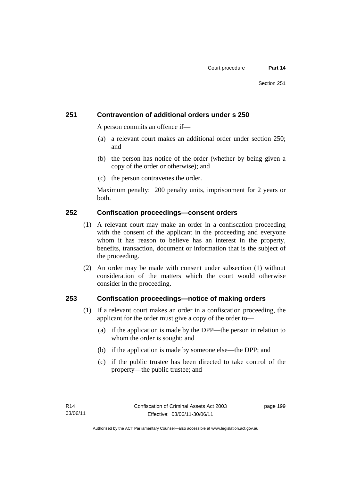# **251 Contravention of additional orders under s 250**

A person commits an offence if—

- (a) a relevant court makes an additional order under section 250; and
- (b) the person has notice of the order (whether by being given a copy of the order or otherwise); and
- (c) the person contravenes the order.

Maximum penalty: 200 penalty units, imprisonment for 2 years or both.

### **252 Confiscation proceedings—consent orders**

- (1) A relevant court may make an order in a confiscation proceeding with the consent of the applicant in the proceeding and everyone whom it has reason to believe has an interest in the property, benefits, transaction, document or information that is the subject of the proceeding.
- (2) An order may be made with consent under subsection (1) without consideration of the matters which the court would otherwise consider in the proceeding.

### **253 Confiscation proceedings—notice of making orders**

- (1) If a relevant court makes an order in a confiscation proceeding, the applicant for the order must give a copy of the order to—
	- (a) if the application is made by the DPP—the person in relation to whom the order is sought; and
	- (b) if the application is made by someone else—the DPP; and
	- (c) if the public trustee has been directed to take control of the property—the public trustee; and

page 199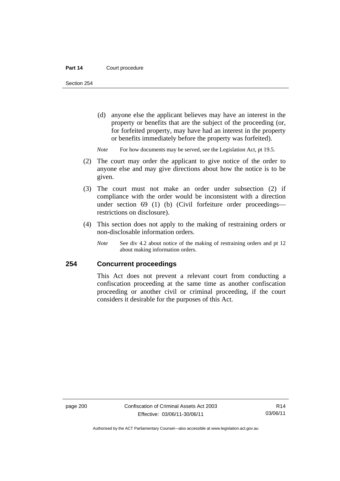Section 254

- (d) anyone else the applicant believes may have an interest in the property or benefits that are the subject of the proceeding (or, for forfeited property, may have had an interest in the property or benefits immediately before the property was forfeited).
- *Note* For how documents may be served, see the Legislation Act, pt 19.5.
- (2) The court may order the applicant to give notice of the order to anyone else and may give directions about how the notice is to be given.
- (3) The court must not make an order under subsection (2) if compliance with the order would be inconsistent with a direction under section 69 (1) (b) (Civil forfeiture order proceedings restrictions on disclosure).
- (4) This section does not apply to the making of restraining orders or non-disclosable information orders.
	- *Note* See div 4.2 about notice of the making of restraining orders and pt 12 about making information orders.

### **254 Concurrent proceedings**

This Act does not prevent a relevant court from conducting a confiscation proceeding at the same time as another confiscation proceeding or another civil or criminal proceeding, if the court considers it desirable for the purposes of this Act.

R14 03/06/11

Authorised by the ACT Parliamentary Counsel—also accessible at www.legislation.act.gov.au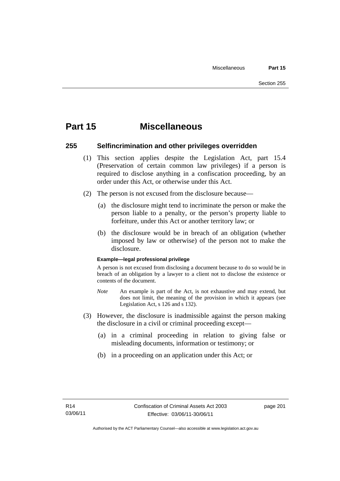# **Part 15 Miscellaneous**

### **255 Selfincrimination and other privileges overridden**

- (1) This section applies despite the Legislation Act, part 15.4 (Preservation of certain common law privileges) if a person is required to disclose anything in a confiscation proceeding, by an order under this Act, or otherwise under this Act.
- (2) The person is not excused from the disclosure because—
	- (a) the disclosure might tend to incriminate the person or make the person liable to a penalty, or the person's property liable to forfeiture, under this Act or another territory law; or
	- (b) the disclosure would be in breach of an obligation (whether imposed by law or otherwise) of the person not to make the disclosure.

#### **Example—legal professional privilege**

A person is not excused from disclosing a document because to do so would be in breach of an obligation by a lawyer to a client not to disclose the existence or contents of the document.

- *Note* An example is part of the Act, is not exhaustive and may extend, but does not limit, the meaning of the provision in which it appears (see Legislation Act, s 126 and s 132).
- (3) However, the disclosure is inadmissible against the person making the disclosure in a civil or criminal proceeding except—
	- (a) in a criminal proceeding in relation to giving false or misleading documents, information or testimony; or
	- (b) in a proceeding on an application under this Act; or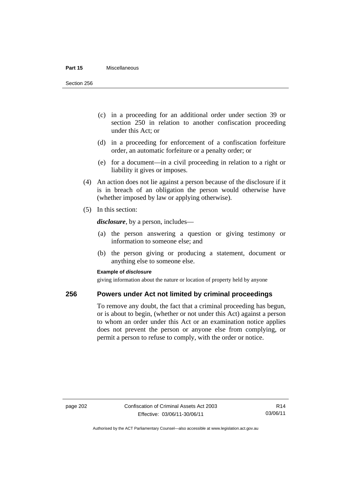#### **Part 15** Miscellaneous

Section 256

- (c) in a proceeding for an additional order under section 39 or section 250 in relation to another confiscation proceeding under this Act; or
- (d) in a proceeding for enforcement of a confiscation forfeiture order, an automatic forfeiture or a penalty order; or
- (e) for a document—in a civil proceeding in relation to a right or liability it gives or imposes.
- (4) An action does not lie against a person because of the disclosure if it is in breach of an obligation the person would otherwise have (whether imposed by law or applying otherwise).
- (5) In this section:

*disclosure*, by a person, includes—

- (a) the person answering a question or giving testimony or information to someone else; and
- (b) the person giving or producing a statement, document or anything else to someone else.

#### **Example of** *disclosure*

giving information about the nature or location of property held by anyone

#### **256 Powers under Act not limited by criminal proceedings**

To remove any doubt, the fact that a criminal proceeding has begun, or is about to begin, (whether or not under this Act) against a person to whom an order under this Act or an examination notice applies does not prevent the person or anyone else from complying, or permit a person to refuse to comply, with the order or notice.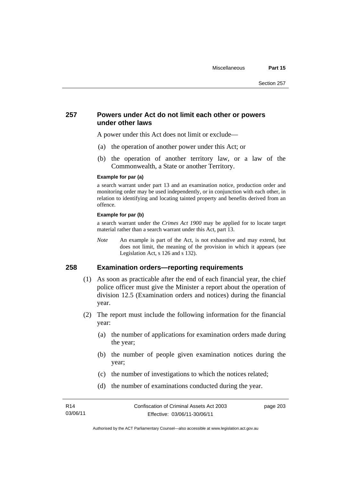### **257 Powers under Act do not limit each other or powers under other laws**

A power under this Act does not limit or exclude—

- (a) the operation of another power under this Act; or
- (b) the operation of another territory law, or a law of the Commonwealth, a State or another Territory.

#### **Example for par (a)**

a search warrant under part 13 and an examination notice, production order and monitoring order may be used independently, or in conjunction with each other, in relation to identifying and locating tainted property and benefits derived from an offence.

#### **Example for par (b)**

a search warrant under the *Crimes Act 1900* may be applied for to locate target material rather than a search warrant under this Act, part 13.

*Note* An example is part of the Act, is not exhaustive and may extend, but does not limit, the meaning of the provision in which it appears (see Legislation Act, s 126 and s 132).

### **258 Examination orders—reporting requirements**

- (1) As soon as practicable after the end of each financial year, the chief police officer must give the Minister a report about the operation of division 12.5 (Examination orders and notices) during the financial year.
- (2) The report must include the following information for the financial year:
	- (a) the number of applications for examination orders made during the year;
	- (b) the number of people given examination notices during the year;
	- (c) the number of investigations to which the notices related;
	- (d) the number of examinations conducted during the year.

page 203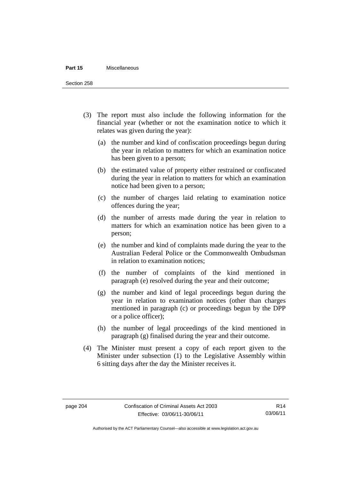#### **Part 15** Miscellaneous

Section 258

- (3) The report must also include the following information for the financial year (whether or not the examination notice to which it relates was given during the year):
	- (a) the number and kind of confiscation proceedings begun during the year in relation to matters for which an examination notice has been given to a person;
	- (b) the estimated value of property either restrained or confiscated during the year in relation to matters for which an examination notice had been given to a person;
	- (c) the number of charges laid relating to examination notice offences during the year;
	- (d) the number of arrests made during the year in relation to matters for which an examination notice has been given to a person;
	- (e) the number and kind of complaints made during the year to the Australian Federal Police or the Commonwealth Ombudsman in relation to examination notices;
	- (f) the number of complaints of the kind mentioned in paragraph (e) resolved during the year and their outcome;
	- (g) the number and kind of legal proceedings begun during the year in relation to examination notices (other than charges mentioned in paragraph (c) or proceedings begun by the DPP or a police officer);
	- (h) the number of legal proceedings of the kind mentioned in paragraph (g) finalised during the year and their outcome.
- (4) The Minister must present a copy of each report given to the Minister under subsection (1) to the Legislative Assembly within 6 sitting days after the day the Minister receives it.

Authorised by the ACT Parliamentary Counsel—also accessible at www.legislation.act.gov.au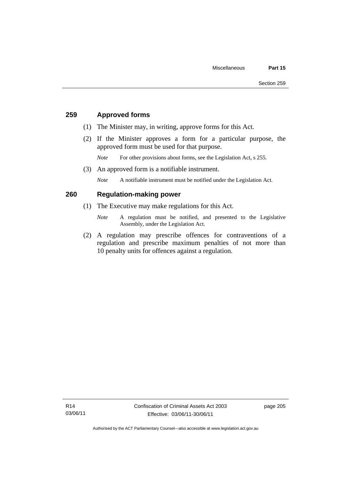### **259 Approved forms**

- (1) The Minister may, in writing, approve forms for this Act.
- (2) If the Minister approves a form for a particular purpose, the approved form must be used for that purpose.

*Note* For other provisions about forms, see the Legislation Act, s 255.

(3) An approved form is a notifiable instrument.

*Note* A notifiable instrument must be notified under the Legislation Act.

### **260 Regulation-making power**

- (1) The Executive may make regulations for this Act.
	- *Note* A regulation must be notified, and presented to the Legislative Assembly, under the Legislation Act.
- (2) A regulation may prescribe offences for contraventions of a regulation and prescribe maximum penalties of not more than 10 penalty units for offences against a regulation.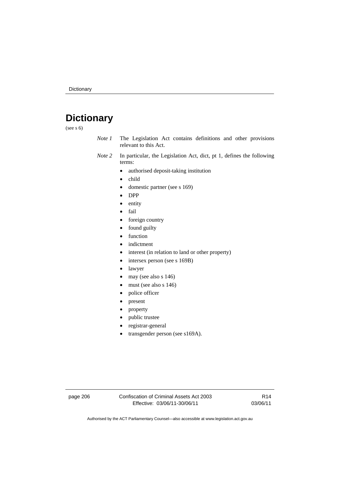# **Dictionary**

(see s 6)

- *Note 1* The Legislation Act contains definitions and other provisions relevant to this Act.
- *Note 2* In particular, the Legislation Act, dict, pt 1, defines the following terms:
	- authorised deposit-taking institution
	- child
	- $\bullet$  domestic partner (see s 169)
	- DPP
	- entity
	- fail
	- foreign country
	- found guilty
	- function
	- indictment
	- interest (in relation to land or other property)
	- intersex person (see s 169B)
	- lawyer
	- may (see also s 146)
	- must (see also s 146)
	- police officer
	- present
	- property
	- public trustee
	- registrar-general
	- transgender person (see s169A).

page 206 Confiscation of Criminal Assets Act 2003 Effective: 03/06/11-30/06/11

R14 03/06/11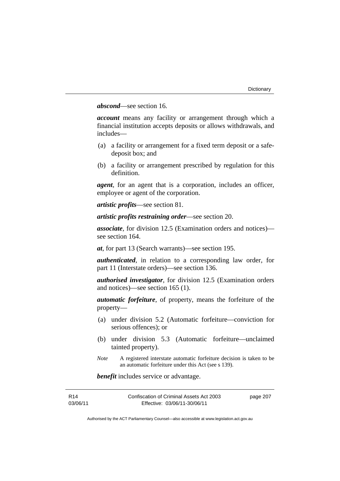### *abscond*—see section 16.

*account* means any facility or arrangement through which a financial institution accepts deposits or allows withdrawals, and includes—

- (a) a facility or arrangement for a fixed term deposit or a safedeposit box; and
- (b) a facility or arrangement prescribed by regulation for this definition.

*agent*, for an agent that is a corporation, includes an officer, employee or agent of the corporation.

*artistic profits*—see section 81.

*artistic profits restraining order*—see section 20.

*associate*, for division 12.5 (Examination orders and notices) see section 164.

*at*, for part 13 (Search warrants)—see section 195.

*authenticated*, in relation to a corresponding law order, for part 11 (Interstate orders)—see section 136.

*authorised investigator*, for division 12.5 (Examination orders and notices)—see section 165 (1).

*automatic forfeiture*, of property, means the forfeiture of the property—

- (a) under division 5.2 (Automatic forfeiture—conviction for serious offences); or
- (b) under division 5.3 (Automatic forfeiture—unclaimed tainted property).
- *Note* A registered interstate automatic forfeiture decision is taken to be an automatic forfeiture under this Act (see s 139).

*benefit* includes service or advantage.

| R14      | Confiscation of Criminal Assets Act 2003 | page 207 |
|----------|------------------------------------------|----------|
| 03/06/11 | Effective: 03/06/11-30/06/11             |          |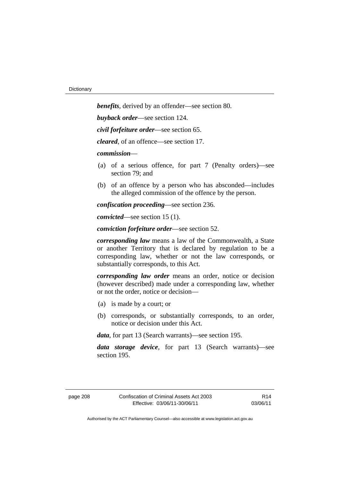*benefits*, derived by an offender—see section 80. *buyback order*—see section 124. *civil forfeiture order*—see section 65. *cleared*, of an offence—see section 17. *commission*— (a) of a serious offence, for part 7 (Penalty orders)—see section 79; and (b) of an offence by a person who has absconded—includes the alleged commission of the offence by the person. *confiscation proceeding*—see section 236.

*convicted*—see section 15 (1).

*conviction forfeiture order*—see section 52.

*corresponding law* means a law of the Commonwealth, a State or another Territory that is declared by regulation to be a corresponding law, whether or not the law corresponds, or substantially corresponds, to this Act.

*corresponding law order* means an order, notice or decision (however described) made under a corresponding law, whether or not the order, notice or decision—

- (a) is made by a court; or
- (b) corresponds, or substantially corresponds, to an order, notice or decision under this Act.

*data*, for part 13 (Search warrants)—see section 195.

*data storage device*, for part 13 (Search warrants)—see section 195.

R14 03/06/11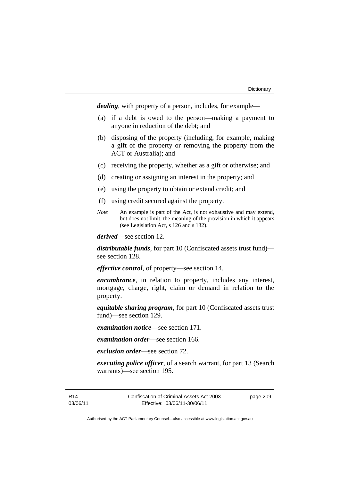*dealing*, with property of a person, includes, for example—

- (a) if a debt is owed to the person—making a payment to anyone in reduction of the debt; and
- (b) disposing of the property (including, for example, making a gift of the property or removing the property from the ACT or Australia); and
- (c) receiving the property, whether as a gift or otherwise; and
- (d) creating or assigning an interest in the property; and
- (e) using the property to obtain or extend credit; and
- (f) using credit secured against the property.
- *Note* An example is part of the Act, is not exhaustive and may extend, but does not limit, the meaning of the provision in which it appears (see Legislation Act, s 126 and s 132).

*derived*—see section 12.

*distributable funds*, for part 10 (Confiscated assets trust fund) see section 128.

*effective control*, of property—see section 14.

*encumbrance*, in relation to property, includes any interest, mortgage, charge, right, claim or demand in relation to the property.

*equitable sharing program*, for part 10 (Confiscated assets trust fund)—see section 129.

*examination notice*—see section 171.

*examination order*—see section 166.

*exclusion order*—see section 72.

*executing police officer*, of a search warrant, for part 13 (Search warrants)—see section 195.

R14 03/06/11 Confiscation of Criminal Assets Act 2003 Effective: 03/06/11-30/06/11

page 209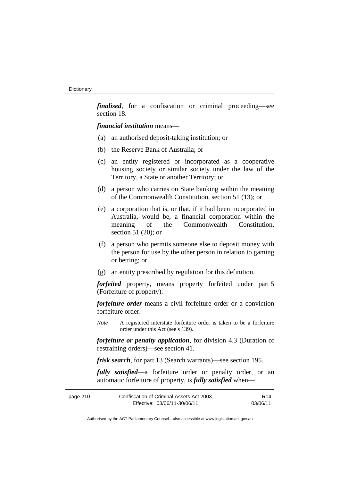*finalised*, for a confiscation or criminal proceeding—see section 18.

*financial institution* means—

- (a) an authorised deposit-taking institution; or
- (b) the Reserve Bank of Australia; or
- (c) an entity registered or incorporated as a cooperative housing society or similar society under the law of the Territory, a State or another Territory; or
- (d) a person who carries on State banking within the meaning of the Commonwealth Constitution, section 51 (13); or
- (e) a corporation that is, or that, if it had been incorporated in Australia, would be, a financial corporation within the meaning of the Commonwealth Constitution, section 51 (20); or
- (f) a person who permits someone else to deposit money with the person for use by the other person in relation to gaming or betting; or
- (g) an entity prescribed by regulation for this definition.

*forfeited* property, means property forfeited under part 5 (Forfeiture of property).

*forfeiture order* means a civil forfeiture order or a conviction forfeiture order.

*Note* A registered interstate forfeiture order is taken to be a forfeiture order under this Act (see s 139).

*forfeiture or penalty application*, for division 4.3 (Duration of restraining orders)—see section 41.

*frisk search*, for part 13 (Search warrants)—see section 195.

*fully satisfied*—a forfeiture order or penalty order, or an automatic forfeiture of property, is *fully satisfied* when—

| page 210 | Confiscation of Criminal Assets Act 2003 | R <sub>14</sub> |
|----------|------------------------------------------|-----------------|
|          | Effective: 03/06/11-30/06/11             | 03/06/11        |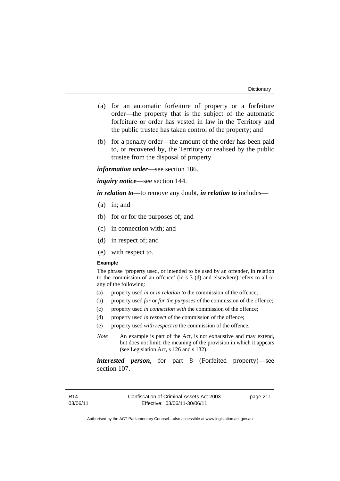- (a) for an automatic forfeiture of property or a forfeiture order—the property that is the subject of the automatic forfeiture or order has vested in law in the Territory and the public trustee has taken control of the property; and
- (b) for a penalty order—the amount of the order has been paid to, or recovered by, the Territory or realised by the public trustee from the disposal of property.

*information order*—see section 186.

*inquiry notice*—see section 144.

*in relation to*—to remove any doubt, *in relation to* includes—

- (a) in; and
- (b) for or for the purposes of; and
- (c) in connection with; and
- (d) in respect of; and
- (e) with respect to.

#### **Example**

The phrase 'property used, or intended to be used by an offender, in relation to the commission of an offence' (in s 3 (d) and elsewhere) refers to all or any of the following:

- (a) property used *in* or *in relation to* the commission of the offence;
- (b) property used *for* or *for the purposes of* the commission of the offence;
- (c) property used *in connection with* the commission of the offence;
- (d) property used *in respect of* the commission of the offence;
- (e) property used *with respect to* the commission of the offence.
- *Note* An example is part of the Act, is not exhaustive and may extend, but does not limit, the meaning of the provision in which it appears (see Legislation Act, s 126 and s 132).

*interested person*, for part 8 (Forfeited property)—see section 107.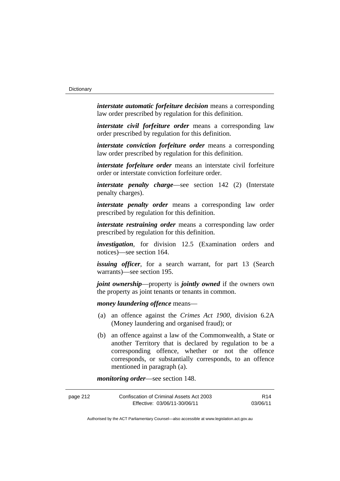*interstate automatic forfeiture decision* means a corresponding law order prescribed by regulation for this definition.

*interstate civil forfeiture order* means a corresponding law order prescribed by regulation for this definition.

*interstate conviction forfeiture order* means a corresponding law order prescribed by regulation for this definition.

*interstate forfeiture order* means an interstate civil forfeiture order or interstate conviction forfeiture order.

*interstate penalty charge*—see section 142 (2) (Interstate penalty charges).

*interstate penalty order* means a corresponding law order prescribed by regulation for this definition.

*interstate restraining order* means a corresponding law order prescribed by regulation for this definition.

*investigation*, for division 12.5 (Examination orders and notices)—see section 164.

*issuing officer*, for a search warrant, for part 13 (Search warrants)—see section 195.

*joint ownership*—property is *jointly owned* if the owners own the property as joint tenants or tenants in common.

*money laundering offence* means—

- (a) an offence against the *Crimes Act 1900*, division 6.2A (Money laundering and organised fraud); or
- (b) an offence against a law of the Commonwealth, a State or another Territory that is declared by regulation to be a corresponding offence, whether or not the offence corresponds, or substantially corresponds, to an offence mentioned in paragraph (a).

*monitoring order*—see section 148.

| page 212 | Confiscation of Criminal Assets Act 2003 | R14      |
|----------|------------------------------------------|----------|
|          | Effective: 03/06/11-30/06/11             | 03/06/11 |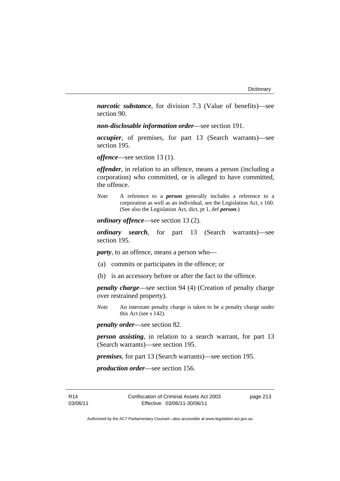*narcotic substance*, for division 7.3 (Value of benefits)—see section 90.

*non-disclosable information order*—see section 191.

*occupier*, of premises, for part 13 (Search warrants)—see section 195.

*offence*—see section 13 (1).

*offender*, in relation to an offence, means a person (including a corporation) who committed, or is alleged to have committed, the offence.

*Note* A reference to a *person* generally includes a reference to a corporation as well as an individual, see the Legislation Act, s 160. (See also the Legislation Act, dict, pt 1, def *person*.)

*ordinary offence*—see section 13 (2).

*ordinary search*, for part 13 (Search warrants)—see section 195.

*party*, to an offence, means a person who—

- (a) commits or participates in the offence; or
- (b) is an accessory before or after the fact to the offence.

*penalty charge*—see section 94 (4) (Creation of penalty charge over restrained property).

*Note* An interstate penalty charge is taken to be a penalty charge under this Act (see s 142).

*penalty order*—see section 82.

*person assisting*, in relation to a search warrant, for part 13 (Search warrants)—see section 195.

*premises*, for part 13 (Search warrants)—see section 195.

*production order*—see section 156.

R14 03/06/11 Confiscation of Criminal Assets Act 2003 Effective: 03/06/11-30/06/11

page 213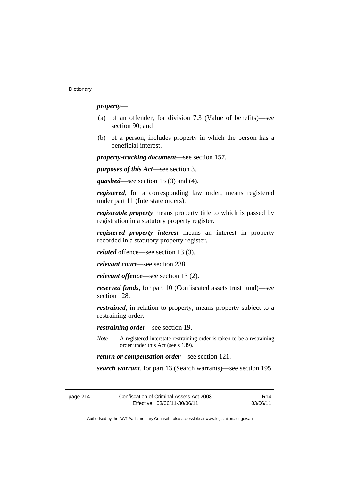### *property*—

- (a) of an offender, for division 7.3 (Value of benefits)—see section 90; and
- (b) of a person, includes property in which the person has a beneficial interest.

*property-tracking document*—see section 157.

*purposes of this Act*—see section 3.

*quashed*—see section 15 (3) and (4).

*registered*, for a corresponding law order, means registered under part 11 (Interstate orders).

*registrable property* means property title to which is passed by registration in a statutory property register.

*registered property interest* means an interest in property recorded in a statutory property register.

*related* offence—see section 13 (3).

*relevant court*—see section 238.

*relevant offence*—see section 13 (2).

*reserved funds*, for part 10 (Confiscated assets trust fund)—see section 128.

*restrained*, in relation to property, means property subject to a restraining order.

*restraining order*—see section 19.

*Note* A registered interstate restraining order is taken to be a restraining order under this Act (see s 139).

*return or compensation order*—see section 121.

*search warrant*, for part 13 (Search warrants)—see section 195.

| page 214 | Confiscation of Criminal Assets Act 2003 | R <sub>14</sub> |
|----------|------------------------------------------|-----------------|
|          | Effective: 03/06/11-30/06/11             | 03/06/11        |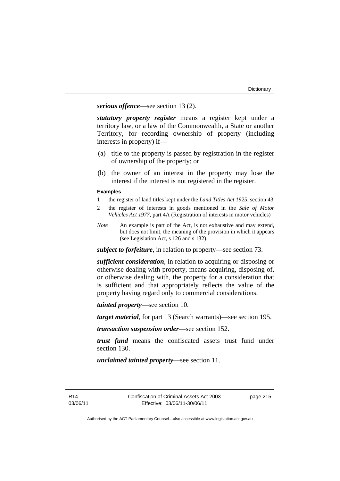*serious offence*—see section 13 (2).

*statutory property register* means a register kept under a territory law, or a law of the Commonwealth, a State or another Territory, for recording ownership of property (including interests in property) if—

- (a) title to the property is passed by registration in the register of ownership of the property; or
- (b) the owner of an interest in the property may lose the interest if the interest is not registered in the register.

#### **Examples**

- 1 the register of land titles kept under the *Land Titles Act 1925*, section 43
- 2 the register of interests in goods mentioned in the *Sale of Motor Vehicles Act 1977*, part 4A (Registration of interests in motor vehicles)
- *Note* An example is part of the Act, is not exhaustive and may extend, but does not limit, the meaning of the provision in which it appears (see Legislation Act, s 126 and s 132).

*subject to forfeiture*, in relation to property—see section 73.

*sufficient consideration*, in relation to acquiring or disposing or otherwise dealing with property, means acquiring, disposing of, or otherwise dealing with, the property for a consideration that is sufficient and that appropriately reflects the value of the property having regard only to commercial considerations.

*tainted property*—see section 10.

*target material*, for part 13 (Search warrants)—see section 195.

*transaction suspension order*—see section 152.

*trust fund* means the confiscated assets trust fund under section 130.

*unclaimed tainted property*—see section 11.

R14 03/06/11 page 215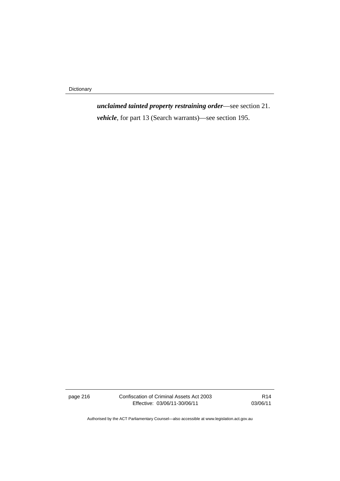Dictionary

*unclaimed tainted property restraining order*—see section 21. *vehicle*, for part 13 (Search warrants)—see section 195.

page 216 Confiscation of Criminal Assets Act 2003 Effective: 03/06/11-30/06/11

R14 03/06/11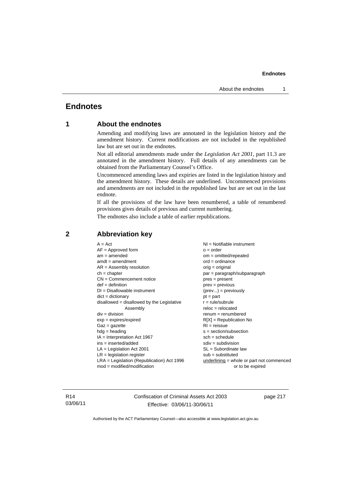## **Endnotes**

### **1 About the endnotes**

Amending and modifying laws are annotated in the legislation history and the amendment history. Current modifications are not included in the republished law but are set out in the endnotes.

Not all editorial amendments made under the *Legislation Act 2001*, part 11.3 are annotated in the amendment history. Full details of any amendments can be obtained from the Parliamentary Counsel's Office.

Uncommenced amending laws and expiries are listed in the legislation history and the amendment history. These details are underlined. Uncommenced provisions and amendments are not included in the republished law but are set out in the last endnote.

If all the provisions of the law have been renumbered, a table of renumbered provisions gives details of previous and current numbering.

The endnotes also include a table of earlier republications.

| $A = Act$<br>$AF =$ Approved form            | $NI = Notifiable$ instrument<br>$Q = Qd$  |
|----------------------------------------------|-------------------------------------------|
| $am = amended$                               | $om = omitted/repealed$                   |
| $amdt = amendment$                           | $ord = ordinance$                         |
| $AR = Assembly resolution$                   | $orig = original$                         |
| $ch = chapter$                               | par = paragraph/subparagraph              |
| $CN =$ Commencement notice                   | $pres = present$                          |
| $def = definition$                           | $prev = previous$                         |
| $DI = Disallowable instrument$               | $(\text{prev}) = \text{previously}$       |
| $dict = dictionary$                          | $pt = part$                               |
| $disallowed = disallowed by the Legislative$ | $r = rule/subrule$                        |
| Assembly                                     | $reloc = relocated$                       |
| $div =$ division                             | $renum = renumbered$                      |
| $exp = expires/expired$                      | $R[X]$ = Republication No                 |
| $Gaz = gazette$                              | $RI = reissue$                            |
| $hdg =$ heading                              | $s = section/subsection$                  |
| $IA = Interpretation Act 1967$               | $sch = schedule$                          |
| $ins = inserted/added$                       | $sdiv = subdivision$                      |
| $LA =$ Legislation Act 2001                  | $SL = Subordinate$ law                    |
| $LR =$ legislation register                  | $sub =$ substituted                       |
| $LRA =$ Legislation (Republication) Act 1996 | underlining = whole or part not commenced |
| $mod = modified/modification$                | or to be expired                          |

### **2 Abbreviation key**

R14 03/06/11 Confiscation of Criminal Assets Act 2003 Effective: 03/06/11-30/06/11

page 217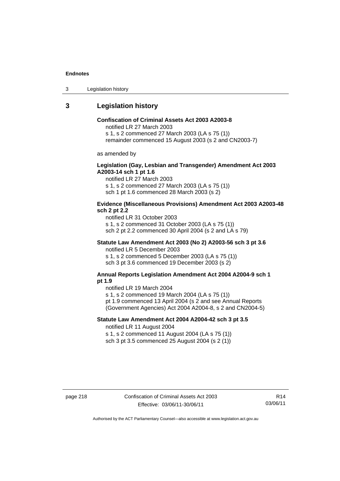3 Legislation history

### **3 Legislation history**

### **Confiscation of Criminal Assets Act 2003 A2003-8**

notified LR 27 March 2003

s 1, s 2 commenced 27 March 2003 (LA s 75 (1))

remainder commenced 15 August 2003 (s 2 and CN2003-7)

as amended by

### **Legislation (Gay, Lesbian and Transgender) Amendment Act 2003 A2003-14 sch 1 pt 1.6**

notified LR 27 March 2003 s 1, s 2 commenced 27 March 2003 (LA s 75 (1)) sch 1 pt 1.6 commenced 28 March 2003 (s 2)

#### **Evidence (Miscellaneous Provisions) Amendment Act 2003 A2003-48 sch 2 pt 2.2**

notified LR 31 October 2003 s 1, s 2 commenced 31 October 2003 (LA s 75 (1)) sch 2 pt 2.2 commenced 30 April 2004 (s 2 and LA s 79)

### **Statute Law Amendment Act 2003 (No 2) A2003-56 sch 3 pt 3.6**

notified LR 5 December 2003 s 1, s 2 commenced 5 December 2003 (LA s 75 (1)) sch 3 pt 3.6 commenced 19 December 2003 (s 2)

#### **Annual Reports Legislation Amendment Act 2004 A2004-9 sch 1 pt 1.9**

notified LR 19 March 2004

s 1, s 2 commenced 19 March 2004 (LA s 75 (1))

pt 1.9 commenced 13 April 2004 (s 2 and see Annual Reports (Government Agencies) Act 2004 A2004-8, s 2 and CN2004-5)

### **Statute Law Amendment Act 2004 A2004-42 sch 3 pt 3.5**  notified LR 11 August 2004

s 1, s 2 commenced 11 August 2004 (LA s 75 (1)) sch 3 pt 3.5 commenced 25 August 2004 (s 2 (1))

page 218 Confiscation of Criminal Assets Act 2003 Effective: 03/06/11-30/06/11

R14 03/06/11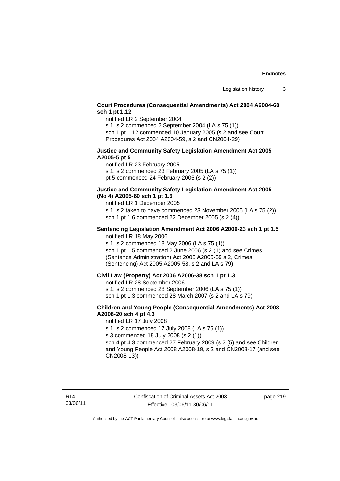### **Court Procedures (Consequential Amendments) Act 2004 A2004-60 sch 1 pt 1.12**

notified LR 2 September 2004

s 1, s 2 commenced 2 September 2004 (LA s 75 (1)) sch 1 pt 1.12 commenced 10 January 2005 (s 2 and see Court

Procedures Act 2004 A2004-59, s 2 and CN2004-29)

#### **Justice and Community Safety Legislation Amendment Act 2005 A2005-5 pt 5**

notified LR 23 February 2005 s 1, s 2 commenced 23 February 2005 (LA s 75 (1)) pt 5 commenced 24 February 2005 (s 2 (2))

#### **Justice and Community Safety Legislation Amendment Act 2005 (No 4) A2005-60 sch 1 pt 1.6**

notified LR 1 December 2005

s 1, s 2 taken to have commenced 23 November 2005 (LA s 75 (2)) sch 1 pt 1.6 commenced 22 December 2005 (s 2 (4))

#### **Sentencing Legislation Amendment Act 2006 A2006-23 sch 1 pt 1.5**  notified LR 18 May 2006

s 1, s 2 commenced 18 May 2006 (LA s 75 (1)) sch 1 pt 1.5 commenced 2 June 2006 (s 2 (1) and see Crimes (Sentence Administration) Act 2005 A2005-59 s 2, Crimes (Sentencing) Act 2005 A2005-58, s 2 and LA s 79)

#### **Civil Law (Property) Act 2006 A2006-38 sch 1 pt 1.3**

notified LR 28 September 2006

s 1, s 2 commenced 28 September 2006 (LA s 75 (1))

sch 1 pt 1.3 commenced 28 March 2007 (s 2 and LA s 79)

### **Children and Young People (Consequential Amendments) Act 2008 A2008-20 sch 4 pt 4.3**

notified LR 17 July 2008

s 1, s 2 commenced 17 July 2008 (LA s 75 (1))

s 3 commenced 18 July 2008 (s 2 (1))

sch 4 pt 4.3 commenced 27 February 2009 (s 2 (5) and see Children and Young People Act 2008 A2008-19, s 2 and CN2008-17 (and see CN2008-13))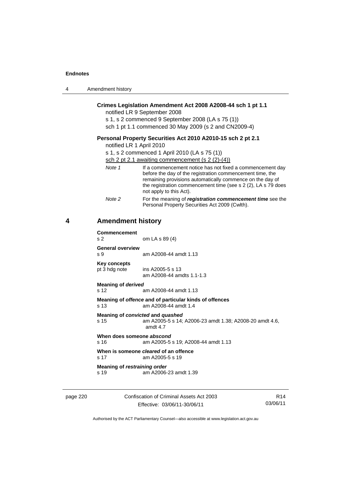4

| 4 | Amendment history                           |                                                                                                                                                                                                                                                                                 |
|---|---------------------------------------------|---------------------------------------------------------------------------------------------------------------------------------------------------------------------------------------------------------------------------------------------------------------------------------|
|   |                                             | Crimes Legislation Amendment Act 2008 A2008-44 sch 1 pt 1.1<br>notified LR 9 September 2008<br>s 1, s 2 commenced 9 September 2008 (LA s 75 (1))<br>sch 1 pt 1.1 commenced 30 May 2009 (s 2 and CN2009-4)                                                                       |
|   | notified LR 1 April 2010                    | Personal Property Securities Act 2010 A2010-15 sch 2 pt 2.1<br>s 1, s 2 commenced 1 April 2010 (LA s 75 (1))<br>sch 2 pt 2.1 awaiting commencement (s $2(2)-(4)$ )                                                                                                              |
|   | Note 1                                      | If a commencement notice has not fixed a commencement day<br>before the day of the registration commencement time, the<br>remaining provisions automatically commence on the day of<br>the registration commencement time (see s 2 (2), LA s 79 does<br>not apply to this Act). |
|   | Note 2                                      | For the meaning of registration commencement time see the<br>Personal Property Securities Act 2009 (Cwlth).                                                                                                                                                                     |
| 4 | <b>Amendment history</b>                    |                                                                                                                                                                                                                                                                                 |
|   | <b>Commencement</b><br>s 2                  | om LA s 89 (4)                                                                                                                                                                                                                                                                  |
|   | <b>General overview</b><br>s 9              | am A2008-44 amdt 1.13                                                                                                                                                                                                                                                           |
|   | <b>Key concepts</b><br>pt 3 hdg note        | ins A2005-5 s 13<br>am A2008-44 amdts 1.1-1.3                                                                                                                                                                                                                                   |
|   | <b>Meaning of derived</b><br>s 12           | am A2008-44 amdt 1.13                                                                                                                                                                                                                                                           |
|   | s 13                                        | Meaning of offence and of particular kinds of offences<br>am A2008-44 amdt 1.4                                                                                                                                                                                                  |
|   | s 15                                        | Meaning of convicted and quashed<br>am A2005-5 s 14; A2006-23 amdt 1.38; A2008-20 amdt 4.6,<br>amdt 4.7                                                                                                                                                                         |
|   | When does someone abscond<br>s 16           | am A2005-5 s 19; A2008-44 amdt 1.13                                                                                                                                                                                                                                             |
|   | s 17                                        | When is someone <i>cleared</i> of an offence<br>am A2005-5 s 19                                                                                                                                                                                                                 |
|   | <b>Meaning of restraining order</b><br>s 19 | am A2006-23 amdt 1.39                                                                                                                                                                                                                                                           |
|   |                                             |                                                                                                                                                                                                                                                                                 |

page 220 Confiscation of Criminal Assets Act 2003 Effective: 03/06/11-30/06/11

R14 03/06/11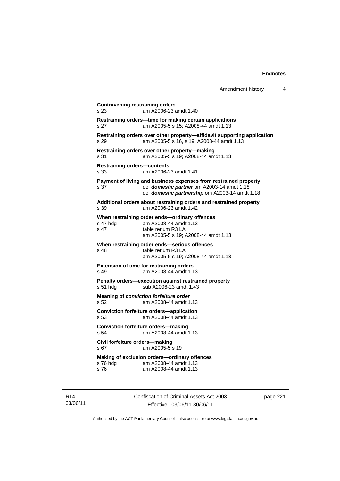| Amendment history |  |  |
|-------------------|--|--|
|-------------------|--|--|

```
Contravening restraining orders 
s 23 am A2006-23 amdt 1.40 
Restraining orders—time for making certain applications 
s 27 am A2005-5 s 15; A2008-44 amdt 1.13 
Restraining orders over other property—affidavit supporting application 
s 29 am A2005-5 s 16, s 19; A2008-44 amdt 1.13 
Restraining orders over other property—making 
s 31 am A2005-5 s 19; A2008-44 amdt 1.13 
Restraining orders—contents 
s 33 am A2006-23 amdt 1.41 
Payment of living and business expenses from restrained property 
s 37 def domestic partner om A2003-14 amdt 1.18 
                  def domestic partnership om A2003-14 amdt 1.18 
Additional orders about restraining orders and restrained property 
s 39 am A2006-23 amdt 1.42 
When restraining order ends—ordinary offences<br>s 47 hdg am A2008-44 amdt 1.13
s 47 hdg am A2008-44 amdt 1.13<br>s 47 table renum R3 LA
                table renum R3 LA
                 am A2005-5 s 19; A2008-44 amdt 1.13 
When restraining order ends—serious offences 
s 48 table renum R3 LA
                  am A2005-5 s 19; A2008-44 amdt 1.13 
Extension of time for restraining orders 
s 49 am A2008-44 amdt 1.13 
Penalty orders—execution against restrained property 
s 51 hdg sub A2006-23 amdt 1.43 
Meaning of conviction forfeiture order 
s 52 am A2008-44 amdt 1.13 
Conviction forfeiture orders—application
s 53 am A2008-44 amdt 1.13 
Conviction forfeiture orders—making
s 54 am A2008-44 amdt 1.13 
Civil forfeiture orders—making 
s 67 am A2005-5 s 19 
Making of exclusion orders—ordinary offences 
                am A2008-44 amdt 1.13
s 76 am A2008-44 amdt 1.13
```
R14 03/06/11 Confiscation of Criminal Assets Act 2003 Effective: 03/06/11-30/06/11

page 221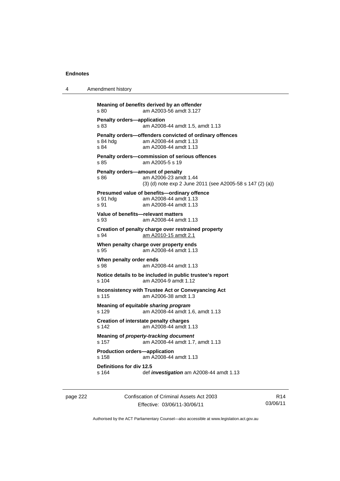4 Amendment history

```
Meaning of benefits derived by an offender 
s 80 am A2003-56 amdt 3.127 
Penalty orders—application<br>
s 83 am A2008
                \frac{1}{3}am A2008-44 amdt 1.5, amdt 1.13
Penalty orders—offenders convicted of ordinary offences<br>s 84 hdg am A2008-44 amdt 1.13
                am A2008-44 amdt 1.13
s 84 am A2008-44 amdt 1.13 
Penalty orders—commission of serious offences 
s 85 am A2005-5 s 19 
Penalty orders—amount of penalty 
s 86 am A2006-23 amdt 1.44 
                  (3) (d) note exp 2 June 2011 (see A2005-58 s 147 (2) (a)) 
Presumed value of benefits—ordinary offence 
s 91 hdg am A2008-44 amdt 1.13 
s 91 am A2008-44 amdt 1.13 
Value of benefits—relevant matters 
s 93 am A2008-44 amdt 1.13 
Creation of penalty charge over restrained property 
s 94 am A2010-15 amdt 2.1
When penalty charge over property ends 
s 95 am A2008-44 amdt 1.13 
When penalty order ends 
s 98 am A2008-44 amdt 1.13 
Notice details to be included in public trustee's report 
s 104 am A2004-9 amdt 1.12 
Inconsistency with Trustee Act or Conveyancing Act 
s 115 am A2006-38 amdt 1.3 
Meaning of equitable sharing program 
s 129 am A2008-44 amdt 1.6, amdt 1.13 
Creation of interstate penalty charges 
s 142 am A2008-44 amdt 1.13 
Meaning of property-tracking document 
s 157 am A2008-44 amdt 1.7, amdt 1.13 
Production orders—application 
s 158 am A2008-44 amdt 1.13 
Definitions for div 12.5 
                s 164 def investigation am A2008-44 amdt 1.13
```
page 222 Confiscation of Criminal Assets Act 2003 Effective: 03/06/11-30/06/11

R14 03/06/11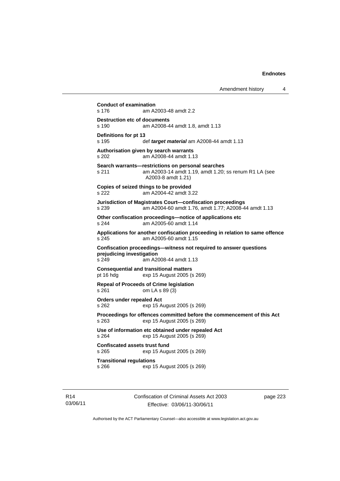```
Conduct of examination 
s 176 am A2003-48 amdt 2.2 
Destruction etc of documents<br>s 190 am A2008-4
                am A2008-44 amdt 1.8, amdt 1.13
Definitions for pt 13 
s 195 def target material am A2008-44 amdt 1.13 
Authorisation given by search warrants 
s 202 am A2008-44 amdt 1.13 
Search warrants—restrictions on personal searches 
s 211 am A2003-14 amdt 1.19, amdt 1.20; ss renum R1 LA (see 
                 A2003-8 amdt 1.21) 
Copies of seized things to be provided 
s 222 am A2004-42 amdt 3.22 
Jurisdiction of Magistrates Court—confiscation proceedings 
s 239 am A2004-60 amdt 1.76, amdt 1.77; A2008-44 amdt 1.13 
Other confiscation proceedings—notice of applications etc 
s 244 am A2005-60 amdt 1.14 
Applications for another confiscation proceeding in relation to same offence 
s 245 am A2005-60 amdt 1.15 
Confiscation proceedings—witness not required to answer questions 
prejudicing investigation 
                am A2008-44 amdt 1.13
Consequential and transitional matters 
pt 16 hdg exp 15 August 2005 (s 269) 
Repeal of Proceeds of Crime legislation 
s 261 om LA s 89 (3) 
Orders under repealed Act 
s 262 exp 15 August 2005 (s 269) 
Proceedings for offences committed before the commencement of this Act 
s 263 exp 15 August 2005 (s 269) 
Use of information etc obtained under repealed Act 
s 264 exp 15 August 2005 (s 269) 
Confiscated assets trust fund 
s 265 exp 15 August 2005 (s 269) 
Transitional regulations 
s 266 exp 15 August 2005 (s 269)
```
R14 03/06/11 Confiscation of Criminal Assets Act 2003 Effective: 03/06/11-30/06/11

page 223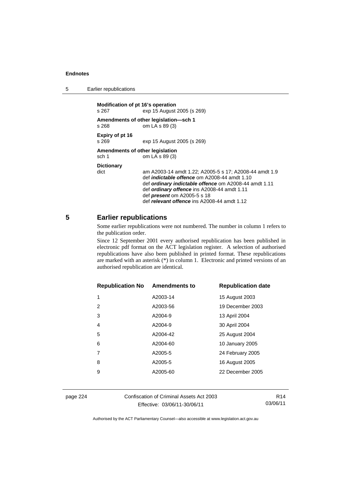| 5 | Earlier republications |
|---|------------------------|
|---|------------------------|

| Modification of pt 16's operation<br>s 267 | exp 15 August 2005 (s 269)                                                                                                                                                                                                                                                                                 |
|--------------------------------------------|------------------------------------------------------------------------------------------------------------------------------------------------------------------------------------------------------------------------------------------------------------------------------------------------------------|
| s 268                                      | Amendments of other legislation-sch 1<br>om LA s 89 (3)                                                                                                                                                                                                                                                    |
| Expiry of pt 16<br>s 269                   | exp 15 August 2005 (s 269)                                                                                                                                                                                                                                                                                 |
| Amendments of other legislation<br>sch 1   | om LA s 89 (3)                                                                                                                                                                                                                                                                                             |
| <b>Dictionary</b><br>dict                  | am A2003-14 amdt 1.22; A2005-5 s 17; A2008-44 amdt 1.9<br>def <i>indictable offence</i> om A2008-44 amdt 1.10<br>def ordinary indictable offence om A2008-44 amdt 1.11<br>def ordinary offence ins A2008-44 amdt 1.11<br>def <i>present</i> om A2005-5 s 18<br>def relevant offence ins A2008-44 amdt 1.12 |

### **5 Earlier republications**

Some earlier republications were not numbered. The number in column 1 refers to the publication order.

Since 12 September 2001 every authorised republication has been published in electronic pdf format on the ACT legislation register. A selection of authorised republications have also been published in printed format. These republications are marked with an asterisk (\*) in column 1. Electronic and printed versions of an authorised republication are identical.

| <b>Republication No</b> | <b>Amendments to</b> | <b>Republication date</b> |
|-------------------------|----------------------|---------------------------|
| 1                       | A2003-14             | 15 August 2003            |
| 2                       | A2003-56             | 19 December 2003          |
| 3                       | A2004-9              | 13 April 2004             |
| 4                       | A2004-9              | 30 April 2004             |
| 5                       | A2004-42             | 25 August 2004            |
| 6                       | A2004-60             | <b>10 January 2005</b>    |
|                         | A2005-5              | 24 February 2005          |
| 8                       | A2005-5              | 16 August 2005            |
| 9                       | A2005-60             | 22 December 2005          |
|                         |                      |                           |

page 224 Confiscation of Criminal Assets Act 2003 Effective: 03/06/11-30/06/11

R14 03/06/11